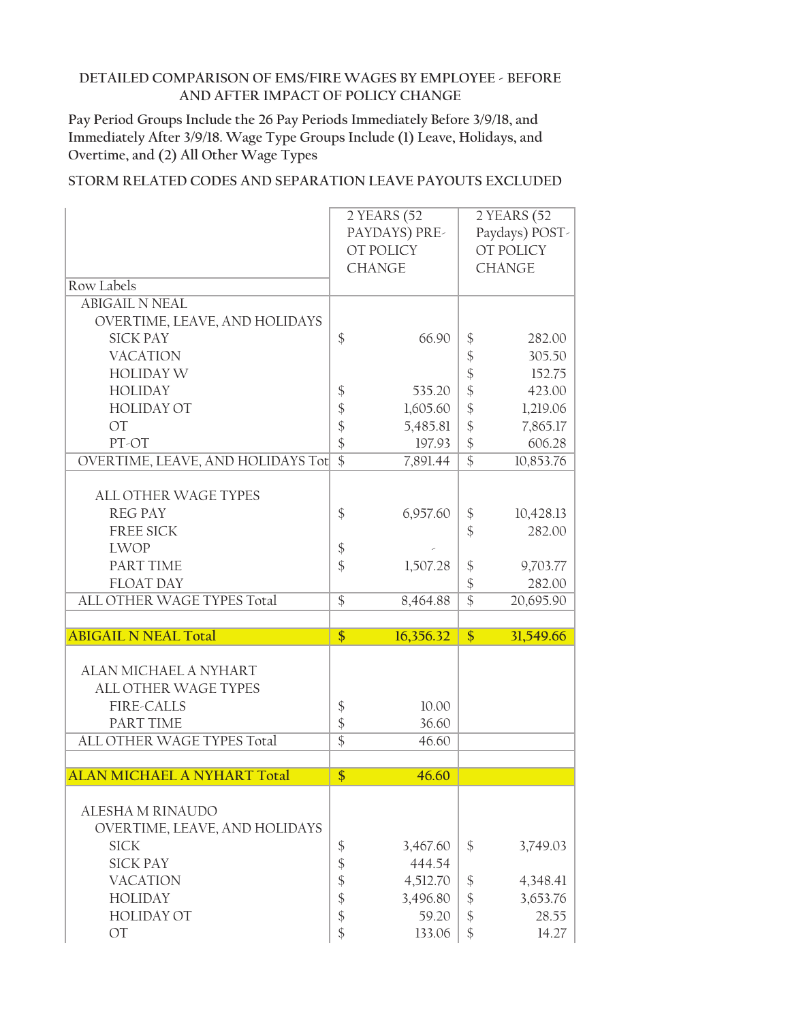**Pay Period Groups Include the 26 Pay Periods Immediately Before 3/9/18, and Immediately After 3/9/18. Wage Type Groups Include (1) Leave, Holidays, and Overtime, and (2) All Other Wage Types**

|                                    | 2 YEARS (52       |               | 2 YEARS (52     |                |
|------------------------------------|-------------------|---------------|-----------------|----------------|
|                                    |                   | PAYDAYS) PRE- |                 | Paydays) POST- |
|                                    |                   | OT POLICY     |                 | OT POLICY      |
|                                    |                   | <b>CHANGE</b> |                 | <b>CHANGE</b>  |
| Row Labels                         |                   |               |                 |                |
| <b>ABIGAIL N NEAL</b>              |                   |               |                 |                |
| OVERTIME, LEAVE, AND HOLIDAYS      |                   |               |                 |                |
| <b>SICK PAY</b>                    | \$                | 66.90         | \$              | 282.00         |
| <b>VACATION</b>                    |                   |               | \$              | 305.50         |
| <b>HOLIDAY W</b>                   |                   |               |                 | 152.75         |
|                                    |                   |               | \$              |                |
| <b>HOLIDAY</b>                     | \$                | 535.20        | \$              | 423.00         |
| <b>HOLIDAY OT</b>                  | \$                | 1,605.60      | \$              | 1,219.06       |
| <b>OT</b>                          | \$                | 5,485.81      | $\frac{1}{2}$   | 7,865.17       |
| PT-OT                              | \$                | 197.93        | $\frac{1}{2}$   | 606.28         |
| OVERTIME, LEAVE, AND HOLIDAYS Tot  | $\overline{\$}$   | 7,891.44      | $\overline{\$}$ | 10,853.76      |
|                                    |                   |               |                 |                |
| <b>ALL OTHER WAGE TYPES</b>        |                   |               |                 |                |
| <b>REG PAY</b>                     | \$                | 6,957.60      | \$              | 10,428.13      |
| <b>FREE SICK</b>                   |                   |               | $\mathcal{S}$   | 282.00         |
| <b>LWOP</b>                        | $\boldsymbol{\$}$ |               |                 |                |
| PART TIME                          | \$                | 1,507.28      | \$              | 9,703.77       |
| <b>FLOAT DAY</b>                   |                   |               | $\frac{1}{2}$   | 282.00         |
| ALL OTHER WAGE TYPES Total         | $\frac{1}{2}$     | 8,464.88      | $\overline{\$}$ | 20,695.90      |
|                                    |                   |               |                 |                |
| <b>ABIGAIL N NEAL Total</b>        | \$                | 16,356.32     | \$              | 31,549.66      |
|                                    |                   |               |                 |                |
| ALAN MICHAEL A NYHART              |                   |               |                 |                |
|                                    |                   |               |                 |                |
| ALL OTHER WAGE TYPES               |                   |               |                 |                |
| <b>FIRE-CALLS</b>                  | $\boldsymbol{\$}$ | 10.00         |                 |                |
| PART TIME                          | \$                | 36.60         |                 |                |
| ALL OTHER WAGE TYPES Total         | $\overline{\$}$   | 46.60         |                 |                |
|                                    |                   |               |                 |                |
| <b>ALAN MICHAEL A NYHART Total</b> | $\overline{\$}$   | 46.60         |                 |                |
|                                    |                   |               |                 |                |
| ALESHA M RINAUDO                   |                   |               |                 |                |
| OVERTIME, LEAVE, AND HOLIDAYS      |                   |               |                 |                |
| <b>SICK</b>                        | \$                | 3,467.60      | \$              | 3,749.03       |
| <b>SICK PAY</b>                    | \$                | 444.54        |                 |                |
| <b>VACATION</b>                    | \$                | 4,512.70      | \$              | 4,348.41       |
| <b>HOLIDAY</b>                     | \$                | 3,496.80      | $\frac{1}{2}$   | 3,653.76       |
| <b>HOLIDAY OT</b>                  | \$                | 59.20         | $\frac{1}{2}$   | 28.55          |
|                                    |                   |               |                 |                |
| OT                                 | \$                | 133.06        | \$              | 14.27          |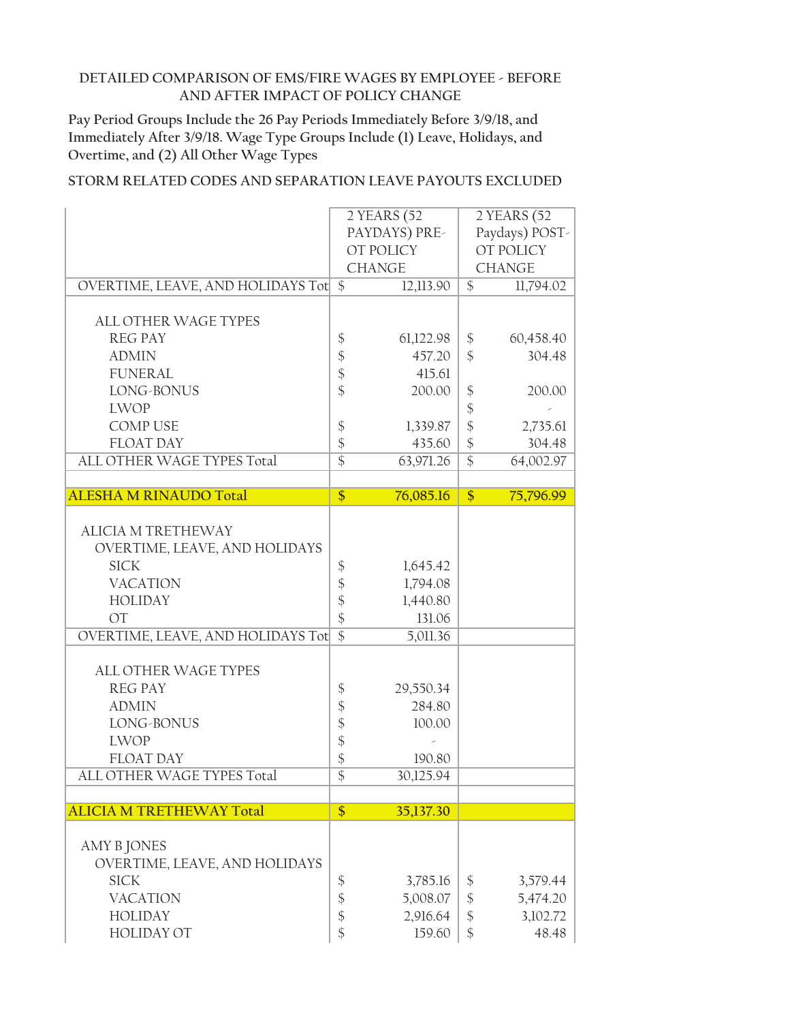**Pay Period Groups Include the 26 Pay Periods Immediately Before 3/9/18, and Immediately After 3/9/18. Wage Type Groups Include (1) Leave, Holidays, and Overtime, and (2) All Other Wage Types**

|                                      |                 | 2 YEARS (52        |                                | 2 YEARS (52       |
|--------------------------------------|-----------------|--------------------|--------------------------------|-------------------|
|                                      |                 | PAYDAYS) PRE-      |                                | Paydays) POST-    |
|                                      |                 | OT POLICY          |                                | OT POLICY         |
|                                      |                 | <b>CHANGE</b>      |                                | <b>CHANGE</b>     |
| OVERTIME, LEAVE, AND HOLIDAYS Tot \$ |                 | 12,113.90          | $\$\$                          | 11,794.02         |
|                                      |                 |                    |                                |                   |
| <b>ALL OTHER WAGE TYPES</b>          |                 |                    |                                |                   |
| <b>REG PAY</b>                       | \$              | 61,122.98          | \$                             | 60,458.40         |
| <b>ADMIN</b>                         | \$              | 457.20             | $\mathcal{S}$                  | 304.48            |
| <b>FUNERAL</b>                       | \$              | 415.61             |                                |                   |
| LONG-BONUS                           | \$              | 200.00             |                                | 200.00            |
|                                      |                 |                    | $\frac{1}{2}$                  |                   |
| <b>LWOP</b>                          |                 |                    | $\boldsymbol{\mathsf{\$}}$     |                   |
| <b>COMP USE</b>                      | \$              | 1,339.87           | \$                             | 2,735.61          |
| <b>FLOAT DAY</b>                     | \$              | 435.60             | $\frac{1}{2}$                  | 304.48            |
| ALL OTHER WAGE TYPES Total           | $\overline{\$}$ | 63,971.26          | $\overline{\$}$                | 64,002.97         |
|                                      |                 |                    |                                |                   |
| <b>ALESHA M RINAUDO Total</b>        | $\overline{\$}$ | 76,085.16          | $\frac{1}{2}$                  | 75,796.99         |
|                                      |                 |                    |                                |                   |
| <b>ALICIA M TRETHEWAY</b>            |                 |                    |                                |                   |
| OVERTIME, LEAVE, AND HOLIDAYS        |                 |                    |                                |                   |
| <b>SICK</b>                          | \$              | 1,645.42           |                                |                   |
| <b>VACATION</b>                      | $\frac{1}{2}$   | 1,794.08           |                                |                   |
| <b>HOLIDAY</b>                       | $\frac{1}{2}$   | 1,440.80           |                                |                   |
| <b>OT</b>                            | \$              | 131.06             |                                |                   |
| OVERTIME, LEAVE, AND HOLIDAYS Tot    | $\overline{\$}$ | 5,011.36           |                                |                   |
|                                      |                 |                    |                                |                   |
| <b>ALL OTHER WAGE TYPES</b>          |                 |                    |                                |                   |
| <b>REG PAY</b>                       | \$              | 29,550.34          |                                |                   |
| <b>ADMIN</b>                         | \$              | 284.80             |                                |                   |
| LONG-BONUS                           | \$              | 100.00             |                                |                   |
| <b>LWOP</b>                          | \$              |                    |                                |                   |
| <b>FLOAT DAY</b>                     | \$              | 190.80             |                                |                   |
| ALL OTHER WAGE TYPES Total           | $\overline{\$}$ | 30,125.94          |                                |                   |
|                                      |                 |                    |                                |                   |
|                                      |                 |                    |                                |                   |
| <b>ALICIA M TRETHEWAY Total</b>      | $\frac{1}{2}$   | 35,137.30          |                                |                   |
|                                      |                 |                    |                                |                   |
| <b>AMY B JONES</b>                   |                 |                    |                                |                   |
| OVERTIME, LEAVE, AND HOLIDAYS        |                 |                    |                                |                   |
| <b>SICK</b>                          | \$              | 3,785.16           | \$                             | 3,579.44          |
| <b>VACATION</b>                      |                 | 5,008.07           |                                | 5,474.20          |
| <b>HOLIDAY</b>                       | \$              |                    | $\boldsymbol{\$}$              |                   |
| <b>HOLIDAY OT</b>                    | \$<br>\$        | 2,916.64<br>159.60 | $\frac{1}{2}$<br>$\mathcal{S}$ | 3,102.72<br>48.48 |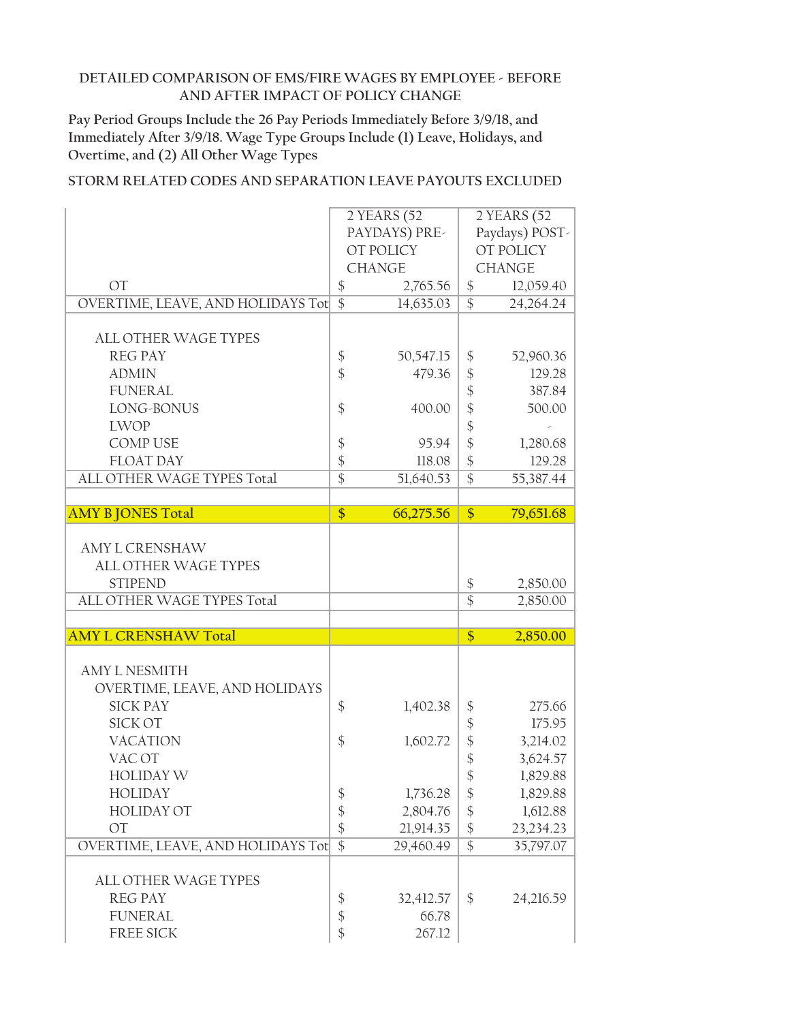**Pay Period Groups Include the 26 Pay Periods Immediately Before 3/9/18, and Immediately After 3/9/18. Wage Type Groups Include (1) Leave, Holidays, and Overtime, and (2) All Other Wage Types**

|                                   |                            | 2 YEARS (52   |                              | 2 YEARS (52    |
|-----------------------------------|----------------------------|---------------|------------------------------|----------------|
|                                   | PAYDAYS) PRE-              |               |                              | Paydays) POST- |
|                                   |                            | OT POLICY     |                              | OT POLICY      |
|                                   |                            | <b>CHANGE</b> |                              | <b>CHANGE</b>  |
| <b>OT</b>                         | $\boldsymbol{\$}$          | 2,765.56      | $\frac{1}{2}$                | 12,059.40      |
| OVERTIME, LEAVE, AND HOLIDAYS Tot | $\overline{\$}$            | 14,635.03     | $\overline{\mathcal{S}}$     | 24,264.24      |
|                                   |                            |               |                              |                |
| <b>ALL OTHER WAGE TYPES</b>       |                            |               |                              |                |
| <b>REG PAY</b>                    | \$                         | 50,547.15     | \$                           | 52,960.36      |
| <b>ADMIN</b>                      | $\frac{1}{2}$              | 479.36        | \$                           | 129.28         |
| <b>FUNERAL</b>                    |                            |               | $\boldsymbol{\hat{\zeta}}$   | 387.84         |
| LONG-BONUS                        | $\frac{1}{2}$              | 400.00        | $\frac{1}{2}$                | 500.00         |
| <b>LWOP</b>                       |                            |               | \$                           |                |
| <b>COMP USE</b>                   | $\boldsymbol{\mathsf{\$}}$ | 95.94         | $\frac{1}{2}$                | 1,280.68       |
| <b>FLOAT DAY</b>                  | \$                         | 118.08        | $\frac{1}{2}$                | 129.28         |
| ALL OTHER WAGE TYPES Total        | $\overline{\$}$            | 51,640.53     | $\overline{\$}$              | 55,387.44      |
|                                   |                            |               |                              |                |
| <b>AMY B JONES Total</b>          | \$                         | 66,275.56     | \$                           | 79,651.68      |
|                                   |                            |               |                              |                |
| <b>AMY L CRENSHAW</b>             |                            |               |                              |                |
| <b>ALL OTHER WAGE TYPES</b>       |                            |               |                              |                |
| <b>STIPEND</b>                    |                            |               | $\boldsymbol{\mathsf{\$}}$   | 2,850.00       |
| ALL OTHER WAGE TYPES Total        |                            |               | $\overline{\$}$              | 2,850.00       |
|                                   |                            |               |                              |                |
| <b>AMY L CRENSHAW Total</b>       |                            |               | \$                           | 2,850.00       |
|                                   |                            |               |                              |                |
| <b>AMY L NESMITH</b>              |                            |               |                              |                |
| OVERTIME, LEAVE, AND HOLIDAYS     |                            |               |                              |                |
| <b>SICK PAY</b>                   | \$                         | 1,402.38      | $\boldsymbol{\$}$            | 275.66         |
| <b>SICK OT</b>                    |                            |               | $\boldsymbol{\hat{\zeta}}$   | 175.95         |
| <b>VACATION</b>                   | \$                         | 1,602.72      | \$                           | 3,214.02       |
| VAC OT                            |                            |               | $\boldsymbol{\hat{\varphi}}$ | 3,624.57       |
| <b>HOLIDAY W</b>                  |                            |               | \$                           | 1,829.88       |
| <b>HOLIDAY</b>                    | \$                         | 1,736.28      | \$                           | 1,829.88       |
| <b>HOLIDAY OT</b>                 | \$                         | 2,804.76      | \$                           | 1,612.88       |
| <b>OT</b>                         | $\frac{1}{2}$              | 21,914.35     | $\frac{1}{2}$                | 23,234.23      |
| OVERTIME, LEAVE, AND HOLIDAYS Tot | $\overline{\$}$            | 29,460.49     | $\overline{\$}$              | 35,797.07      |
|                                   |                            |               |                              |                |
| ALL OTHER WAGE TYPES              |                            |               |                              |                |
| <b>REG PAY</b>                    | \$                         | 32,412.57     | \$                           | 24,216.59      |
| <b>FUNERAL</b>                    | \$                         | 66.78         |                              |                |
| FREE SICK                         | \$                         | 267.12        |                              |                |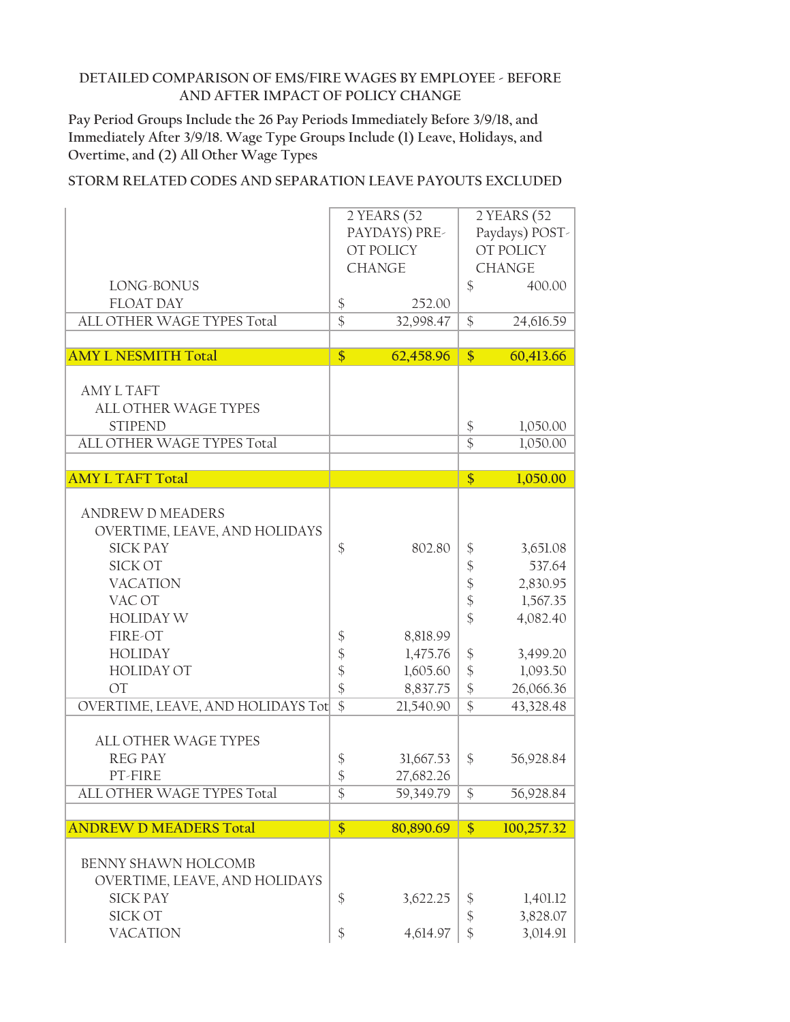**Pay Period Groups Include the 26 Pay Periods Immediately Before 3/9/18, and Immediately After 3/9/18. Wage Type Groups Include (1) Leave, Holidays, and Overtime, and (2) All Other Wage Types**

|                                   | 2 YEARS (52                |               | 2 YEARS (52                  |                  |  |
|-----------------------------------|----------------------------|---------------|------------------------------|------------------|--|
|                                   | PAYDAYS) PRE-              |               |                              | Paydays) POST-   |  |
|                                   |                            | OT POLICY     |                              | <b>OT POLICY</b> |  |
|                                   |                            | <b>CHANGE</b> |                              | <b>CHANGE</b>    |  |
|                                   |                            |               |                              |                  |  |
| LONG-BONUS                        |                            |               | $\frac{1}{2}$                | 400.00           |  |
| <b>FLOAT DAY</b>                  | $\boldsymbol{\$}$          | 252.00        |                              |                  |  |
| ALL OTHER WAGE TYPES Total        | $\overline{\$}$            | 32,998.47     | $\frac{1}{2}$                | 24,616.59        |  |
|                                   |                            |               |                              |                  |  |
| <b>AMY L NESMITH Total</b>        | \$                         | 62,458.96     | $\overline{\$}$              | 60,413.66        |  |
|                                   |                            |               |                              |                  |  |
| <b>AMY L TAFT</b>                 |                            |               |                              |                  |  |
| <b>ALL OTHER WAGE TYPES</b>       |                            |               |                              |                  |  |
| <b>STIPEND</b>                    |                            |               | \$                           | 1,050.00         |  |
| ALL OTHER WAGE TYPES Total        |                            |               | $\overline{\$}$              | 1,050.00         |  |
|                                   |                            |               |                              |                  |  |
| <b>AMY L TAFT Total</b>           |                            |               | \$                           | 1,050.00         |  |
|                                   |                            |               |                              |                  |  |
| <b>ANDREW D MEADERS</b>           |                            |               |                              |                  |  |
| OVERTIME, LEAVE, AND HOLIDAYS     |                            |               |                              |                  |  |
|                                   |                            |               |                              |                  |  |
| <b>SICK PAY</b>                   | $\frac{1}{2}$              | 802.80        | \$                           | 3,651.08         |  |
| <b>SICK OT</b>                    |                            |               | $\boldsymbol{\hat{\varphi}}$ | 537.64           |  |
| <b>VACATION</b>                   |                            |               | $\frac{1}{2}$                | 2,830.95         |  |
| VAC OT                            |                            |               | $\frac{1}{2}$                | 1,567.35         |  |
| <b>HOLIDAY W</b>                  |                            |               | \$                           | 4,082.40         |  |
| FIRE-OT                           | $\boldsymbol{\$}$          | 8,818.99      |                              |                  |  |
| <b>HOLIDAY</b>                    | \$                         | 1,475.76      | \$                           | 3,499.20         |  |
| <b>HOLIDAY OT</b>                 | $\boldsymbol{\mathsf{\$}}$ | 1,605.60      | $\frac{1}{2}$                | 1,093.50         |  |
| <b>OT</b>                         | \$                         | 8,837.75      | $\frac{1}{2}$                | 26,066.36        |  |
| OVERTIME, LEAVE, AND HOLIDAYS Tot | $\overline{\$}$            | 21,540.90     | $\overline{\$}$              | 43,328.48        |  |
|                                   |                            |               |                              |                  |  |
| <b>ALL OTHER WAGE TYPES</b>       |                            |               |                              |                  |  |
| <b>REG PAY</b>                    |                            | 31,667.53     | \$                           | 56,928.84        |  |
| PT-FIRE                           | \$                         |               |                              |                  |  |
|                                   | \$                         | 27,682.26     |                              |                  |  |
| ALL OTHER WAGE TYPES Total        | \$                         | 59,349.79     | \$                           | 56,928.84        |  |
|                                   |                            |               |                              |                  |  |
| <b>ANDREW D MEADERS Total</b>     | $\frac{1}{2}$              | 80,890.69     | $\frac{1}{2}$                | 100,257.32       |  |
|                                   |                            |               |                              |                  |  |
| <b>BENNY SHAWN HOLCOMB</b>        |                            |               |                              |                  |  |
| OVERTIME, LEAVE, AND HOLIDAYS     |                            |               |                              |                  |  |
| <b>SICK PAY</b>                   | \$                         | 3,622.25      | \$                           | 1,401.12         |  |
| <b>SICK OT</b>                    |                            |               | $\boldsymbol{\hat{\zeta}}$   | 3,828.07         |  |
| <b>VACATION</b>                   | \$                         | 4,614.97      | \$                           | 3,014.91         |  |
|                                   |                            |               |                              |                  |  |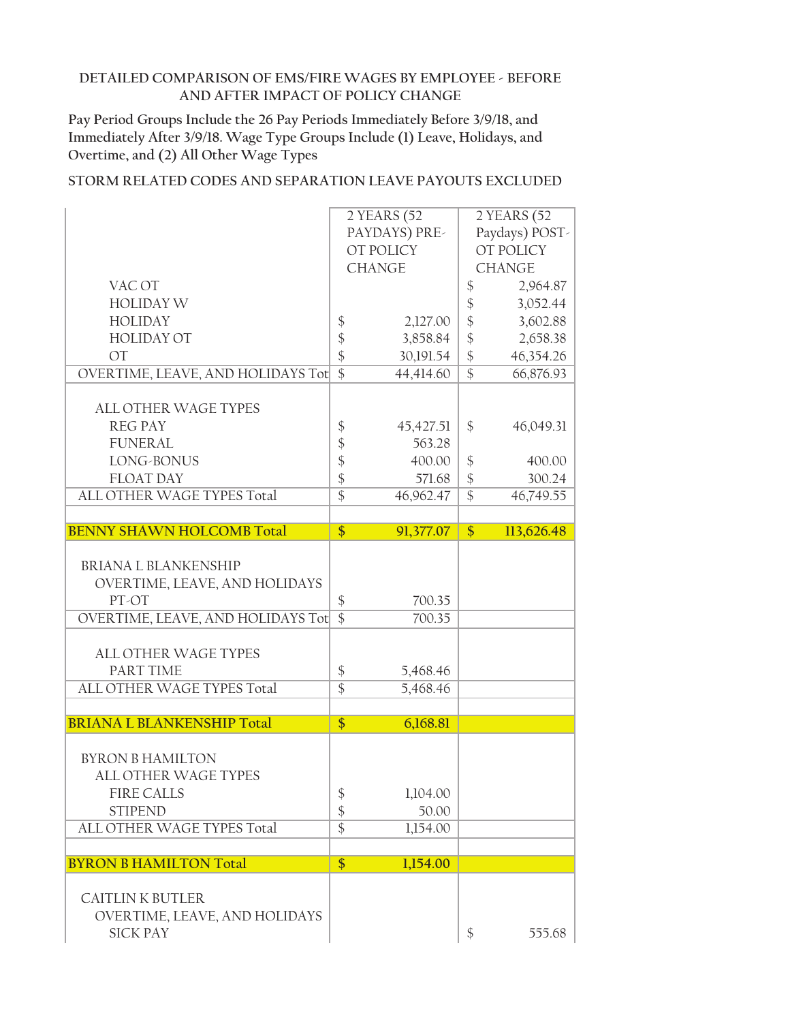**Pay Period Groups Include the 26 Pay Periods Immediately Before 3/9/18, and Immediately After 3/9/18. Wage Type Groups Include (1) Leave, Holidays, and Overtime, and (2) All Other Wage Types**

|                                                  |                            | 2 YEARS (52   |                            | 2 YEARS (52    |
|--------------------------------------------------|----------------------------|---------------|----------------------------|----------------|
|                                                  |                            | PAYDAYS) PRE- |                            | Paydays) POST- |
|                                                  |                            | OT POLICY     |                            | OT POLICY      |
|                                                  |                            | <b>CHANGE</b> |                            | <b>CHANGE</b>  |
| VAC OT                                           |                            |               | \$                         | 2,964.87       |
| <b>HOLIDAY W</b>                                 |                            |               | $\boldsymbol{\$}$          | 3,052.44       |
| <b>HOLIDAY</b>                                   | \$                         | 2,127.00      | $\boldsymbol{\mathsf{\$}}$ | 3,602.88       |
| <b>HOLIDAY OT</b>                                | $\boldsymbol{\mathsf{\$}}$ | 3,858.84      | $\frac{1}{2}$              | 2,658.38       |
| <b>OT</b>                                        | $\frac{1}{2}$              | 30,191.54     | $\frac{1}{2}$              | 46,354.26      |
| OVERTIME, LEAVE, AND HOLIDAYS Tot                | $\overline{\$}$            | 44,414.60     | $\overline{\$}$            | 66,876.93      |
|                                                  |                            |               |                            |                |
| <b>ALL OTHER WAGE TYPES</b>                      |                            |               |                            |                |
| <b>REG PAY</b>                                   | \$                         | 45, 427.51    | \$                         | 46,049.31      |
| <b>FUNERAL</b>                                   | \$                         | 563.28        |                            |                |
| LONG-BONUS                                       | \$                         | 400.00        | $\frac{1}{2}$              | 400.00         |
| <b>FLOAT DAY</b>                                 | $\frac{1}{2}$              | 571.68        | $\boldsymbol{\mathsf{S}}$  | 300.24         |
| ALL OTHER WAGE TYPES Total                       | $\overline{\$}$            | 46,962.47     | $\overline{\$}$            | 46,749.55      |
|                                                  |                            |               |                            |                |
| <b>BENNY SHAWN HOLCOMB Total</b>                 | $\frac{1}{2}$              | 91,377.07     | $\frac{1}{2}$              | 113,626.48     |
|                                                  |                            |               |                            |                |
| <b>BRIANA L BLANKENSHIP</b>                      |                            |               |                            |                |
| OVERTIME, LEAVE, AND HOLIDAYS                    |                            |               |                            |                |
| PT-OT                                            | \$                         | 700.35        |                            |                |
| OVERTIME, LEAVE, AND HOLIDAYS Tot                | $\overline{\$}$            | 700.35        |                            |                |
|                                                  |                            |               |                            |                |
| <b>ALL OTHER WAGE TYPES</b>                      |                            |               |                            |                |
| PART TIME                                        | $\boldsymbol{\mathsf{\$}}$ | 5,468.46      |                            |                |
| ALL OTHER WAGE TYPES Total                       | $\overline{\$}$            | 5,468.46      |                            |                |
|                                                  |                            |               |                            |                |
| <b>BRIANA L BLANKENSHIP Total</b>                | $\frac{1}{2}$              | 6,168.81      |                            |                |
|                                                  |                            |               |                            |                |
| <b>BYRON B HAMILTON</b>                          |                            |               |                            |                |
| <b>ALL OTHER WAGE TYPES</b>                      |                            |               |                            |                |
| <b>FIRE CALLS</b>                                | \$                         | 1,104.00      |                            |                |
| <b>STIPEND</b>                                   | $\frac{1}{2}$              | 50.00         |                            |                |
| ALL OTHER WAGE TYPES Total                       | $\overline{\$}$            | 1,154.00      |                            |                |
|                                                  |                            |               |                            |                |
| <b>BYRON B HAMILTON Total</b>                    | \$                         | 1,154.00      |                            |                |
|                                                  |                            |               |                            |                |
|                                                  |                            |               |                            |                |
| <b>CAITLIN K BUTLER</b>                          |                            |               |                            |                |
| OVERTIME, LEAVE, AND HOLIDAYS<br><b>SICK PAY</b> |                            |               | $\$\$                      | 555.68         |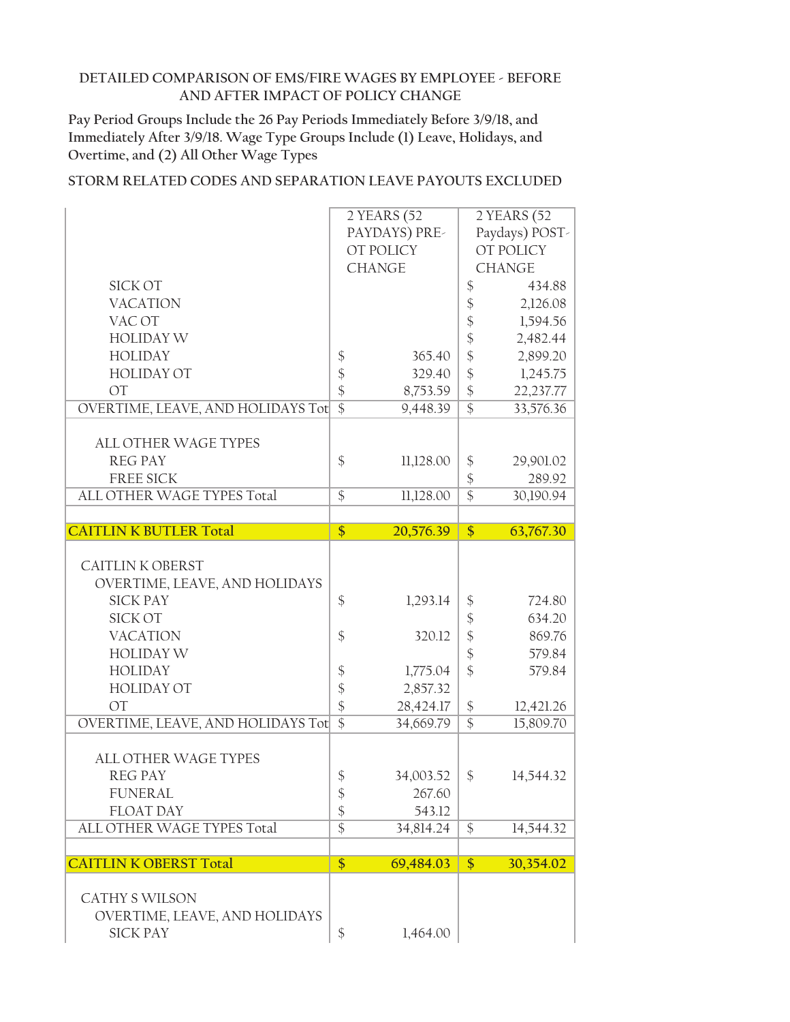**Pay Period Groups Include the 26 Pay Periods Immediately Before 3/9/18, and Immediately After 3/9/18. Wage Type Groups Include (1) Leave, Holidays, and Overtime, and (2) All Other Wage Types**

|                                   |                            | 2 YEARS (52   |                            | 2 YEARS (52    |
|-----------------------------------|----------------------------|---------------|----------------------------|----------------|
|                                   |                            | PAYDAYS) PRE- |                            | Paydays) POST- |
|                                   |                            | OT POLICY     |                            | OT POLICY      |
|                                   |                            | <b>CHANGE</b> |                            | <b>CHANGE</b>  |
| SICK OT                           |                            |               | $\boldsymbol{\$}$          | 434.88         |
| <b>VACATION</b>                   |                            |               | $\boldsymbol{\mathsf{\$}}$ | 2,126.08       |
| VAC OT                            |                            |               | $\boldsymbol{\$}$          | 1,594.56       |
| <b>HOLIDAY W</b>                  |                            |               | $\hat{\mathcal{L}}$        | 2,482.44       |
| <b>HOLIDAY</b>                    | $\boldsymbol{\$}$          | 365.40        | $\frac{1}{2}$              | 2,899.20       |
| <b>HOLIDAY OT</b>                 | $\boldsymbol{\mathsf{\$}}$ | 329.40        | $\frac{1}{2}$              | 1,245.75       |
| <b>OT</b>                         | $\frac{1}{2}$              | 8,753.59      | $\frac{1}{2}$              | 22,237.77      |
| OVERTIME, LEAVE, AND HOLIDAYS Tot | $\overline{\$}$            | 9,448.39      | $\overline{\$}$            | 33,576.36      |
|                                   |                            |               |                            |                |
| <b>ALL OTHER WAGE TYPES</b>       |                            |               |                            |                |
| <b>REG PAY</b>                    | \$                         | 11,128.00     | $\frac{1}{2}$              | 29,901.02      |
| <b>FREE SICK</b>                  |                            |               | $\frac{1}{2}$              | 289.92         |
| ALL OTHER WAGE TYPES Total        | $\overline{\$}$            | 11,128.00     | $\overline{\$}$            | 30,190.94      |
|                                   |                            |               |                            |                |
| <b>CAITLIN K BUTLER Total</b>     | \$                         | 20,576.39     | $\frac{1}{2}$              | 63,767.30      |
|                                   |                            |               |                            |                |
| <b>CAITLIN K OBERST</b>           |                            |               |                            |                |
| OVERTIME, LEAVE, AND HOLIDAYS     |                            |               |                            |                |
| <b>SICK PAY</b>                   | $\frac{1}{2}$              | 1,293.14      | \$                         | 724.80         |
| <b>SICK OT</b>                    |                            |               | $\boldsymbol{\mathsf{\$}}$ | 634.20         |
| <b>VACATION</b>                   | $\boldsymbol{\$}$          | 320.12        | $\hat{\mathcal{L}}$        | 869.76         |
| <b>HOLIDAY W</b>                  |                            |               | $\frac{1}{2}$              | 579.84         |
| <b>HOLIDAY</b>                    | \$                         | 1,775.04      | $\frac{1}{2}$              | 579.84         |
| <b>HOLIDAY OT</b>                 | \$                         | 2,857.32      |                            |                |
| <b>OT</b>                         | \$                         | 28,424.17     | $\boldsymbol{\$}$          | 12,421.26      |
| OVERTIME, LEAVE, AND HOLIDAYS Tot | $\overline{\$}$            | 34,669.79     | $\overline{\$}$            | 15,809.70      |
|                                   |                            |               |                            |                |
| <b>ALL OTHER WAGE TYPES</b>       |                            |               |                            |                |
| <b>REG PAY</b>                    | $\boldsymbol{\$}$          | 34,003.52     | \$                         | 14,544.32      |
| <b>FUNERAL</b>                    | $\boldsymbol{\mathsf{\$}}$ | 267.60        |                            |                |
|                                   |                            | 543.12        |                            |                |
|                                   |                            |               |                            |                |
| <b>FLOAT DAY</b>                  | \$                         |               |                            |                |
| ALL OTHER WAGE TYPES Total        | $\overline{\$}$            | 34,814.24     | $\mathcal{S}$              | 14,544.32      |
| <b>CAITLIN K OBERST Total</b>     | $\frac{1}{2}$              | 69,484.03     | $\frac{1}{2}$              | 30,354.02      |
|                                   |                            |               |                            |                |
| <b>CATHY S WILSON</b>             |                            |               |                            |                |
| OVERTIME, LEAVE, AND HOLIDAYS     |                            |               |                            |                |
| <b>SICK PAY</b>                   | \$                         | 1,464.00      |                            |                |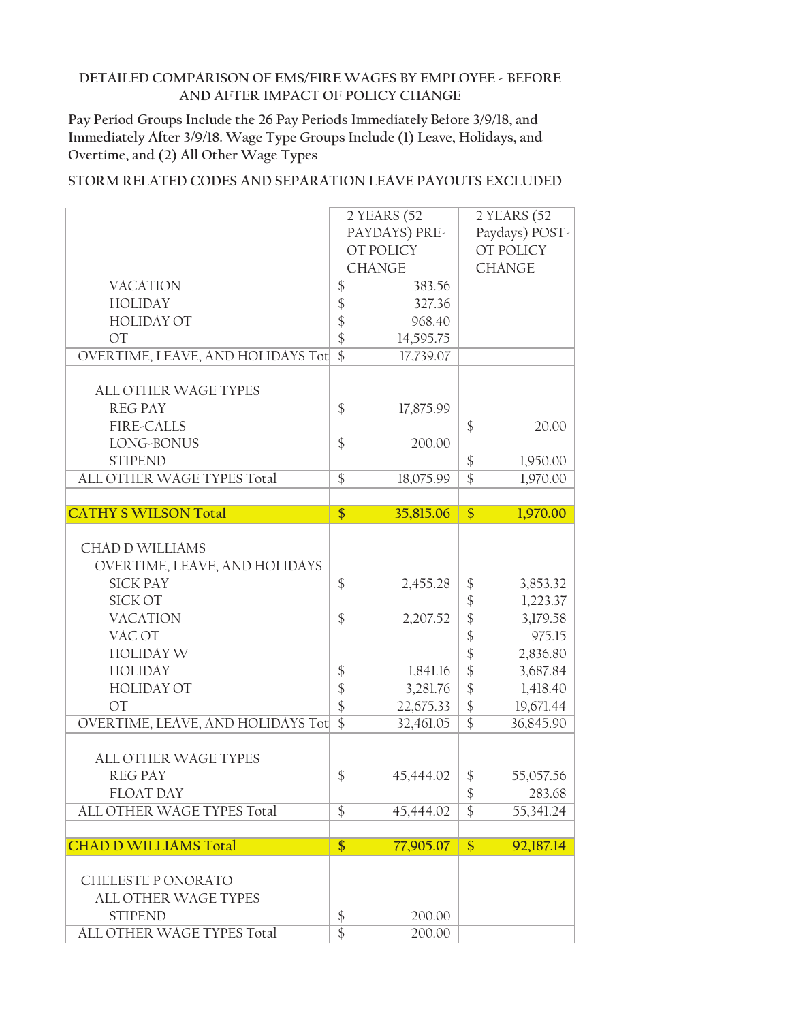**Pay Period Groups Include the 26 Pay Periods Immediately Before 3/9/18, and Immediately After 3/9/18. Wage Type Groups Include (1) Leave, Holidays, and Overtime, and (2) All Other Wage Types**

|                                   | 2 YEARS (52                  | 2 YEARS (52                   |
|-----------------------------------|------------------------------|-------------------------------|
|                                   | PAYDAYS) PRE-                | Paydays) POST-                |
|                                   | OT POLICY                    | OT POLICY                     |
|                                   | <b>CHANGE</b>                | <b>CHANGE</b>                 |
| <b>VACATION</b>                   | \$<br>383.56                 |                               |
| <b>HOLIDAY</b>                    | \$<br>327.36                 |                               |
| <b>HOLIDAY OT</b>                 | \$<br>968.40                 |                               |
| <b>OT</b>                         | $\frac{1}{2}$<br>14,595.75   |                               |
| OVERTIME, LEAVE, AND HOLIDAYS Tot | $\overline{\$}$<br>17,739.07 |                               |
|                                   |                              |                               |
| ALL OTHER WAGE TYPES              |                              |                               |
| <b>REG PAY</b>                    | \$<br>17,875.99              |                               |
| <b>FIRE-CALLS</b>                 |                              | \$<br>20.00                   |
| LONG-BONUS                        | \$<br>200.00                 |                               |
| <b>STIPEND</b>                    |                              | $\frac{1}{2}$<br>1,950.00     |
| ALL OTHER WAGE TYPES Total        | $\frac{1}{2}$<br>18,075.99   | \$<br>1,970.00                |
|                                   |                              |                               |
| <b>CATHY S WILSON Total</b>       | \$<br>35,815.06              | $\frac{1}{2}$<br>1,970.00     |
|                                   |                              |                               |
| <b>CHAD D WILLIAMS</b>            |                              |                               |
| OVERTIME, LEAVE, AND HOLIDAYS     |                              |                               |
| <b>SICK PAY</b>                   | \$<br>2,455.28               | $\boldsymbol{\$}$<br>3,853.32 |
| <b>SICK OT</b>                    |                              | \$<br>1,223.37                |
| <b>VACATION</b>                   | \$<br>2,207.52               | \$<br>3,179.58                |
| VAC OT                            |                              | \$<br>975.15                  |
| <b>HOLIDAY W</b>                  |                              | \$<br>2,836.80                |
| <b>HOLIDAY</b>                    | \$<br>1,841.16               | \$<br>3,687.84                |
| <b>HOLIDAY OT</b>                 | \$<br>3,281.76               | $\frac{1}{2}$<br>1,418.40     |
| <b>OT</b>                         | \$<br>22,675.33              | $\frac{1}{2}$<br>19,671.44    |
| OVERTIME, LEAVE, AND HOLIDAYS Tot | $\overline{\$}$<br>32,461.05 | $\overline{\$}$<br>36,845.90  |
|                                   |                              |                               |
| <b>ALL OTHER WAGE TYPES</b>       |                              |                               |
| <b>REG PAY</b>                    | \$<br>45,444.02              | \$<br>55,057.56               |
| <b>FLOAT DAY</b>                  |                              | $\boldsymbol{\$}$<br>283.68   |
| ALL OTHER WAGE TYPES Total        | $\frac{1}{2}$<br>45,444.02   | \$<br>55,341.24               |
|                                   |                              |                               |
| <b>CHAD D WILLIAMS Total</b>      | \$<br>77,905.07              | $\frac{1}{2}$<br>92,187.14    |
| CHELESTE PONORATO                 |                              |                               |
|                                   |                              |                               |
| <b>ALL OTHER WAGE TYPES</b>       |                              |                               |
| <b>STIPEND</b>                    | $\boldsymbol{\$}$<br>200.00  |                               |
| ALL OTHER WAGE TYPES Total        | $\overline{\$}$<br>200.00    |                               |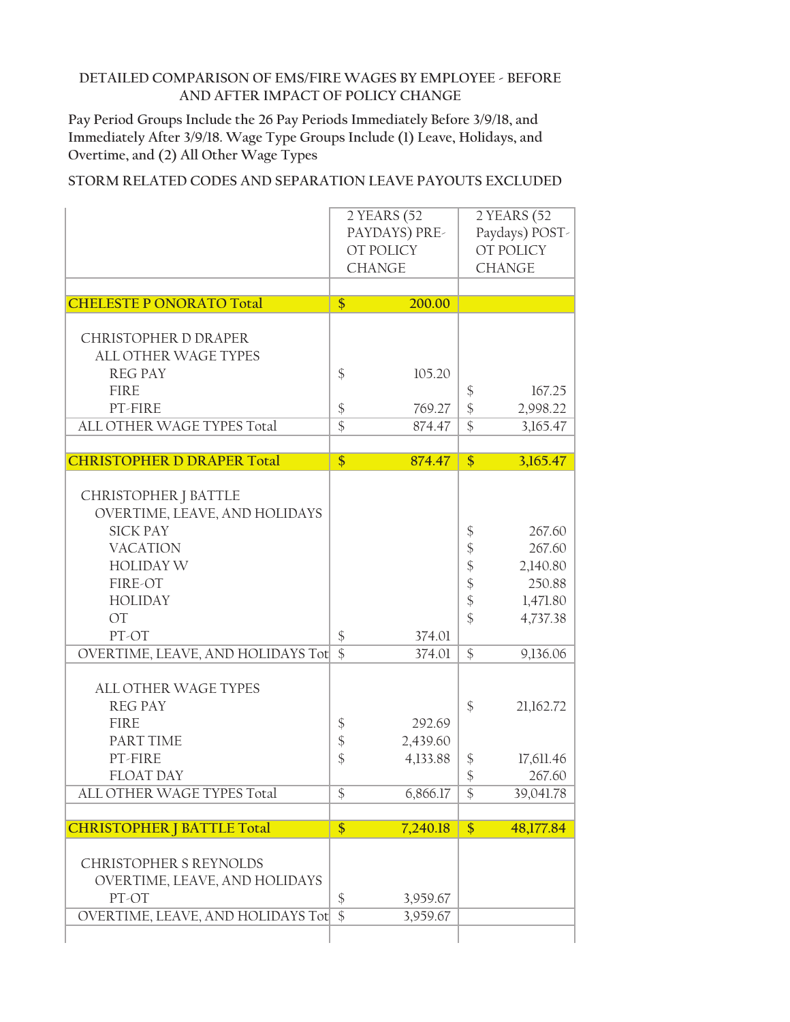**Pay Period Groups Include the 26 Pay Periods Immediately Before 3/9/18, and Immediately After 3/9/18. Wage Type Groups Include (1) Leave, Holidays, and Overtime, and (2) All Other Wage Types**

| <b>CHELESTE P ONORATO Total</b>                  | 2 YEARS (52<br>PAYDAYS) PRE-<br>OT POLICY<br><b>CHANGE</b><br>\$<br>200.00 |          | 2 YEARS (52<br>Paydays) POST-<br>OT POLICY<br><b>CHANGE</b> |                  |
|--------------------------------------------------|----------------------------------------------------------------------------|----------|-------------------------------------------------------------|------------------|
| <b>CHRISTOPHER D DRAPER</b>                      |                                                                            |          |                                                             |                  |
| <b>ALL OTHER WAGE TYPES</b>                      |                                                                            |          |                                                             |                  |
| <b>REG PAY</b>                                   | $\mathcal{S}$                                                              | 105.20   |                                                             |                  |
| <b>FIRE</b>                                      |                                                                            |          | $\frac{1}{2}$                                               | 167.25           |
| PT-FIRE                                          | $\boldsymbol{\$}$                                                          | 769.27   | \$                                                          | 2,998.22         |
| ALL OTHER WAGE TYPES Total                       | $\overline{\$}$                                                            | 874.47   | $\overline{\$}$                                             | 3,165.47         |
| <b>CHRISTOPHER D DRAPER Total</b>                | $\overline{\$}$                                                            | 874.47   | \$                                                          | 3,165.47         |
|                                                  |                                                                            |          |                                                             |                  |
| CHRISTOPHER J BATTLE                             |                                                                            |          |                                                             |                  |
| OVERTIME, LEAVE, AND HOLIDAYS<br><b>SICK PAY</b> |                                                                            |          |                                                             |                  |
| <b>VACATION</b>                                  |                                                                            |          | \$<br>$\boldsymbol{\mathsf{\$}}$                            | 267.60<br>267.60 |
| <b>HOLIDAY W</b>                                 |                                                                            |          | \$                                                          | 2,140.80         |
| FIRE-OT                                          |                                                                            |          | $\boldsymbol{\hat{\zeta}}$                                  | 250.88           |
| <b>HOLIDAY</b>                                   |                                                                            |          | $\boldsymbol{\hat{\zeta}}$                                  | 1,471.80         |
| <b>OT</b>                                        |                                                                            |          | $\frac{1}{2}$                                               | 4,737.38         |
| PT-OT                                            | $\boldsymbol{\mathsf{\$}}$                                                 | 374.01   |                                                             |                  |
| OVERTIME, LEAVE, AND HOLIDAYS Tot                | $\overline{\$}$                                                            | 374.01   | $\mathcal{S}$                                               | 9,136.06         |
| <b>ALL OTHER WAGE TYPES</b>                      |                                                                            |          |                                                             |                  |
| <b>REG PAY</b>                                   |                                                                            |          | $\frac{1}{2}$                                               | 21,162.72        |
| <b>FIRE</b>                                      | \$                                                                         | 292.69   |                                                             |                  |
| PART TIME                                        | $\frac{1}{2}$                                                              | 2,439.60 |                                                             |                  |
| PT-FIRE                                          | \$                                                                         | 4,133.88 | \$                                                          | 17,611.46        |
| <b>FLOAT DAY</b>                                 |                                                                            |          | $\frac{1}{2}$                                               | 267.60           |
| ALL OTHER WAGE TYPES Total                       | \$                                                                         | 6,866.17 | \$                                                          | 39,041.78        |
|                                                  |                                                                            |          |                                                             |                  |
| <b>CHRISTOPHER   BATTLE Total</b>                | $\frac{1}{2}$                                                              | 7,240.18 | $\frac{1}{2}$                                               | 48,177.84        |
| <b>CHRISTOPHER S REYNOLDS</b>                    |                                                                            |          |                                                             |                  |
| OVERTIME, LEAVE, AND HOLIDAYS                    |                                                                            |          |                                                             |                  |
| PT-OT                                            | \$                                                                         | 3,959.67 |                                                             |                  |
| OVERTIME, LEAVE, AND HOLIDAYS Tot                | $\overline{\$}$                                                            | 3,959.67 |                                                             |                  |
|                                                  |                                                                            |          |                                                             |                  |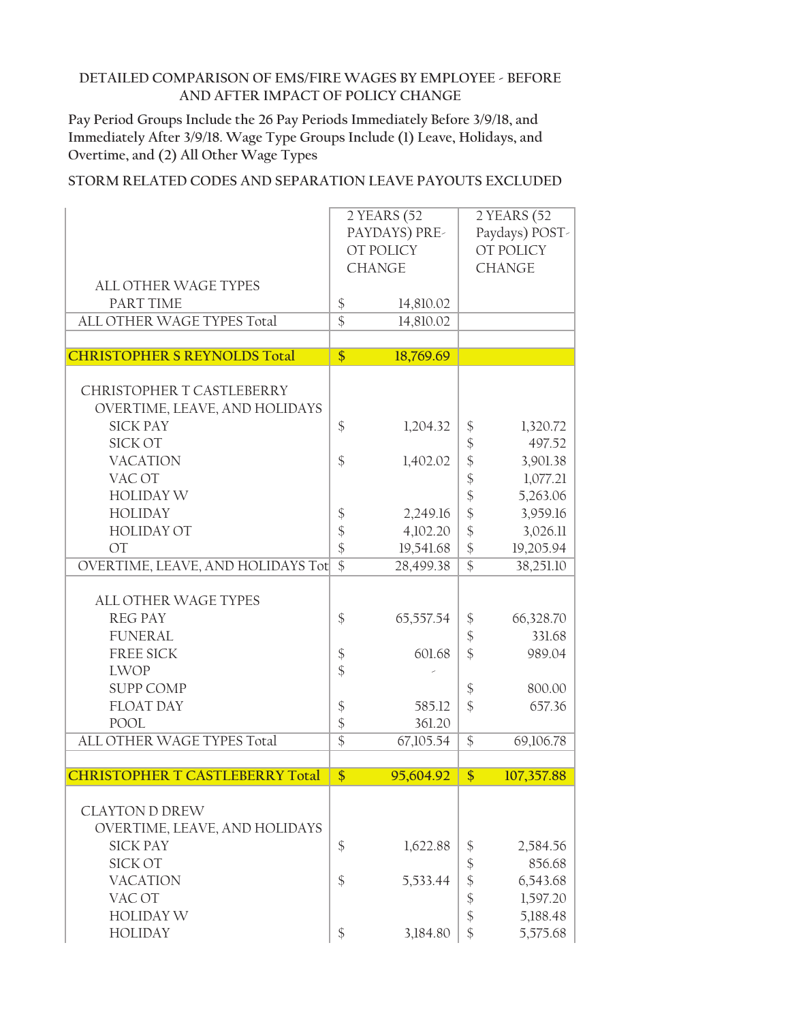**Pay Period Groups Include the 26 Pay Periods Immediately Before 3/9/18, and Immediately After 3/9/18. Wage Type Groups Include (1) Leave, Holidays, and Overtime, and (2) All Other Wage Types**

|                                        |                            | 2 YEARS (52   |                            | 2 YEARS (52    |  |
|----------------------------------------|----------------------------|---------------|----------------------------|----------------|--|
|                                        | PAYDAYS) PRE-              |               |                            | Paydays) POST- |  |
|                                        |                            | OT POLICY     |                            | OT POLICY      |  |
|                                        |                            | <b>CHANGE</b> |                            | <b>CHANGE</b>  |  |
| <b>ALL OTHER WAGE TYPES</b>            |                            |               |                            |                |  |
| PART TIME                              | $\boldsymbol{\$}$          | 14,810.02     |                            |                |  |
| ALL OTHER WAGE TYPES Total             | $\overline{\$}$            | 14,810.02     |                            |                |  |
|                                        |                            |               |                            |                |  |
| <b>CHRISTOPHER S REYNOLDS Total</b>    | $\overline{\$}$            | 18,769.69     |                            |                |  |
|                                        |                            |               |                            |                |  |
| CHRISTOPHER T CASTLEBERRY              |                            |               |                            |                |  |
| OVERTIME, LEAVE, AND HOLIDAYS          |                            |               |                            |                |  |
| <b>SICK PAY</b>                        | \$                         | 1,204.32      | \$                         | 1,320.72       |  |
| <b>SICK OT</b>                         |                            |               | \$                         | 497.52         |  |
| <b>VACATION</b>                        | $\frac{1}{2}$              | 1,402.02      | \$                         | 3,901.38       |  |
| VAC OT                                 |                            |               | $\frac{1}{2}$              | 1,077.21       |  |
| <b>HOLIDAY W</b>                       |                            |               | $\boldsymbol{\hat{\zeta}}$ | 5,263.06       |  |
| <b>HOLIDAY</b>                         | $\boldsymbol{\$}$          | 2,249.16      | $\frac{1}{2}$              | 3,959.16       |  |
| <b>HOLIDAY OT</b>                      | $\frac{1}{2}$              | 4,102.20      | \$                         | 3,026.11       |  |
| <b>OT</b>                              | $\frac{1}{2}$              | 19,541.68     | $\frac{1}{2}$              | 19,205.94      |  |
| OVERTIME, LEAVE, AND HOLIDAYS Tot      | $\overline{\$}$            | 28,499.38     | $\overline{\$}$            | 38,251.10      |  |
| <b>ALL OTHER WAGE TYPES</b>            |                            |               |                            |                |  |
| <b>REG PAY</b>                         | $\frac{1}{2}$              | 65,557.54     | \$                         | 66,328.70      |  |
| <b>FUNERAL</b>                         |                            |               | $\boldsymbol{\mathsf{\$}}$ | 331.68         |  |
| <b>FREE SICK</b>                       | $\boldsymbol{\$}$          | 601.68        | \$                         | 989.04         |  |
| <b>LWOP</b>                            | $\frac{1}{2}$              |               |                            |                |  |
| <b>SUPP COMP</b>                       |                            |               | \$                         | 800.00         |  |
| <b>FLOAT DAY</b>                       | $\boldsymbol{\$}$          | 585.12        | $\frac{1}{2}$              | 657.36         |  |
| <b>POOL</b>                            | $\boldsymbol{\mathsf{\$}}$ | 361.20        |                            |                |  |
| ALL OTHER WAGE TYPES Total             | $\overline{\$}$            | 67,105.54     | $\frac{1}{2}$              | 69,106.78      |  |
|                                        |                            |               |                            |                |  |
| <b>CHRISTOPHER T CASTLEBERRY Total</b> | \$                         | 95,604.92     | \$                         | 107,357.88     |  |
|                                        |                            |               |                            |                |  |
| <b>CLAYTON D DREW</b>                  |                            |               |                            |                |  |
| OVERTIME, LEAVE, AND HOLIDAYS          |                            |               |                            |                |  |
| <b>SICK PAY</b>                        | $\frac{1}{2}$              | 1,622.88      | \$                         | 2,584.56       |  |
| SICK OT                                |                            |               | \$                         | 856.68         |  |
| <b>VACATION</b>                        | $\frac{1}{2}$              | 5,533.44      | $\boldsymbol{\hat{\zeta}}$ | 6,543.68       |  |
| VAC OT                                 |                            |               | \$                         | 1,597.20       |  |
| <b>HOLIDAY W</b>                       |                            |               | $\frac{1}{2}$              | 5,188.48       |  |
|                                        |                            |               |                            |                |  |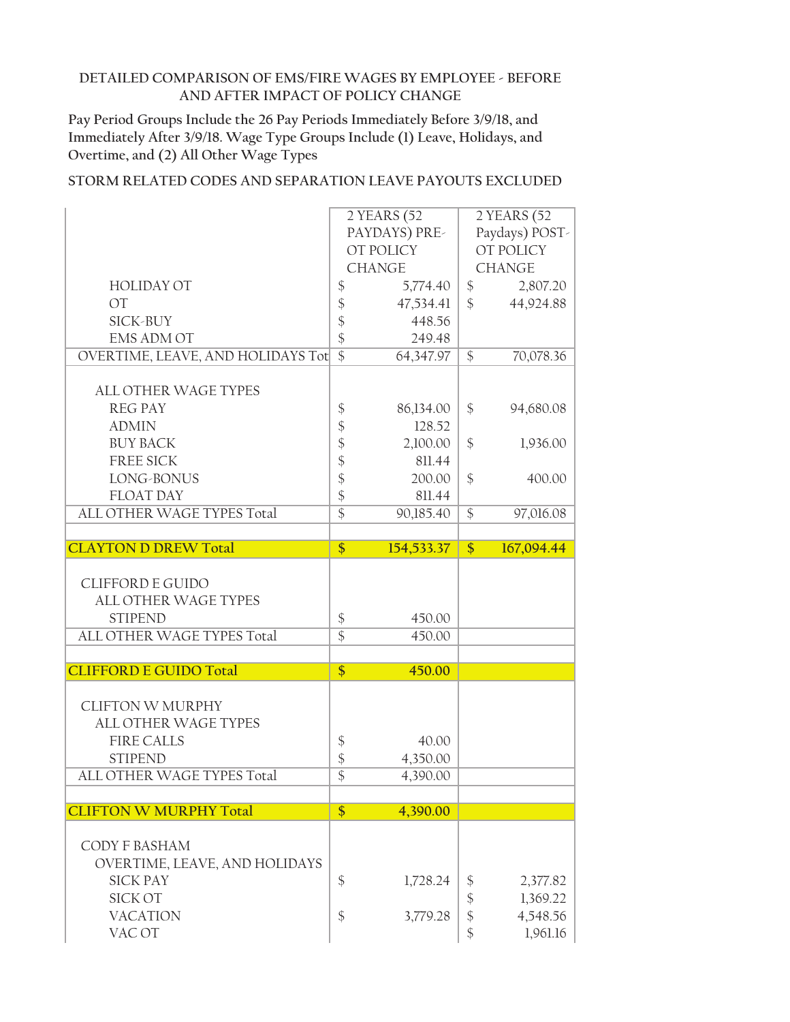**Pay Period Groups Include the 26 Pay Periods Immediately Before 3/9/18, and Immediately After 3/9/18. Wage Type Groups Include (1) Leave, Holidays, and Overtime, and (2) All Other Wage Types**

|                                   |                 | 2 YEARS (52   |                   | 2 YEARS (52    |
|-----------------------------------|-----------------|---------------|-------------------|----------------|
|                                   |                 | PAYDAYS) PRE- |                   | Paydays) POST- |
|                                   |                 | OT POLICY     |                   | OT POLICY      |
|                                   |                 | <b>CHANGE</b> |                   | <b>CHANGE</b>  |
| <b>HOLIDAY OT</b>                 | \$              | 5,774.40      | \$                | 2,807.20       |
| <b>OT</b>                         | \$              | 47,534.41     | $\mathcal{S}$     | 44,924.88      |
| SICK-BUY                          | \$              | 448.56        |                   |                |
| <b>EMS ADM OT</b>                 | \$              | 249.48        |                   |                |
| OVERTIME, LEAVE, AND HOLIDAYS Tot | $\overline{\$}$ | 64,347.97     | $\overline{\$}$   | 70,078.36      |
|                                   |                 |               |                   |                |
| ALL OTHER WAGE TYPES              |                 |               |                   |                |
| <b>REG PAY</b>                    | \$              | 86,134.00     | \$                | 94,680.08      |
| <b>ADMIN</b>                      | \$              | 128.52        |                   |                |
| <b>BUY BACK</b>                   | \$              | 2,100.00      | \$                | 1,936.00       |
| <b>FREE SICK</b>                  | \$              | 811.44        |                   |                |
| LONG-BONUS                        | \$              | 200.00        | $\mathcal{S}$     | 400.00         |
| <b>FLOAT DAY</b>                  | \$              | 811.44        |                   |                |
| ALL OTHER WAGE TYPES Total        | $\overline{\$}$ | 90,185.40     | $\frac{1}{2}$     | 97,016.08      |
|                                   |                 |               |                   |                |
| <b>CLAYTON D DREW Total</b>       | $\frac{1}{2}$   | 154,533.37    | \$                | 167,094.44     |
|                                   |                 |               |                   |                |
|                                   |                 |               |                   |                |
| <b>CLIFFORD E GUIDO</b>           |                 |               |                   |                |
| ALL OTHER WAGE TYPES              |                 |               |                   |                |
| <b>STIPEND</b>                    | \$              | 450.00        |                   |                |
| ALL OTHER WAGE TYPES Total        | $\overline{\$}$ | 450.00        |                   |                |
|                                   |                 |               |                   |                |
| <b>CLIFFORD E GUIDO Total</b>     | $\overline{\$}$ | 450.00        |                   |                |
|                                   |                 |               |                   |                |
| <b>CLIFTON W MURPHY</b>           |                 |               |                   |                |
| <b>ALL OTHER WAGE TYPES</b>       |                 |               |                   |                |
| <b>FIRE CALLS</b>                 | \$              | 40.00         |                   |                |
| <b>STIPEND</b>                    | \$              | 4,350.00      |                   |                |
| ALL OTHER WAGE TYPES Total        | $\overline{\$}$ | 4,390.00      |                   |                |
|                                   |                 |               |                   |                |
| <b>CLIFTON W MURPHY Total</b>     | $\frac{1}{2}$   | 4,390.00      |                   |                |
| CODY F BASHAM                     |                 |               |                   |                |
| OVERTIME, LEAVE, AND HOLIDAYS     |                 |               |                   |                |
| <b>SICK PAY</b>                   | \$              | 1,728.24      | \$                | 2,377.82       |
| <b>SICK OT</b>                    |                 |               | $\boldsymbol{\S}$ | 1,369.22       |
| <b>VACATION</b>                   | \$              | 3,779.28      | $\frac{1}{2}$     | 4,548.56       |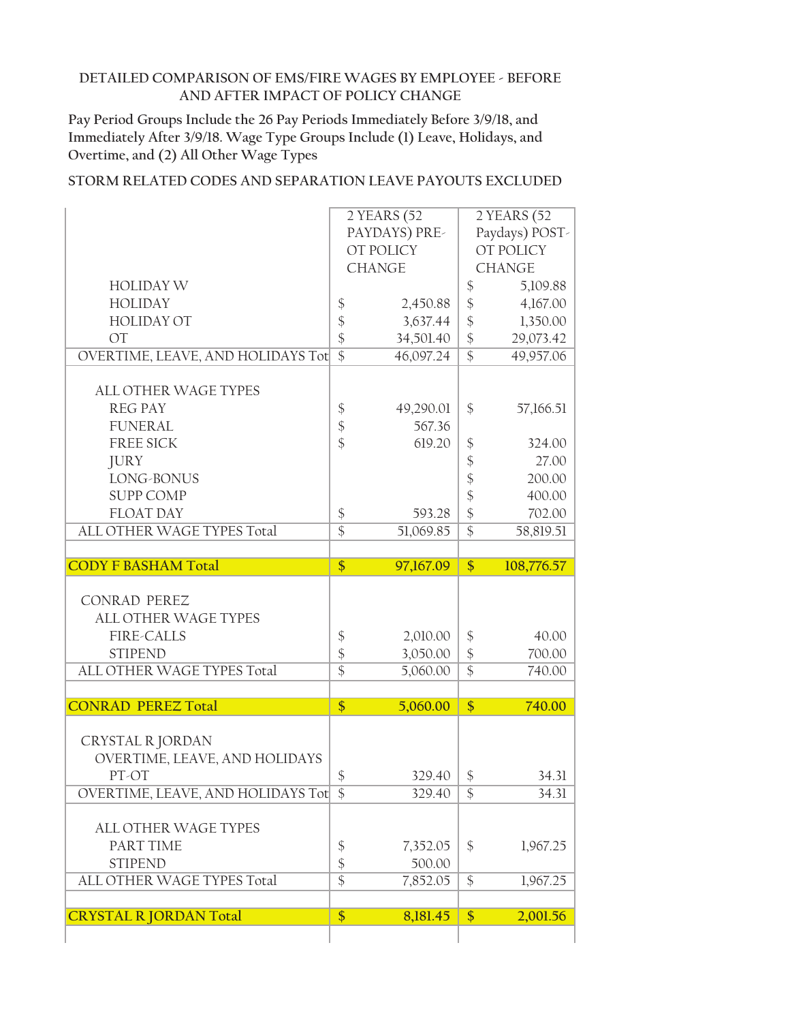**Pay Period Groups Include the 26 Pay Periods Immediately Before 3/9/18, and Immediately After 3/9/18. Wage Type Groups Include (1) Leave, Holidays, and Overtime, and (2) All Other Wage Types**

|                                   |                   | 2 YEARS (52   |                            | 2 YEARS (52    |
|-----------------------------------|-------------------|---------------|----------------------------|----------------|
|                                   |                   | PAYDAYS) PRE- |                            | Paydays) POST- |
|                                   |                   | OT POLICY     |                            | OT POLICY      |
|                                   |                   | <b>CHANGE</b> |                            | <b>CHANGE</b>  |
| <b>HOLIDAY W</b>                  |                   |               | \$                         | 5,109.88       |
| <b>HOLIDAY</b>                    | $\boldsymbol{\$}$ | 2,450.88      | $\boldsymbol{\mathsf{\$}}$ | 4,167.00       |
| <b>HOLIDAY OT</b>                 | \$                | 3,637.44      | $\frac{1}{2}$              | 1,350.00       |
| <b>OT</b>                         | \$                | 34,501.40     | $\frac{1}{2}$              | 29,073.42      |
| OVERTIME, LEAVE, AND HOLIDAYS Tot | $\overline{\$}$   | 46,097.24     | $\overline{\$}$            | 49,957.06      |
|                                   |                   |               |                            |                |
| <b>ALL OTHER WAGE TYPES</b>       |                   |               |                            |                |
| <b>REG PAY</b>                    | \$                | 49,290.01     | \$                         | 57,166.51      |
| <b>FUNERAL</b>                    | $\boldsymbol{\$}$ | 567.36        |                            |                |
| <b>FREE SICK</b>                  | $\frac{1}{2}$     | 619.20        | \$                         | 324.00         |
| <b>JURY</b>                       |                   |               | \$                         | 27.00          |
| LONG-BONUS                        |                   |               | $\boldsymbol{\hat{\phi}}$  | 200.00         |
| <b>SUPP COMP</b>                  |                   |               | $\frac{1}{2}$              | 400.00         |
| <b>FLOAT DAY</b>                  | \$                | 593.28        | $\frac{1}{2}$              | 702.00         |
| ALL OTHER WAGE TYPES Total        | $\overline{\$}$   | 51,069.85     | $\overline{\$}$            | 58,819.51      |
|                                   |                   |               |                            |                |
| <b>CODY F BASHAM Total</b>        | $\overline{\$}$   | 97,167.09     | \$                         | 108,776.57     |
|                                   |                   |               |                            |                |
|                                   |                   |               |                            |                |
| <b>CONRAD PEREZ</b>               |                   |               |                            |                |
| ALL OTHER WAGE TYPES              |                   |               |                            |                |
| <b>FIRE-CALLS</b>                 | \$                | 2,010.00      | $\frac{1}{2}$              | 40.00          |
| <b>STIPEND</b>                    | \$                | 3,050.00      | $\frac{1}{2}$              | 700.00         |
| ALL OTHER WAGE TYPES Total        | $\overline{\$}$   | 5,060.00      | $\overline{\$}$            | 740.00         |
|                                   |                   |               |                            |                |
| <b>CONRAD PEREZ Total</b>         | $\overline{\$}$   | 5,060.00      | \$                         | 740.00         |
|                                   |                   |               |                            |                |
| CRYSTAL R JORDAN                  |                   |               |                            |                |
| OVERTIME, LEAVE, AND HOLIDAYS     |                   |               |                            |                |
| PT-OT                             | $\frac{1}{2}$     | 329.40        | \$                         | 34.31          |
| OVERTIME, LEAVE, AND HOLIDAYS Tot | \$                | 329.40        | \$                         | 34.31          |
|                                   |                   |               |                            |                |
| ALL OTHER WAGE TYPES              |                   |               |                            |                |
| PART TIME                         | $\boldsymbol{\$}$ | 7,352.05      | \$                         | 1,967.25       |
| <b>STIPEND</b>                    | \$                | 500.00        |                            |                |
| ALL OTHER WAGE TYPES Total        | $\overline{\$}$   | 7,852.05      | \$                         | 1,967.25       |
| <b>CRYSTAL R JORDAN Total</b>     | $\overline{\$}$   | 8,181.45      | \$                         | 2,001.56       |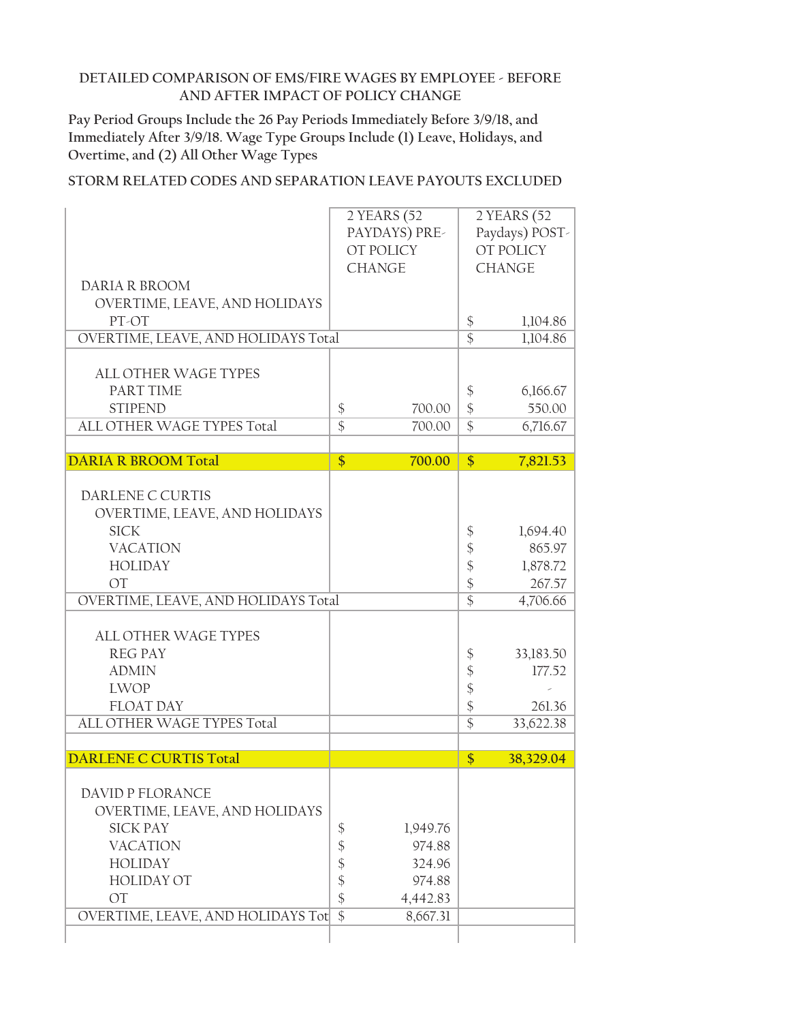**Pay Period Groups Include the 26 Pay Periods Immediately Before 3/9/18, and Immediately After 3/9/18. Wage Type Groups Include (1) Leave, Holidays, and Overtime, and (2) All Other Wage Types**

|                                     | 2 YEARS (52                 |                            | 2 YEARS (52    |
|-------------------------------------|-----------------------------|----------------------------|----------------|
|                                     | PAYDAYS) PRE-               |                            | Paydays) POST- |
|                                     | OT POLICY                   |                            | OT POLICY      |
|                                     | <b>CHANGE</b>               |                            | <b>CHANGE</b>  |
| DARIA R BROOM                       |                             |                            |                |
| OVERTIME, LEAVE, AND HOLIDAYS       |                             |                            |                |
| PT-OT                               |                             | $\frac{1}{2}$              | 1,104.86       |
| OVERTIME, LEAVE, AND HOLIDAYS Total |                             | $\overline{\$}$            | 1,104.86       |
|                                     |                             |                            |                |
| <b>ALL OTHER WAGE TYPES</b>         |                             |                            |                |
| PART TIME                           |                             | \$                         | 6,166.67       |
| <b>STIPEND</b>                      | \$<br>700.00                | $\frac{1}{2}$              | 550.00         |
| ALL OTHER WAGE TYPES Total          | $\overline{\$}$<br>700.00   | $\overline{\$}$            | 6,716.67       |
|                                     |                             |                            |                |
| <b>DARIA R BROOM Total</b>          | $\overline{\$}$<br>700.00   | \$                         | 7,821.53       |
|                                     |                             |                            |                |
| DARLENE C CURTIS                    |                             |                            |                |
| OVERTIME, LEAVE, AND HOLIDAYS       |                             |                            |                |
| <b>SICK</b>                         |                             | \$                         | 1,694.40       |
| <b>VACATION</b>                     |                             | \$                         | 865.97         |
| <b>HOLIDAY</b>                      |                             | \$                         | 1,878.72       |
| <b>OT</b>                           |                             | $\frac{1}{2}$              | 267.57         |
| OVERTIME, LEAVE, AND HOLIDAYS Total |                             | $\overline{\$}$            | 4,706.66       |
|                                     |                             |                            |                |
| <b>ALL OTHER WAGE TYPES</b>         |                             |                            |                |
| <b>REG PAY</b>                      |                             | \$                         | 33,183.50      |
| <b>ADMIN</b>                        |                             | \$                         | 177.52         |
| <b>LWOP</b>                         |                             | $\boldsymbol{\mathsf{\$}}$ |                |
| <b>FLOAT DAY</b>                    |                             | $\boldsymbol{\hat{\zeta}}$ | 261.36         |
| ALL OTHER WAGE TYPES Total          |                             | $\overline{\$}$            | 33,622.38      |
|                                     |                             |                            |                |
| <b>DARLENE C CURTIS Total</b>       |                             | \$                         | 38,329.04      |
|                                     |                             |                            |                |
| <b>DAVID P FLORANCE</b>             |                             |                            |                |
| OVERTIME, LEAVE, AND HOLIDAYS       |                             |                            |                |
| <b>SICK PAY</b>                     | 1,949.76<br>\$              |                            |                |
| <b>VACATION</b>                     | \$<br>974.88                |                            |                |
| <b>HOLIDAY</b>                      | \$<br>324.96                |                            |                |
| <b>HOLIDAY OT</b>                   | \$<br>974.88                |                            |                |
| <b>OT</b>                           | \$<br>4,442.83              |                            |                |
| OVERTIME, LEAVE, AND HOLIDAYS Tot   | $\overline{\$}$<br>8,667.31 |                            |                |
|                                     |                             |                            |                |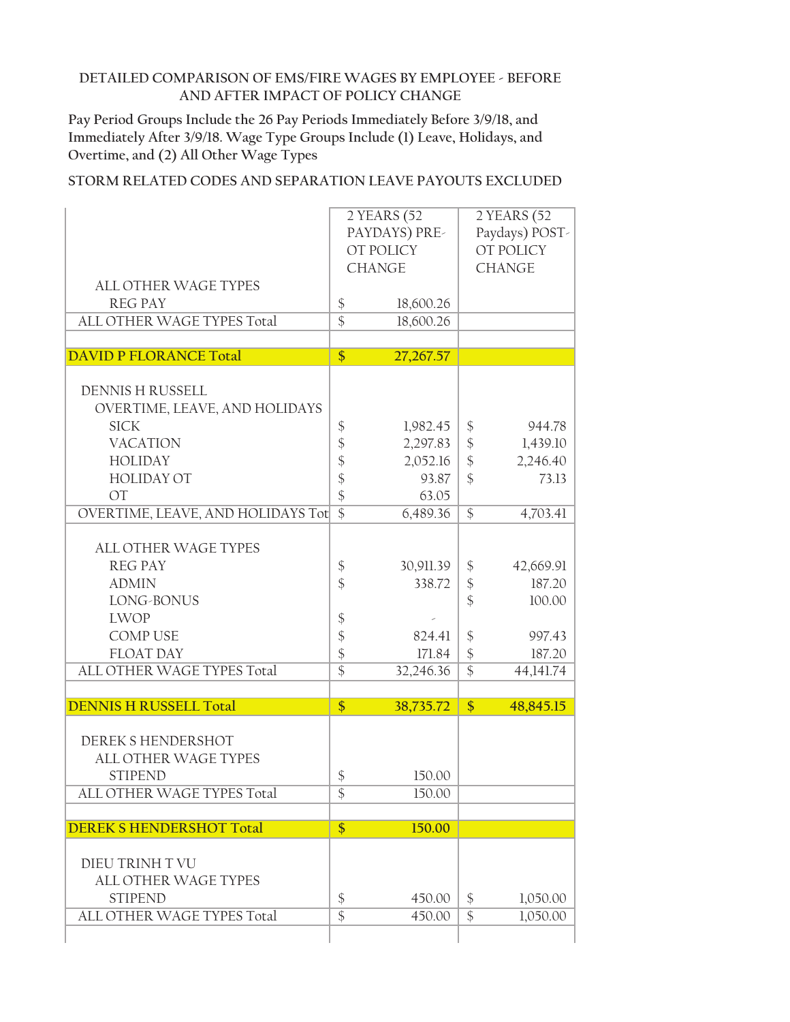**Pay Period Groups Include the 26 Pay Periods Immediately Before 3/9/18, and Immediately After 3/9/18. Wage Type Groups Include (1) Leave, Holidays, and Overtime, and (2) All Other Wage Types**

|                                   |                   | 2 YEARS (52   |                            | 2 YEARS (52    |
|-----------------------------------|-------------------|---------------|----------------------------|----------------|
|                                   |                   | PAYDAYS) PRE- |                            | Paydays) POST- |
|                                   |                   | OT POLICY     |                            | OT POLICY      |
|                                   |                   | <b>CHANGE</b> |                            | <b>CHANGE</b>  |
| <b>ALL OTHER WAGE TYPES</b>       |                   |               |                            |                |
| <b>REG PAY</b>                    | $\boldsymbol{\$}$ | 18,600.26     |                            |                |
| ALL OTHER WAGE TYPES Total        | $\overline{\$}$   | 18,600.26     |                            |                |
|                                   |                   |               |                            |                |
| <b>DAVID P FLORANCE Total</b>     | $\overline{\$}$   | 27,267.57     |                            |                |
|                                   |                   |               |                            |                |
| <b>DENNIS H RUSSELL</b>           |                   |               |                            |                |
| OVERTIME, LEAVE, AND HOLIDAYS     |                   |               |                            |                |
| <b>SICK</b>                       | \$                | 1,982.45      | $\boldsymbol{\mathsf{\$}}$ | 944.78         |
| <b>VACATION</b>                   | \$                | 2,297.83      | $\frac{1}{2}$              | 1,439.10       |
| <b>HOLIDAY</b>                    | $\frac{1}{2}$     | 2,052.16      | \$                         | 2,246.40       |
| <b>HOLIDAY OT</b>                 |                   | 93.87         | \$                         | 73.13          |
| <b>OT</b>                         | \$                | 63.05         |                            |                |
| OVERTIME, LEAVE, AND HOLIDAYS Tot | $\overline{\$}$   | 6,489.36      | $\overline{\$}$            | 4,703.41       |
|                                   |                   |               |                            |                |
| ALL OTHER WAGE TYPES              |                   |               |                            |                |
| <b>REG PAY</b>                    | \$                | 30,911.39     | \$                         | 42,669.91      |
| <b>ADMIN</b>                      | $\frac{1}{2}$     | 338.72        | \$                         | 187.20         |
| LONG-BONUS                        |                   |               | \$                         | 100.00         |
| <b>LWOP</b>                       | \$                |               |                            |                |
| <b>COMP USE</b>                   | \$                | 824.41        | $\frac{1}{2}$              | 997.43         |
| <b>FLOAT DAY</b>                  | \$                | 171.84        | \$                         | 187.20         |
| ALL OTHER WAGE TYPES Total        | $\overline{\$}$   | 32,246.36     | $\overline{\$}$            | 44,141.74      |
|                                   |                   |               |                            |                |
| <b>DENNIS H RUSSELL Total</b>     | $\overline{\$}$   | 38,735.72     | $\frac{1}{2}$              | 48,845.15      |
|                                   |                   |               |                            |                |
| DEREK S HENDERSHOT                |                   |               |                            |                |
| <b>ALL OTHER WAGE TYPES</b>       |                   |               |                            |                |
| <b>STIPEND</b>                    | $\frac{1}{2}$     | 150.00        |                            |                |
| ALL OTHER WAGE TYPES Total        | \$                | 150.00        |                            |                |
| <b>DEREK S HENDERSHOT Total</b>   | $\overline{\$}$   | 150.00        |                            |                |
|                                   |                   |               |                            |                |
| DIEU TRINH T VU                   |                   |               |                            |                |
| <b>ALL OTHER WAGE TYPES</b>       |                   |               |                            |                |
| <b>STIPEND</b>                    | \$                | 450.00        | \$                         | 1,050.00       |
| ALL OTHER WAGE TYPES Total        |                   |               |                            |                |
|                                   |                   |               |                            |                |
|                                   | $\overline{\$}$   | 450.00        | \$                         | 1,050.00       |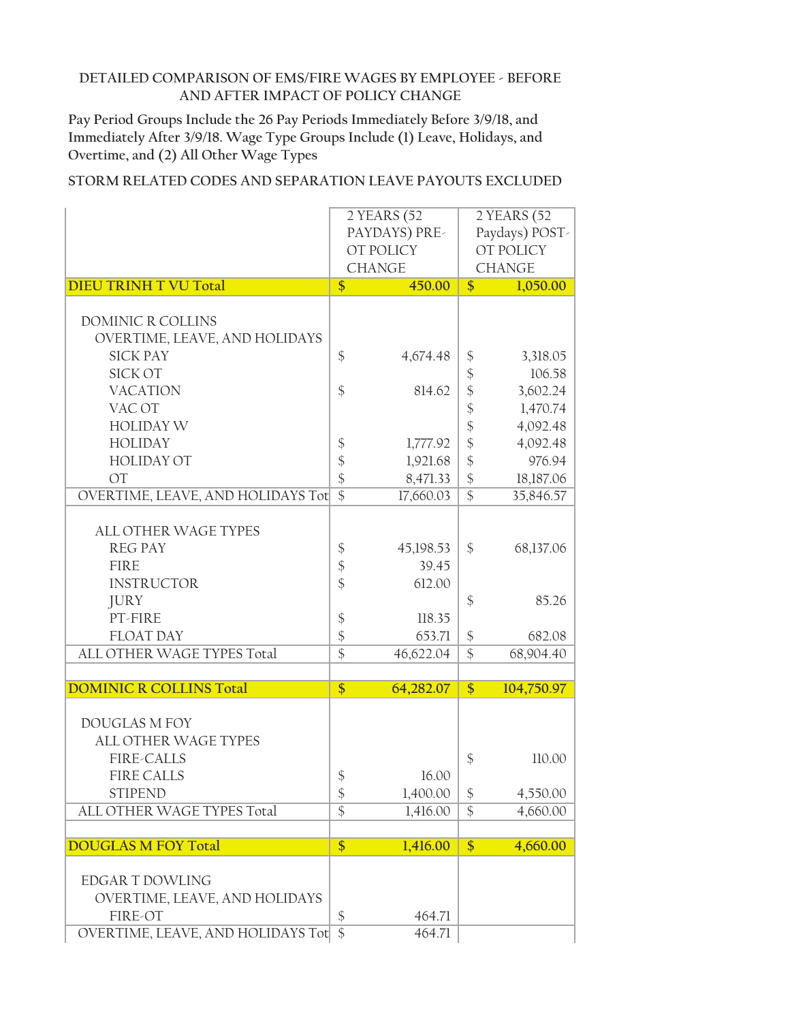**Pay Period Groups Include the 26 Pay Periods Immediately Before 3/9/18, and Immediately After 3/9/18. Wage Type Groups Include (1) Leave, Holidays, and Overtime, and (2) All Other Wage Types**

|                                          | 2 YEARS (52                |               | 2 YEARS (52                |                |
|------------------------------------------|----------------------------|---------------|----------------------------|----------------|
|                                          |                            | PAYDAYS) PRE- |                            | Paydays) POST- |
|                                          |                            | OT POLICY     |                            | OT POLICY      |
|                                          |                            | <b>CHANGE</b> |                            | <b>CHANGE</b>  |
| <b>DIEU TRINH T VU Total</b>             | \$                         | 450.00        | $\mathsf{\$}$              | 1,050.00       |
|                                          |                            |               |                            |                |
| DOMINIC R COLLINS                        |                            |               |                            |                |
| OVERTIME, LEAVE, AND HOLIDAYS            |                            |               |                            |                |
| <b>SICK PAY</b>                          | $\frac{1}{2}$              | 4,674.48      | \$                         | 3,318.05       |
| SICK OT                                  |                            |               | $\frac{1}{2}$              | 106.58         |
| <b>VACATION</b>                          | \$                         | 814.62        | $\frac{1}{2}$              | 3,602.24       |
| VAC OT                                   |                            |               | $\boldsymbol{\mathsf{\$}}$ | 1,470.74       |
|                                          |                            |               |                            |                |
| <b>HOLIDAY W</b>                         |                            |               | \$                         | 4,092.48       |
| <b>HOLIDAY</b>                           | $\boldsymbol{\$}$          | 1,777.92      | $\frac{1}{2}$              | 4,092.48       |
| <b>HOLIDAY OT</b>                        | \$                         | 1,921.68      | $\frac{1}{2}$              | 976.94         |
| <b>OT</b>                                | $\frac{1}{2}$              | 8,471.33      | $\frac{1}{2}$              | 18,187.06      |
| <b>OVERTIME, LEAVE, AND HOLIDAYS Tot</b> | $\overline{\$}$            | 17,660.03     | $\overline{\$}$            | 35,846.57      |
|                                          |                            |               |                            |                |
| <b>ALL OTHER WAGE TYPES</b>              |                            |               |                            |                |
| <b>REG PAY</b>                           | \$                         | 45,198.53     | \$                         | 68,137.06      |
| <b>FIRE</b>                              | $\boldsymbol{\mathsf{\$}}$ | 39.45         |                            |                |
| <b>INSTRUCTOR</b>                        | \$                         | 612.00        |                            |                |
| <b>JURY</b>                              |                            |               | \$                         | 85.26          |
| PT-FIRE                                  | $\boldsymbol{\mathsf{\$}}$ | 118.35        |                            |                |
| <b>FLOAT DAY</b>                         | $\boldsymbol{\$}$          | 653.71        | $\boldsymbol{\$}$          | 682.08         |
| ALL OTHER WAGE TYPES Total               | $\overline{\$}$            | 46,622.04     | $\overline{\$}$            | 68,904.40      |
|                                          |                            |               |                            |                |
| <b>DOMINIC R COLLINS Total</b>           | \$                         | 64,282.07     | $\frac{1}{2}$              | 104,750.97     |
|                                          |                            |               |                            |                |
| <b>DOUGLAS M FOY</b>                     |                            |               |                            |                |
| ALL OTHER WAGE TYPES                     |                            |               |                            |                |
| <b>FIRE-CALLS</b>                        |                            |               | \$                         | 110.00         |
| <b>FIRE CALLS</b>                        | $\frac{1}{2}$              | 16.00         |                            |                |
| <b>STIPEND</b>                           | $\boldsymbol{\$}$          | 1,400.00      | $\boldsymbol{\$}$          | 4,550.00       |
| ALL OTHER WAGE TYPES Total               | $\overline{\$}$            | 1,416.00      | \$                         | 4,660.00       |
|                                          |                            |               |                            |                |
| <b>DOUGLAS M FOY Total</b>               | \$                         | 1,416.00      | \$                         | 4,660.00       |
|                                          |                            |               |                            |                |
| <b>EDGAR T DOWLING</b>                   |                            |               |                            |                |
| OVERTIME, LEAVE, AND HOLIDAYS            |                            |               |                            |                |
| FIRE-OT                                  | \$                         | 464.71        |                            |                |
| <b>OVERTIME, LEAVE, AND HOLIDAYS Tot</b> | $\mathcal{S}$              | 464.71        |                            |                |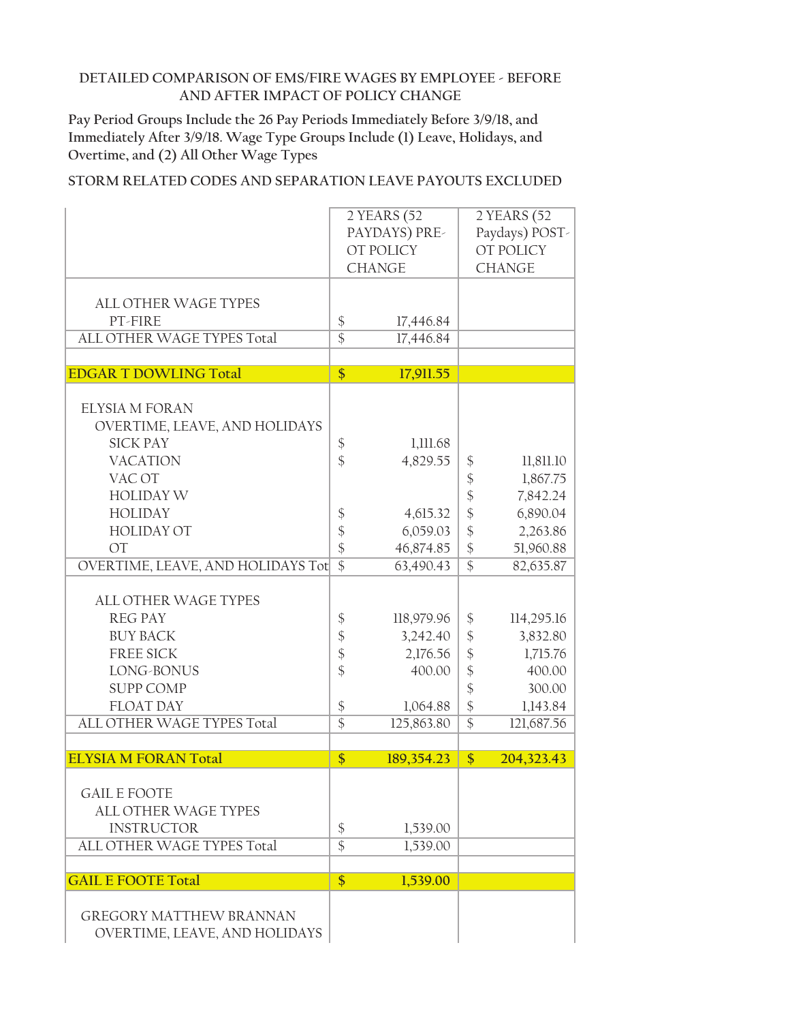**Pay Period Groups Include the 26 Pay Periods Immediately Before 3/9/18, and Immediately After 3/9/18. Wage Type Groups Include (1) Leave, Holidays, and Overtime, and (2) All Other Wage Types**

|                                                                                                                                                                          | 2 YEARS (52<br>PAYDAYS) PRE-<br>OT POLICY<br><b>CHANGE</b>                                                                             |                                                                        |                                                                                                                            | 2 YEARS (52<br>Paydays) POST-<br>OT POLICY<br><b>CHANGE</b>                      |  |
|--------------------------------------------------------------------------------------------------------------------------------------------------------------------------|----------------------------------------------------------------------------------------------------------------------------------------|------------------------------------------------------------------------|----------------------------------------------------------------------------------------------------------------------------|----------------------------------------------------------------------------------|--|
| <b>ALL OTHER WAGE TYPES</b><br>PT-FIRE<br>ALL OTHER WAGE TYPES Total                                                                                                     | $\boldsymbol{\$}$<br>$\overline{\$}$                                                                                                   | 17,446.84<br>17,446.84                                                 |                                                                                                                            |                                                                                  |  |
|                                                                                                                                                                          |                                                                                                                                        |                                                                        |                                                                                                                            |                                                                                  |  |
| <b>EDGAR T DOWLING Total</b>                                                                                                                                             | $\frac{1}{2}$                                                                                                                          | 17,911.55                                                              |                                                                                                                            |                                                                                  |  |
| <b>ELYSIA M FORAN</b><br>OVERTIME, LEAVE, AND HOLIDAYS<br><b>SICK PAY</b><br><b>VACATION</b><br>VAC OT                                                                   | $\boldsymbol{\xi}$<br>$\frac{1}{2}$                                                                                                    | 1,111.68<br>4,829.55                                                   | \$<br>$\frac{1}{2}$                                                                                                        | 11,811.10<br>1,867.75                                                            |  |
| <b>HOLIDAY W</b><br><b>HOLIDAY</b><br><b>HOLIDAY OT</b><br><b>OT</b>                                                                                                     | $\boldsymbol{\xi}$<br>$\frac{1}{2}$                                                                                                    | 4,615.32<br>6,059.03                                                   | $\hat{\mathcal{C}}$<br>$\hat{\varphi}$<br>\$                                                                               | 7,842.24<br>6,890.04<br>2,263.86                                                 |  |
| <b>OVERTIME, LEAVE, AND HOLIDAYS Tot</b>                                                                                                                                 | $\frac{1}{2}$<br>$\overline{\$}$                                                                                                       | 46,874.85<br>63,490.43                                                 | $\boldsymbol{\mathsf{S}}$<br>$\overline{\$}$                                                                               | 51,960.88<br>82,635.87                                                           |  |
| <b>ALL OTHER WAGE TYPES</b><br><b>REG PAY</b><br><b>BUY BACK</b><br><b>FREE SICK</b><br>LONG-BONUS<br><b>SUPP COMP</b><br><b>FLOAT DAY</b><br>ALL OTHER WAGE TYPES Total | $\boldsymbol{\$}$<br>$\boldsymbol{\mathsf{\$}}$<br>$\boldsymbol{\mathsf{\$}}$<br>$\frac{1}{2}$<br>$\boldsymbol{\$}$<br>$\overline{\$}$ | 118,979.96<br>3,242.40<br>2,176.56<br>400.00<br>1,064.88<br>125,863.80 | \$<br>$\boldsymbol{\mathsf{S}}$<br>$\boldsymbol{\S}$<br>$\frac{1}{2}$<br>$\frac{1}{2}$<br>$\frac{1}{2}$<br>$\overline{\$}$ | 114,295.16<br>3,832.80<br>1,715.76<br>400.00<br>300.00<br>1,143.84<br>121,687.56 |  |
| <b>ELYSIA M FORAN Total</b>                                                                                                                                              | \$                                                                                                                                     | 189,354.23                                                             | \$                                                                                                                         | 204,323.43                                                                       |  |
| <b>GAIL E FOOTE</b><br><b>ALL OTHER WAGE TYPES</b><br><b>INSTRUCTOR</b><br>ALL OTHER WAGE TYPES Total                                                                    | \$<br>$\overline{\$}$                                                                                                                  | 1,539.00<br>1,539.00                                                   |                                                                                                                            |                                                                                  |  |
| <b>GAIL E FOOTE Total</b>                                                                                                                                                | $\frac{1}{2}$                                                                                                                          | 1,539.00                                                               |                                                                                                                            |                                                                                  |  |
| <b>GREGORY MATTHEW BRANNAN</b><br>OVERTIME, LEAVE, AND HOLIDAYS                                                                                                          |                                                                                                                                        |                                                                        |                                                                                                                            |                                                                                  |  |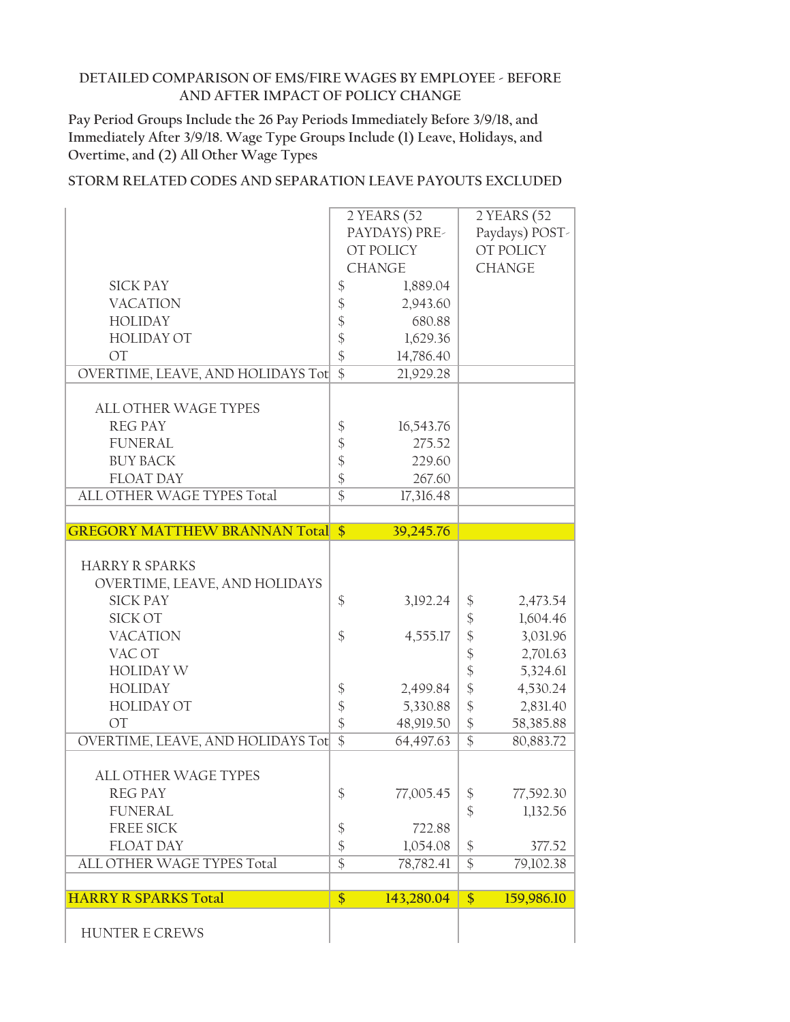**Pay Period Groups Include the 26 Pay Periods Immediately Before 3/9/18, and Immediately After 3/9/18. Wage Type Groups Include (1) Leave, Holidays, and Overtime, and (2) All Other Wage Types**

|                                         |                                  | 2 YEARS (52        |                            | 2 YEARS (52         |
|-----------------------------------------|----------------------------------|--------------------|----------------------------|---------------------|
|                                         |                                  | PAYDAYS) PRE-      |                            | Paydays) POST-      |
|                                         |                                  | OT POLICY          |                            | OT POLICY           |
|                                         |                                  | <b>CHANGE</b>      |                            | <b>CHANGE</b>       |
| <b>SICK PAY</b>                         | $\boldsymbol{\mathsf{\$}}$       | 1,889.04           |                            |                     |
| <b>VACATION</b>                         | $\frac{1}{2}$                    | 2,943.60           |                            |                     |
| <b>HOLIDAY</b>                          |                                  | 680.88             |                            |                     |
| <b>HOLIDAY OT</b>                       | $\frac{1}{2}$                    | 1,629.36           |                            |                     |
| <b>OT</b>                               | $\hat{\mathcal{L}}$              | 14,786.40          |                            |                     |
| OVERTIME, LEAVE, AND HOLIDAYS Tot       | $\overline{\$}$                  | 21,929.28          |                            |                     |
|                                         |                                  |                    |                            |                     |
| <b>ALL OTHER WAGE TYPES</b>             |                                  |                    |                            |                     |
| <b>REG PAY</b>                          | $\boldsymbol{\xi}$               | 16,543.76          |                            |                     |
| <b>FUNERAL</b>                          | \$                               | 275.52             |                            |                     |
| <b>BUY BACK</b>                         | $\frac{1}{2}$                    | 229.60             |                            |                     |
| <b>FLOAT DAY</b>                        |                                  | 267.60             |                            |                     |
| ALL OTHER WAGE TYPES Total              | $\overline{\$}$                  | 17,316.48          |                            |                     |
|                                         |                                  |                    |                            |                     |
| <b>GREGORY MATTHEW BRANNAN Total \$</b> |                                  | 39,245.76          |                            |                     |
| <b>HARRY R SPARKS</b>                   |                                  |                    |                            |                     |
| OVERTIME, LEAVE, AND HOLIDAYS           |                                  |                    |                            |                     |
| <b>SICK PAY</b>                         | $\frac{1}{2}$                    | 3,192.24           | \$                         | 2,473.54            |
| <b>SICK OT</b>                          |                                  |                    | $\frac{1}{2}$              | 1,604.46            |
| <b>VACATION</b>                         | $\frac{1}{2}$                    | 4,555.17           | $\boldsymbol{\hat{\phi}}$  | 3,031.96            |
| VAC OT                                  |                                  |                    | $\frac{1}{2}$              | 2,701.63            |
| <b>HOLIDAY W</b>                        |                                  |                    | $\frac{1}{2}$              | 5,324.61            |
| <b>HOLIDAY</b>                          |                                  | 2,499.84           | $\boldsymbol{\hat{\zeta}}$ | 4,530.24            |
| <b>HOLIDAY OT</b>                       | $\frac{1}{2}$<br>$\frac{1}{2}$   | 5,330.88           | $\boldsymbol{\mathsf{\$}}$ | 2,831.40            |
| <b>OT</b>                               | $\frac{1}{2}$                    | 48,919.50          | $\frac{1}{2}$              | 58,385.88           |
| OVERTIME, LEAVE, AND HOLIDAYS Tot       | $\overline{\$}$                  | 64,497.63          | $\overline{\$}$            | 80,883.72           |
|                                         |                                  |                    |                            |                     |
| ALL OTHER WAGE TYPES                    |                                  |                    |                            |                     |
| <b>REG PAY</b>                          | $\frac{1}{2}$                    | 77,005.45          |                            | 77,592.30           |
| <b>FUNERAL</b>                          |                                  |                    | \$<br>$\frac{1}{2}$        | 1,132.56            |
| <b>FREE SICK</b>                        |                                  |                    |                            |                     |
| <b>FLOAT DAY</b>                        | $\boldsymbol{\$}$                | 722.88<br>1,054.08 |                            |                     |
| ALL OTHER WAGE TYPES Total              | $\frac{1}{2}$<br>$\overline{\$}$ | 78,782.41          | \$<br>$\overline{\$}$      | 377.52<br>79,102.38 |
|                                         |                                  |                    |                            |                     |
| <b>HARRY R SPARKS Total</b>             | $\overline{\$}$                  | 143,280.04         | $\frac{1}{2}$              | 159,986.10          |
|                                         |                                  |                    |                            |                     |
| <b>HUNTER E CREWS</b>                   |                                  |                    |                            |                     |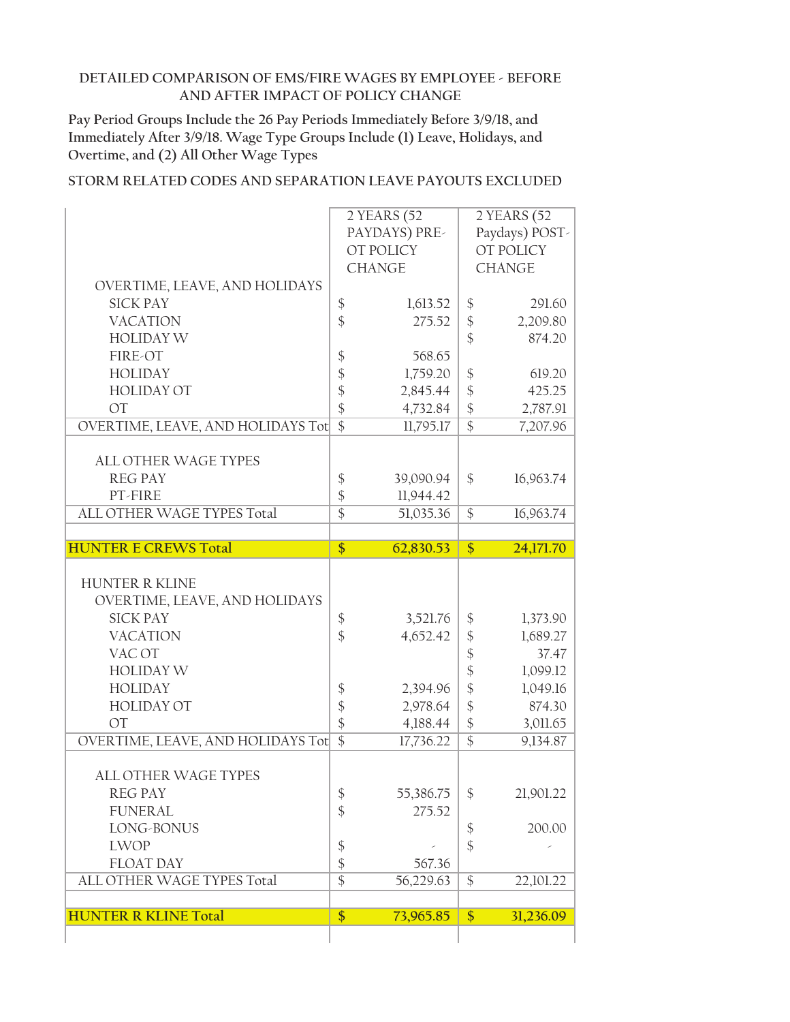**Pay Period Groups Include the 26 Pay Periods Immediately Before 3/9/18, and Immediately After 3/9/18. Wage Type Groups Include (1) Leave, Holidays, and Overtime, and (2) All Other Wage Types**

|                                                                                                                                                                                                                                                                                                                                  |                                                                                                                                                                                                                   | 2 YEARS (52<br>PAYDAYS) PRE-<br>OT POLICY<br><b>CHANGE</b>                                             |                                                                                                                                                            | 2 YEARS (52<br>Paydays) POST-<br>OT POLICY<br><b>CHANGE</b>                                                    |
|----------------------------------------------------------------------------------------------------------------------------------------------------------------------------------------------------------------------------------------------------------------------------------------------------------------------------------|-------------------------------------------------------------------------------------------------------------------------------------------------------------------------------------------------------------------|--------------------------------------------------------------------------------------------------------|------------------------------------------------------------------------------------------------------------------------------------------------------------|----------------------------------------------------------------------------------------------------------------|
| OVERTIME, LEAVE, AND HOLIDAYS                                                                                                                                                                                                                                                                                                    |                                                                                                                                                                                                                   |                                                                                                        |                                                                                                                                                            |                                                                                                                |
| <b>SICK PAY</b>                                                                                                                                                                                                                                                                                                                  | $\boldsymbol{\$}$                                                                                                                                                                                                 | 1,613.52                                                                                               | $\boldsymbol{\$}$                                                                                                                                          | 291.60                                                                                                         |
| <b>VACATION</b>                                                                                                                                                                                                                                                                                                                  | $\hat{\mathcal{L}}$                                                                                                                                                                                               | 275.52                                                                                                 | \$                                                                                                                                                         | 2,209.80                                                                                                       |
| <b>HOLIDAY W</b>                                                                                                                                                                                                                                                                                                                 |                                                                                                                                                                                                                   |                                                                                                        | \$                                                                                                                                                         | 874.20                                                                                                         |
| FIRE-OT                                                                                                                                                                                                                                                                                                                          | $\boldsymbol{\mathsf{\$}}$                                                                                                                                                                                        | 568.65                                                                                                 |                                                                                                                                                            |                                                                                                                |
| <b>HOLIDAY</b>                                                                                                                                                                                                                                                                                                                   | $\frac{1}{2}$                                                                                                                                                                                                     | 1,759.20                                                                                               | \$                                                                                                                                                         | 619.20                                                                                                         |
| <b>HOLIDAY OT</b>                                                                                                                                                                                                                                                                                                                | $\frac{1}{2}$                                                                                                                                                                                                     | 2,845.44                                                                                               | $\frac{1}{2}$                                                                                                                                              | 425.25                                                                                                         |
| <b>OT</b>                                                                                                                                                                                                                                                                                                                        | $\frac{1}{2}$                                                                                                                                                                                                     | 4,732.84                                                                                               | $\frac{1}{2}$                                                                                                                                              | 2,787.91                                                                                                       |
| OVERTIME, LEAVE, AND HOLIDAYS Tot                                                                                                                                                                                                                                                                                                | $\overline{\$}$                                                                                                                                                                                                   | 11,795.17                                                                                              | $\overline{\$}$                                                                                                                                            | 7,207.96                                                                                                       |
| <b>ALL OTHER WAGE TYPES</b>                                                                                                                                                                                                                                                                                                      |                                                                                                                                                                                                                   |                                                                                                        |                                                                                                                                                            |                                                                                                                |
| <b>REG PAY</b>                                                                                                                                                                                                                                                                                                                   | \$                                                                                                                                                                                                                | 39,090.94                                                                                              | \$                                                                                                                                                         | 16,963.74                                                                                                      |
| PT-FIRE                                                                                                                                                                                                                                                                                                                          | $\frac{1}{2}$                                                                                                                                                                                                     | 11,944.42                                                                                              |                                                                                                                                                            |                                                                                                                |
| ALL OTHER WAGE TYPES Total                                                                                                                                                                                                                                                                                                       | $\overline{\$}$                                                                                                                                                                                                   | 51,035.36                                                                                              | $\frac{1}{2}$                                                                                                                                              | 16,963.74                                                                                                      |
|                                                                                                                                                                                                                                                                                                                                  |                                                                                                                                                                                                                   |                                                                                                        |                                                                                                                                                            |                                                                                                                |
| <b>HUNTER E CREWS Total</b>                                                                                                                                                                                                                                                                                                      | $\frac{1}{2}$                                                                                                                                                                                                     | 62,830.53                                                                                              | $\frac{1}{2}$                                                                                                                                              | 24,171.70                                                                                                      |
|                                                                                                                                                                                                                                                                                                                                  |                                                                                                                                                                                                                   |                                                                                                        |                                                                                                                                                            |                                                                                                                |
| <b>HUNTER R KLINE</b><br>OVERTIME, LEAVE, AND HOLIDAYS<br><b>SICK PAY</b><br><b>VACATION</b><br>VAC OT<br><b>HOLIDAY W</b><br><b>HOLIDAY</b><br><b>HOLIDAY OT</b><br><b>OT</b><br>OVERTIME, LEAVE, AND HOLIDAYS Tot<br>ALL OTHER WAGE TYPES<br><b>REG PAY</b><br><b>FUNERAL</b><br>LONG-BONUS<br><b>LWOP</b><br><b>FLOAT DAY</b> | $\boldsymbol{\$}$<br>$\frac{1}{2}$<br>$\boldsymbol{\xi}$<br>$\frac{1}{2}$<br>$\hat{\mathcal{L}}$<br>$\overline{\$}$<br>$\frac{1}{2}$<br>$\frac{1}{2}$<br>$\boldsymbol{\mathsf{\$}}$<br>$\boldsymbol{\mathsf{\$}}$ | 3,521.76<br>4,652.42<br>2,394.96<br>2,978.64<br>4,188.44<br>17,736.22<br>55,386.75<br>275.52<br>567.36 | \$<br>$\frac{1}{2}$<br>\$<br>$\frac{1}{2}$<br>\$<br>$\frac{1}{2}$<br>$\frac{1}{2}$<br>$\overline{\$}$<br>\$<br>$\boldsymbol{\mathsf{\$}}$<br>$\frac{1}{2}$ | 1,373.90<br>1,689.27<br>37.47<br>1,099.12<br>1,049.16<br>874.30<br>3,011.65<br>9,134.87<br>21,901.22<br>200.00 |
| ALL OTHER WAGE TYPES Total                                                                                                                                                                                                                                                                                                       | $\overline{\$}$                                                                                                                                                                                                   | 56,229.63                                                                                              | $\frac{1}{2}$                                                                                                                                              | 22,101.22                                                                                                      |
|                                                                                                                                                                                                                                                                                                                                  |                                                                                                                                                                                                                   |                                                                                                        |                                                                                                                                                            |                                                                                                                |
| <b>HUNTER R KLINE Total</b>                                                                                                                                                                                                                                                                                                      | \$                                                                                                                                                                                                                | 73,965.85                                                                                              | \$                                                                                                                                                         | 31,236.09                                                                                                      |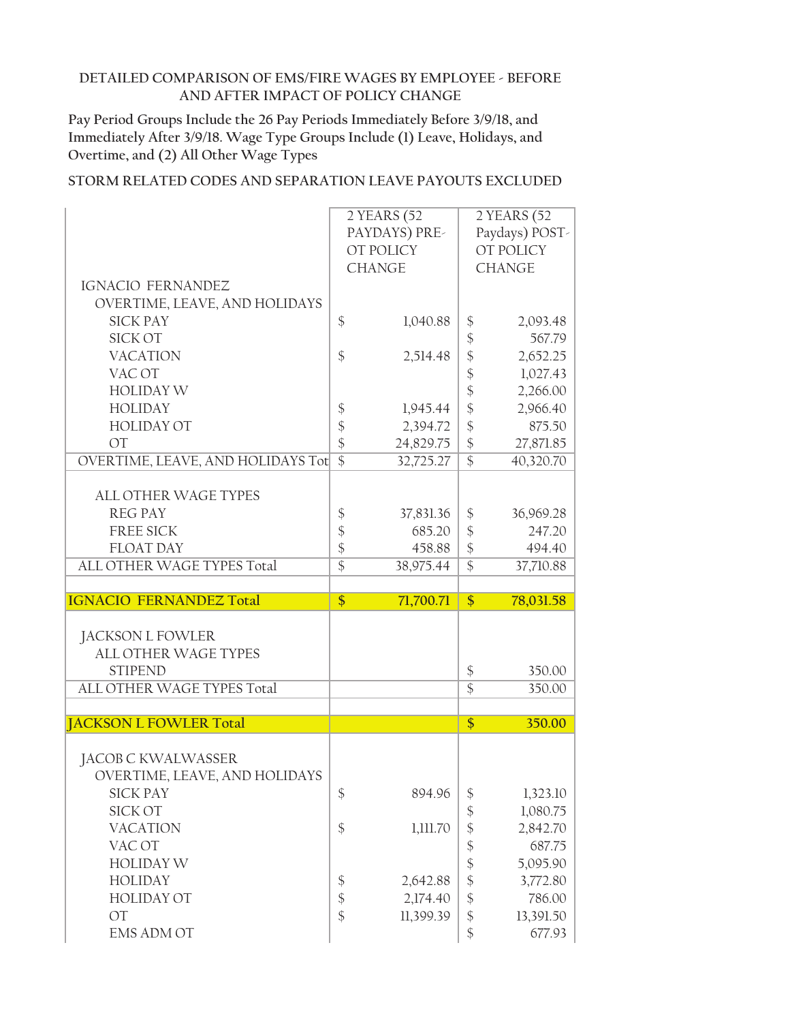**Pay Period Groups Include the 26 Pay Periods Immediately Before 3/9/18, and Immediately After 3/9/18. Wage Type Groups Include (1) Leave, Holidays, and Overtime, and (2) All Other Wage Types**

|                                   |                              | 2 YEARS (52   |                                | 2 YEARS (52         |
|-----------------------------------|------------------------------|---------------|--------------------------------|---------------------|
|                                   |                              | PAYDAYS) PRE- |                                | Paydays) POST-      |
|                                   |                              | OT POLICY     |                                | OT POLICY           |
|                                   |                              | <b>CHANGE</b> |                                | <b>CHANGE</b>       |
| IGNACIO FERNANDEZ                 |                              |               |                                |                     |
| OVERTIME, LEAVE, AND HOLIDAYS     |                              |               |                                |                     |
| <b>SICK PAY</b>                   |                              |               |                                |                     |
| SICK OT                           | \$                           | 1,040.88      | \$                             | 2,093.48            |
|                                   |                              |               | \$                             | 567.79              |
| <b>VACATION</b>                   | \$                           | 2,514.48      | \$                             | 2,652.25            |
| VAC OT                            |                              |               | \$                             | 1,027.43            |
| <b>HOLIDAY W</b>                  |                              |               | \$                             | 2,266.00            |
| <b>HOLIDAY</b>                    | \$                           | 1,945.44      | \$                             | 2,966.40            |
| <b>HOLIDAY OT</b>                 | \$                           | 2,394.72      | \$                             | 875.50              |
| <b>OT</b>                         | $\frac{1}{2}$                | 24,829.75     | $\frac{1}{2}$                  | 27,871.85           |
| OVERTIME, LEAVE, AND HOLIDAYS Tot | $\overline{\$}$              | 32,725.27     | $\overline{\$}$                | 40,320.70           |
|                                   |                              |               |                                |                     |
| <b>ALL OTHER WAGE TYPES</b>       |                              |               |                                |                     |
| <b>REG PAY</b>                    | $\boldsymbol{\mathsf{\$}}$   | 37,831.36     | $\frac{1}{2}$                  | 36,969.28           |
| <b>FREE SICK</b>                  | \$                           | 685.20        | \$                             | 247.20              |
| <b>FLOAT DAY</b>                  | $\frac{1}{2}$                | 458.88        | $\frac{1}{2}$                  | 494.40              |
| ALL OTHER WAGE TYPES Total        | $\overline{\$}$              | 38,975.44     | $\overline{\$}$                | 37,710.88           |
|                                   |                              |               |                                |                     |
|                                   |                              |               |                                |                     |
|                                   |                              |               |                                |                     |
| <b>IGNACIO FERNANDEZ Total</b>    | \$                           | 71,700.71     | \$                             | 78,031.58           |
|                                   |                              |               |                                |                     |
| JACKSON L FOWLER                  |                              |               |                                |                     |
| <b>ALL OTHER WAGE TYPES</b>       |                              |               |                                |                     |
| <b>STIPEND</b>                    |                              |               | $\boldsymbol{\$}$              | 350.00              |
| ALL OTHER WAGE TYPES Total        |                              |               | $\overline{\$}$                | 350.00              |
|                                   |                              |               |                                |                     |
| <b>JACKSON L FOWLER Total</b>     |                              |               | \$                             | 350.00              |
|                                   |                              |               |                                |                     |
| JACOB C KWALWASSER                |                              |               |                                |                     |
| OVERTIME, LEAVE, AND HOLIDAYS     |                              |               |                                |                     |
| <b>SICK PAY</b>                   | $\boldsymbol{\$}$            | 894.96        |                                | 1,323.10            |
| SICK OT                           |                              |               | $\frac{1}{2}$                  | 1,080.75            |
| <b>VACATION</b>                   |                              |               | \$                             |                     |
| VAC OT                            | $\boldsymbol{\$}$            | 1,111.70      | \$                             | 2,842.70            |
|                                   |                              |               |                                | 687.75              |
| <b>HOLIDAY W</b>                  |                              |               | $\frac{3}{5}$                  | 5,095.90            |
| <b>HOLIDAY</b>                    | \$                           | 2,642.88      | \$                             | 3,772.80            |
| <b>HOLIDAY OT</b>                 | $\boldsymbol{\hat{\varphi}}$ | 2,174.40      | \$                             | 786.00              |
| <b>OT</b><br><b>EMS ADM OT</b>    | $\frac{1}{2}$                | 11,399.39     | $\frac{1}{2}$<br>$\frac{1}{2}$ | 13,391.50<br>677.93 |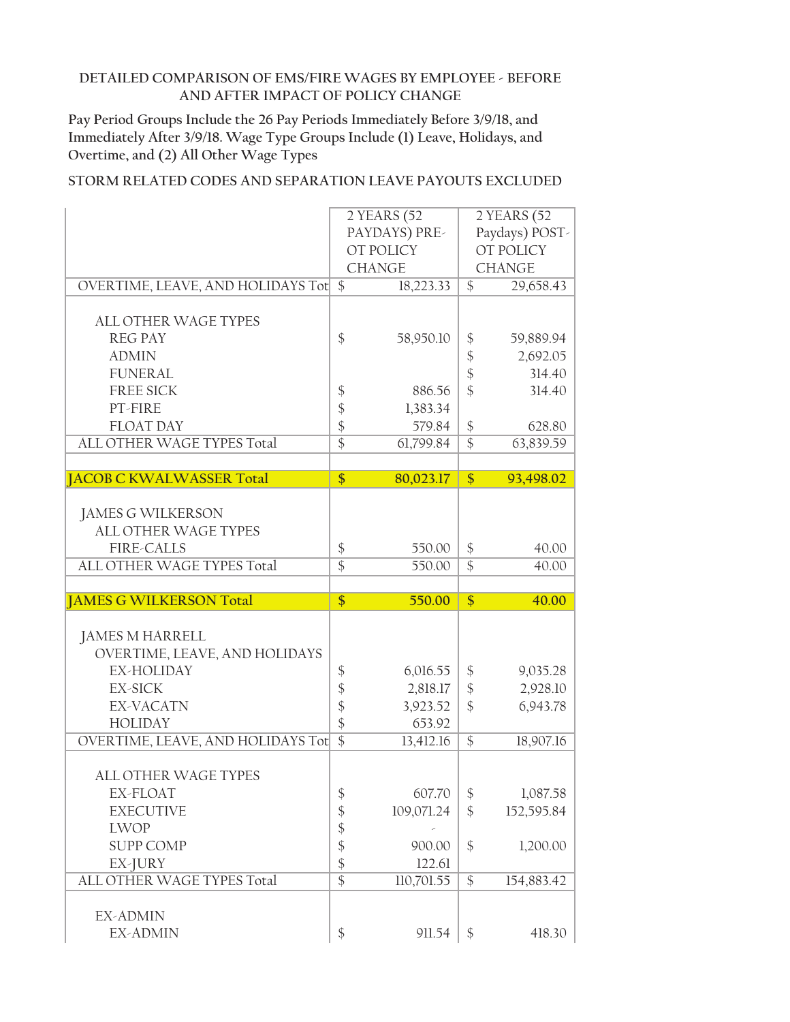**Pay Period Groups Include the 26 Pay Periods Immediately Before 3/9/18, and Immediately After 3/9/18. Wage Type Groups Include (1) Leave, Holidays, and Overtime, and (2) All Other Wage Types**

|                                                         |                 | 2 YEARS (52   |                           | 2 YEARS (52    |
|---------------------------------------------------------|-----------------|---------------|---------------------------|----------------|
|                                                         |                 | PAYDAYS) PRE- |                           | Paydays) POST- |
|                                                         |                 | OT POLICY     |                           | OT POLICY      |
|                                                         |                 | <b>CHANGE</b> |                           | <b>CHANGE</b>  |
| OVERTIME, LEAVE, AND HOLIDAYS Tot                       | $\mathcal{S}$   | 18,223.33     | $\mathcal{S}$             | 29,658.43      |
|                                                         |                 |               |                           |                |
| <b>ALL OTHER WAGE TYPES</b>                             |                 |               |                           |                |
| <b>REG PAY</b>                                          | \$              | 58,950.10     | \$                        | 59,889.94      |
| <b>ADMIN</b>                                            |                 |               | \$                        | 2,692.05       |
| <b>FUNERAL</b>                                          |                 |               | $\frac{1}{2}$             | 314.40         |
| <b>FREE SICK</b>                                        | \$              | 886.56        | \$                        | 314.40         |
| PT-FIRE                                                 | $\frac{1}{2}$   | 1,383.34      |                           |                |
| <b>FLOAT DAY</b>                                        | \$              | 579.84        | \$                        | 628.80         |
| ALL OTHER WAGE TYPES Total                              | $\overline{\$}$ | 61,799.84     | $\overline{\$}$           | 63,839.59      |
|                                                         |                 |               |                           |                |
| <b>JACOB C KWALWASSER Total</b>                         | \$              | 80,023.17     | \$                        | 93,498.02      |
|                                                         |                 |               |                           |                |
|                                                         |                 |               |                           |                |
| <b>JAMES G WILKERSON</b><br><b>ALL OTHER WAGE TYPES</b> |                 |               |                           |                |
|                                                         |                 |               |                           |                |
| <b>FIRE-CALLS</b>                                       | \$              | 550.00        | \$                        | 40.00          |
| ALL OTHER WAGE TYPES Total                              | $\overline{\$}$ | 550.00        | $\overline{\$}$           | 40.00          |
|                                                         |                 |               |                           |                |
|                                                         |                 |               |                           |                |
| <b>JAMES G WILKERSON Total</b>                          | $\frac{1}{2}$   | 550.00        | \$                        | 40.00          |
|                                                         |                 |               |                           |                |
| JAMES M HARRELL                                         |                 |               |                           |                |
| OVERTIME, LEAVE, AND HOLIDAYS                           |                 |               |                           |                |
| EX-HOLIDAY                                              | \$              | 6,016.55      | \$                        | 9,035.28       |
| <b>EX-SICK</b>                                          | \$              | 2,818.17      | $\boldsymbol{\mathsf{S}}$ | 2,928.10       |
| <b>EX-VACATN</b>                                        | \$              | 3,923.52      | $\frac{1}{2}$             | 6,943.78       |
| <b>HOLIDAY</b>                                          | \$              | 653.92        |                           |                |
| OVERTIME, LEAVE, AND HOLIDAYS Tot                       | $\overline{\$}$ | 13,412.16     | \$                        | 18,907.16      |
|                                                         |                 |               |                           |                |
| <b>ALL OTHER WAGE TYPES</b>                             |                 |               |                           |                |
| EX-FLOAT                                                | \$              | 607.70        | \$                        | 1,087.58       |
| <b>EXECUTIVE</b>                                        |                 | 109,071.24    | \$                        | 152,595.84     |
| <b>LWOP</b>                                             | \$              |               |                           |                |
| <b>SUPP COMP</b>                                        | \$              | 900.00        | $\frac{1}{2}$             | 1,200.00       |
|                                                         | \$              | 122.61        |                           |                |
| EX-JURY<br>ALL OTHER WAGE TYPES Total                   | $\frac{1}{2}$   | 110,701.55    | \$                        | 154,883.42     |
|                                                         | $\overline{\$}$ |               |                           |                |
|                                                         |                 |               |                           |                |
| <b>EX-ADMIN</b><br>EX-ADMIN                             | \$              | 911.54        | $\frac{1}{2}$             | 418.30         |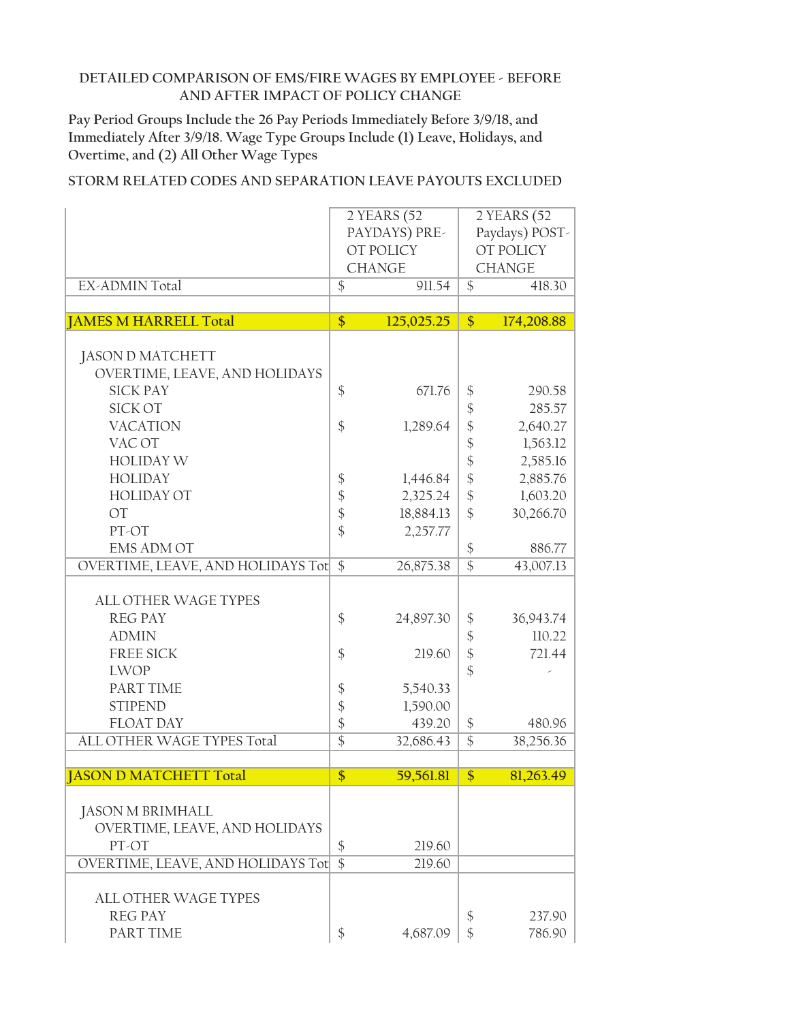**Pay Period Groups Include the 26 Pay Periods Immediately Before 3/9/18, and Immediately After 3/9/18. Wage Type Groups Include (1) Leave, Holidays, and Overtime, and (2) All Other Wage Types**

|                                   |                              | 2 YEARS (52   |                            | 2 YEARS (52    |
|-----------------------------------|------------------------------|---------------|----------------------------|----------------|
|                                   |                              | PAYDAYS) PRE- |                            | Paydays) POST- |
|                                   |                              | OT POLICY     |                            | OT POLICY      |
|                                   |                              | <b>CHANGE</b> |                            | <b>CHANGE</b>  |
| <b>EX-ADMIN Total</b>             | $\overline{\$}$              | 911.54        | $\overline{\$}$            | 418.30         |
|                                   |                              |               |                            |                |
| <b>JAMES M HARRELL Total</b>      | \$                           | 125,025.25    | \$                         | 174,208.88     |
|                                   |                              |               |                            |                |
| <b>JASON D MATCHETT</b>           |                              |               |                            |                |
| OVERTIME, LEAVE, AND HOLIDAYS     |                              |               |                            |                |
| <b>SICK PAY</b>                   | $\frac{1}{2}$                | 671.76        | \$                         | 290.58         |
| <b>SICK OT</b>                    |                              |               | \$                         | 285.57         |
| <b>VACATION</b>                   | $\frac{1}{2}$                | 1,289.64      | $\frac{1}{2}$              | 2,640.27       |
| VAC OT                            |                              |               | $\frac{1}{2}$              | 1,563.12       |
| <b>HOLIDAY W</b>                  |                              |               | $\frac{1}{2}$              | 2,585.16       |
| <b>HOLIDAY</b>                    | $\boldsymbol{\$}$            | 1,446.84      | $\frac{1}{2}$              | 2,885.76       |
| <b>HOLIDAY OT</b>                 | $\boldsymbol{\hat{\varphi}}$ | 2,325.24      | $\boldsymbol{\mathsf{\$}}$ | 1,603.20       |
| OT                                | $\boldsymbol{\$}$            | 18,884.13     | $\frac{1}{2}$              | 30,266.70      |
| PT-OT                             | $\frac{1}{2}$                | 2,257.77      |                            |                |
| <b>EMS ADM OT</b>                 |                              |               | $\boldsymbol{\$}$          | 886.77         |
| OVERTIME, LEAVE, AND HOLIDAYS Tot | $\overline{\$}$              | 26,875.38     | $\overline{\$}$            | 43,007.13      |
|                                   |                              |               |                            |                |
| <b>ALL OTHER WAGE TYPES</b>       |                              |               |                            |                |
| <b>REG PAY</b>                    | \$                           | 24,897.30     | \$                         | 36,943.74      |
| <b>ADMIN</b>                      |                              |               | $\boldsymbol{\mathsf{\$}}$ | 110.22         |
| <b>FREE SICK</b>                  | $\frac{1}{2}$                | 219.60        | $\frac{1}{2}$              | 721.44         |
|                                   |                              |               | $\frac{1}{2}$              |                |
| <b>LWOP</b>                       |                              |               |                            |                |
| PART TIME                         | $\boldsymbol{\$}$            | 5,540.33      |                            |                |
| <b>STIPEND</b>                    | $\boldsymbol{\mathsf{\$}}$   | 1,590.00      |                            |                |
| <b>FLOAT DAY</b>                  | $\frac{1}{2}$                | 439.20        | \$                         | 480.96         |
| ALL OTHER WAGE TYPES Total        | $\overline{\$}$              | 32,686.43     | $\overline{\$}$            | 38,256.36      |
|                                   |                              |               |                            |                |
| <b>JASON D MATCHETT Total</b>     | $\overline{\$}$              | 59,561.81     | $\overline{\$}$            | 81,263.49      |
|                                   |                              |               |                            |                |
| <b>JASON M BRIMHALL</b>           |                              |               |                            |                |
| OVERTIME, LEAVE, AND HOLIDAYS     |                              |               |                            |                |
| PT-OT                             | \$                           | 219.60        |                            |                |
| OVERTIME, LEAVE, AND HOLIDAYS Tot | $\overline{\$}$              | 219.60        |                            |                |
|                                   |                              |               |                            |                |
| <b>ALL OTHER WAGE TYPES</b>       |                              |               |                            |                |
| <b>REG PAY</b>                    |                              |               | $\frac{1}{2}$              | 237.90         |
| PART TIME                         | \$                           | 4,687.09      | $\mathcal{S}$              | 786.90         |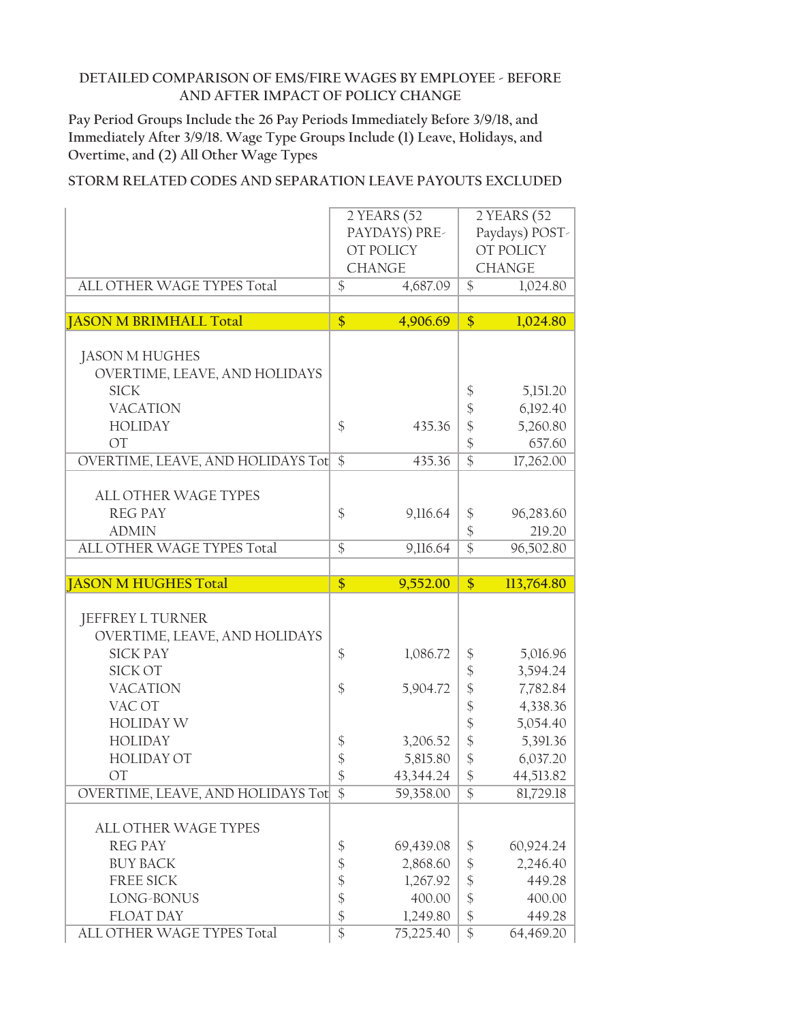**Pay Period Groups Include the 26 Pay Periods Immediately Before 3/9/18, and Immediately After 3/9/18. Wage Type Groups Include (1) Leave, Holidays, and Overtime, and (2) All Other Wage Types**

|                                                | 2 YEARS (52                                               |                                               | 2 YEARS (52         |
|------------------------------------------------|-----------------------------------------------------------|-----------------------------------------------|---------------------|
|                                                | PAYDAYS) PRE-                                             |                                               | Paydays) POST-      |
|                                                |                                                           |                                               |                     |
|                                                | OT POLICY                                                 |                                               | OT POLICY           |
|                                                | <b>CHANGE</b>                                             |                                               | <b>CHANGE</b>       |
| ALL OTHER WAGE TYPES Total                     | $\overline{\$}$<br>4,687.09                               | $\overline{\$}$                               | 1,024.80            |
|                                                |                                                           |                                               |                     |
| <b>JASON M BRIMHALL Total</b>                  | \$<br>4,906.69                                            | \$                                            | 1,024.80            |
|                                                |                                                           |                                               |                     |
| <b>JASON M HUGHES</b>                          |                                                           |                                               |                     |
| OVERTIME, LEAVE, AND HOLIDAYS                  |                                                           |                                               |                     |
| <b>SICK</b>                                    |                                                           | $\boldsymbol{\$}$                             | 5,151.20            |
| <b>VACATION</b>                                |                                                           |                                               |                     |
|                                                |                                                           | $\boldsymbol{\hat{\zeta}}$                    | 6,192.40            |
| <b>HOLIDAY</b>                                 | $\frac{1}{2}$<br>435.36                                   | $\frac{1}{2}$                                 | 5,260.80            |
| <b>OT</b>                                      |                                                           | $\frac{1}{2}$                                 | 657.60              |
| OVERTIME, LEAVE, AND HOLIDAYS Tot              | $\frac{1}{2}$<br>435.36                                   | $\overline{\$}$                               | 17,262.00           |
|                                                |                                                           |                                               |                     |
| <b>ALL OTHER WAGE TYPES</b>                    |                                                           |                                               |                     |
| <b>REG PAY</b>                                 | \$<br>9,116.64                                            | \$                                            | 96,283.60           |
| <b>ADMIN</b>                                   |                                                           | \$                                            | 219.20              |
| ALL OTHER WAGE TYPES Total                     | $\overline{\$}$<br>9,116.64                               | $\overline{\$}$                               | 96,502.80           |
|                                                |                                                           |                                               |                     |
|                                                |                                                           |                                               |                     |
| <b>JASON M HUGHES Total</b>                    | 9,552.00                                                  | $\frac{1}{2}$                                 | 113,764.80          |
|                                                | \$                                                        |                                               |                     |
|                                                |                                                           |                                               |                     |
| JEFFREY L TURNER                               |                                                           |                                               |                     |
| OVERTIME, LEAVE, AND HOLIDAYS                  |                                                           |                                               |                     |
| <b>SICK PAY</b>                                | $\frac{1}{2}$<br>1,086.72                                 | $\boldsymbol{\$}$                             | 5,016.96            |
| <b>SICK OT</b>                                 |                                                           | \$                                            | 3,594.24            |
| <b>VACATION</b>                                | \$<br>5,904.72                                            | $\boldsymbol{\hat{\phi}}$                     | 7,782.84            |
| VAC OT                                         |                                                           | $\frac{1}{2}$                                 | 4,338.36            |
| <b>HOLIDAY W</b>                               |                                                           |                                               | 5,054.40            |
| <b>HOLIDAY</b>                                 | 3,206.52                                                  | $\frac{1}{2}$                                 |                     |
|                                                | $\frac{1}{2}$                                             | $\boldsymbol{\hat{\zeta}}$                    | 5,391.36            |
| <b>HOLIDAY OT</b>                              | $\frac{1}{2}$<br>5,815.80                                 | \$                                            | 6,037.20            |
| <b>OT</b>                                      | $\frac{1}{2}$<br>43,344.24                                | $\frac{1}{2}$                                 | 44,513.82           |
| OVERTIME, LEAVE, AND HOLIDAYS Tot \$           | 59,358.00                                                 | \$                                            | 81,729.18           |
|                                                |                                                           |                                               |                     |
| <b>ALL OTHER WAGE TYPES</b>                    |                                                           |                                               |                     |
| <b>REG PAY</b>                                 | \$<br>69,439.08                                           | \$                                            | 60,924.24           |
| <b>BUY BACK</b>                                | $\boldsymbol{\hat{\phi}}$<br>2,868.60                     | $\boldsymbol{\$}$                             | 2,246.40            |
| <b>FREE SICK</b>                               | $\boldsymbol{\$}$<br>1,267.92                             | $\frac{1}{2}$                                 | 449.28              |
| LONG-BONUS                                     | $\boldsymbol{\$}$<br>400.00                               | $\boldsymbol{\mathsf{\$}}$                    | 400.00              |
| <b>FLOAT DAY</b><br>ALL OTHER WAGE TYPES Total | $\frac{1}{2}$<br>1,249.80<br>$\overline{\$}$<br>75,225.40 | $\boldsymbol{\hat{\zeta}}$<br>$\overline{\$}$ | 449.28<br>64,469.20 |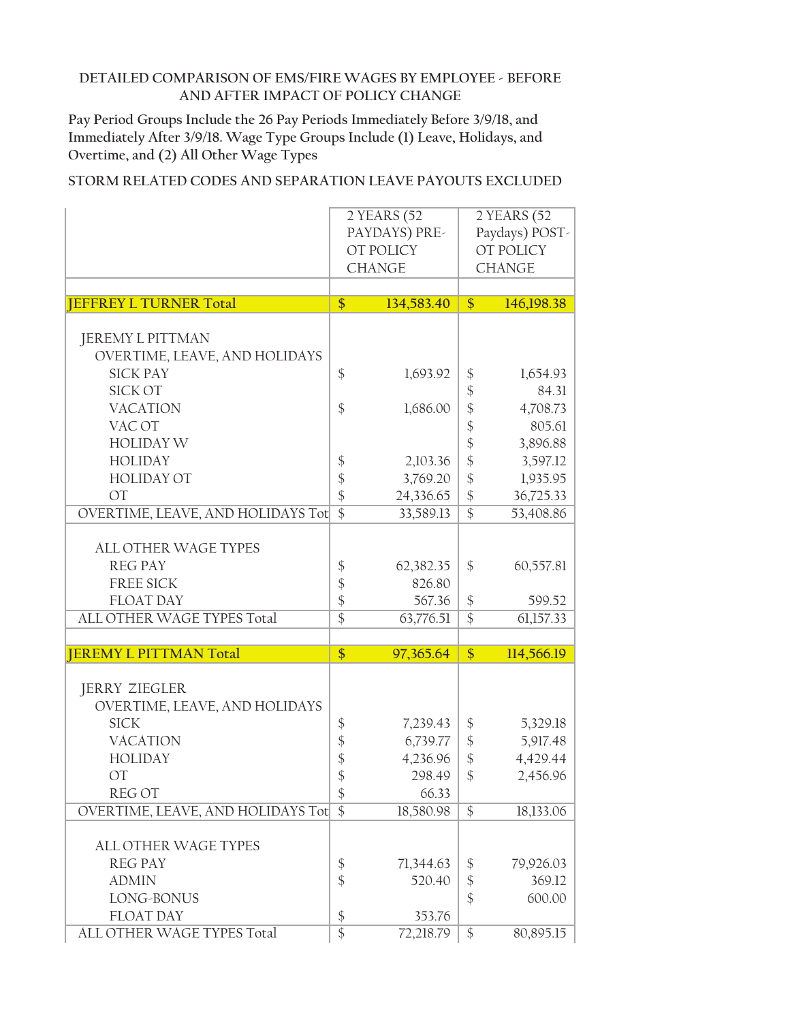**Pay Period Groups Include the 26 Pay Periods Immediately Before 3/9/18, and Immediately After 3/9/18. Wage Type Groups Include (1) Leave, Holidays, and Overtime, and (2) All Other Wage Types**

|                                   |                                  | 2 YEARS (52   |                            | 2YEARS(52)     |
|-----------------------------------|----------------------------------|---------------|----------------------------|----------------|
|                                   |                                  | PAYDAYS) PRE- |                            | Paydays) POST- |
|                                   |                                  | OT POLICY     |                            | OT POLICY      |
|                                   |                                  | <b>CHANGE</b> |                            | <b>CHANGE</b>  |
|                                   |                                  |               |                            |                |
| <b>JEFFREY L TURNER Total</b>     | \$                               | 134,583.40    | $\frac{1}{2}$              | 146,198.38     |
|                                   |                                  |               |                            |                |
| <b>JEREMY L PITTMAN</b>           |                                  |               |                            |                |
| OVERTIME, LEAVE, AND HOLIDAYS     |                                  |               |                            |                |
| <b>SICK PAY</b>                   | \$                               | 1,693.92      | $\boldsymbol{\$}$          | 1,654.93       |
| <b>SICK OT</b>                    |                                  |               | $\boldsymbol{\mathsf{\$}}$ | 84.31          |
| <b>VACATION</b>                   | $\frac{1}{2}$                    | 1,686.00      | \$                         | 4,708.73       |
| VAC OT                            |                                  |               | \$                         | 805.61         |
| <b>HOLIDAY W</b>                  |                                  |               | $\boldsymbol{\mathsf{\$}}$ | 3,896.88       |
| <b>HOLIDAY</b>                    |                                  | 2,103.36      | $\frac{1}{2}$              | 3,597.12       |
| <b>HOLIDAY OT</b>                 | $\frac{1}{2}$                    | 3,769.20      | $\frac{1}{2}$              |                |
|                                   | $\frac{1}{2}$                    |               |                            | 1,935.95       |
| <b>OT</b>                         | $\frac{1}{2}$<br>$\overline{\$}$ | 24,336.65     | $\boldsymbol{\mathsf{\$}}$ | 36,725.33      |
| OVERTIME, LEAVE, AND HOLIDAYS Tot |                                  | 33,589.13     | $\overline{\$}$            | 53,408.86      |
|                                   |                                  |               |                            |                |
| <b>ALL OTHER WAGE TYPES</b>       |                                  |               |                            |                |
| <b>REG PAY</b>                    | \$                               | 62,382.35     | \$                         | 60,557.81      |
| <b>FREE SICK</b>                  | \$                               | 826.80        |                            |                |
| <b>FLOAT DAY</b>                  | \$                               | 567.36        | $\frac{1}{2}$              | 599.52         |
| ALL OTHER WAGE TYPES Total        | $\overline{\$}$                  | 63,776.51     | $\overline{\$}$            | 61,157.33      |
|                                   |                                  |               |                            |                |
| <b>JEREMY L PITTMAN Total</b>     | \$                               | 97,365.64     | \$                         | 114,566.19     |
|                                   |                                  |               |                            |                |
| <b>JERRY ZIEGLER</b>              |                                  |               |                            |                |
| OVERTIME, LEAVE, AND HOLIDAYS     |                                  |               |                            |                |
| <b>SICK</b>                       | \$                               | 7,239.43      | \$                         | 5,329.18       |
| <b>VACATION</b>                   | \$                               | 6,739.77      | $\boldsymbol{\$}$          | 5,917.48       |
| <b>HOLIDAY</b>                    | \$                               | 4,236.96      | $\boldsymbol{\mathsf{\$}}$ | 4,429.44       |
| <b>OT</b>                         | \$                               | 298.49        | \$                         | 2,456.96       |
| <b>REGOT</b>                      | $\boldsymbol{\$}$                | 66.33         |                            |                |
| OVERTIME, LEAVE, AND HOLIDAYS Tot | $\mathcal{S}$                    | 18,580.98     | \$                         | 18,133.06      |
|                                   |                                  |               |                            |                |
| ALL OTHER WAGE TYPES              |                                  |               |                            |                |
| <b>REG PAY</b>                    | \$                               | 71,344.63     | \$                         | 79,926.03      |
| <b>ADMIN</b>                      | \$                               | 520.40        | $\boldsymbol{\$}$          | 369.12         |
| LONG-BONUS                        |                                  |               | $\frac{1}{2}$              | 600.00         |
| <b>FLOAT DAY</b>                  | $\boldsymbol{\$}$                | 353.76        |                            |                |
| ALL OTHER WAGE TYPES Total        | $\overline{\$}$                  | 72,218.79     | \$                         | 80,895.15      |
|                                   |                                  |               |                            |                |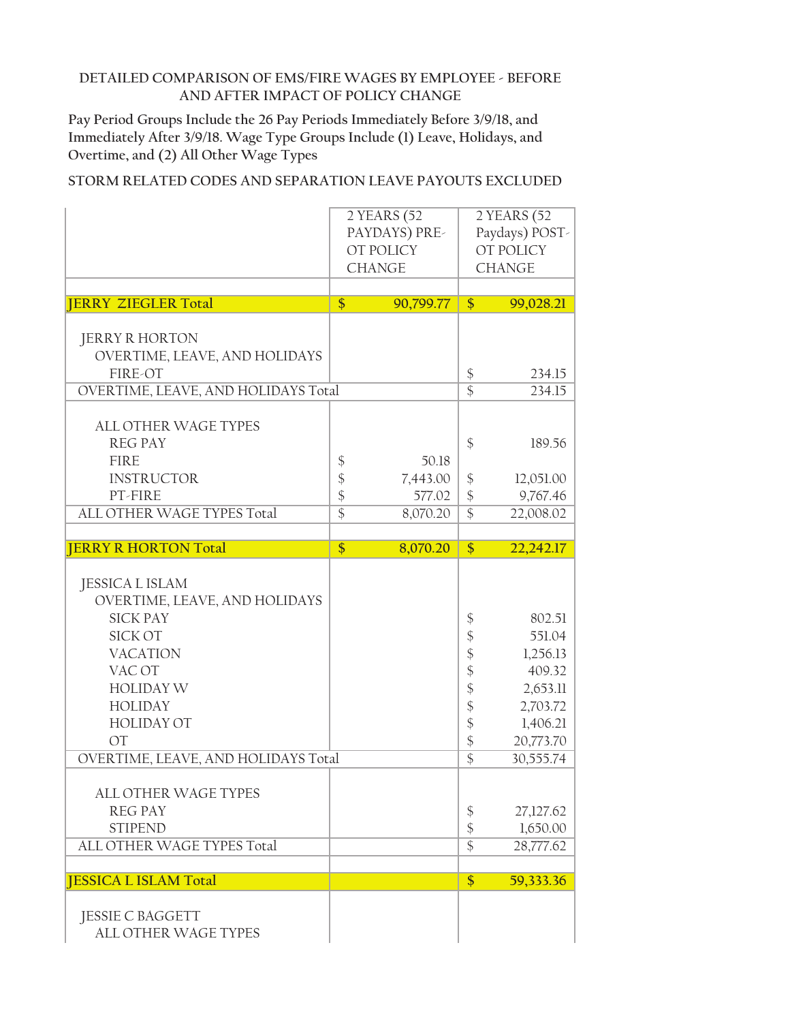**Pay Period Groups Include the 26 Pay Periods Immediately Before 3/9/18, and Immediately After 3/9/18. Wage Type Groups Include (1) Leave, Holidays, and Overtime, and (2) All Other Wage Types**

|                                     | $2$ YEARS (52   |               | 2 YEARS (52     |                |
|-------------------------------------|-----------------|---------------|-----------------|----------------|
|                                     |                 | PAYDAYS) PRE- |                 | Paydays) POST- |
|                                     |                 | OT POLICY     |                 | OT POLICY      |
|                                     |                 | <b>CHANGE</b> |                 | <b>CHANGE</b>  |
|                                     |                 |               |                 |                |
| <b>JERRY ZIEGLER Total</b>          | \$              | 90,799.77     | \$              | 99,028.21      |
|                                     |                 |               |                 |                |
| <b>JERRY R HORTON</b>               |                 |               |                 |                |
| OVERTIME, LEAVE, AND HOLIDAYS       |                 |               |                 |                |
| FIRE-OT                             |                 |               | \$              | 234.15         |
| OVERTIME, LEAVE, AND HOLIDAYS Total |                 |               | $\overline{\$}$ | 234.15         |
|                                     |                 |               |                 |                |
| <b>ALL OTHER WAGE TYPES</b>         |                 |               |                 |                |
| <b>REG PAY</b>                      |                 |               | \$              | 189.56         |
| <b>FIRE</b>                         | \$              | 50.18         |                 |                |
| <b>INSTRUCTOR</b>                   | \$              | 7,443.00      | \$              | 12,051.00      |
| PT-FIRE                             | \$              | 577.02        | $\frac{1}{2}$   | 9,767.46       |
| ALL OTHER WAGE TYPES Total          | $\overline{\$}$ | 8,070.20      | $\overline{\$}$ | 22,008.02      |
|                                     |                 |               |                 |                |
| <b>JERRY R HORTON Total</b>         | \$              | 8,070.20      | $\frac{1}{2}$   | 22,242.17      |
|                                     |                 |               |                 |                |
| <b>JESSICA L ISLAM</b>              |                 |               |                 |                |
| OVERTIME, LEAVE, AND HOLIDAYS       |                 |               |                 |                |
| <b>SICK PAY</b>                     |                 |               | \$              | 802.51         |
| <b>SICK OT</b>                      |                 |               | \$              | 551.04         |
| <b>VACATION</b>                     |                 |               | $\frac{1}{2}$   | 1,256.13       |
| VAC OT                              |                 |               | $\frac{1}{2}$   | 409.32         |
| <b>HOLIDAY W</b>                    |                 |               | \$              | 2,653.11       |
| <b>HOLIDAY</b>                      |                 |               | $\frac{1}{2}$   | 2,703.72       |
| <b>HOLIDAY OT</b>                   |                 |               | $\frac{1}{2}$   | 1,406.21       |
| OT                                  |                 |               | \$              | 20,773.70      |
| OVERTIME, LEAVE, AND HOLIDAYS Total |                 |               | $\overline{\$}$ | 30,555.74      |
|                                     |                 |               |                 |                |
| ALL OTHER WAGE TYPES                |                 |               |                 |                |
| <b>REG PAY</b>                      |                 |               | \$              | 27,127.62      |
| <b>STIPEND</b>                      |                 |               | $\frac{1}{2}$   | 1,650.00       |
| ALL OTHER WAGE TYPES Total          |                 |               | $\overline{\$}$ | 28,777.62      |
|                                     |                 |               |                 |                |
| <b>JESSICA L ISLAM Total</b>        |                 |               | \$              | 59,333.36      |
|                                     |                 |               |                 |                |
| <b>JESSIE C BAGGETT</b>             |                 |               |                 |                |
| ALL OTHER WAGE TYPES                |                 |               |                 |                |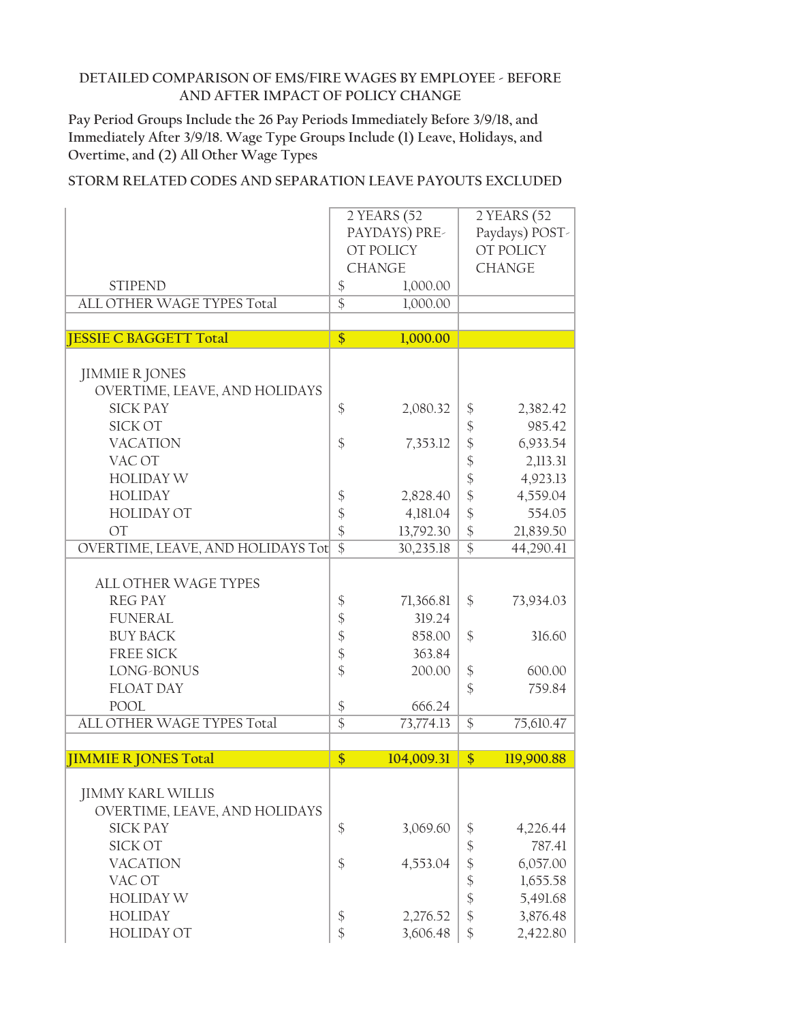**Pay Period Groups Include the 26 Pay Periods Immediately Before 3/9/18, and Immediately After 3/9/18. Wage Type Groups Include (1) Leave, Holidays, and Overtime, and (2) All Other Wage Types**

|                                   |                           | 2 YEARS (52   |                            | 2 YEARS (52    |
|-----------------------------------|---------------------------|---------------|----------------------------|----------------|
|                                   |                           | PAYDAYS) PRE- |                            | Paydays) POST- |
|                                   |                           | OT POLICY     | OT POLICY                  |                |
|                                   |                           |               |                            |                |
|                                   |                           | <b>CHANGE</b> |                            | <b>CHANGE</b>  |
| <b>STIPEND</b>                    | $\boldsymbol{\$}$         | 1,000.00      |                            |                |
| ALL OTHER WAGE TYPES Total        | $\overline{\$}$           | 1,000.00      |                            |                |
| <b>JESSIE C BAGGETT Total</b>     | $\overline{\$}$           | 1,000.00      |                            |                |
|                                   |                           |               |                            |                |
|                                   |                           |               |                            |                |
| <b>JIMMIE R JONES</b>             |                           |               |                            |                |
| OVERTIME, LEAVE, AND HOLIDAYS     |                           |               |                            |                |
| <b>SICK PAY</b>                   | \$                        | 2,080.32      | \$                         | 2,382.42       |
| <b>SICK OT</b>                    |                           |               | $\boldsymbol{\hat{\phi}}$  | 985.42         |
| <b>VACATION</b>                   | \$                        | 7,353.12      | $\frac{1}{2}$              | 6,933.54       |
| VAC OT                            |                           |               | \$                         | 2,113.31       |
| <b>HOLIDAY W</b>                  |                           |               | \$                         | 4,923.13       |
|                                   |                           |               |                            |                |
| <b>HOLIDAY</b>                    | \$                        | 2,828.40      | \$                         | 4,559.04       |
| <b>HOLIDAY OT</b>                 | \$                        | 4,181.04      | $\frac{1}{2}$              | 554.05         |
| <b>OT</b>                         | \$                        | 13,792.30     | $\frac{1}{2}$              | 21,839.50      |
| OVERTIME, LEAVE, AND HOLIDAYS Tot | $\overline{\$}$           | 30,235.18     | $\overline{\$}$            | 44,290.41      |
|                                   |                           |               |                            |                |
| <b>ALL OTHER WAGE TYPES</b>       |                           |               |                            |                |
| <b>REG PAY</b>                    | \$                        | 71,366.81     | \$                         | 73,934.03      |
| <b>FUNERAL</b>                    | $\frac{1}{2}$             | 319.24        |                            |                |
|                                   |                           |               |                            |                |
| <b>BUY BACK</b>                   | $\boldsymbol{\hat{\phi}}$ | 858.00        | \$                         | 316.60         |
| <b>FREE SICK</b>                  | \$                        | 363.84        |                            |                |
| LONG-BONUS                        | \$                        | 200.00        | $\frac{1}{2}$              | 600.00         |
| <b>FLOAT DAY</b>                  |                           |               | $\frac{1}{2}$              | 759.84         |
| <b>POOL</b>                       | \$                        | 666.24        |                            |                |
| ALL OTHER WAGE TYPES Total        | $\overline{\$}$           | 73,774.13     | \$                         | 75,610.47      |
|                                   |                           |               |                            |                |
| <b>JIMMIE R JONES Total</b>       | \$                        | 104,009.31    | $\frac{1}{2}$              | 119,900.88     |
|                                   |                           |               |                            |                |
| <b>JIMMY KARL WILLIS</b>          |                           |               |                            |                |
| OVERTIME, LEAVE, AND HOLIDAYS     |                           |               |                            |                |
|                                   |                           |               |                            |                |
| <b>SICK PAY</b>                   | \$                        | 3,069.60      | \$                         | 4,226.44       |
| <b>SICK OT</b>                    |                           |               | $\boldsymbol{\mathsf{\$}}$ | 787.41         |
| <b>VACATION</b>                   | \$                        | 4,553.04      | \$                         | 6,057.00       |
| VAC OT                            |                           |               | $\boldsymbol{\hat{\phi}}$  | 1,655.58       |
| <b>HOLIDAY W</b>                  |                           |               | $\boldsymbol{\mathsf{\$}}$ | 5,491.68       |
| <b>HOLIDAY</b>                    | \$                        | 2,276.52      | \$                         | 3,876.48       |
| <b>HOLIDAY OT</b>                 | \$                        | 3,606.48      | $\frac{1}{2}$              | 2,422.80       |
|                                   |                           |               |                            |                |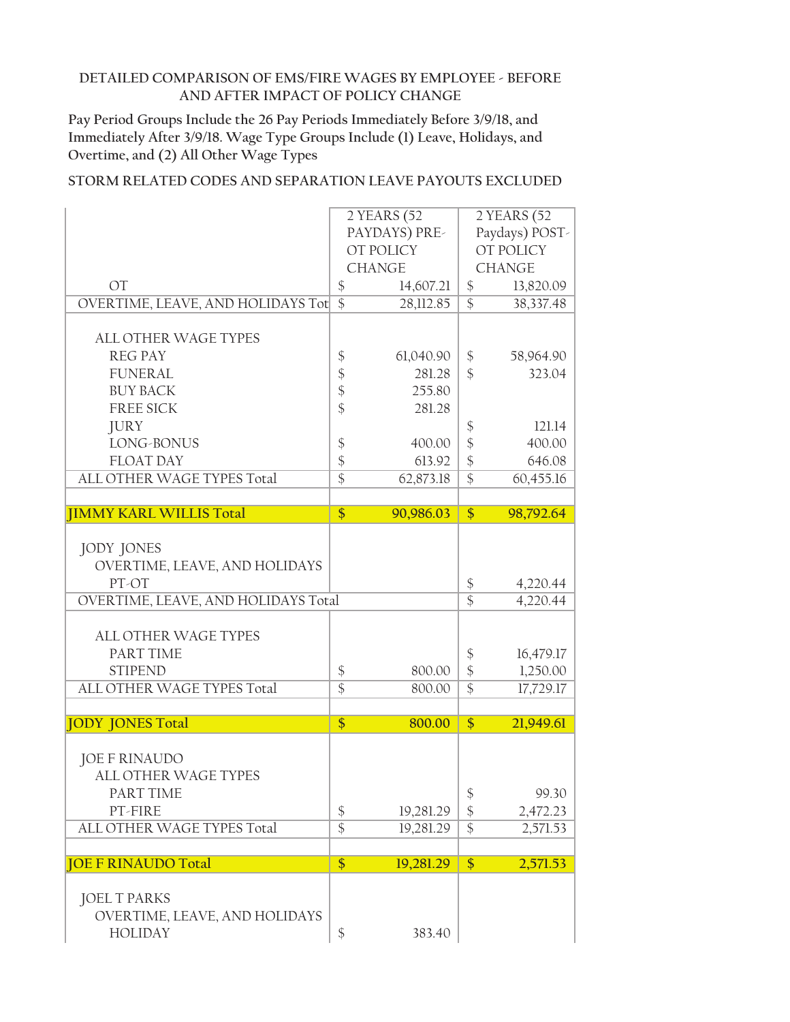**Pay Period Groups Include the 26 Pay Periods Immediately Before 3/9/18, and Immediately After 3/9/18. Wage Type Groups Include (1) Leave, Holidays, and Overtime, and (2) All Other Wage Types**

|                                     |                   | 2 YEARS (52   |                            | 2 YEARS (52           |
|-------------------------------------|-------------------|---------------|----------------------------|-----------------------|
|                                     |                   | PAYDAYS) PRE- |                            | Paydays) POST-        |
|                                     |                   | OT POLICY     |                            | OT POLICY             |
|                                     |                   | <b>CHANGE</b> |                            | <b>CHANGE</b>         |
| <b>OT</b>                           | $\boldsymbol{\$}$ | 14,607.21     | \$                         | 13,820.09             |
| OVERTIME, LEAVE, AND HOLIDAYS Tot   | $\overline{\$}$   | 28,112.85     | $\overline{\$}$            | 38,337.48             |
|                                     |                   |               |                            |                       |
| <b>ALL OTHER WAGE TYPES</b>         |                   |               |                            |                       |
| <b>REG PAY</b>                      | \$                | 61,040.90     | \$                         | 58,964.90             |
| <b>FUNERAL</b>                      | $\boldsymbol{\$}$ | 281.28        | $\mathcal{S}$              | 323.04                |
| <b>BUY BACK</b>                     | $\frac{1}{2}$     | 255.80        |                            |                       |
| <b>FREE SICK</b>                    | $\frac{1}{2}$     | 281.28        |                            |                       |
| <b>JURY</b>                         |                   |               | \$                         | 121.14                |
| LONG-BONUS                          | $\boldsymbol{\$}$ | 400.00        | $\boldsymbol{\mathsf{\$}}$ | 400.00                |
| <b>FLOAT DAY</b>                    | \$                | 613.92        | $\frac{1}{2}$              | 646.08                |
| ALL OTHER WAGE TYPES Total          | $\overline{\$}$   | 62,873.18     | $\overline{\$}$            | 60,455.16             |
|                                     |                   |               |                            |                       |
| <b>IIMMY KARL WILLIS Total</b>      | $\frac{1}{2}$     | 90,986.03     | \$                         | 98,792.64             |
|                                     |                   |               |                            |                       |
| <b>JODY JONES</b>                   |                   |               |                            |                       |
| OVERTIME, LEAVE, AND HOLIDAYS       |                   |               |                            |                       |
| PT-OT                               |                   |               | $\boldsymbol{\$}$          | 4,220.44              |
| OVERTIME, LEAVE, AND HOLIDAYS Total |                   |               | $\overline{\$}$            | $4,220.\overline{44}$ |
|                                     |                   |               |                            |                       |
| <b>ALL OTHER WAGE TYPES</b>         |                   |               |                            |                       |
| PART TIME                           |                   |               | $\boldsymbol{\$}$          | 16,479.17             |
| <b>STIPEND</b>                      | $\boldsymbol{\$}$ | 800.00        | $\frac{1}{2}$              | 1,250.00              |
| ALL OTHER WAGE TYPES Total          | $\overline{\$}$   | 800.00        | $\overline{\$}$            | 17,729.17             |
|                                     |                   |               |                            |                       |
| <b>JODY JONES Total</b>             | $\overline{\$}$   | 800.00        | \$                         | 21,949.61             |
|                                     |                   |               |                            |                       |
| <b>JOE F RINAUDO</b>                |                   |               |                            |                       |
| <b>ALL OTHER WAGE TYPES</b>         |                   |               |                            |                       |
| PART TIME                           |                   |               | \$                         | 99.30                 |
| PT-FIRE                             | $\boldsymbol{\$}$ | 19,281.29     | \$                         | 2,472.23              |
| ALL OTHER WAGE TYPES Total          | $\overline{\$}$   | 19,281.29     | $\overline{\$}$            | 2,571.53              |
|                                     |                   |               |                            |                       |
| <b>JOE F RINAUDO Total</b>          | \$                | 19,281.29     | \$                         | 2,571.53              |
|                                     |                   |               |                            |                       |
| <b>JOEL T PARKS</b>                 |                   |               |                            |                       |
| OVERTIME, LEAVE, AND HOLIDAYS       |                   |               |                            |                       |
| <b>HOLIDAY</b>                      | \$                | 383.40        |                            |                       |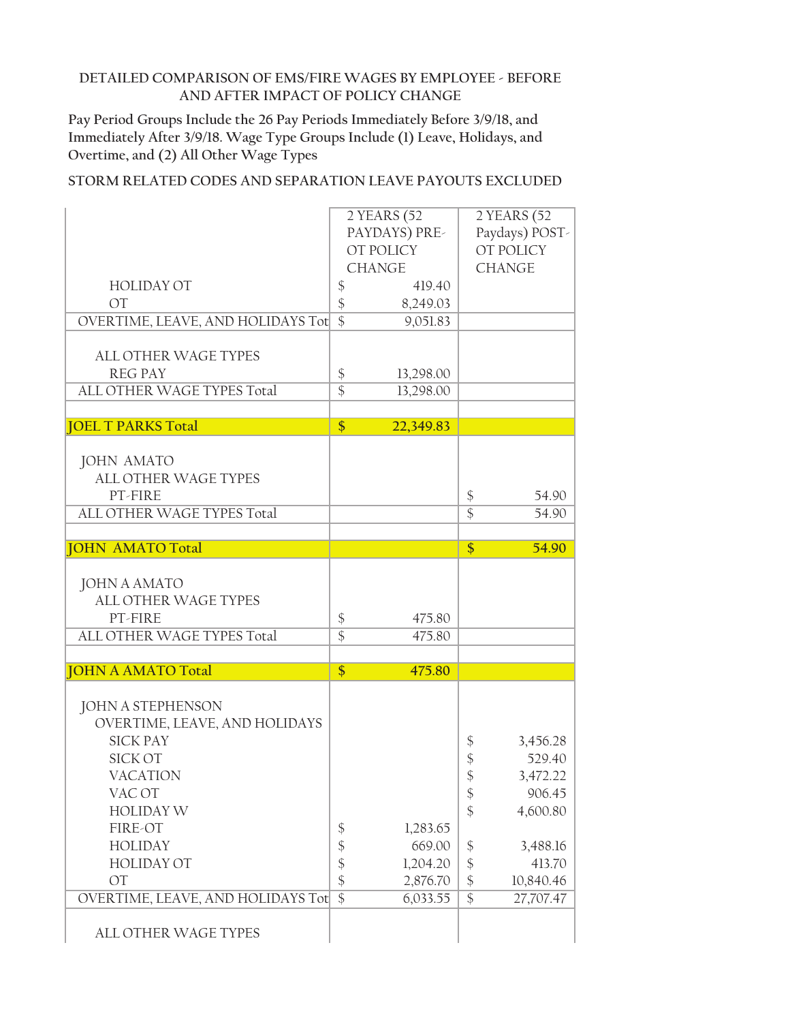**Pay Period Groups Include the 26 Pay Periods Immediately Before 3/9/18, and Immediately After 3/9/18. Wage Type Groups Include (1) Leave, Holidays, and Overtime, and (2) All Other Wage Types**

|                                          |                   | 2 YEARS (52   |                            | 2 YEARS (52    |
|------------------------------------------|-------------------|---------------|----------------------------|----------------|
|                                          |                   | PAYDAYS) PRE- |                            | Paydays) POST- |
|                                          |                   | OT POLICY     |                            | OT POLICY      |
|                                          |                   | <b>CHANGE</b> |                            | <b>CHANGE</b>  |
| <b>HOLIDAY OT</b>                        | $\boldsymbol{\$}$ | 419.40        |                            |                |
| <b>OT</b>                                | \$                | 8,249.03      |                            |                |
| OVERTIME, LEAVE, AND HOLIDAYS Tot        | $\overline{\$}$   | 9,051.83      |                            |                |
|                                          |                   |               |                            |                |
| <b>ALL OTHER WAGE TYPES</b>              |                   |               |                            |                |
| <b>REG PAY</b>                           | \$                | 13,298.00     |                            |                |
| ALL OTHER WAGE TYPES Total               | $\overline{\$}$   | 13,298.00     |                            |                |
|                                          |                   |               |                            |                |
| <b>JOEL T PARKS Total</b>                | \$                | 22,349.83     |                            |                |
|                                          |                   |               |                            |                |
| <b>JOHN AMATO</b>                        |                   |               |                            |                |
| <b>ALL OTHER WAGE TYPES</b>              |                   |               |                            |                |
| PT-FIRE                                  |                   |               | \$                         | 54.90          |
| ALL OTHER WAGE TYPES Total               |                   |               | $\overline{\$}$            | 54.90          |
|                                          |                   |               |                            |                |
| <b>JOHN AMATO Total</b>                  |                   |               | $\frac{1}{2}$              | 54.90          |
|                                          |                   |               |                            |                |
| <b>JOHN A AMATO</b>                      |                   |               |                            |                |
| <b>ALL OTHER WAGE TYPES</b>              |                   |               |                            |                |
| PT-FIRE                                  | \$                | 475.80        |                            |                |
| ALL OTHER WAGE TYPES Total               | $\overline{\$}$   | 475.80        |                            |                |
|                                          |                   |               |                            |                |
| <b>JOHN A AMATO Total</b>                | \$                | 475.80        |                            |                |
|                                          |                   |               |                            |                |
| <b>JOHN A STEPHENSON</b>                 |                   |               |                            |                |
| OVERTIME, LEAVE, AND HOLIDAYS            |                   |               |                            |                |
| <b>SICK PAY</b><br><b>SICK OT</b>        |                   |               | \$                         | 3,456.28       |
|                                          |                   |               | \$                         | 529.40         |
| <b>VACATION</b>                          |                   |               | \$                         | 3,472.22       |
| VAC OT                                   |                   |               | $\boldsymbol{\mathsf{\$}}$ | 906.45         |
| <b>HOLIDAY W</b>                         |                   |               | $\frac{1}{2}$              | 4,600.80       |
| FIRE-OT                                  | \$                | 1,283.65      |                            |                |
| <b>HOLIDAY</b>                           | \$                | 669.00        | \$                         | 3,488.16       |
| <b>HOLIDAY OT</b>                        | \$                | 1,204.20      | $\frac{1}{2}$              | 413.70         |
| <b>OT</b>                                | \$                | 2,876.70      | $\boldsymbol{\$}$          | 10,840.46      |
| <b>OVERTIME, LEAVE, AND HOLIDAYS Tot</b> | $\overline{\$}$   | 6,033.55      | $\overline{\$}$            | 27,707.47      |
| ALL OTHER WAGE TYPES                     |                   |               |                            |                |
|                                          |                   |               |                            |                |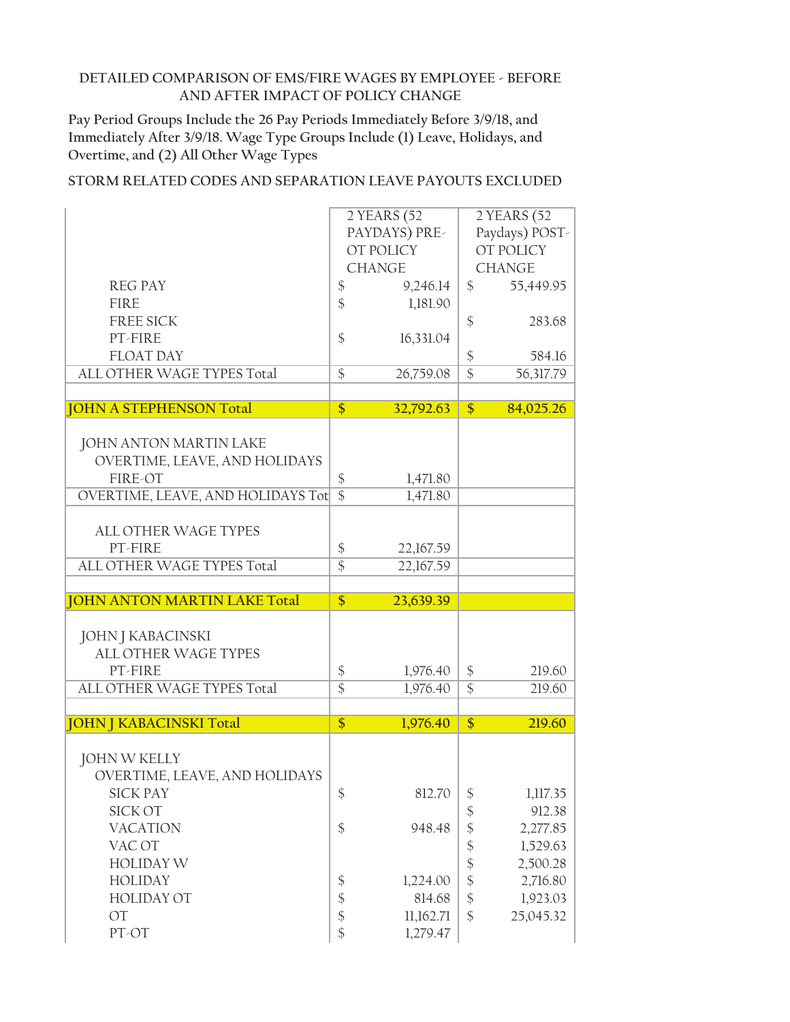**Pay Period Groups Include the 26 Pay Periods Immediately Before 3/9/18, and Immediately After 3/9/18. Wage Type Groups Include (1) Leave, Holidays, and Overtime, and (2) All Other Wage Types**

|                                     |                 | 2 YEARS (52           |                           | 2 YEARS (52    |
|-------------------------------------|-----------------|-----------------------|---------------------------|----------------|
|                                     |                 | PAYDAYS) PRE-         |                           | Paydays) POST- |
|                                     |                 | OT POLICY             |                           | OT POLICY      |
|                                     |                 | <b>CHANGE</b>         |                           | <b>CHANGE</b>  |
|                                     |                 |                       |                           |                |
| <b>REG PAY</b>                      | \$              | 9,246.14              | \$                        | 55,449.95      |
| <b>FIRE</b>                         | \$              | 1,181.90              |                           |                |
| <b>FREE SICK</b>                    |                 |                       | \$                        | 283.68         |
| PT-FIRE                             | \$              | 16,331.04             |                           |                |
| <b>FLOAT DAY</b>                    |                 |                       | \$                        | 584.16         |
| ALL OTHER WAGE TYPES Total          | $\frac{1}{2}$   | 26,759.08             | $\overline{\$}$           | 56,317.79      |
|                                     |                 |                       |                           |                |
| <b>JOHN A STEPHENSON Total</b>      | $\frac{1}{2}$   | 32,792.63             | \$                        | 84,025.26      |
|                                     |                 |                       |                           |                |
| JOHN ANTON MARTIN LAKE              |                 |                       |                           |                |
| OVERTIME, LEAVE, AND HOLIDAYS       |                 |                       |                           |                |
| FIRE-OT                             | \$              | 1,471.80              |                           |                |
| OVERTIME, LEAVE, AND HOLIDAYS Tot   | $\overline{\$}$ | 1,471.80              |                           |                |
|                                     |                 |                       |                           |                |
| <b>ALL OTHER WAGE TYPES</b>         |                 |                       |                           |                |
| PT-FIRE                             |                 |                       |                           |                |
|                                     | \$              | 22,167.59             |                           |                |
| ALL OTHER WAGE TYPES Total          | $\overline{\$}$ | 22,167.59             |                           |                |
|                                     |                 |                       |                           |                |
| <b>JOHN ANTON MARTIN LAKE Total</b> | \$              | 23,639.39             |                           |                |
|                                     |                 |                       |                           |                |
| <b>JOHN J KABACINSKI</b>            |                 |                       |                           |                |
| <b>ALL OTHER WAGE TYPES</b>         |                 |                       |                           |                |
| PT-FIRE                             | \$              | 1,976.40              | \$                        | 219.60         |
| ALL OTHER WAGE TYPES Total          | $\overline{\$}$ | 1,976.40              | $\overline{\$}$           | 219.60         |
|                                     |                 |                       |                           |                |
| <b>JOHN J KABACINSKI Total</b>      | \$              | 1,976.40              | \$                        | 219.60         |
|                                     |                 |                       |                           |                |
| <b>JOHN W KELLY</b>                 |                 |                       |                           |                |
| OVERTIME, LEAVE, AND HOLIDAYS       |                 |                       |                           |                |
| <b>SICK PAY</b>                     | $\frac{1}{2}$   | 812.70                | $\frac{1}{2}$             | 1,117.35       |
| SICK OT                             |                 |                       | $\boldsymbol{\hat{\phi}}$ | 912.38         |
| <b>VACATION</b>                     | \$              | 948.48                | \$                        | 2,277.85       |
| VAC OT                              |                 |                       | $\boldsymbol{\hat{\phi}}$ | 1,529.63       |
| <b>HOLIDAY W</b>                    |                 |                       | $\boldsymbol{\S}$         | 2,500.28       |
| <b>HOLIDAY</b>                      |                 |                       |                           |                |
| <b>HOLIDAY OT</b>                   | \$              | 1,224.00              | \$                        | 2,716.80       |
|                                     |                 |                       |                           |                |
|                                     | \$              | 814.68                | $\boldsymbol{\$}$         | 1,923.03       |
| OT<br>PT-OT                         | \$<br>\$        | 11,162.71<br>1,279.47 | $\frac{1}{2}$             | 25,045.32      |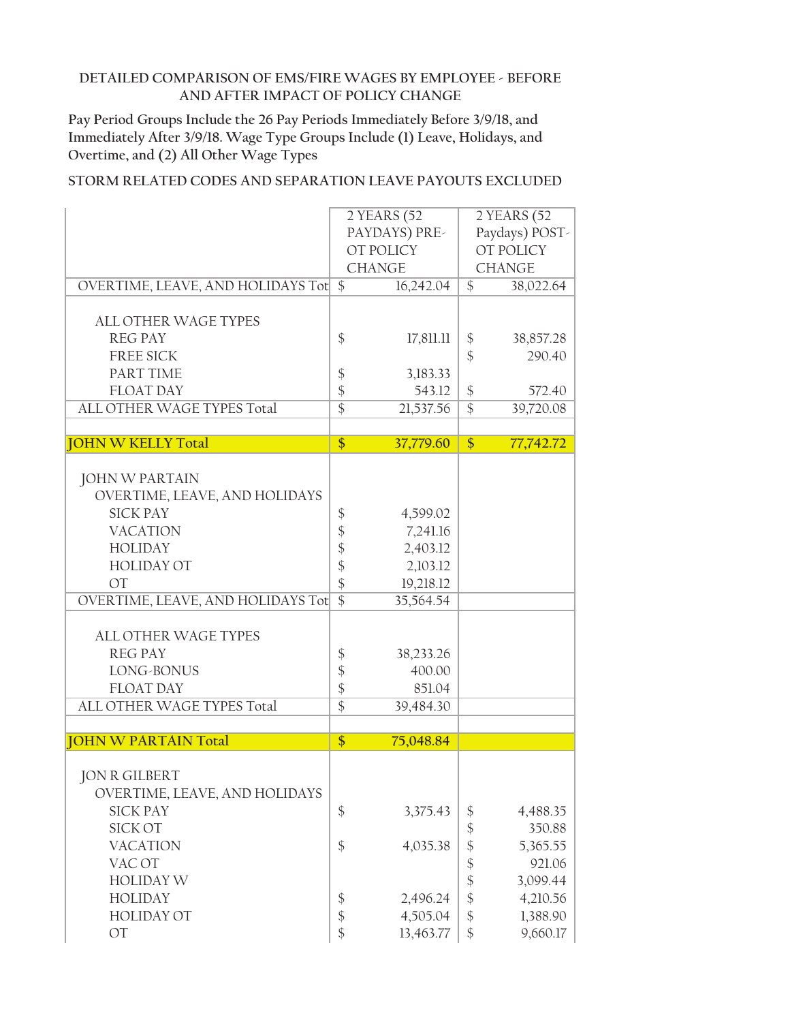**Pay Period Groups Include the 26 Pay Periods Immediately Before 3/9/18, and Immediately After 3/9/18. Wage Type Groups Include (1) Leave, Holidays, and Overtime, and (2) All Other Wage Types**

|                                      |                   | $2$ YEARS (52 |                            | 2 YEARS (52    |
|--------------------------------------|-------------------|---------------|----------------------------|----------------|
|                                      |                   | PAYDAYS) PRE- |                            | Paydays) POST- |
|                                      |                   | OT POLICY     |                            | OT POLICY      |
|                                      |                   | <b>CHANGE</b> |                            | <b>CHANGE</b>  |
| OVERTIME, LEAVE, AND HOLIDAYS Tot \$ |                   | 16,242.04     | $\mathcal{S}$              | 38,022.64      |
|                                      |                   |               |                            |                |
| <b>ALL OTHER WAGE TYPES</b>          |                   |               |                            |                |
|                                      |                   |               |                            |                |
| <b>REG PAY</b>                       | \$                | 17,811.11     | \$                         | 38,857.28      |
| <b>FREE SICK</b>                     |                   |               | $\frac{1}{2}$              | 290.40         |
| PART TIME                            | $\boldsymbol{\$}$ | 3,183.33      |                            |                |
| <b>FLOAT DAY</b>                     | \$                | 543.12        | \$                         | 572.40         |
| ALL OTHER WAGE TYPES Total           | $\overline{\$}$   | 21,537.56     | $\overline{\$}$            | 39,720.08      |
|                                      |                   |               |                            |                |
| <b>JOHN W KELLY Total</b>            | $\overline{\$}$   | 37,779.60     | \$                         | 77,742.72      |
|                                      |                   |               |                            |                |
| <b>JOHN W PARTAIN</b>                |                   |               |                            |                |
| OVERTIME, LEAVE, AND HOLIDAYS        |                   |               |                            |                |
| <b>SICK PAY</b>                      | \$                | 4,599.02      |                            |                |
| <b>VACATION</b>                      | \$                | 7,241.16      |                            |                |
| <b>HOLIDAY</b>                       | \$                | 2,403.12      |                            |                |
| <b>HOLIDAY OT</b>                    |                   | 2,103.12      |                            |                |
|                                      | \$                |               |                            |                |
| <b>OT</b>                            | $\frac{1}{2}$     | 19,218.12     |                            |                |
| OVERTIME, LEAVE, AND HOLIDAYS Tot    | $\overline{\$}$   | 35,564.54     |                            |                |
|                                      |                   |               |                            |                |
| <b>ALL OTHER WAGE TYPES</b>          |                   |               |                            |                |
| <b>REG PAY</b>                       | \$                | 38,233.26     |                            |                |
| LONG-BONUS                           | \$                | 400.00        |                            |                |
| <b>FLOAT DAY</b>                     | \$                | 851.04        |                            |                |
| ALL OTHER WAGE TYPES Total           | $\overline{\$}$   | 39,484.30     |                            |                |
|                                      |                   |               |                            |                |
| <b>JOHN W PARTAIN Total</b>          | \$                | 75,048.84     |                            |                |
|                                      |                   |               |                            |                |
| JON R GILBERT                        |                   |               |                            |                |
| OVERTIME, LEAVE, AND HOLIDAYS        |                   |               |                            |                |
| <b>SICK PAY</b>                      | \$                | 3,375.43      | \$                         | 4,488.35       |
| <b>SICK OT</b>                       |                   |               | $\boldsymbol{\hat{\phi}}$  | 350.88         |
| <b>VACATION</b>                      |                   |               |                            | 5,365.55       |
|                                      | \$                | 4,035.38      | \$                         |                |
| VAC OT                               |                   |               | $\boldsymbol{\hat{\phi}}$  | 921.06         |
| <b>HOLIDAY W</b>                     |                   |               | $\frac{1}{2}$              | 3,099.44       |
| <b>HOLIDAY</b>                       | \$                | 2,496.24      | $\boldsymbol{\hat{\zeta}}$ | 4,210.56       |
| <b>HOLIDAY OT</b>                    | \$                | 4,505.04      | $\frac{1}{2}$              | 1,388.90       |
| OT                                   | \$                | 13,463.77     | \$                         | 9,660.17       |
|                                      |                   |               |                            |                |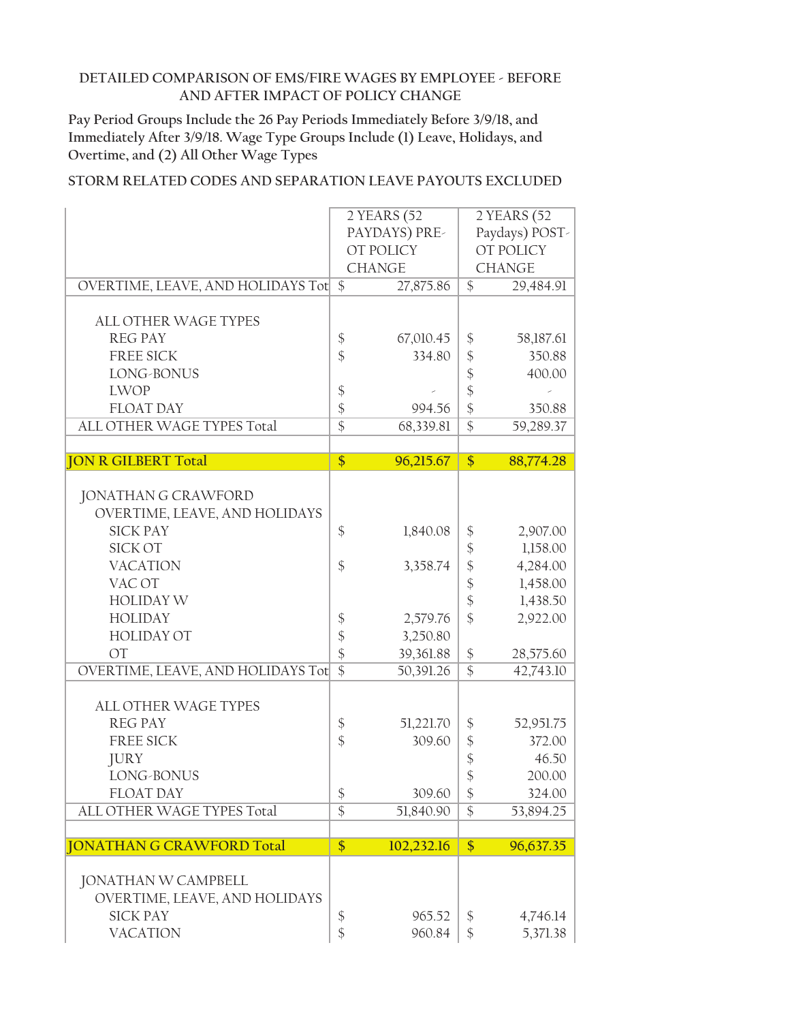**Pay Period Groups Include the 26 Pay Periods Immediately Before 3/9/18, and Immediately After 3/9/18. Wage Type Groups Include (1) Leave, Holidays, and Overtime, and (2) All Other Wage Types**

| 2 YEARS (52<br>2 YEARS (52<br>Paydays) POST-<br>PAYDAYS) PRE-<br>OT POLICY<br>OT POLICY<br><b>CHANGE</b><br><b>CHANGE</b><br>OVERTIME, LEAVE, AND HOLIDAYS Tot \$<br>$\frac{1}{2}$<br>27,875.86<br>29,484.91<br><b>ALL OTHER WAGE TYPES</b><br><b>REG PAY</b><br>$\boldsymbol{\mathsf{\$}}$<br>67,010.45<br>\$<br>58,187.61<br>$\frac{1}{2}$<br><b>FREE SICK</b><br>334.80<br>\$<br>350.88<br>$\boldsymbol{\mathsf{\$}}$<br>LONG-BONUS<br>400.00<br>$\frac{1}{2}$<br><b>LWOP</b><br>$\boldsymbol{\$}$<br>\$<br>$\frac{1}{2}$<br><b>FLOAT DAY</b><br>994.56<br>350.88<br>$\overline{\$}$<br>$\overline{\$}$<br>ALL OTHER WAGE TYPES Total<br>68,339.81<br>59,289.37<br>$\overline{\$}$<br>$\overline{\$}$<br>96,215.67<br>88,774.28<br><b>JON R GILBERT Total</b><br><b>JONATHAN G CRAWFORD</b><br>OVERTIME, LEAVE, AND HOLIDAYS<br><b>SICK PAY</b><br>\$<br>1,840.08<br>\$<br>2,907.00<br>$\boldsymbol{\hat{\zeta}}$<br>SICK OT<br>1,158.00<br>\$<br><b>VACATION</b><br>\$<br>4,284.00<br>3,358.74<br>$\frac{1}{2}$<br>VAC OT<br>1,458.00<br>$\frac{1}{2}$<br><b>HOLIDAY W</b><br>1,438.50<br>$\frac{1}{2}$<br><b>HOLIDAY</b><br>2,922.00<br>\$<br>2,579.76<br>\$<br><b>HOLIDAY OT</b><br>3,250.80<br>$\frac{1}{2}$<br>$\boldsymbol{\$}$<br>OT<br>39,361.88<br>28,575.60<br>$\overline{\$}$<br>$\overline{\$}$<br>OVERTIME, LEAVE, AND HOLIDAYS Tot<br>50,391.26<br>$\overline{4}2,743.10$<br><b>ALL OTHER WAGE TYPES</b><br><b>REG PAY</b><br>$\frac{1}{2}$<br>51,221.70<br>\$<br>52,951.75<br>$\frac{1}{2}$<br>\$<br><b>FREE SICK</b><br>309.60<br>372.00<br>\$<br><b>JURY</b><br>46.50<br>\$<br>LONG-BONUS<br>200.00<br>$\frac{1}{2}$<br>\$<br><b>FLOAT DAY</b><br>309.60<br>324.00<br>$\overline{\$}$<br>$\overline{\$}$<br>ALL OTHER WAGE TYPES Total<br>51,840.90<br>53,894.25<br>$\overline{\$}$<br>\$<br><b>JONATHAN G CRAWFORD Total</b><br>102,232.16<br>96,637.35<br><b>JONATHAN W CAMPBELL</b><br>OVERTIME, LEAVE, AND HOLIDAYS<br><b>SICK PAY</b><br>\$<br>\$<br>965.52<br>4,746.14<br>\$<br>\$<br><b>VACATION</b><br>960.84<br>5,371.38 |  |  |  |  |  |  |  |
|-------------------------------------------------------------------------------------------------------------------------------------------------------------------------------------------------------------------------------------------------------------------------------------------------------------------------------------------------------------------------------------------------------------------------------------------------------------------------------------------------------------------------------------------------------------------------------------------------------------------------------------------------------------------------------------------------------------------------------------------------------------------------------------------------------------------------------------------------------------------------------------------------------------------------------------------------------------------------------------------------------------------------------------------------------------------------------------------------------------------------------------------------------------------------------------------------------------------------------------------------------------------------------------------------------------------------------------------------------------------------------------------------------------------------------------------------------------------------------------------------------------------------------------------------------------------------------------------------------------------------------------------------------------------------------------------------------------------------------------------------------------------------------------------------------------------------------------------------------------------------------------------------------------------------------------------------------------------------------------------------------------------------------------------------------|--|--|--|--|--|--|--|
|                                                                                                                                                                                                                                                                                                                                                                                                                                                                                                                                                                                                                                                                                                                                                                                                                                                                                                                                                                                                                                                                                                                                                                                                                                                                                                                                                                                                                                                                                                                                                                                                                                                                                                                                                                                                                                                                                                                                                                                                                                                       |  |  |  |  |  |  |  |
|                                                                                                                                                                                                                                                                                                                                                                                                                                                                                                                                                                                                                                                                                                                                                                                                                                                                                                                                                                                                                                                                                                                                                                                                                                                                                                                                                                                                                                                                                                                                                                                                                                                                                                                                                                                                                                                                                                                                                                                                                                                       |  |  |  |  |  |  |  |
|                                                                                                                                                                                                                                                                                                                                                                                                                                                                                                                                                                                                                                                                                                                                                                                                                                                                                                                                                                                                                                                                                                                                                                                                                                                                                                                                                                                                                                                                                                                                                                                                                                                                                                                                                                                                                                                                                                                                                                                                                                                       |  |  |  |  |  |  |  |
|                                                                                                                                                                                                                                                                                                                                                                                                                                                                                                                                                                                                                                                                                                                                                                                                                                                                                                                                                                                                                                                                                                                                                                                                                                                                                                                                                                                                                                                                                                                                                                                                                                                                                                                                                                                                                                                                                                                                                                                                                                                       |  |  |  |  |  |  |  |
|                                                                                                                                                                                                                                                                                                                                                                                                                                                                                                                                                                                                                                                                                                                                                                                                                                                                                                                                                                                                                                                                                                                                                                                                                                                                                                                                                                                                                                                                                                                                                                                                                                                                                                                                                                                                                                                                                                                                                                                                                                                       |  |  |  |  |  |  |  |
|                                                                                                                                                                                                                                                                                                                                                                                                                                                                                                                                                                                                                                                                                                                                                                                                                                                                                                                                                                                                                                                                                                                                                                                                                                                                                                                                                                                                                                                                                                                                                                                                                                                                                                                                                                                                                                                                                                                                                                                                                                                       |  |  |  |  |  |  |  |
|                                                                                                                                                                                                                                                                                                                                                                                                                                                                                                                                                                                                                                                                                                                                                                                                                                                                                                                                                                                                                                                                                                                                                                                                                                                                                                                                                                                                                                                                                                                                                                                                                                                                                                                                                                                                                                                                                                                                                                                                                                                       |  |  |  |  |  |  |  |
|                                                                                                                                                                                                                                                                                                                                                                                                                                                                                                                                                                                                                                                                                                                                                                                                                                                                                                                                                                                                                                                                                                                                                                                                                                                                                                                                                                                                                                                                                                                                                                                                                                                                                                                                                                                                                                                                                                                                                                                                                                                       |  |  |  |  |  |  |  |
|                                                                                                                                                                                                                                                                                                                                                                                                                                                                                                                                                                                                                                                                                                                                                                                                                                                                                                                                                                                                                                                                                                                                                                                                                                                                                                                                                                                                                                                                                                                                                                                                                                                                                                                                                                                                                                                                                                                                                                                                                                                       |  |  |  |  |  |  |  |
|                                                                                                                                                                                                                                                                                                                                                                                                                                                                                                                                                                                                                                                                                                                                                                                                                                                                                                                                                                                                                                                                                                                                                                                                                                                                                                                                                                                                                                                                                                                                                                                                                                                                                                                                                                                                                                                                                                                                                                                                                                                       |  |  |  |  |  |  |  |
|                                                                                                                                                                                                                                                                                                                                                                                                                                                                                                                                                                                                                                                                                                                                                                                                                                                                                                                                                                                                                                                                                                                                                                                                                                                                                                                                                                                                                                                                                                                                                                                                                                                                                                                                                                                                                                                                                                                                                                                                                                                       |  |  |  |  |  |  |  |
|                                                                                                                                                                                                                                                                                                                                                                                                                                                                                                                                                                                                                                                                                                                                                                                                                                                                                                                                                                                                                                                                                                                                                                                                                                                                                                                                                                                                                                                                                                                                                                                                                                                                                                                                                                                                                                                                                                                                                                                                                                                       |  |  |  |  |  |  |  |
|                                                                                                                                                                                                                                                                                                                                                                                                                                                                                                                                                                                                                                                                                                                                                                                                                                                                                                                                                                                                                                                                                                                                                                                                                                                                                                                                                                                                                                                                                                                                                                                                                                                                                                                                                                                                                                                                                                                                                                                                                                                       |  |  |  |  |  |  |  |
|                                                                                                                                                                                                                                                                                                                                                                                                                                                                                                                                                                                                                                                                                                                                                                                                                                                                                                                                                                                                                                                                                                                                                                                                                                                                                                                                                                                                                                                                                                                                                                                                                                                                                                                                                                                                                                                                                                                                                                                                                                                       |  |  |  |  |  |  |  |
|                                                                                                                                                                                                                                                                                                                                                                                                                                                                                                                                                                                                                                                                                                                                                                                                                                                                                                                                                                                                                                                                                                                                                                                                                                                                                                                                                                                                                                                                                                                                                                                                                                                                                                                                                                                                                                                                                                                                                                                                                                                       |  |  |  |  |  |  |  |
|                                                                                                                                                                                                                                                                                                                                                                                                                                                                                                                                                                                                                                                                                                                                                                                                                                                                                                                                                                                                                                                                                                                                                                                                                                                                                                                                                                                                                                                                                                                                                                                                                                                                                                                                                                                                                                                                                                                                                                                                                                                       |  |  |  |  |  |  |  |
|                                                                                                                                                                                                                                                                                                                                                                                                                                                                                                                                                                                                                                                                                                                                                                                                                                                                                                                                                                                                                                                                                                                                                                                                                                                                                                                                                                                                                                                                                                                                                                                                                                                                                                                                                                                                                                                                                                                                                                                                                                                       |  |  |  |  |  |  |  |
|                                                                                                                                                                                                                                                                                                                                                                                                                                                                                                                                                                                                                                                                                                                                                                                                                                                                                                                                                                                                                                                                                                                                                                                                                                                                                                                                                                                                                                                                                                                                                                                                                                                                                                                                                                                                                                                                                                                                                                                                                                                       |  |  |  |  |  |  |  |
|                                                                                                                                                                                                                                                                                                                                                                                                                                                                                                                                                                                                                                                                                                                                                                                                                                                                                                                                                                                                                                                                                                                                                                                                                                                                                                                                                                                                                                                                                                                                                                                                                                                                                                                                                                                                                                                                                                                                                                                                                                                       |  |  |  |  |  |  |  |
|                                                                                                                                                                                                                                                                                                                                                                                                                                                                                                                                                                                                                                                                                                                                                                                                                                                                                                                                                                                                                                                                                                                                                                                                                                                                                                                                                                                                                                                                                                                                                                                                                                                                                                                                                                                                                                                                                                                                                                                                                                                       |  |  |  |  |  |  |  |
|                                                                                                                                                                                                                                                                                                                                                                                                                                                                                                                                                                                                                                                                                                                                                                                                                                                                                                                                                                                                                                                                                                                                                                                                                                                                                                                                                                                                                                                                                                                                                                                                                                                                                                                                                                                                                                                                                                                                                                                                                                                       |  |  |  |  |  |  |  |
|                                                                                                                                                                                                                                                                                                                                                                                                                                                                                                                                                                                                                                                                                                                                                                                                                                                                                                                                                                                                                                                                                                                                                                                                                                                                                                                                                                                                                                                                                                                                                                                                                                                                                                                                                                                                                                                                                                                                                                                                                                                       |  |  |  |  |  |  |  |
|                                                                                                                                                                                                                                                                                                                                                                                                                                                                                                                                                                                                                                                                                                                                                                                                                                                                                                                                                                                                                                                                                                                                                                                                                                                                                                                                                                                                                                                                                                                                                                                                                                                                                                                                                                                                                                                                                                                                                                                                                                                       |  |  |  |  |  |  |  |
|                                                                                                                                                                                                                                                                                                                                                                                                                                                                                                                                                                                                                                                                                                                                                                                                                                                                                                                                                                                                                                                                                                                                                                                                                                                                                                                                                                                                                                                                                                                                                                                                                                                                                                                                                                                                                                                                                                                                                                                                                                                       |  |  |  |  |  |  |  |
|                                                                                                                                                                                                                                                                                                                                                                                                                                                                                                                                                                                                                                                                                                                                                                                                                                                                                                                                                                                                                                                                                                                                                                                                                                                                                                                                                                                                                                                                                                                                                                                                                                                                                                                                                                                                                                                                                                                                                                                                                                                       |  |  |  |  |  |  |  |
|                                                                                                                                                                                                                                                                                                                                                                                                                                                                                                                                                                                                                                                                                                                                                                                                                                                                                                                                                                                                                                                                                                                                                                                                                                                                                                                                                                                                                                                                                                                                                                                                                                                                                                                                                                                                                                                                                                                                                                                                                                                       |  |  |  |  |  |  |  |
|                                                                                                                                                                                                                                                                                                                                                                                                                                                                                                                                                                                                                                                                                                                                                                                                                                                                                                                                                                                                                                                                                                                                                                                                                                                                                                                                                                                                                                                                                                                                                                                                                                                                                                                                                                                                                                                                                                                                                                                                                                                       |  |  |  |  |  |  |  |
|                                                                                                                                                                                                                                                                                                                                                                                                                                                                                                                                                                                                                                                                                                                                                                                                                                                                                                                                                                                                                                                                                                                                                                                                                                                                                                                                                                                                                                                                                                                                                                                                                                                                                                                                                                                                                                                                                                                                                                                                                                                       |  |  |  |  |  |  |  |
|                                                                                                                                                                                                                                                                                                                                                                                                                                                                                                                                                                                                                                                                                                                                                                                                                                                                                                                                                                                                                                                                                                                                                                                                                                                                                                                                                                                                                                                                                                                                                                                                                                                                                                                                                                                                                                                                                                                                                                                                                                                       |  |  |  |  |  |  |  |
|                                                                                                                                                                                                                                                                                                                                                                                                                                                                                                                                                                                                                                                                                                                                                                                                                                                                                                                                                                                                                                                                                                                                                                                                                                                                                                                                                                                                                                                                                                                                                                                                                                                                                                                                                                                                                                                                                                                                                                                                                                                       |  |  |  |  |  |  |  |
|                                                                                                                                                                                                                                                                                                                                                                                                                                                                                                                                                                                                                                                                                                                                                                                                                                                                                                                                                                                                                                                                                                                                                                                                                                                                                                                                                                                                                                                                                                                                                                                                                                                                                                                                                                                                                                                                                                                                                                                                                                                       |  |  |  |  |  |  |  |
|                                                                                                                                                                                                                                                                                                                                                                                                                                                                                                                                                                                                                                                                                                                                                                                                                                                                                                                                                                                                                                                                                                                                                                                                                                                                                                                                                                                                                                                                                                                                                                                                                                                                                                                                                                                                                                                                                                                                                                                                                                                       |  |  |  |  |  |  |  |
|                                                                                                                                                                                                                                                                                                                                                                                                                                                                                                                                                                                                                                                                                                                                                                                                                                                                                                                                                                                                                                                                                                                                                                                                                                                                                                                                                                                                                                                                                                                                                                                                                                                                                                                                                                                                                                                                                                                                                                                                                                                       |  |  |  |  |  |  |  |
|                                                                                                                                                                                                                                                                                                                                                                                                                                                                                                                                                                                                                                                                                                                                                                                                                                                                                                                                                                                                                                                                                                                                                                                                                                                                                                                                                                                                                                                                                                                                                                                                                                                                                                                                                                                                                                                                                                                                                                                                                                                       |  |  |  |  |  |  |  |
|                                                                                                                                                                                                                                                                                                                                                                                                                                                                                                                                                                                                                                                                                                                                                                                                                                                                                                                                                                                                                                                                                                                                                                                                                                                                                                                                                                                                                                                                                                                                                                                                                                                                                                                                                                                                                                                                                                                                                                                                                                                       |  |  |  |  |  |  |  |
|                                                                                                                                                                                                                                                                                                                                                                                                                                                                                                                                                                                                                                                                                                                                                                                                                                                                                                                                                                                                                                                                                                                                                                                                                                                                                                                                                                                                                                                                                                                                                                                                                                                                                                                                                                                                                                                                                                                                                                                                                                                       |  |  |  |  |  |  |  |
|                                                                                                                                                                                                                                                                                                                                                                                                                                                                                                                                                                                                                                                                                                                                                                                                                                                                                                                                                                                                                                                                                                                                                                                                                                                                                                                                                                                                                                                                                                                                                                                                                                                                                                                                                                                                                                                                                                                                                                                                                                                       |  |  |  |  |  |  |  |
|                                                                                                                                                                                                                                                                                                                                                                                                                                                                                                                                                                                                                                                                                                                                                                                                                                                                                                                                                                                                                                                                                                                                                                                                                                                                                                                                                                                                                                                                                                                                                                                                                                                                                                                                                                                                                                                                                                                                                                                                                                                       |  |  |  |  |  |  |  |
|                                                                                                                                                                                                                                                                                                                                                                                                                                                                                                                                                                                                                                                                                                                                                                                                                                                                                                                                                                                                                                                                                                                                                                                                                                                                                                                                                                                                                                                                                                                                                                                                                                                                                                                                                                                                                                                                                                                                                                                                                                                       |  |  |  |  |  |  |  |
|                                                                                                                                                                                                                                                                                                                                                                                                                                                                                                                                                                                                                                                                                                                                                                                                                                                                                                                                                                                                                                                                                                                                                                                                                                                                                                                                                                                                                                                                                                                                                                                                                                                                                                                                                                                                                                                                                                                                                                                                                                                       |  |  |  |  |  |  |  |
|                                                                                                                                                                                                                                                                                                                                                                                                                                                                                                                                                                                                                                                                                                                                                                                                                                                                                                                                                                                                                                                                                                                                                                                                                                                                                                                                                                                                                                                                                                                                                                                                                                                                                                                                                                                                                                                                                                                                                                                                                                                       |  |  |  |  |  |  |  |
|                                                                                                                                                                                                                                                                                                                                                                                                                                                                                                                                                                                                                                                                                                                                                                                                                                                                                                                                                                                                                                                                                                                                                                                                                                                                                                                                                                                                                                                                                                                                                                                                                                                                                                                                                                                                                                                                                                                                                                                                                                                       |  |  |  |  |  |  |  |
|                                                                                                                                                                                                                                                                                                                                                                                                                                                                                                                                                                                                                                                                                                                                                                                                                                                                                                                                                                                                                                                                                                                                                                                                                                                                                                                                                                                                                                                                                                                                                                                                                                                                                                                                                                                                                                                                                                                                                                                                                                                       |  |  |  |  |  |  |  |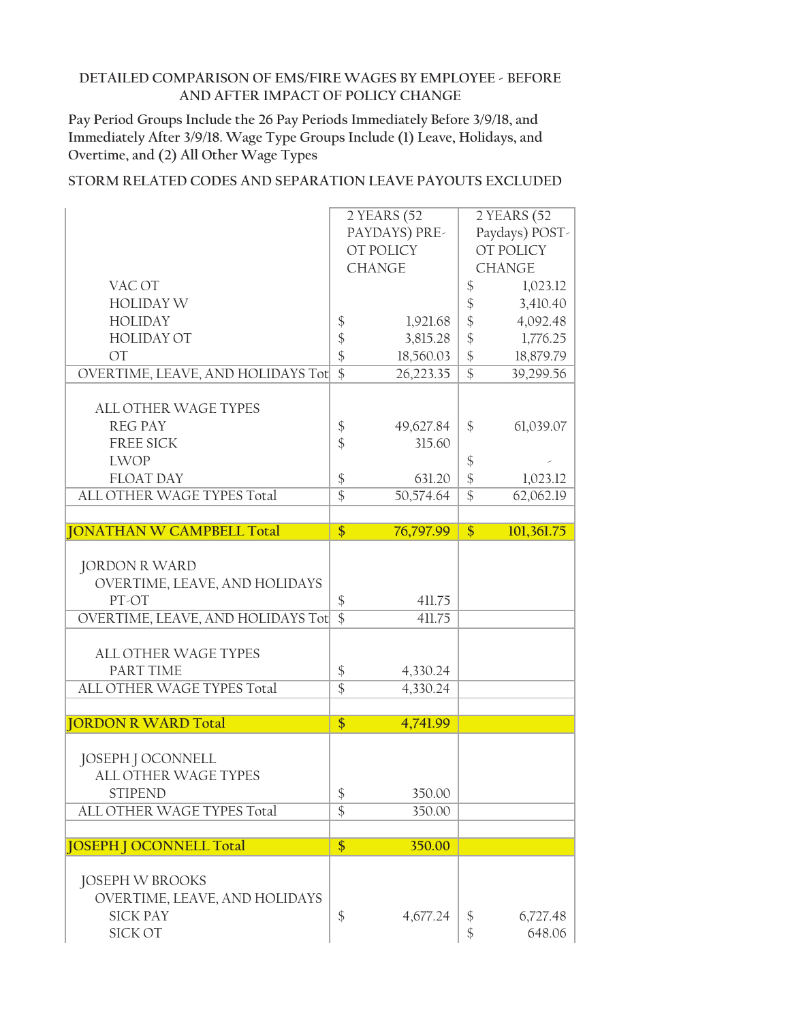**Pay Period Groups Include the 26 Pay Periods Immediately Before 3/9/18, and Immediately After 3/9/18. Wage Type Groups Include (1) Leave, Holidays, and Overtime, and (2) All Other Wage Types**

|                                   |                       | 2 YEARS (52      |                                  | 2 YEARS (52        |
|-----------------------------------|-----------------------|------------------|----------------------------------|--------------------|
|                                   |                       | PAYDAYS) PRE-    |                                  | Paydays) POST-     |
|                                   |                       | OT POLICY        |                                  | OT POLICY          |
|                                   |                       | <b>CHANGE</b>    |                                  | <b>CHANGE</b>      |
| VAC OT                            |                       |                  | $\boldsymbol{\mathsf{\$}}$       | 1,023.12           |
| <b>HOLIDAY W</b>                  |                       |                  | \$                               | 3,410.40           |
| <b>HOLIDAY</b>                    | $\frac{1}{2}$         | 1,921.68         | \$                               | 4,092.48           |
| <b>HOLIDAY OT</b>                 | $\frac{1}{2}$         | 3,815.28         | $\boldsymbol{\hat{\zeta}}$       | 1,776.25           |
| <b>OT</b>                         | $\frac{1}{2}$         | 18,560.03        | $\boldsymbol{\$}$                | 18,879.79          |
| OVERTIME, LEAVE, AND HOLIDAYS Tot | $\overline{\$}$       | 26,223.35        | $\overline{\$}$                  | 39,299.56          |
|                                   |                       |                  |                                  |                    |
| ALL OTHER WAGE TYPES              |                       |                  |                                  |                    |
| <b>REG PAY</b>                    | \$                    | 49,627.84        | \$                               | 61,039.07          |
| <b>FREE SICK</b>                  | $\frac{1}{2}$         | 315.60           |                                  |                    |
| <b>LWOP</b>                       |                       |                  |                                  |                    |
| <b>FLOAT DAY</b>                  |                       |                  | $\frac{1}{2}$                    |                    |
|                                   | \$<br>$\overline{\$}$ | 631.20           | $\frac{1}{2}$<br>$\overline{\$}$ | 1,023.12           |
| ALL OTHER WAGE TYPES Total        |                       | 50,574.64        |                                  | 62,062.19          |
| <b>JONATHAN W CAMPBELL Total</b>  | \$                    | 76,797.99        | $\frac{1}{2}$                    | 101,361.75         |
|                                   |                       |                  |                                  |                    |
| <b>JORDON R WARD</b>              |                       |                  |                                  |                    |
|                                   |                       |                  |                                  |                    |
| OVERTIME, LEAVE, AND HOLIDAYS     |                       |                  |                                  |                    |
| PT-OT                             | \$<br>$\overline{\$}$ | 411.75<br>411.75 |                                  |                    |
|                                   |                       |                  |                                  |                    |
| OVERTIME, LEAVE, AND HOLIDAYS Tot |                       |                  |                                  |                    |
|                                   |                       |                  |                                  |                    |
| <b>ALL OTHER WAGE TYPES</b>       |                       |                  |                                  |                    |
| PART TIME                         | \$                    | 4,330.24         |                                  |                    |
| ALL OTHER WAGE TYPES Total        | $\overline{\$}$       | 4,330.24         |                                  |                    |
|                                   |                       |                  |                                  |                    |
| <b>JORDON R WARD Total</b>        | \$                    | 4,741.99         |                                  |                    |
|                                   |                       |                  |                                  |                    |
| JOSEPH J OCONNELL                 |                       |                  |                                  |                    |
| ALL OTHER WAGE TYPES              |                       |                  |                                  |                    |
| <b>STIPEND</b>                    | $\boldsymbol{\$}$     | 350.00           |                                  |                    |
| ALL OTHER WAGE TYPES Total        | $\overline{\$}$       | 350.00           |                                  |                    |
|                                   |                       |                  |                                  |                    |
| <b>JOSEPH J OCONNELL Total</b>    | \$                    | 350.00           |                                  |                    |
|                                   |                       |                  |                                  |                    |
| <b>JOSEPH W BROOKS</b>            |                       |                  |                                  |                    |
| OVERTIME, LEAVE, AND HOLIDAYS     |                       |                  |                                  |                    |
| <b>SICK PAY</b><br>SICK OT        | $\frac{1}{2}$         | 4,677.24         | \$<br>\$                         | 6,727.48<br>648.06 |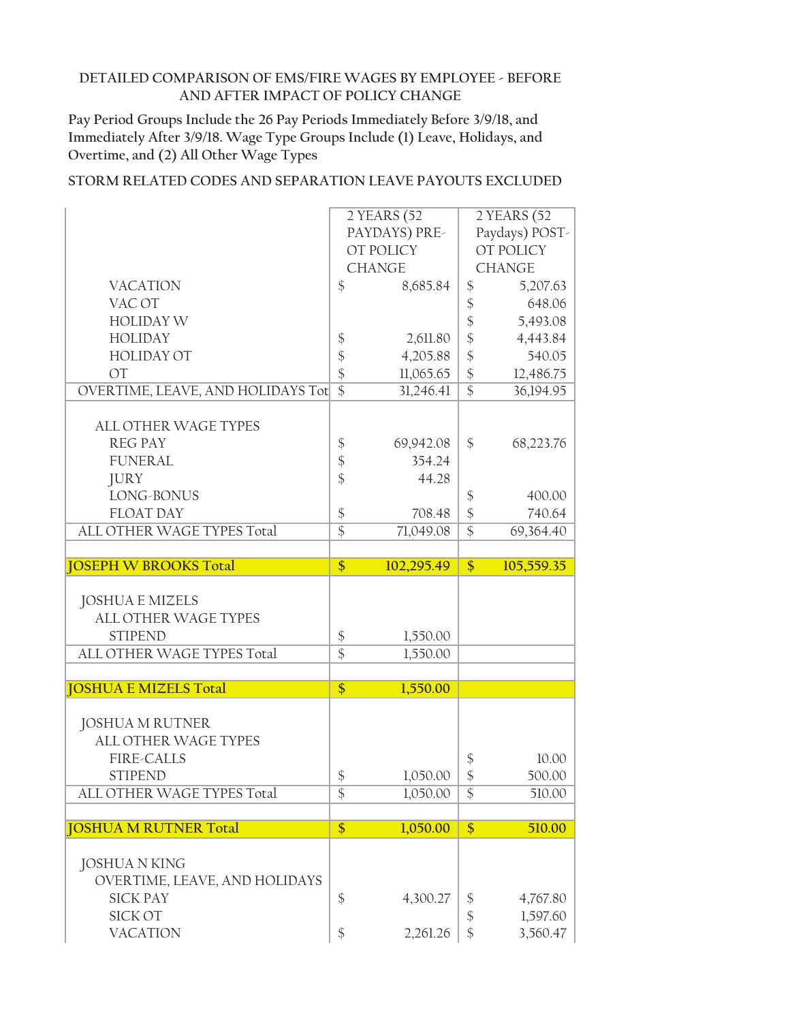**Pay Period Groups Include the 26 Pay Periods Immediately Before 3/9/18, and Immediately After 3/9/18. Wage Type Groups Include (1) Leave, Holidays, and Overtime, and (2) All Other Wage Types**

|                                   |                                      | 2 YEARS (52   |                            | 2 YEARS (52          |
|-----------------------------------|--------------------------------------|---------------|----------------------------|----------------------|
|                                   |                                      | PAYDAYS) PRE- |                            | Paydays) POST-       |
|                                   |                                      | OT POLICY     |                            | OT POLICY            |
|                                   |                                      | <b>CHANGE</b> |                            | <b>CHANGE</b>        |
| <b>VACATION</b>                   | $\frac{1}{2}$                        | 8,685.84      | $\boldsymbol{\mathsf{\$}}$ | 5,207.63             |
| VAC OT                            |                                      |               | $\frac{1}{2}$              | 648.06               |
| <b>HOLIDAY W</b>                  |                                      |               | $\frac{1}{2}$              | 5,493.08             |
| <b>HOLIDAY</b>                    | $\boldsymbol{\mathsf{\$}}$           | 2,611.80      | $\frac{1}{2}$              | 4,443.84             |
| <b>HOLIDAY OT</b>                 | $\frac{1}{2}$                        | 4,205.88      | \$                         | 540.05               |
| OT                                | $\frac{1}{2}$                        | 11,065.65     | $\frac{1}{2}$              | 12,486.75            |
| OVERTIME, LEAVE, AND HOLIDAYS Tot | $\overline{\$}$                      | 31,246.41     | $\overline{\$}$            | 36,194.95            |
|                                   |                                      |               |                            |                      |
| <b>ALL OTHER WAGE TYPES</b>       |                                      |               |                            |                      |
| <b>REG PAY</b>                    | \$                                   | 69,942.08     | \$                         | 68,223.76            |
| <b>FUNERAL</b>                    | $\boldsymbol{\$}$                    | 354.24        |                            |                      |
| <b>JURY</b>                       | $\frac{1}{2}$                        | 44.28         |                            |                      |
| LONG-BONUS                        |                                      |               | $\frac{1}{2}$              | 400.00               |
| <b>FLOAT DAY</b>                  | $\boldsymbol{\$}$                    | 708.48        | $\frac{1}{2}$              | 740.64               |
| ALL OTHER WAGE TYPES Total        | $\overline{\$}$                      | 71,049.08     | $\overline{\$}$            | 69,364.40            |
|                                   |                                      |               |                            |                      |
| <b>JOSEPH W BROOKS Total</b>      | $\overline{\$}$                      | 102,295.49    | $\overline{\$}$            | 105,559.35           |
|                                   |                                      |               |                            |                      |
|                                   |                                      |               |                            |                      |
| <b>JOSHUA E MIZELS</b>            |                                      |               |                            |                      |
| ALL OTHER WAGE TYPES              |                                      |               |                            |                      |
| <b>STIPEND</b>                    |                                      | 1,550.00      |                            |                      |
| ALL OTHER WAGE TYPES Total        | $\boldsymbol{\$}$<br>$\overline{\$}$ | 1,550.00      |                            |                      |
|                                   |                                      |               |                            |                      |
| <b>JOSHUA E MIZELS Total</b>      | $\frac{1}{2}$                        | 1,550.00      |                            |                      |
|                                   |                                      |               |                            |                      |
| <b>JOSHUA M RUTNER</b>            |                                      |               |                            |                      |
| <b>ALL OTHER WAGE TYPES</b>       |                                      |               |                            |                      |
| <b>FIRE-CALLS</b>                 |                                      |               | \$                         | 10.00                |
| <b>STIPEND</b>                    | \$                                   | 1,050.00      | \$                         | 500.00               |
| ALL OTHER WAGE TYPES Total        | \$                                   | 1,050.00      | $\frac{1}{2}$              | 510.00               |
|                                   |                                      |               |                            |                      |
| <b>JOSHUA M RUTNER Total</b>      | \$                                   | 1,050.00      | $\frac{1}{2}$              | 510.00               |
|                                   |                                      |               |                            |                      |
| <b>JOSHUA N KING</b>              |                                      |               |                            |                      |
| OVERTIME, LEAVE, AND HOLIDAYS     |                                      |               |                            |                      |
| <b>SICK PAY</b>                   | $\boldsymbol{\$}$                    | 4,300.27      | \$                         | 4,767.80             |
| <b>SICK OT</b><br><b>VACATION</b> | \$                                   | 2,261.26      | $\boldsymbol{\$}$<br>\$    | 1,597.60<br>3,560.47 |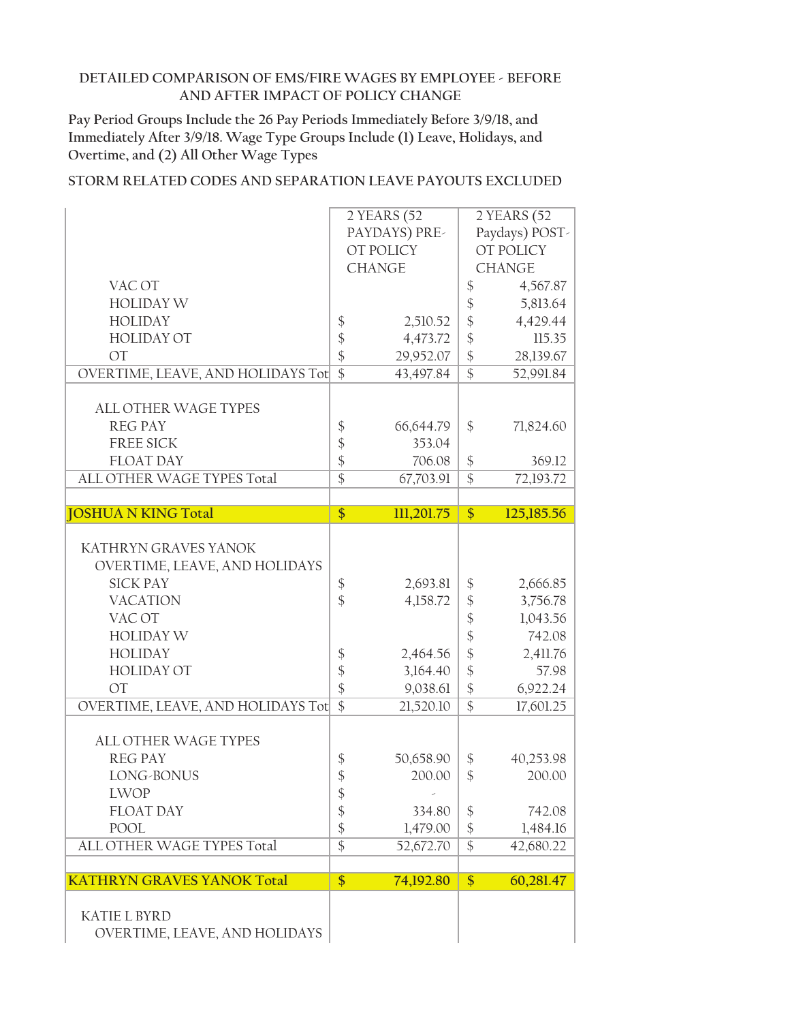**Pay Period Groups Include the 26 Pay Periods Immediately Before 3/9/18, and Immediately After 3/9/18. Wage Type Groups Include (1) Leave, Holidays, and Overtime, and (2) All Other Wage Types**

|                                                                                                                                                                                                                                                                            |                                                                                                                                                  | 2 YEARS (52                                                                                  |                                                                                                                                                         | 2 YEARS (52                                                                                                     |
|----------------------------------------------------------------------------------------------------------------------------------------------------------------------------------------------------------------------------------------------------------------------------|--------------------------------------------------------------------------------------------------------------------------------------------------|----------------------------------------------------------------------------------------------|---------------------------------------------------------------------------------------------------------------------------------------------------------|-----------------------------------------------------------------------------------------------------------------|
|                                                                                                                                                                                                                                                                            |                                                                                                                                                  | PAYDAYS) PRE-                                                                                |                                                                                                                                                         | Paydays) POST-                                                                                                  |
|                                                                                                                                                                                                                                                                            |                                                                                                                                                  | OT POLICY                                                                                    |                                                                                                                                                         | OT POLICY                                                                                                       |
|                                                                                                                                                                                                                                                                            |                                                                                                                                                  | <b>CHANGE</b>                                                                                |                                                                                                                                                         | <b>CHANGE</b>                                                                                                   |
| VAC OT                                                                                                                                                                                                                                                                     |                                                                                                                                                  |                                                                                              | \$                                                                                                                                                      | 4,567.87                                                                                                        |
| <b>HOLIDAY W</b>                                                                                                                                                                                                                                                           |                                                                                                                                                  |                                                                                              | $\boldsymbol{\mathsf{\$}}$                                                                                                                              | 5,813.64                                                                                                        |
| <b>HOLIDAY</b>                                                                                                                                                                                                                                                             | $\boldsymbol{\$}$                                                                                                                                | 2,510.52                                                                                     | \$                                                                                                                                                      | 4,429.44                                                                                                        |
| <b>HOLIDAY OT</b>                                                                                                                                                                                                                                                          | \$                                                                                                                                               | 4,473.72                                                                                     | $\frac{1}{2}$                                                                                                                                           | 115.35                                                                                                          |
| <b>OT</b>                                                                                                                                                                                                                                                                  | $\frac{1}{2}$                                                                                                                                    | 29,952.07                                                                                    | $\frac{1}{2}$                                                                                                                                           | 28,139.67                                                                                                       |
| OVERTIME, LEAVE, AND HOLIDAYS Tot                                                                                                                                                                                                                                          | $\overline{\$}$                                                                                                                                  | 43,497.84                                                                                    | $\overline{\$}$                                                                                                                                         | 52,991.84                                                                                                       |
|                                                                                                                                                                                                                                                                            |                                                                                                                                                  |                                                                                              |                                                                                                                                                         |                                                                                                                 |
| <b>ALL OTHER WAGE TYPES</b>                                                                                                                                                                                                                                                |                                                                                                                                                  |                                                                                              |                                                                                                                                                         |                                                                                                                 |
| <b>REG PAY</b>                                                                                                                                                                                                                                                             | \$                                                                                                                                               | 66,644.79                                                                                    | \$                                                                                                                                                      | 71,824.60                                                                                                       |
| <b>FREE SICK</b>                                                                                                                                                                                                                                                           | \$                                                                                                                                               | 353.04                                                                                       |                                                                                                                                                         |                                                                                                                 |
| <b>FLOAT DAY</b>                                                                                                                                                                                                                                                           | \$                                                                                                                                               | 706.08                                                                                       | $\frac{1}{2}$                                                                                                                                           | 369.12                                                                                                          |
| ALL OTHER WAGE TYPES Total                                                                                                                                                                                                                                                 | $\overline{\$}$                                                                                                                                  | 67,703.91                                                                                    | $\overline{\$}$                                                                                                                                         | 72,193.72                                                                                                       |
|                                                                                                                                                                                                                                                                            |                                                                                                                                                  |                                                                                              |                                                                                                                                                         |                                                                                                                 |
| <b>JOSHUA N KING Total</b>                                                                                                                                                                                                                                                 | $\overline{\$}$                                                                                                                                  | 111,201.75                                                                                   | $\frac{1}{2}$                                                                                                                                           | 125,185.56                                                                                                      |
| KATHRYN GRAVES YANOK<br>OVERTIME, LEAVE, AND HOLIDAYS<br><b>SICK PAY</b><br><b>VACATION</b><br>VAC OT<br><b>HOLIDAY W</b><br><b>HOLIDAY</b><br><b>HOLIDAY OT</b><br><b>OT</b><br>OVERTIME, LEAVE, AND HOLIDAYS Tot<br>ALL OTHER WAGE TYPES<br><b>REG PAY</b><br>LONG-BONUS | $\boldsymbol{\$}$<br>$\frac{1}{2}$<br>$\boldsymbol{\mathsf{\$}}$<br>$\boldsymbol{\$}$<br>$\frac{1}{2}$<br>$\overline{\$}$<br>\$<br>$\frac{1}{2}$ | 2,693.81<br>4,158.72<br>2,464.56<br>3,164.40<br>9,038.61<br>21,520.10<br>50,658.90<br>200.00 | $\boldsymbol{\$}$<br>$\boldsymbol{\hat{\phi}}$<br>\$<br>\$<br>$\frac{1}{2}$<br>$\frac{1}{2}$<br>$\frac{1}{2}$<br>$\overline{\$}$<br>\$<br>$\frac{1}{2}$ | 2,666.85<br>3,756.78<br>1,043.56<br>742.08<br>2,411.76<br>57.98<br>6,922.24<br>17,601.25<br>40,253.98<br>200.00 |
|                                                                                                                                                                                                                                                                            |                                                                                                                                                  |                                                                                              |                                                                                                                                                         |                                                                                                                 |
| <b>LWOP</b><br><b>FLOAT DAY</b>                                                                                                                                                                                                                                            | \$                                                                                                                                               | 334.80                                                                                       |                                                                                                                                                         |                                                                                                                 |
|                                                                                                                                                                                                                                                                            | \$                                                                                                                                               |                                                                                              | \$                                                                                                                                                      | 742.08                                                                                                          |
| <b>POOL</b>                                                                                                                                                                                                                                                                | $\frac{1}{2}$<br>$\overline{\$}$                                                                                                                 | 1,479.00                                                                                     | $\frac{1}{2}$                                                                                                                                           | 1,484.16                                                                                                        |
| ALL OTHER WAGE TYPES Total                                                                                                                                                                                                                                                 |                                                                                                                                                  | 52,672.70                                                                                    | $\frac{1}{2}$                                                                                                                                           | 42,680.22                                                                                                       |
| <b>KATHRYN GRAVES YANOK Total</b>                                                                                                                                                                                                                                          | \$                                                                                                                                               | 74,192.80                                                                                    | $\frac{1}{2}$                                                                                                                                           | 60,281.47                                                                                                       |
|                                                                                                                                                                                                                                                                            |                                                                                                                                                  |                                                                                              |                                                                                                                                                         |                                                                                                                 |
| <b>KATIE L BYRD</b><br>OVERTIME, LEAVE, AND HOLIDAYS                                                                                                                                                                                                                       |                                                                                                                                                  |                                                                                              |                                                                                                                                                         |                                                                                                                 |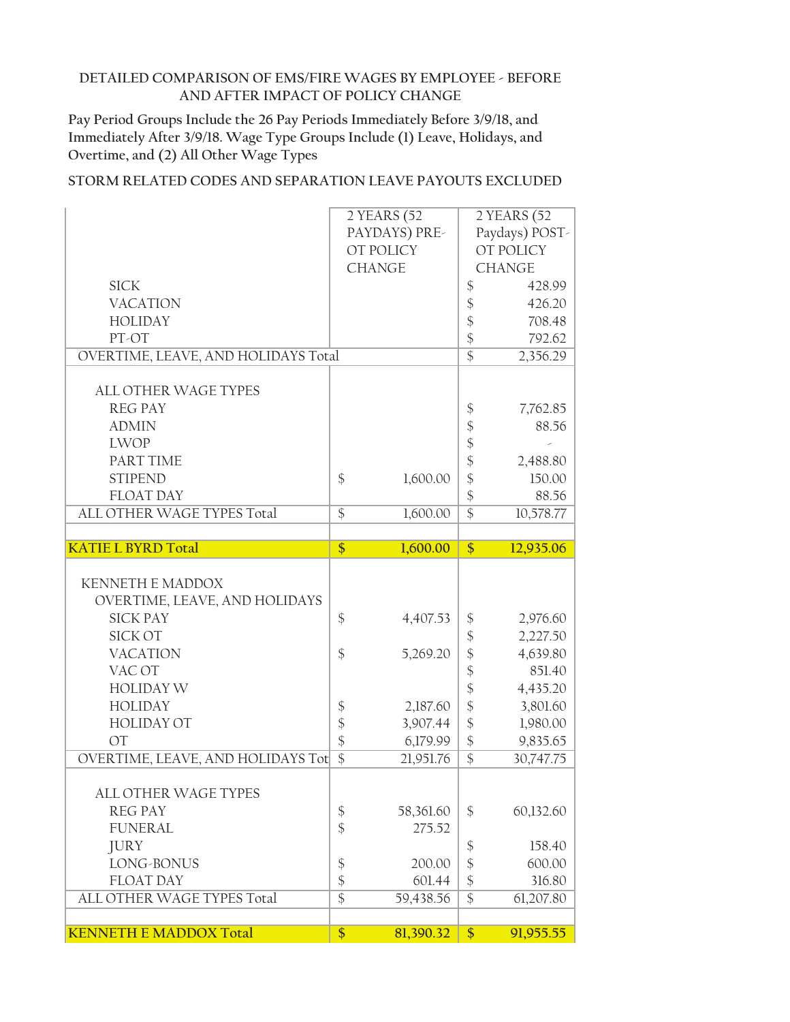**Pay Period Groups Include the 26 Pay Periods Immediately Before 3/9/18, and Immediately After 3/9/18. Wage Type Groups Include (1) Leave, Holidays, and Overtime, and (2) All Other Wage Types**

|                                                | 2 YEARS (52                     |                                  | 2 YEARS (52    |
|------------------------------------------------|---------------------------------|----------------------------------|----------------|
|                                                | PAYDAYS) PRE-                   |                                  | Paydays) POST- |
|                                                | OT POLICY                       |                                  | OT POLICY      |
|                                                | <b>CHANGE</b>                   |                                  | <b>CHANGE</b>  |
| <b>SICK</b>                                    |                                 | \$                               | 428.99         |
| <b>VACATION</b>                                |                                 | \$                               | 426.20         |
| <b>HOLIDAY</b>                                 |                                 | $\frac{1}{2}$                    | 708.48         |
| PT-OT                                          |                                 | $\frac{1}{2}$                    | 792.62         |
| OVERTIME, LEAVE, AND HOLIDAYS Total            |                                 | $\overline{\$}$                  | 2,356.29       |
|                                                |                                 |                                  |                |
| <b>ALL OTHER WAGE TYPES</b>                    |                                 |                                  |                |
| <b>REG PAY</b>                                 |                                 | \$                               | 7,762.85       |
| <b>ADMIN</b>                                   |                                 | $\frac{1}{2}$                    | 88.56          |
| <b>LWOP</b>                                    |                                 | \$                               |                |
| PART TIME                                      |                                 | $\frac{1}{2}$                    | 2,488.80       |
| <b>STIPEND</b>                                 | $\frac{1}{2}$<br>1,600.00       | \$                               | 150.00         |
| <b>FLOAT DAY</b>                               |                                 | $\boldsymbol{\hat{\zeta}}$       | 88.56          |
| ALL OTHER WAGE TYPES Total                     | $\frac{1}{2}$<br>1,600.00       | $\overline{\$}$                  | 10,578.77      |
|                                                |                                 |                                  |                |
| <b>KATIE L BYRD Total</b>                      | \$<br>1,600.00                  | \$                               | 12,935.06      |
|                                                |                                 |                                  |                |
| <b>KENNETH E MADDOX</b>                        |                                 |                                  |                |
| OVERTIME, LEAVE, AND HOLIDAYS                  |                                 |                                  |                |
| <b>SICK PAY</b>                                | \$<br>4,407.53                  | \$                               | 2,976.60       |
| <b>SICK OT</b>                                 |                                 | \$                               | 2,227.50       |
| <b>VACATION</b>                                | $\frac{1}{2}$<br>5,269.20       | $\frac{1}{2}$                    | 4,639.80       |
| VAC OT                                         |                                 | \$                               | 851.40         |
| <b>HOLIDAY W</b>                               |                                 | \$                               | 4,435.20       |
| <b>HOLIDAY</b>                                 | \$<br>2,187.60                  | $\boldsymbol{\hat{\zeta}}$       | 3,801.60       |
| <b>HOLIDAY OT</b>                              | \$<br>3,907.44                  | $\frac{1}{2}$                    | 1,980.00       |
| <b>OT</b>                                      | \$<br>6,179.99                  | \$                               | 9,835.65       |
| OVERTIME, LEAVE, AND HOLIDAYS Tot              | $\overline{\$}$<br>21,951.76    | $\overline{\$}$                  | 30,747.75      |
|                                                |                                 |                                  |                |
| ALL OTHER WAGE TYPES                           |                                 |                                  |                |
| <b>REG PAY</b><br><b>FUNERAL</b>               | $\boldsymbol{\xi}$<br>58,361.60 | \$                               | 60,132.60      |
|                                                | $\frac{1}{2}$<br>275.52         |                                  |                |
| <b>JURY</b>                                    |                                 | \$                               | 158.40         |
| LONG-BONUS                                     | $\boldsymbol{\$}$<br>200.00     | $\frac{1}{2}$                    | 600.00         |
| <b>FLOAT DAY</b><br>ALL OTHER WAGE TYPES Total | \$<br>601.44<br>$\overline{\$}$ | $\frac{1}{2}$<br>$\overline{\$}$ | 316.80         |
|                                                | 59,438.56                       |                                  | 61,207.80      |
| <b>KENNETH E MADDOX Total</b>                  | \$<br>81,390.32                 | $\sqrt[6]{\frac{1}{2}}$          | 91,955.55      |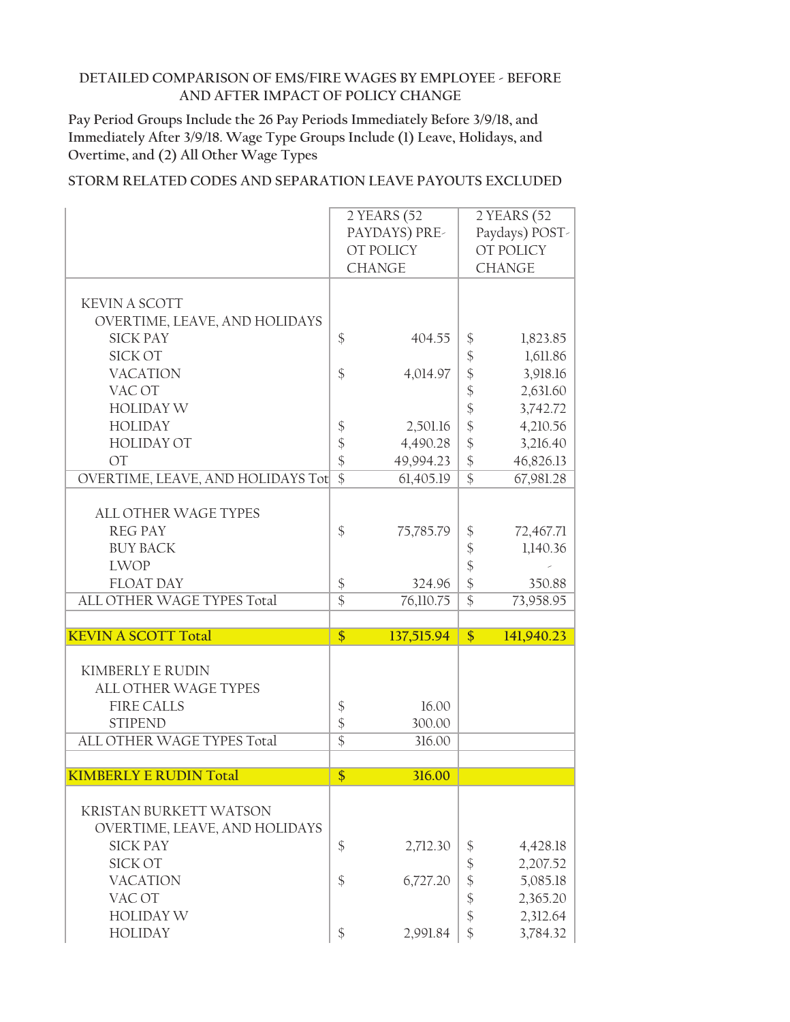**Pay Period Groups Include the 26 Pay Periods Immediately Before 3/9/18, and Immediately After 3/9/18. Wage Type Groups Include (1) Leave, Holidays, and Overtime, and (2) All Other Wage Types**

|                                   |                 | 2 YEARS (52   |                            | $2$ YEARS $\overline{(52)}$ |
|-----------------------------------|-----------------|---------------|----------------------------|-----------------------------|
|                                   |                 | PAYDAYS) PRE- |                            | Paydays) POST-              |
|                                   |                 | OT POLICY     |                            | OT POLICY                   |
|                                   |                 | <b>CHANGE</b> |                            | <b>CHANGE</b>               |
|                                   |                 |               |                            |                             |
| <b>KEVIN A SCOTT</b>              |                 |               |                            |                             |
| OVERTIME, LEAVE, AND HOLIDAYS     |                 |               |                            |                             |
| <b>SICK PAY</b>                   | \$              | 404.55        | \$                         | 1,823.85                    |
| <b>SICK OT</b>                    |                 |               |                            | 1,611.86                    |
|                                   |                 |               | $\boldsymbol{\mathsf{\$}}$ |                             |
| <b>VACATION</b>                   | \$              | 4,014.97      | \$                         | 3,918.16                    |
| VAC OT                            |                 |               | \$                         | 2,631.60                    |
| <b>HOLIDAY W</b>                  |                 |               | \$                         | 3,742.72                    |
| <b>HOLIDAY</b>                    | \$              | 2,501.16      | $\boldsymbol{\mathsf{\$}}$ | 4,210.56                    |
| <b>HOLIDAY OT</b>                 | \$              | 4,490.28      | $\boldsymbol{\hat{\zeta}}$ | 3,216.40                    |
| <b>OT</b>                         | \$              | 49,994.23     | $\frac{1}{2}$              | 46,826.13                   |
| OVERTIME, LEAVE, AND HOLIDAYS Tot | $\overline{\$}$ | 61,405.19     | $\overline{\$}$            | 67,981.28                   |
|                                   |                 |               |                            |                             |
| <b>ALL OTHER WAGE TYPES</b>       |                 |               |                            |                             |
| <b>REG PAY</b>                    | \$              | 75,785.79     | \$                         | 72,467.71                   |
| <b>BUY BACK</b>                   |                 |               | \$                         | 1,140.36                    |
| <b>LWOP</b>                       |                 |               | \$                         |                             |
| <b>FLOAT DAY</b>                  | $\frac{1}{2}$   | 324.96        | $\frac{1}{2}$              | 350.88                      |
| ALL OTHER WAGE TYPES Total        | $\overline{\$}$ | 76,110.75     | $\overline{\$}$            | 73,958.95                   |
|                                   |                 |               |                            |                             |
| <b>KEVIN A SCOTT Total</b>        | $\overline{\$}$ | 137,515.94    | $\frac{1}{2}$              | 141,940.23                  |
|                                   |                 |               |                            |                             |
| <b>KIMBERLY E RUDIN</b>           |                 |               |                            |                             |
| <b>ALL OTHER WAGE TYPES</b>       |                 |               |                            |                             |
| <b>FIRE CALLS</b>                 |                 | 16.00         |                            |                             |
| <b>STIPEND</b>                    | \$              |               |                            |                             |
|                                   | \$              | 300.00        |                            |                             |
| ALL OTHER WAGE TYPES Total        | $\overline{\$}$ | 316.00        |                            |                             |
|                                   |                 |               |                            |                             |
| <b>KIMBERLY E RUDIN Total</b>     | $\overline{\$}$ | 316.00        |                            |                             |
|                                   |                 |               |                            |                             |
| <b>KRISTAN BURKETT WATSON</b>     |                 |               |                            |                             |
| OVERTIME, LEAVE, AND HOLIDAYS     |                 |               |                            |                             |
| <b>SICK PAY</b>                   | \$              | 2,712.30      | \$                         | 4,428.18                    |
| <b>SICK OT</b>                    |                 |               | \$                         | 2,207.52                    |
| <b>VACATION</b>                   | \$              | 6,727.20      | \$                         | 5,085.18                    |
| VAC OT                            |                 |               |                            |                             |
|                                   |                 |               | \$                         | 2,365.20                    |
| <b>HOLIDAY W</b>                  |                 |               | \$                         | 2,312.64                    |
| <b>HOLIDAY</b>                    | \$              | 2,991.84      | \$                         | 3,784.32                    |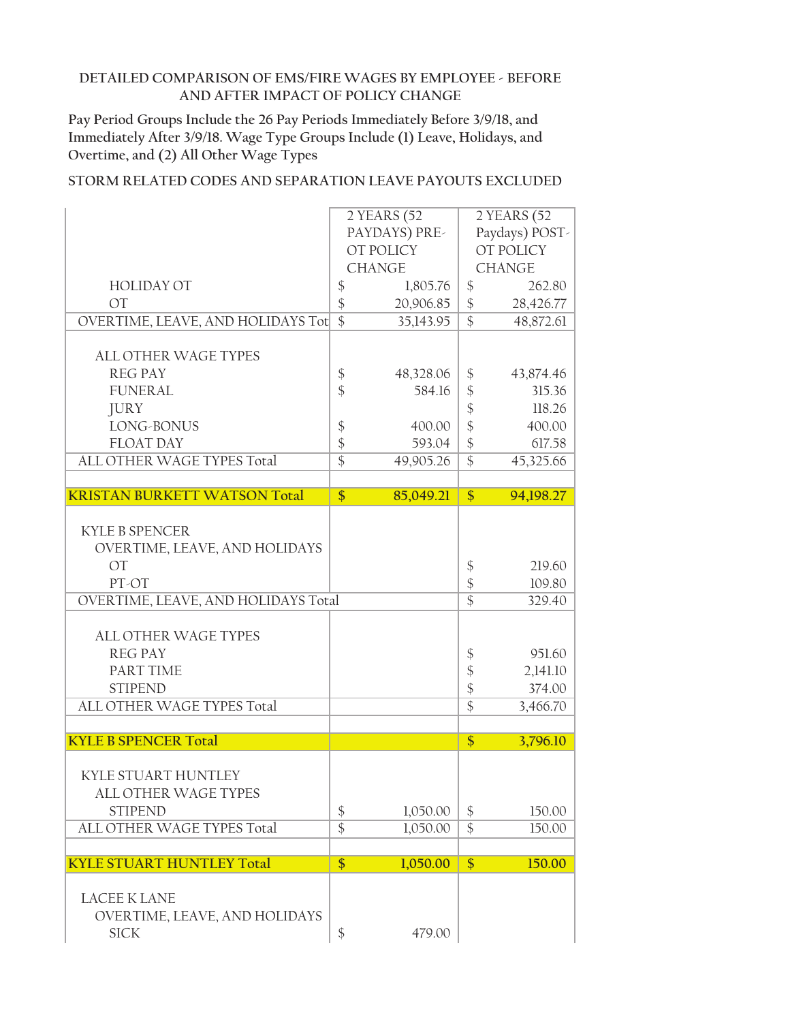**Pay Period Groups Include the 26 Pay Periods Immediately Before 3/9/18, and Immediately After 3/9/18. Wage Type Groups Include (1) Leave, Holidays, and Overtime, and (2) All Other Wage Types**

|                                     |                            | 2 YEARS (52   |                              | 2 YEARS (52    |
|-------------------------------------|----------------------------|---------------|------------------------------|----------------|
|                                     |                            | PAYDAYS) PRE- |                              | Paydays) POST- |
|                                     |                            | OT POLICY     |                              | OT POLICY      |
|                                     |                            | <b>CHANGE</b> |                              | <b>CHANGE</b>  |
| <b>HOLIDAY OT</b>                   | \$                         | 1,805.76      | \$                           | 262.80         |
| <b>OT</b>                           | $\frac{1}{2}$              | 20,906.85     | \$                           | 28,426.77      |
| OVERTIME, LEAVE, AND HOLIDAYS Tot   | $\overline{\$}$            | 35,143.95     | $\overline{\$}$              | 48,872.61      |
|                                     |                            |               |                              |                |
| <b>ALL OTHER WAGE TYPES</b>         |                            |               |                              |                |
| <b>REG PAY</b>                      | $\boldsymbol{\$}$          | 48,328.06     | \$                           | 43,874.46      |
| <b>FUNERAL</b>                      | $\frac{1}{2}$              | 584.16        | \$                           | 315.36         |
| <b>JURY</b>                         |                            |               | $\boldsymbol{\hat{\varphi}}$ | 118.26         |
| LONG-BONUS                          | $\boldsymbol{\$}$          | 400.00        | $\frac{1}{2}$                | 400.00         |
| <b>FLOAT DAY</b>                    | $\frac{1}{2}$              | 593.04        | \$                           | 617.58         |
| ALL OTHER WAGE TYPES Total          | $\overline{\$}$            | 49,905.26     | $\overline{\$}$              | 45,325.66      |
|                                     |                            |               |                              |                |
| <b>KRISTAN BURKETT WATSON Total</b> | \$                         | 85,049.21     | $\frac{1}{2}$                | 94,198.27      |
|                                     |                            |               |                              |                |
| <b>KYLE B SPENCER</b>               |                            |               |                              |                |
| OVERTIME, LEAVE, AND HOLIDAYS       |                            |               |                              |                |
| $\overline{OT}$                     |                            |               | \$                           | 219.60         |
| PT-OT                               |                            |               | \$                           | 109.80         |
| OVERTIME, LEAVE, AND HOLIDAYS Total |                            |               | $\overline{\$}$              | 329.40         |
|                                     |                            |               |                              |                |
| <b>ALL OTHER WAGE TYPES</b>         |                            |               |                              |                |
| <b>REG PAY</b>                      |                            |               | \$                           | 951.60         |
| PART TIME                           |                            |               | \$                           | 2,141.10       |
| <b>STIPEND</b>                      |                            |               | $\frac{1}{2}$                | 374.00         |
| ALL OTHER WAGE TYPES Total          |                            |               | \$                           | 3,466.70       |
|                                     |                            |               |                              |                |
| <b>KYLE B SPENCER Total</b>         |                            |               | \$                           | 3,796.10       |
|                                     |                            |               |                              |                |
| KYLE STUART HUNTLEY                 |                            |               |                              |                |
| ALL OTHER WAGE TYPES                |                            |               |                              |                |
| <b>STIPEND</b>                      | $\boldsymbol{\mathsf{\$}}$ | 1,050.00      | $\boldsymbol{\mathsf{\$}}$   | 150.00         |
| ALL OTHER WAGE TYPES Total          | $\overline{\$}$            | 1,050.00      | $\overline{\$}$              | 150.00         |
|                                     |                            |               |                              |                |
| <b>KYLE STUART HUNTLEY Total</b>    | $\frac{1}{2}$              | 1,050.00      | $\overline{\$}$              | 150.00         |
|                                     |                            |               |                              |                |
| <b>LACEE K LANE</b>                 |                            |               |                              |                |
| OVERTIME, LEAVE, AND HOLIDAYS       |                            |               |                              |                |
|                                     |                            |               |                              |                |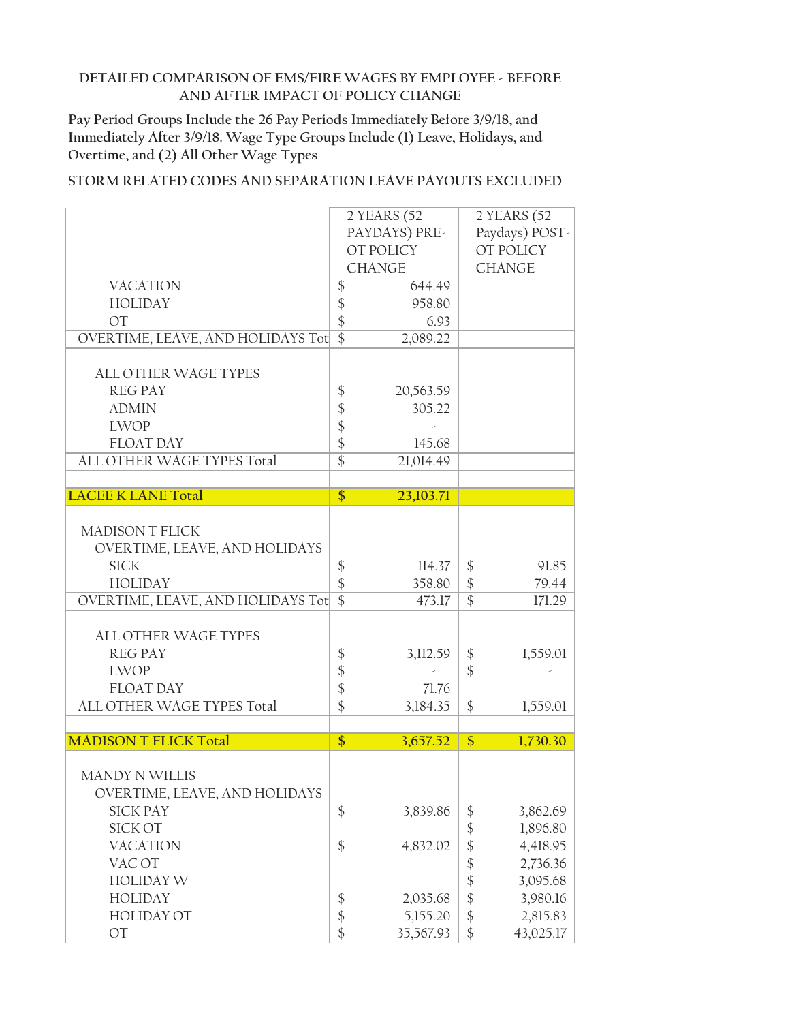**Pay Period Groups Include the 26 Pay Periods Immediately Before 3/9/18, and Immediately After 3/9/18. Wage Type Groups Include (1) Leave, Holidays, and Overtime, and (2) All Other Wage Types**

|                                          |                                            | 2 YEARS (52   |                            | 2 YEARS (52    |
|------------------------------------------|--------------------------------------------|---------------|----------------------------|----------------|
|                                          |                                            | PAYDAYS) PRE- |                            | Paydays) POST- |
|                                          |                                            | OT POLICY     |                            | OT POLICY      |
|                                          |                                            | <b>CHANGE</b> |                            | <b>CHANGE</b>  |
| <b>VACATION</b>                          | $\boldsymbol{\mathsf{\$}}$                 | 644.49        |                            |                |
| <b>HOLIDAY</b>                           | $\boldsymbol{\mathsf{\$}}$                 | 958.80        |                            |                |
| <b>OT</b>                                | $\frac{1}{2}$                              | 6.93          |                            |                |
| OVERTIME, LEAVE, AND HOLIDAYS Tot        | $\overline{\$}$                            | 2,089.22      |                            |                |
| <b>ALL OTHER WAGE TYPES</b>              |                                            |               |                            |                |
| <b>REG PAY</b>                           | $\boldsymbol{\$}$                          | 20,563.59     |                            |                |
| <b>ADMIN</b>                             |                                            | 305.22        |                            |                |
| <b>LWOP</b>                              |                                            |               |                            |                |
| <b>FLOAT DAY</b>                         | \$\$\$                                     | 145.68        |                            |                |
| ALL OTHER WAGE TYPES Total               | $\overline{\$}$                            | 21,014.49     |                            |                |
|                                          |                                            |               |                            |                |
| <b>LACEE K LANE Total</b>                | $\frac{1}{2}$                              | 23,103.71     |                            |                |
|                                          |                                            |               |                            |                |
| <b>MADISON T FLICK</b>                   |                                            |               |                            |                |
| OVERTIME, LEAVE, AND HOLIDAYS            |                                            |               |                            |                |
| <b>SICK</b>                              | \$                                         | 114.37        | \$                         | 91.85          |
| <b>HOLIDAY</b>                           | $\boldsymbol{\mathsf{\$}}$                 | 358.80        | $\boldsymbol{\$}$          | 79.44          |
| <b>OVERTIME, LEAVE, AND HOLIDAYS Tot</b> | $\overline{\$}$                            | 473.17        | $\overline{\$}$            | 171.29         |
| <b>ALL OTHER WAGE TYPES</b>              |                                            |               |                            |                |
| <b>REG PAY</b>                           | $\boldsymbol{\$}$                          | 3,112.59      | \$                         | 1,559.01       |
| <b>LWOP</b>                              |                                            |               | \$                         |                |
| <b>FLOAT DAY</b>                         | $\frac{1}{2}$                              | 71.76         |                            |                |
| ALL OTHER WAGE TYPES Total               | $\overline{\$}$                            | 3,184.35      | \$                         | 1,559.01       |
|                                          |                                            |               |                            |                |
| <b>MADISON T FLICK Total</b>             | \$                                         | 3,657.52      | \$                         | 1,730.30       |
| <b>MANDY N WILLIS</b>                    |                                            |               |                            |                |
| OVERTIME, LEAVE, AND HOLIDAYS            |                                            |               |                            |                |
| <b>SICK PAY</b>                          | $\boldsymbol{\$}$                          | 3,839.86      |                            | 3,862.69       |
| <b>SICK OT</b>                           |                                            |               | \$<br>$\frac{1}{2}$        | 1,896.80       |
| <b>VACATION</b>                          | $\boldsymbol{\$}$                          | 4,832.02      | \$                         | 4,418.95       |
| VAC OT                                   |                                            |               | $\boldsymbol{\hat{\zeta}}$ | 2,736.36       |
| <b>HOLIDAY W</b>                         |                                            |               | $\boldsymbol{\hat{\zeta}}$ | 3,095.68       |
| <b>HOLIDAY</b>                           |                                            | 2,035.68      | $\boldsymbol{\mathsf{\$}}$ | 3,980.16       |
| <b>HOLIDAY OT</b>                        | $\frac{1}{2}$<br>$\boldsymbol{\hat{\phi}}$ | 5,155.20      | \$                         | 2,815.83       |
| OT                                       | $\frac{1}{2}$                              | 35,567.93     | \$                         | 43,025.17      |
|                                          |                                            |               |                            |                |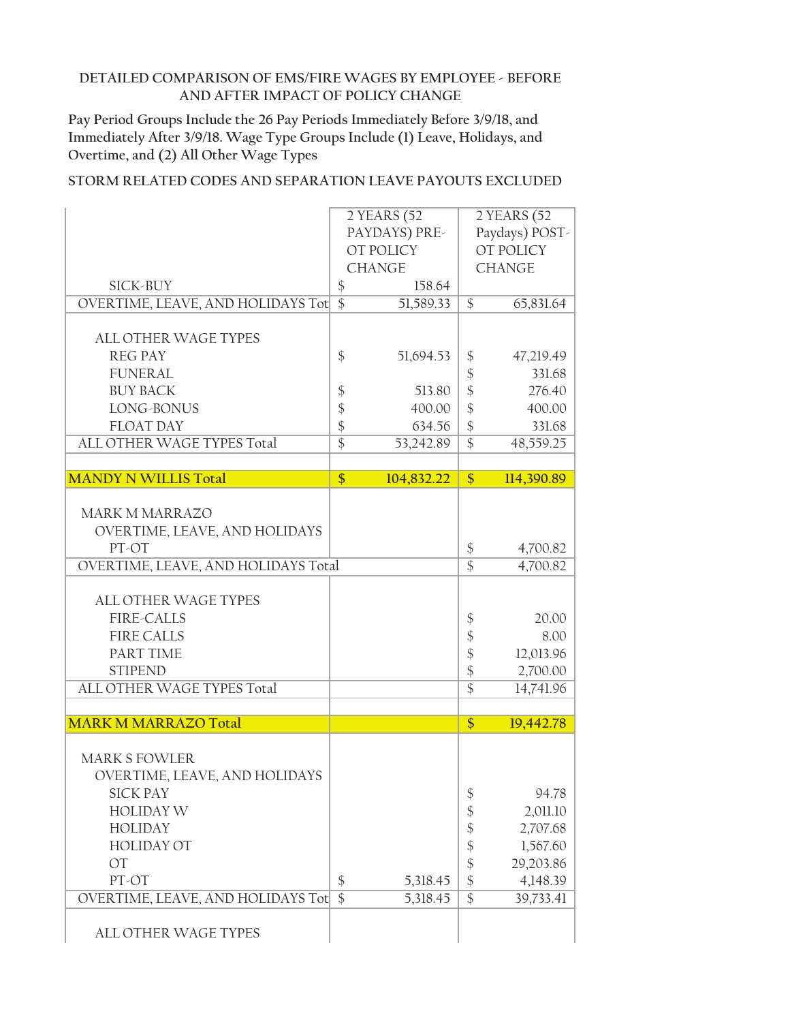**Pay Period Groups Include the 26 Pay Periods Immediately Before 3/9/18, and Immediately After 3/9/18. Wage Type Groups Include (1) Leave, Holidays, and Overtime, and (2) All Other Wage Types**

|                                     | 2 YEARS (52                          | 2 YEARS (52                             |  |  |
|-------------------------------------|--------------------------------------|-----------------------------------------|--|--|
|                                     | PAYDAYS) PRE-                        | Paydays) POST-                          |  |  |
|                                     | OT POLICY                            | <b>OT POLICY</b>                        |  |  |
|                                     | <b>CHANGE</b>                        | <b>CHANGE</b>                           |  |  |
| <b>SICK-BUY</b>                     | $\boldsymbol{\$}$<br>158.64          |                                         |  |  |
| OVERTIME, LEAVE, AND HOLIDAYS Tot   | $\overline{\$}$<br>51,589.33         | $\mathcal{S}$<br>65,831.64              |  |  |
|                                     |                                      |                                         |  |  |
| <b>ALL OTHER WAGE TYPES</b>         |                                      |                                         |  |  |
| <b>REG PAY</b>                      | \$<br>51,694.53                      | \$<br>47,219.49                         |  |  |
| <b>FUNERAL</b>                      |                                      | $\boldsymbol{\$}$<br>331.68             |  |  |
| <b>BUY BACK</b>                     | \$<br>513.80                         | $\frac{1}{2}$<br>276.40                 |  |  |
| LONG-BONUS                          | \$<br>400.00                         | $\frac{1}{2}$<br>400.00                 |  |  |
| <b>FLOAT DAY</b>                    | \$<br>634.56                         | $\boldsymbol{\mathsf{S}}$<br>331.68     |  |  |
| ALL OTHER WAGE TYPES Total          | $\overline{\$}$<br>53,242.89         | $\overline{\$}$<br>48,559.25            |  |  |
|                                     |                                      |                                         |  |  |
| <b>MANDY N WILLIS Total</b>         | $\frac{1}{2}$<br>104,832.22          | $\frac{1}{2}$<br>114,390.89             |  |  |
|                                     |                                      |                                         |  |  |
| <b>MARK M MARRAZO</b>               |                                      |                                         |  |  |
| OVERTIME, LEAVE, AND HOLIDAYS       |                                      |                                         |  |  |
| PT-OT                               |                                      | \$<br>4,700.82                          |  |  |
| OVERTIME, LEAVE, AND HOLIDAYS Total |                                      | $\overline{\$}$<br>4,700.82             |  |  |
|                                     |                                      |                                         |  |  |
| <b>ALL OTHER WAGE TYPES</b>         |                                      |                                         |  |  |
| <b>FIRE-CALLS</b>                   |                                      | \$<br>20.00                             |  |  |
| <b>FIRE CALLS</b>                   |                                      | \$<br>8.00                              |  |  |
| <b>PART TIME</b>                    |                                      | $\frac{1}{2}$<br>12,013.96              |  |  |
| <b>STIPEND</b>                      |                                      | $\frac{1}{2}$<br>2,700.00               |  |  |
| ALL OTHER WAGE TYPES Total          |                                      | $\overline{\$}$<br>14,741.96            |  |  |
|                                     |                                      |                                         |  |  |
| <b>MARK M MARRAZO Total</b>         |                                      | \$<br>19,442.78                         |  |  |
|                                     |                                      |                                         |  |  |
| <b>MARK S FOWLER</b>                |                                      |                                         |  |  |
| OVERTIME, LEAVE, AND HOLIDAYS       |                                      |                                         |  |  |
| <b>SICK PAY</b>                     |                                      | \$<br>94.78                             |  |  |
| <b>HOLIDAY W</b>                    |                                      | 2,011.10<br>\$                          |  |  |
| <b>HOLIDAY</b>                      |                                      | \$<br>2,707.68                          |  |  |
| <b>HOLIDAY OT</b>                   |                                      | \$<br>1,567.60                          |  |  |
| OT                                  |                                      | $\boldsymbol{\hat{\zeta}}$<br>29,203.86 |  |  |
| PT-OT                               | \$<br>5,318.45                       | $\boldsymbol{\$}$<br>4,148.39           |  |  |
| OVERTIME, LEAVE, AND HOLIDAYS Tot   | $\overline{\mathcal{S}}$<br>5,318.45 | $\overline{\$}$<br>39,733.41            |  |  |
|                                     |                                      |                                         |  |  |
| ALL OTHER WAGE TYPES                |                                      |                                         |  |  |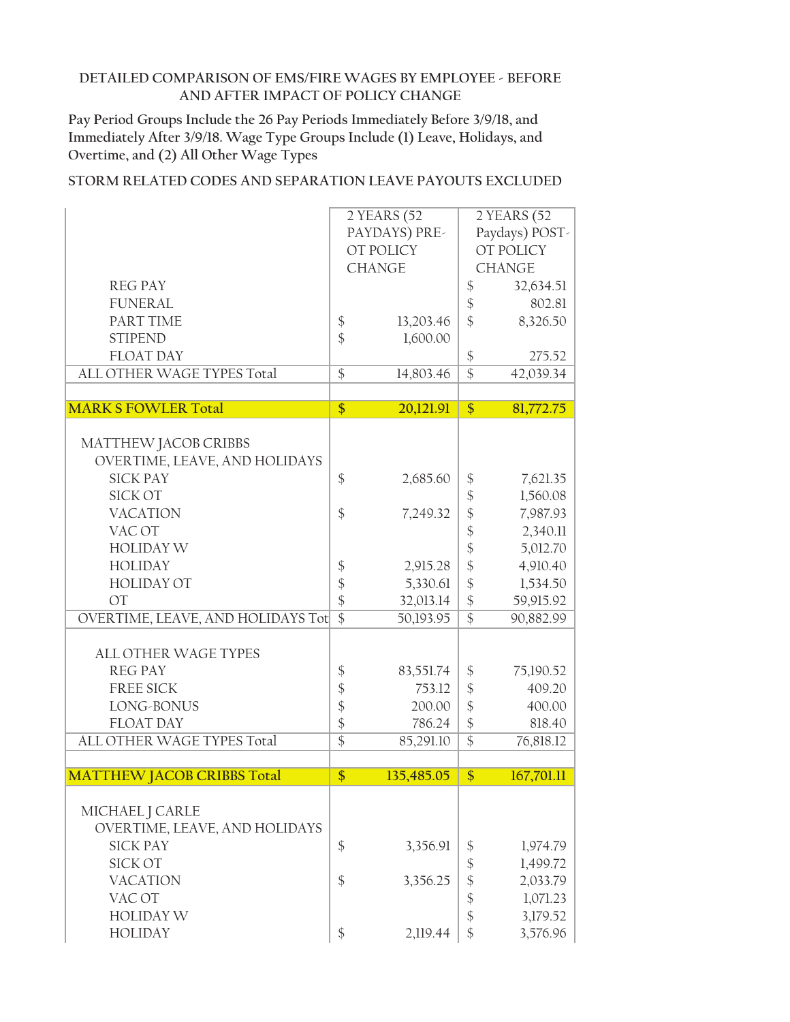**Pay Period Groups Include the 26 Pay Periods Immediately Before 3/9/18, and Immediately After 3/9/18. Wage Type Groups Include (1) Leave, Holidays, and Overtime, and (2) All Other Wage Types**

|                                   |                    | 2 YEARS (52   |                            | 2 YEARS (52    |
|-----------------------------------|--------------------|---------------|----------------------------|----------------|
|                                   |                    | PAYDAYS) PRE- |                            | Paydays) POST- |
|                                   |                    | OT POLICY     |                            | OT POLICY      |
|                                   |                    | <b>CHANGE</b> |                            | <b>CHANGE</b>  |
| <b>REG PAY</b>                    |                    |               |                            |                |
|                                   |                    |               | \$                         | 32,634.51      |
| <b>FUNERAL</b>                    |                    |               | $\frac{1}{2}$              | 802.81         |
| PART TIME                         | $\boldsymbol{\xi}$ | 13,203.46     | $\frac{1}{2}$              | 8,326.50       |
| <b>STIPEND</b>                    | \$                 | 1,600.00      |                            |                |
| <b>FLOAT DAY</b>                  |                    |               | \$                         | 275.52         |
| ALL OTHER WAGE TYPES Total        | $\overline{\$}$    | 14,803.46     | $\overline{\$}$            | 42,039.34      |
|                                   |                    |               |                            |                |
| <b>MARK S FOWLER Total</b>        | \$                 | 20,121.91     | $\frac{1}{2}$              | 81,772.75      |
|                                   |                    |               |                            |                |
| MATTHEW JACOB CRIBBS              |                    |               |                            |                |
| OVERTIME, LEAVE, AND HOLIDAYS     |                    |               |                            |                |
| <b>SICK PAY</b>                   | \$                 | 2,685.60      | \$                         | 7,621.35       |
| <b>SICK OT</b>                    |                    |               | $\boldsymbol{\$}$          | 1,560.08       |
| <b>VACATION</b>                   | $\frac{1}{2}$      | 7,249.32      | $\frac{1}{2}$              | 7,987.93       |
| VAC OT                            |                    |               | $\frac{1}{2}$              | 2,340.11       |
| <b>HOLIDAY W</b>                  |                    |               | \$                         | 5,012.70       |
| <b>HOLIDAY</b>                    |                    |               |                            |                |
|                                   | \$                 | 2,915.28      | $\frac{1}{2}$              | 4,910.40       |
| <b>HOLIDAY OT</b>                 | \$                 | 5,330.61      | \$                         | 1,534.50       |
| OT                                | \$                 | 32,013.14     | \$                         | 59,915.92      |
| OVERTIME, LEAVE, AND HOLIDAYS Tot | $\overline{\$}$    | 50,193.95     | $\overline{\$}$            | 90,882.99      |
|                                   |                    |               |                            |                |
| ALL OTHER WAGE TYPES              |                    |               |                            |                |
| <b>REG PAY</b>                    | \$                 | 83,551.74     | \$                         | 75,190.52      |
| FREE SICK                         | \$                 | 753.12        | $\boldsymbol{\mathsf{\$}}$ | 409.20         |
| LONG-BONUS                        | \$                 | 200.00        | $\frac{1}{2}$              | 400.00         |
| <b>FLOAT DAY</b>                  | \$                 | 786.24        | $\frac{1}{2}$              | 818.40         |
| ALL OTHER WAGE TYPES Total        | $\overline{\$}$    | 85,291.10     | $\overline{\$}$            | 76,818.12      |
|                                   |                    |               |                            |                |
| <b>MATTHEW JACOB CRIBBS Total</b> | $\overline{\$}$    | 135,485.05    | \$                         | 167,701.11     |
|                                   |                    |               |                            |                |
| MICHAEL J CARLE                   |                    |               |                            |                |
| OVERTIME, LEAVE, AND HOLIDAYS     |                    |               |                            |                |
| <b>SICK PAY</b>                   | $\frac{1}{2}$      | 3,356.91      | $\frac{1}{2}$              | 1,974.79       |
| <b>SICK OT</b>                    |                    |               | \$                         | 1,499.72       |
| <b>VACATION</b>                   | \$                 | 3,356.25      | \$                         | 2,033.79       |
| VAC OT                            |                    |               | \$                         | 1,071.23       |
| <b>HOLIDAY W</b>                  |                    |               | \$                         | 3,179.52       |
|                                   |                    |               |                            |                |
| <b>HOLIDAY</b>                    | \$                 | 2,119.44      | \$                         | 3,576.96       |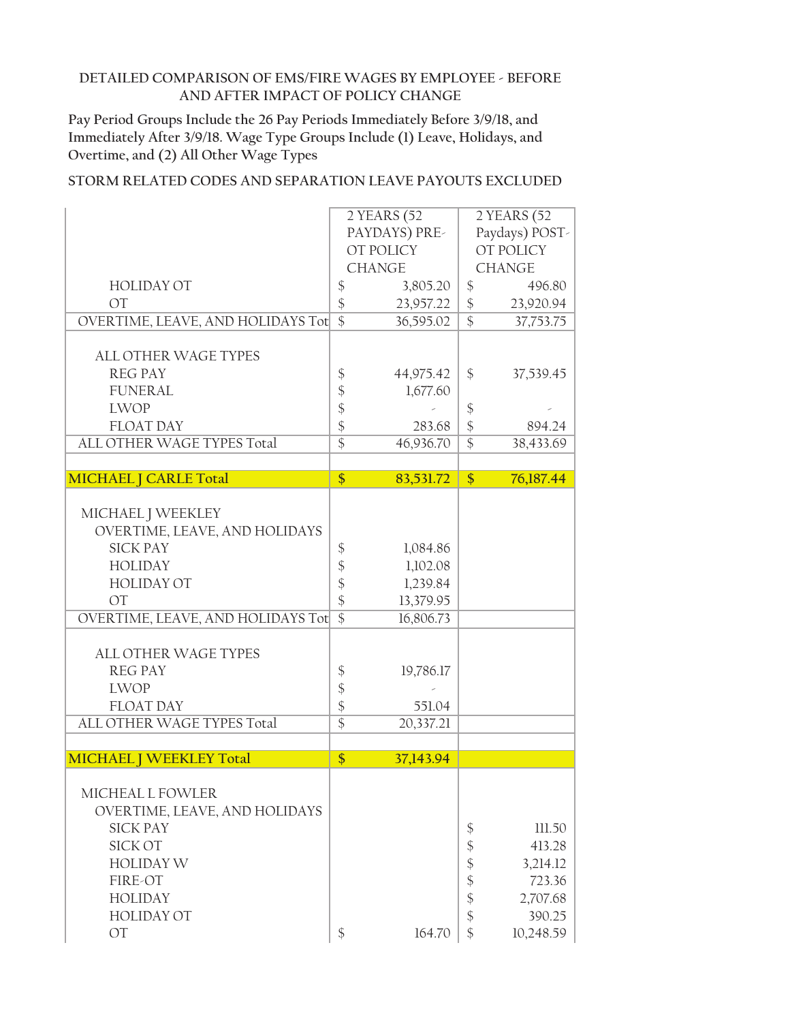**Pay Period Groups Include the 26 Pay Periods Immediately Before 3/9/18, and Immediately After 3/9/18. Wage Type Groups Include (1) Leave, Holidays, and Overtime, and (2) All Other Wage Types**

|                                   |                   | 2 YEARS (52            | 2 YEARS (52                |                |  |
|-----------------------------------|-------------------|------------------------|----------------------------|----------------|--|
|                                   |                   | PAYDAYS) PRE-          |                            | Paydays) POST- |  |
|                                   |                   | OT POLICY              |                            | OT POLICY      |  |
|                                   |                   | <b>CHANGE</b>          |                            | <b>CHANGE</b>  |  |
| <b>HOLIDAY OT</b>                 | \$                | 3,805.20               | $\frac{1}{2}$              | 496.80         |  |
| <b>OT</b>                         | \$                | 23,957.22              | $\boldsymbol{\mathsf{\$}}$ | 23,920.94      |  |
| OVERTIME, LEAVE, AND HOLIDAYS Tot | $\overline{\$}$   | 36,595.02              | $\overline{\$}$            | 37,753.75      |  |
|                                   |                   |                        |                            |                |  |
| <b>ALL OTHER WAGE TYPES</b>       |                   |                        |                            |                |  |
| <b>REG PAY</b>                    | $\boldsymbol{\$}$ | 44,975.42              | \$                         | 37,539.45      |  |
| <b>FUNERAL</b>                    | \$                | 1,677.60               |                            |                |  |
| <b>LWOP</b>                       | \$                |                        | $\frac{1}{2}$              |                |  |
| <b>FLOAT DAY</b>                  | \$                | 283.68                 | $\frac{1}{2}$              | 894.24         |  |
| ALL OTHER WAGE TYPES Total        | $\overline{\$}$   | 46,936.70              | $\overline{\$}$            | 38,433.69      |  |
|                                   |                   |                        |                            |                |  |
| <b>MICHAEL J CARLE Total</b>      | \$                | 83,531.72              | $\frac{1}{2}$              | 76,187.44      |  |
|                                   |                   |                        |                            |                |  |
| MICHAEL J WEEKLEY                 |                   |                        |                            |                |  |
| OVERTIME, LEAVE, AND HOLIDAYS     |                   |                        |                            |                |  |
| <b>SICK PAY</b>                   | \$                | 1,084.86               |                            |                |  |
| <b>HOLIDAY</b>                    | \$                | 1,102.08               |                            |                |  |
| <b>HOLIDAY OT</b>                 | \$                | 1,239.84               |                            |                |  |
| <b>OT</b>                         | $\frac{1}{2}$     |                        |                            |                |  |
| OVERTIME, LEAVE, AND HOLIDAYS Tot | $\overline{\$}$   | 13,379.95<br>16,806.73 |                            |                |  |
|                                   |                   |                        |                            |                |  |
| <b>ALL OTHER WAGE TYPES</b>       |                   |                        |                            |                |  |
| <b>REG PAY</b>                    |                   |                        |                            |                |  |
|                                   | \$                | 19,786.17              |                            |                |  |
| <b>LWOP</b>                       | \$                |                        |                            |                |  |
| <b>FLOAT DAY</b>                  | \$                | 551.04                 |                            |                |  |
| ALL OTHER WAGE TYPES Total        | $\overline{\$}$   | 20,337.21              |                            |                |  |
|                                   |                   |                        |                            |                |  |
| <b>MICHAEL   WEEKLEY Total</b>    | \$                | 37,143.94              |                            |                |  |
|                                   |                   |                        |                            |                |  |
| MICHEAL L FOWLER                  |                   |                        |                            |                |  |
| OVERTIME, LEAVE, AND HOLIDAYS     |                   |                        |                            |                |  |
| <b>SICK PAY</b>                   |                   |                        | \$                         | 111.50         |  |
| SICK OT                           |                   |                        | $\boldsymbol{\S}$          | 413.28         |  |
| <b>HOLIDAY W</b>                  |                   |                        | \$                         | 3,214.12       |  |
| FIRE-OT                           |                   |                        | \$                         | 723.36         |  |
| <b>HOLIDAY</b>                    |                   |                        | \$                         | 2,707.68       |  |
| <b>HOLIDAY OT</b>                 |                   |                        | $\frac{1}{2}$              | 390.25         |  |
| OT                                | \$                | 164.70                 | \$                         | 10,248.59      |  |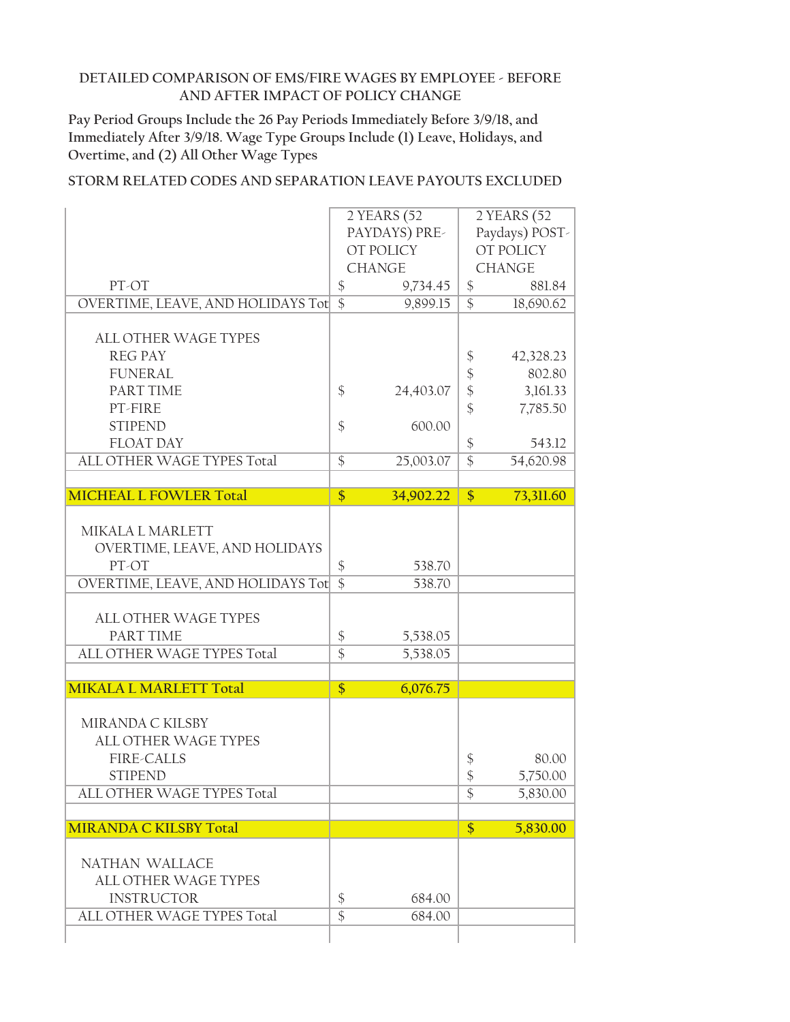**Pay Period Groups Include the 26 Pay Periods Immediately Before 3/9/18, and Immediately After 3/9/18. Wage Type Groups Include (1) Leave, Holidays, and Overtime, and (2) All Other Wage Types**

|                 | 2 YEARS (52                                                                                                                                                                                                     | 2 YEARS (52                                                                                                                         |                                                                                                                               |  |
|-----------------|-----------------------------------------------------------------------------------------------------------------------------------------------------------------------------------------------------------------|-------------------------------------------------------------------------------------------------------------------------------------|-------------------------------------------------------------------------------------------------------------------------------|--|
|                 | PAYDAYS) PRE-                                                                                                                                                                                                   |                                                                                                                                     | Paydays) POST-                                                                                                                |  |
|                 |                                                                                                                                                                                                                 |                                                                                                                                     | OT POLICY                                                                                                                     |  |
|                 |                                                                                                                                                                                                                 |                                                                                                                                     | <b>CHANGE</b>                                                                                                                 |  |
|                 |                                                                                                                                                                                                                 |                                                                                                                                     | 881.84                                                                                                                        |  |
| $\overline{\$}$ | 9,899.15                                                                                                                                                                                                        | $\overline{\mathcal{S}}$                                                                                                            | 18,690.62                                                                                                                     |  |
|                 |                                                                                                                                                                                                                 |                                                                                                                                     |                                                                                                                               |  |
|                 |                                                                                                                                                                                                                 |                                                                                                                                     |                                                                                                                               |  |
|                 |                                                                                                                                                                                                                 |                                                                                                                                     | 42,328.23                                                                                                                     |  |
|                 |                                                                                                                                                                                                                 |                                                                                                                                     | 802.80                                                                                                                        |  |
|                 |                                                                                                                                                                                                                 |                                                                                                                                     | 3,161.33                                                                                                                      |  |
|                 |                                                                                                                                                                                                                 |                                                                                                                                     | 7,785.50                                                                                                                      |  |
|                 |                                                                                                                                                                                                                 |                                                                                                                                     |                                                                                                                               |  |
|                 |                                                                                                                                                                                                                 |                                                                                                                                     | 543.12                                                                                                                        |  |
|                 |                                                                                                                                                                                                                 |                                                                                                                                     | 54,620.98                                                                                                                     |  |
|                 |                                                                                                                                                                                                                 |                                                                                                                                     |                                                                                                                               |  |
|                 |                                                                                                                                                                                                                 |                                                                                                                                     | 73,311.60                                                                                                                     |  |
|                 |                                                                                                                                                                                                                 |                                                                                                                                     |                                                                                                                               |  |
|                 |                                                                                                                                                                                                                 |                                                                                                                                     |                                                                                                                               |  |
|                 |                                                                                                                                                                                                                 |                                                                                                                                     |                                                                                                                               |  |
|                 |                                                                                                                                                                                                                 |                                                                                                                                     |                                                                                                                               |  |
|                 |                                                                                                                                                                                                                 |                                                                                                                                     |                                                                                                                               |  |
|                 |                                                                                                                                                                                                                 |                                                                                                                                     |                                                                                                                               |  |
|                 |                                                                                                                                                                                                                 |                                                                                                                                     |                                                                                                                               |  |
|                 |                                                                                                                                                                                                                 |                                                                                                                                     |                                                                                                                               |  |
|                 |                                                                                                                                                                                                                 |                                                                                                                                     |                                                                                                                               |  |
|                 |                                                                                                                                                                                                                 |                                                                                                                                     |                                                                                                                               |  |
|                 |                                                                                                                                                                                                                 |                                                                                                                                     |                                                                                                                               |  |
| \$              |                                                                                                                                                                                                                 |                                                                                                                                     |                                                                                                                               |  |
|                 | 6,076.75                                                                                                                                                                                                        |                                                                                                                                     |                                                                                                                               |  |
|                 |                                                                                                                                                                                                                 |                                                                                                                                     |                                                                                                                               |  |
|                 |                                                                                                                                                                                                                 |                                                                                                                                     |                                                                                                                               |  |
|                 |                                                                                                                                                                                                                 |                                                                                                                                     | 80.00                                                                                                                         |  |
|                 |                                                                                                                                                                                                                 | \$                                                                                                                                  |                                                                                                                               |  |
|                 |                                                                                                                                                                                                                 | \$                                                                                                                                  | 5,750.00                                                                                                                      |  |
|                 |                                                                                                                                                                                                                 | \$                                                                                                                                  | 5,830.00                                                                                                                      |  |
|                 |                                                                                                                                                                                                                 | $\frac{1}{2}$                                                                                                                       | 5,830.00                                                                                                                      |  |
|                 |                                                                                                                                                                                                                 |                                                                                                                                     |                                                                                                                               |  |
|                 |                                                                                                                                                                                                                 |                                                                                                                                     |                                                                                                                               |  |
|                 |                                                                                                                                                                                                                 |                                                                                                                                     |                                                                                                                               |  |
| \$              | 684.00                                                                                                                                                                                                          |                                                                                                                                     |                                                                                                                               |  |
| $\overline{\$}$ | 684.00                                                                                                                                                                                                          |                                                                                                                                     |                                                                                                                               |  |
|                 | $\frac{1}{2}$<br>OVERTIME, LEAVE, AND HOLIDAYS Tot<br>$\frac{1}{2}$<br>\$<br>$\frac{1}{2}$<br>\$<br>\$<br>$\overline{\$}$<br>OVERTIME, LEAVE, AND HOLIDAYS Tot<br>$\boldsymbol{\mathsf{\$}}$<br>$\overline{\$}$ | OT POLICY<br><b>CHANGE</b><br>9,734.45<br>24,403.07<br>600.00<br>25,003.07<br>34,902.22<br>538.70<br>538.70<br>5,538.05<br>5,538.05 | \$<br>\$<br>$\frac{1}{2}$<br>$\boldsymbol{\hat{\zeta}}$<br>$\frac{1}{2}$<br>$\frac{1}{2}$<br>$\overline{\$}$<br>$\frac{1}{2}$ |  |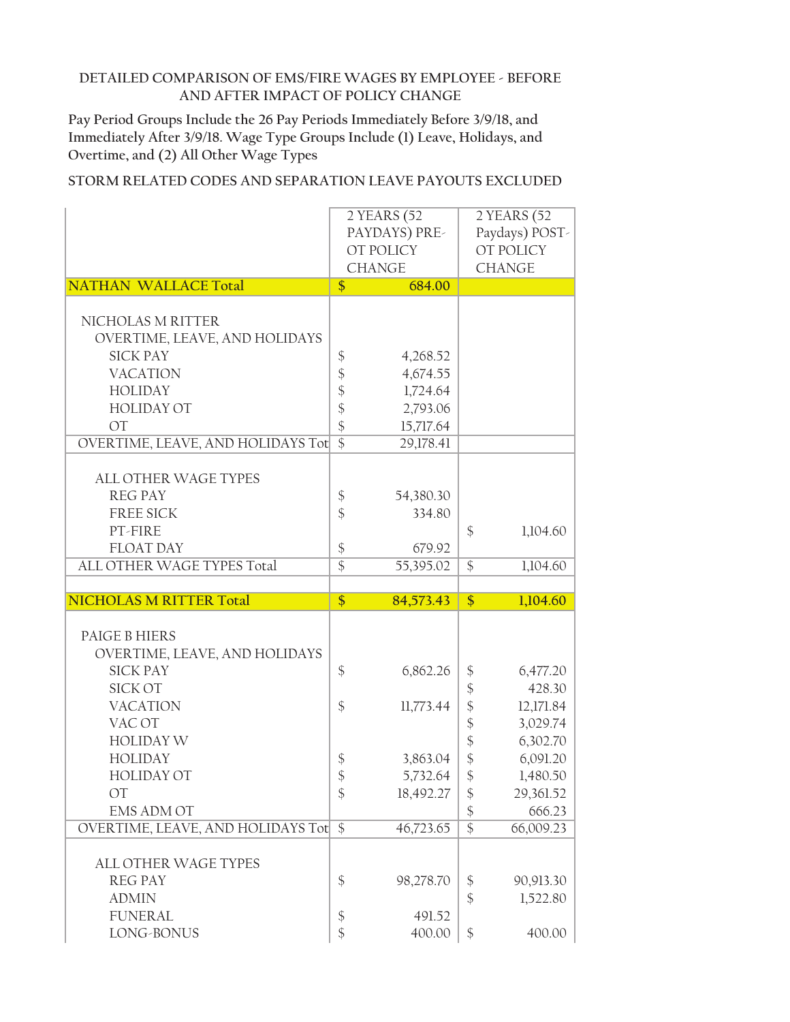**Pay Period Groups Include the 26 Pay Periods Immediately Before 3/9/18, and Immediately After 3/9/18. Wage Type Groups Include (1) Leave, Holidays, and Overtime, and (2) All Other Wage Types**

|                                   |                                    | 2 YEARS (52      | 2 YEARS (52                |                |  |
|-----------------------------------|------------------------------------|------------------|----------------------------|----------------|--|
|                                   |                                    | PAYDAYS) PRE-    |                            | Paydays) POST- |  |
|                                   |                                    | OT POLICY        |                            | OT POLICY      |  |
|                                   |                                    | <b>CHANGE</b>    |                            | <b>CHANGE</b>  |  |
| <b>NATHAN WALLACE Total</b>       | $\frac{1}{2}$                      | 684.00           |                            |                |  |
|                                   |                                    |                  |                            |                |  |
| NICHOLAS M RITTER                 |                                    |                  |                            |                |  |
| OVERTIME, LEAVE, AND HOLIDAYS     |                                    |                  |                            |                |  |
| <b>SICK PAY</b>                   | \$                                 | 4,268.52         |                            |                |  |
| <b>VACATION</b>                   |                                    | 4,674.55         |                            |                |  |
| <b>HOLIDAY</b>                    | \$484                              | 1,724.64         |                            |                |  |
| <b>HOLIDAY OT</b>                 |                                    | 2,793.06         |                            |                |  |
| <b>OT</b>                         | $\frac{1}{2}$                      | 15,717.64        |                            |                |  |
| OVERTIME, LEAVE, AND HOLIDAYS Tot | $\overline{\$}$                    | 29,178.41        |                            |                |  |
|                                   |                                    |                  |                            |                |  |
| <b>ALL OTHER WAGE TYPES</b>       |                                    |                  |                            |                |  |
| <b>REG PAY</b>                    | $\boldsymbol{\$}$                  | 54,380.30        |                            |                |  |
| <b>FREE SICK</b>                  | $\frac{1}{2}$                      | 334.80           |                            |                |  |
| PT-FIRE                           |                                    |                  | \$                         | 1,104.60       |  |
| <b>FLOAT DAY</b>                  | $\boldsymbol{\$}$                  | 679.92           |                            |                |  |
| ALL OTHER WAGE TYPES Total        | $\overline{\$}$                    | 55,395.02        | $\overline{\$}$            | 1,104.60       |  |
|                                   |                                    |                  |                            |                |  |
|                                   |                                    |                  |                            |                |  |
| <b>NICHOLAS M RITTER Total</b>    | $\overline{\$}$                    | 84,573.43        | \$                         | 1,104.60       |  |
|                                   |                                    |                  |                            |                |  |
| PAIGE B HIERS                     |                                    |                  |                            |                |  |
| OVERTIME, LEAVE, AND HOLIDAYS     |                                    |                  |                            |                |  |
| <b>SICK PAY</b>                   | $\frac{1}{2}$                      | 6,862.26         | \$                         | 6,477.20       |  |
| <b>SICK OT</b>                    |                                    |                  | \$                         | 428.30         |  |
| <b>VACATION</b>                   | $\frac{1}{2}$                      | 11,773.44        | $\boldsymbol{\hat{\zeta}}$ | 12,171.84      |  |
| VAC OT                            |                                    |                  | $\frac{1}{2}$              | 3,029.74       |  |
| <b>HOLIDAY W</b>                  |                                    |                  | $\frac{1}{2}$              | 6,302.70       |  |
| <b>HOLIDAY</b>                    | \$                                 | 3,863.04         | $\frac{1}{2}$              | 6,091.20       |  |
| <b>HOLIDAY OT</b>                 | \$                                 | 5,732.64         | \$                         | 1,480.50       |  |
| OT                                | $\frac{1}{2}$                      | 18,492.27        | \$                         | 29,361.52      |  |
| <b>EMS ADM OT</b>                 |                                    |                  | \$                         | 666.23         |  |
| OVERTIME, LEAVE, AND HOLIDAYS Tot | $\overline{\$}$                    | 46,723.65        | $\overline{\$}$            | 66,009.23      |  |
|                                   |                                    |                  |                            |                |  |
| ALL OTHER WAGE TYPES              |                                    |                  |                            |                |  |
| <b>REG PAY</b>                    | $\boldsymbol{\$}$                  | 98,278.70        | \$                         | 90,913.30      |  |
| <b>ADMIN</b>                      |                                    |                  | $\frac{1}{2}$              | 1,522.80       |  |
| <b>FUNERAL</b><br>LONG-BONUS      | $\boldsymbol{\$}$<br>$\frac{1}{2}$ | 491.52<br>400.00 | \$                         | 400.00         |  |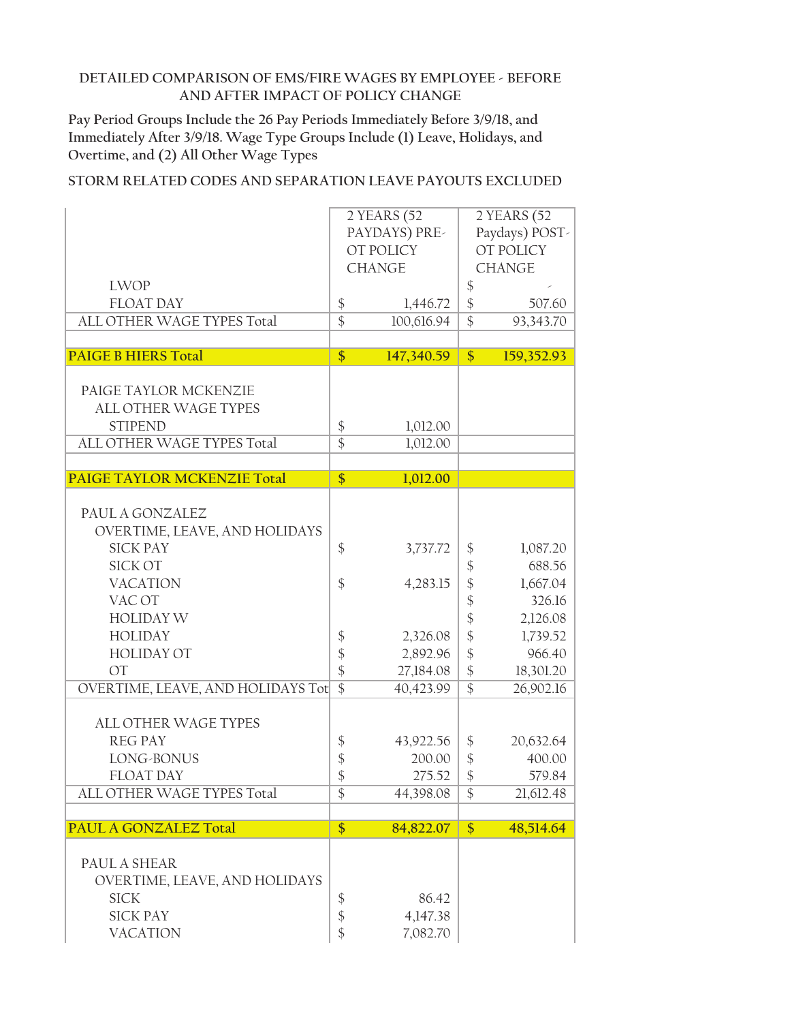**Pay Period Groups Include the 26 Pay Periods Immediately Before 3/9/18, and Immediately After 3/9/18. Wage Type Groups Include (1) Leave, Holidays, and Overtime, and (2) All Other Wage Types**

|                                    | 2 YEARS (52<br>PAYDAYS) PRE- |                            | 2 YEARS (52<br>Paydays) POST- |                            |  |
|------------------------------------|------------------------------|----------------------------|-------------------------------|----------------------------|--|
|                                    |                              | OT POLICY<br><b>CHANGE</b> |                               | OT POLICY<br><b>CHANGE</b> |  |
| <b>LWOP</b>                        |                              |                            | \$                            |                            |  |
| <b>FLOAT DAY</b>                   | $\boldsymbol{\$}$            | 1,446.72                   | $\frac{1}{2}$                 | 507.60                     |  |
| ALL OTHER WAGE TYPES Total         | $\overline{\$}$              | 100,616.94                 | $\overline{\$}$               | 93,343.70                  |  |
|                                    |                              |                            |                               |                            |  |
| <b>PAIGE B HIERS Total</b>         | $\overline{\$}$              | 147,340.59                 | $\overline{\$}$               | 159,352.93                 |  |
|                                    |                              |                            |                               |                            |  |
| PAIGE TAYLOR MCKENZIE              |                              |                            |                               |                            |  |
| <b>ALL OTHER WAGE TYPES</b>        |                              |                            |                               |                            |  |
| <b>STIPEND</b>                     | $\boldsymbol{\xi}$           | 1,012.00                   |                               |                            |  |
| ALL OTHER WAGE TYPES Total         | $\overline{\$}$              | 1,012.00                   |                               |                            |  |
|                                    |                              |                            |                               |                            |  |
| <b>PAIGE TAYLOR MCKENZIE Total</b> | $\frac{1}{2}$                | 1,012.00                   |                               |                            |  |
|                                    |                              |                            |                               |                            |  |
| PAUL A GONZALEZ                    |                              |                            |                               |                            |  |
| OVERTIME, LEAVE, AND HOLIDAYS      |                              |                            |                               |                            |  |
| <b>SICK PAY</b>                    | $\mathcal{S}$                | 3,737.72                   | \$                            | 1,087.20                   |  |
| SICK OT                            |                              |                            | \$                            | 688.56                     |  |
| <b>VACATION</b>                    | $\mathcal{S}$                | 4,283.15                   | $\frac{1}{2}$                 | 1,667.04                   |  |
| VAC OT                             |                              |                            | $\frac{1}{2}$                 | 326.16                     |  |
| <b>HOLIDAY W</b>                   |                              |                            | $\frac{1}{2}$                 | 2,126.08                   |  |
| <b>HOLIDAY</b>                     | \$                           | 2,326.08                   | $\frac{1}{2}$                 | 1,739.52                   |  |
| <b>HOLIDAY OT</b>                  | $\frac{1}{2}$                | 2,892.96                   | $\frac{1}{2}$                 | 966.40                     |  |
| <b>OT</b>                          | $\frac{1}{2}$                | 27,184.08                  | $\frac{1}{2}$                 | 18,301.20                  |  |
| OVERTIME, LEAVE, AND HOLIDAYS Tot  | $\overline{\$}$              | 40,423.99                  | $\overline{\$}$               | 26,902.16                  |  |
|                                    |                              |                            |                               |                            |  |
| <b>ALL OTHER WAGE TYPES</b>        |                              |                            |                               |                            |  |
| <b>REG PAY</b>                     | \$                           | 43,922.56                  | \$                            | 20,632.64                  |  |
| LONG-BONUS                         | \$                           | 200.00                     | $\frac{1}{2}$                 | 400.00                     |  |
| <b>FLOAT DAY</b>                   | \$                           | 275.52                     | \$                            | 579.84                     |  |
| ALL OTHER WAGE TYPES Total         | $\mathcal{S}$                | 44,398.08                  | \$                            | 21,612.48                  |  |
|                                    |                              |                            |                               |                            |  |
| PAUL A GONZALEZ Total              | $\frac{1}{2}$                | 84,822.07                  | $\frac{1}{2}$                 | 48,514.64                  |  |
|                                    |                              |                            |                               |                            |  |
| PAUL A SHEAR                       |                              |                            |                               |                            |  |
| OVERTIME, LEAVE, AND HOLIDAYS      |                              |                            |                               |                            |  |
| <b>SICK</b>                        | \$                           | 86.42                      |                               |                            |  |
| <b>SICK PAY</b>                    | $\boldsymbol{\mathsf{\$}}$   | 4,147.38                   |                               |                            |  |
| <b>VACATION</b>                    | \$                           | 7,082.70                   |                               |                            |  |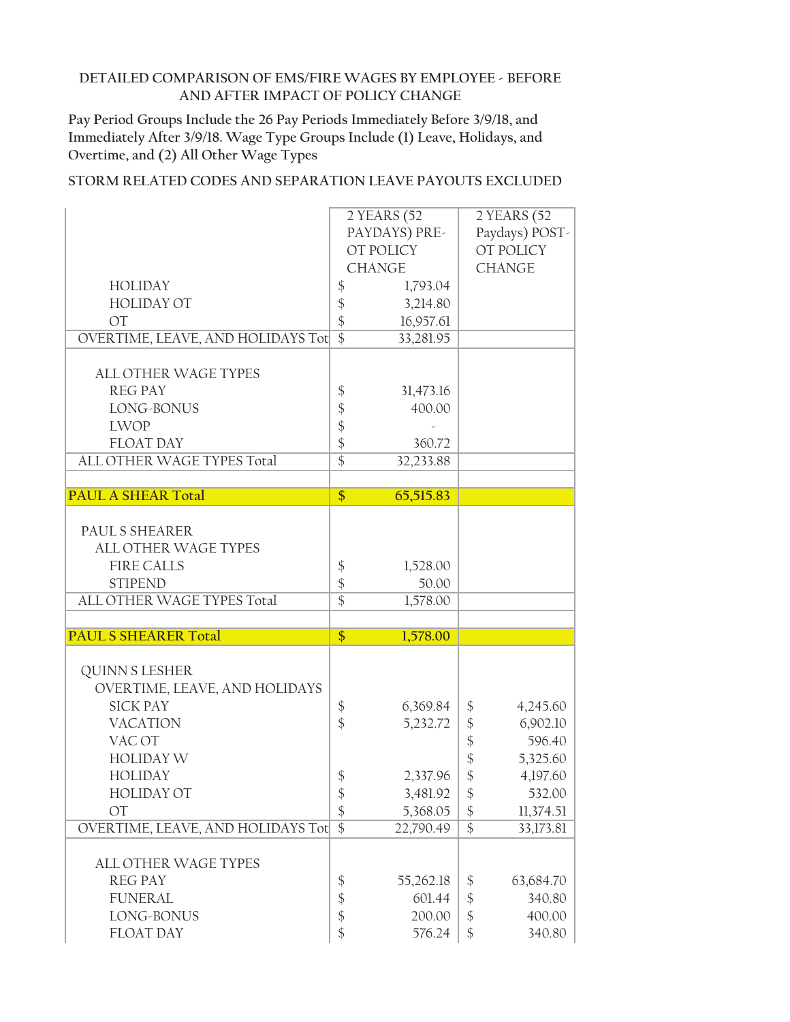**Pay Period Groups Include the 26 Pay Periods Immediately Before 3/9/18, and Immediately After 3/9/18. Wage Type Groups Include (1) Leave, Holidays, and Overtime, and (2) All Other Wage Types**

|                                   |                           | 2 YEARS (52   |                            | 2 YEARS (52    |
|-----------------------------------|---------------------------|---------------|----------------------------|----------------|
|                                   |                           | PAYDAYS) PRE- |                            | Paydays) POST- |
|                                   |                           | OT POLICY     |                            | OT POLICY      |
|                                   |                           | <b>CHANGE</b> |                            | <b>CHANGE</b>  |
| <b>HOLIDAY</b>                    | \$                        | 1,793.04      |                            |                |
| <b>HOLIDAY OT</b>                 | \$                        | 3,214.80      |                            |                |
| <b>OT</b>                         | \$                        | 16,957.61     |                            |                |
| OVERTIME, LEAVE, AND HOLIDAYS Tot | $\overline{\$}$           | 33,281.95     |                            |                |
|                                   |                           |               |                            |                |
| <b>ALL OTHER WAGE TYPES</b>       |                           |               |                            |                |
| <b>REG PAY</b>                    | \$                        | 31,473.16     |                            |                |
| LONG-BONUS                        | \$\$\$                    | 400.00        |                            |                |
| <b>LWOP</b>                       |                           |               |                            |                |
| <b>FLOAT DAY</b>                  |                           | 360.72        |                            |                |
| ALL OTHER WAGE TYPES Total        | $\overline{\$}$           | 32,233.88     |                            |                |
| <b>PAUL A SHEAR Total</b>         | \$                        | 65,515.83     |                            |                |
|                                   |                           |               |                            |                |
| PAUL S SHEARER                    |                           |               |                            |                |
| <b>ALL OTHER WAGE TYPES</b>       |                           |               |                            |                |
| <b>FIRE CALLS</b>                 | \$                        | 1,528.00      |                            |                |
| <b>STIPEND</b>                    | \$                        | 50.00         |                            |                |
| ALL OTHER WAGE TYPES Total        | $\overline{\$}$           | 1,578.00      |                            |                |
|                                   |                           |               |                            |                |
| <b>PAUL S SHEARER Total</b>       | \$                        | 1,578.00      |                            |                |
|                                   |                           |               |                            |                |
| <b>QUINN S LESHER</b>             |                           |               |                            |                |
| OVERTIME, LEAVE, AND HOLIDAYS     |                           |               |                            |                |
| <b>SICK PAY</b>                   | \$                        | 6,369.84      | \$                         | 4,245.60       |
| <b>VACATION</b>                   | $\frac{1}{2}$             | 5,232.72      | \$                         | 6,902.10       |
| VAC OT                            |                           |               | $\boldsymbol{\mathsf{\$}}$ | 596.40         |
| <b>HOLIDAY W</b>                  |                           |               | $\frac{1}{2}$              | 5,325.60       |
| <b>HOLIDAY</b>                    | \$                        | 2,337.96      | $\frac{1}{2}$              | 4,197.60       |
| <b>HOLIDAY OT</b>                 | \$                        | 3,481.92      | \$                         | 532.00         |
| <b>OT</b>                         | $\boldsymbol{\$}$         | 5,368.05      | \$                         | 11,374.51      |
| OVERTIME, LEAVE, AND HOLIDAYS Tot | $\overline{\$}$           | 22,790.49     | $\overline{\$}$            | 33,173.81      |
| ALL OTHER WAGE TYPES              |                           |               |                            |                |
| <b>REG PAY</b>                    | \$                        | 55,262.18     | \$                         | 63,684.70      |
| <b>FUNERAL</b>                    | \$                        | 601.44        | $\frac{1}{2}$              | 340.80         |
| LONG-BONUS                        | $\boldsymbol{\hat{\phi}}$ | 200.00        | \$                         | 400.00         |
| <b>FLOAT DAY</b>                  | \$                        | 576.24        | \$                         | 340.80         |
|                                   |                           |               |                            |                |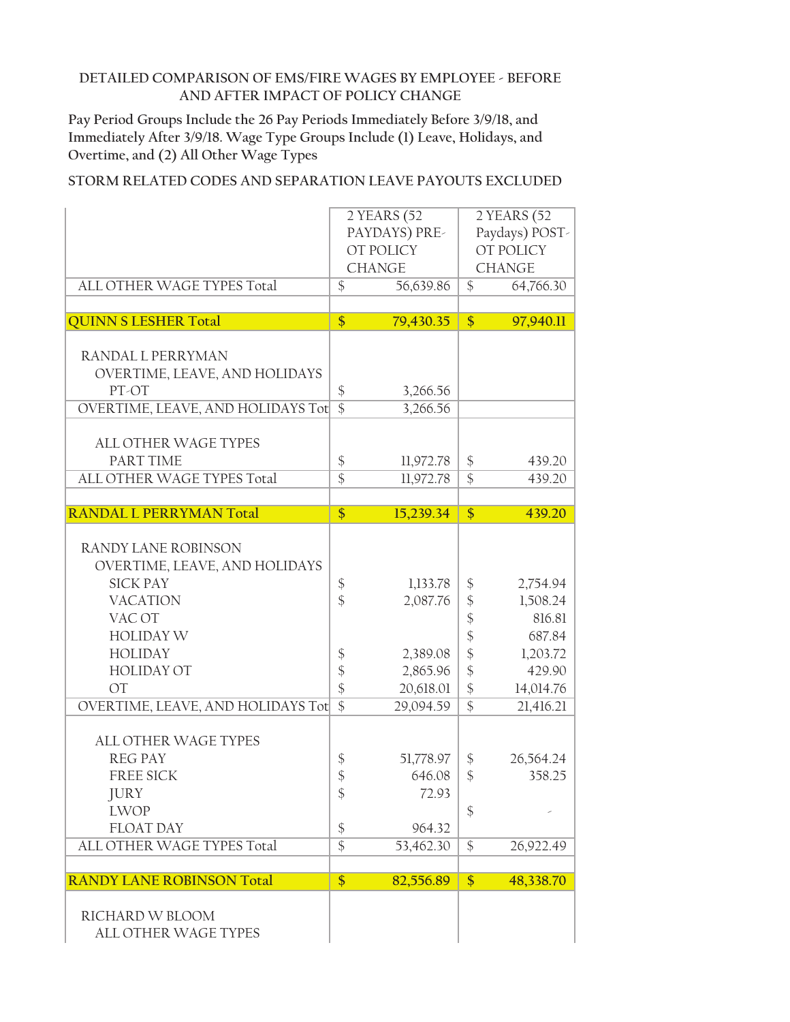**Pay Period Groups Include the 26 Pay Periods Immediately Before 3/9/18, and Immediately After 3/9/18. Wage Type Groups Include (1) Leave, Holidays, and Overtime, and (2) All Other Wage Types**

|                                                                                                                                                                                                                   | 2 YEARS (52<br>2 YEARS (52<br>PAYDAYS) PRE-<br>OT POLICY<br>OT POLICY<br><b>CHANGE</b><br><b>CHANGE</b> |                                                                        | Paydays) POST-                                                                               |                                                                                          |
|-------------------------------------------------------------------------------------------------------------------------------------------------------------------------------------------------------------------|---------------------------------------------------------------------------------------------------------|------------------------------------------------------------------------|----------------------------------------------------------------------------------------------|------------------------------------------------------------------------------------------|
| ALL OTHER WAGE TYPES Total                                                                                                                                                                                        | $\mathcal{S}$                                                                                           | 56,639.86                                                              | $\mathcal{S}$                                                                                | 64,766.30                                                                                |
|                                                                                                                                                                                                                   |                                                                                                         |                                                                        |                                                                                              |                                                                                          |
| <b>QUINN S LESHER Total</b>                                                                                                                                                                                       | \$                                                                                                      | 79,430.35                                                              | $\frac{1}{2}$                                                                                | 97,940.11                                                                                |
| RANDAL L PERRYMAN<br>OVERTIME, LEAVE, AND HOLIDAYS<br>PT-OT<br>OVERTIME, LEAVE, AND HOLIDAYS Tot                                                                                                                  | \$<br>$\overline{\$}$                                                                                   | 3,266.56                                                               |                                                                                              |                                                                                          |
|                                                                                                                                                                                                                   |                                                                                                         | 3,266.56                                                               |                                                                                              |                                                                                          |
| <b>ALL OTHER WAGE TYPES</b><br>PART TIME<br>ALL OTHER WAGE TYPES Total                                                                                                                                            | \$<br>$\overline{\$}$                                                                                   | 11,972.78<br>11,972.78                                                 | \$<br>$\overline{\$}$                                                                        | 439.20<br>439.20                                                                         |
|                                                                                                                                                                                                                   |                                                                                                         |                                                                        |                                                                                              |                                                                                          |
| <b>RANDAL L PERRYMAN Total</b>                                                                                                                                                                                    | \$                                                                                                      | 15,239.34                                                              | \$                                                                                           | 439.20                                                                                   |
| RANDY LANE ROBINSON<br>OVERTIME, LEAVE, AND HOLIDAYS<br><b>SICK PAY</b><br><b>VACATION</b><br>VAC OT<br><b>HOLIDAY W</b><br><b>HOLIDAY</b><br><b>HOLIDAY OT</b><br><b>OT</b><br>OVERTIME, LEAVE, AND HOLIDAYS Tot | \$<br>$\hat{\mathcal{L}}$<br>\$<br>\$<br>\$<br>$\overline{\$}$                                          | 1,133.78<br>2,087.76<br>2,389.08<br>2,865.96<br>20,618.01<br>29,094.59 | \$<br>\$<br>\$<br>$\boldsymbol{\hat{\zeta}}$<br>\$<br>\$<br>$\frac{1}{2}$<br>$\overline{\$}$ | 2,754.94<br>1,508.24<br>816.81<br>687.84<br>1,203.72<br>429.90<br>14,014.76<br>21,416.21 |
| <b>ALL OTHER WAGE TYPES</b><br><b>REG PAY</b><br><b>FREE SICK</b><br><b>JURY</b><br><b>LWOP</b><br><b>FLOAT DAY</b><br>ALL OTHER WAGE TYPES Total                                                                 | \$<br>\$<br>\$<br>\$<br>$\overline{\$}$                                                                 | 51,778.97<br>646.08<br>72.93<br>964.32<br>53,462.30                    | \$<br>\$<br>\$<br>$\frac{1}{2}$                                                              | 26,564.24<br>358.25<br>26,922.49                                                         |
| <b>RANDY LANE ROBINSON Total</b>                                                                                                                                                                                  | $\overline{\$}$                                                                                         | 82,556.89                                                              | $\overline{\$}$                                                                              | 48,338.70                                                                                |
| RICHARD W BLOOM<br>ALL OTHER WAGE TYPES                                                                                                                                                                           |                                                                                                         |                                                                        |                                                                                              |                                                                                          |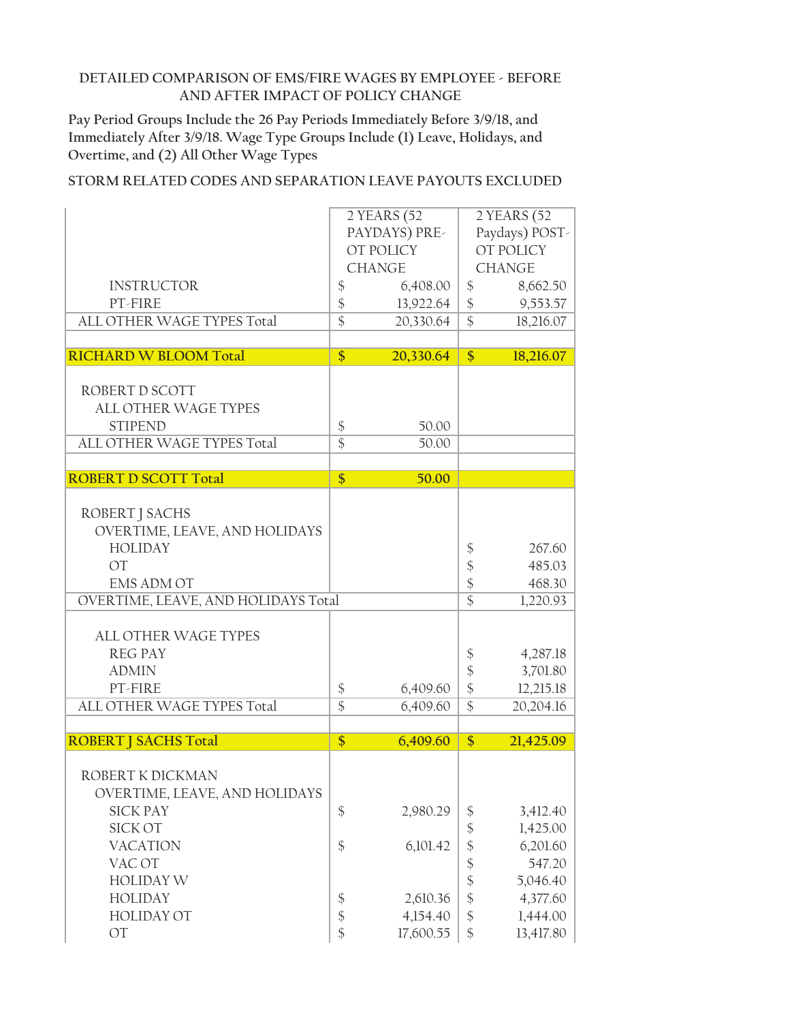**Pay Period Groups Include the 26 Pay Periods Immediately Before 3/9/18, and Immediately After 3/9/18. Wage Type Groups Include (1) Leave, Holidays, and Overtime, and (2) All Other Wage Types**

|                                               |                                       | 2 YEARS (52<br>PAYDAYS) PRE- | 2 YEARS (52<br>Paydays) POST- |               |  |
|-----------------------------------------------|---------------------------------------|------------------------------|-------------------------------|---------------|--|
|                                               |                                       | OT POLICY                    |                               | OT POLICY     |  |
|                                               |                                       | <b>CHANGE</b>                |                               | <b>CHANGE</b> |  |
| <b>INSTRUCTOR</b>                             | $\boldsymbol{\$}$                     | 6,408.00                     | \$                            | 8,662.50      |  |
| PT-FIRE                                       | $\boldsymbol{\$}$                     | 13,922.64                    | $\boldsymbol{\$}$             | 9,553.57      |  |
| ALL OTHER WAGE TYPES Total                    | $\overline{\$}$                       | 20,330.64                    | $\overline{\$}$               | 18,216.07     |  |
|                                               |                                       |                              |                               |               |  |
| <b>RICHARD W BLOOM Total</b>                  | $\overline{\$}$                       | 20,330.64                    | \$                            | 18,216.07     |  |
|                                               |                                       |                              |                               |               |  |
| ROBERT D SCOTT                                |                                       |                              |                               |               |  |
| <b>ALL OTHER WAGE TYPES</b><br><b>STIPEND</b> |                                       | 50.00                        |                               |               |  |
| ALL OTHER WAGE TYPES Total                    | $\boldsymbol{\xi}$<br>$\overline{\$}$ | 50.00                        |                               |               |  |
|                                               |                                       |                              |                               |               |  |
| <b>ROBERT D SCOTT Total</b>                   | \$                                    | 50.00                        |                               |               |  |
|                                               |                                       |                              |                               |               |  |
| ROBERT J SACHS                                |                                       |                              |                               |               |  |
| OVERTIME, LEAVE, AND HOLIDAYS                 |                                       |                              |                               |               |  |
| <b>HOLIDAY</b>                                |                                       |                              | \$                            | 267.60        |  |
| $\overline{OT}$                               |                                       |                              | $\frac{1}{2}$                 | 485.03        |  |
| <b>EMS ADM OT</b>                             |                                       |                              | $\boldsymbol{\hat{\zeta}}$    | 468.30        |  |
| OVERTIME, LEAVE, AND HOLIDAYS Total           |                                       |                              | $\overline{\$}$               | 1,220.93      |  |
|                                               |                                       |                              |                               |               |  |
| <b>ALL OTHER WAGE TYPES</b>                   |                                       |                              |                               |               |  |
| <b>REG PAY</b>                                |                                       |                              | \$                            | 4,287.18      |  |
| <b>ADMIN</b>                                  |                                       |                              | $\frac{1}{2}$                 | 3,701.80      |  |
| PT-FIRE                                       | $\boldsymbol{\$}$                     | 6,409.60                     | $\frac{1}{2}$                 | 12,215.18     |  |
| ALL OTHER WAGE TYPES Total                    | $\overline{\$}$                       | 6,409.60                     | $\overline{\$}$               | 20,204.16     |  |
| <b>ROBERT   SACHS Total</b>                   | \$                                    | 6,409.60                     | \$                            | 21,425.09     |  |
|                                               |                                       |                              |                               |               |  |
| ROBERT K DICKMAN                              |                                       |                              |                               |               |  |
| OVERTIME, LEAVE, AND HOLIDAYS                 |                                       |                              |                               |               |  |
| <b>SICK PAY</b>                               | $\frac{1}{2}$                         | 2,980.29                     | \$                            | 3,412.40      |  |
| <b>SICK OT</b>                                |                                       |                              | $\frac{1}{2}$                 | 1,425.00      |  |
| <b>VACATION</b>                               | $\boldsymbol{\$}$                     | 6,101.42                     | $\frac{1}{2}$                 | 6,201.60      |  |
| VAC OT                                        |                                       |                              | $\boldsymbol{\hat{\phi}}$     | 547.20        |  |
| <b>HOLIDAY W</b>                              |                                       |                              | $\frac{1}{2}$                 | 5,046.40      |  |
| <b>HOLIDAY</b>                                | \$                                    | 2,610.36                     | $\boldsymbol{\mathsf{\$}}$    | 4,377.60      |  |
| <b>HOLIDAY OT</b>                             | $\boldsymbol{\hat{\phi}}$             | 4,154.40                     | $\boldsymbol{\hat{\varphi}}$  | 1,444.00      |  |
| OT                                            | $\frac{1}{2}$                         | 17,600.55                    | $\frac{1}{2}$                 | 13,417.80     |  |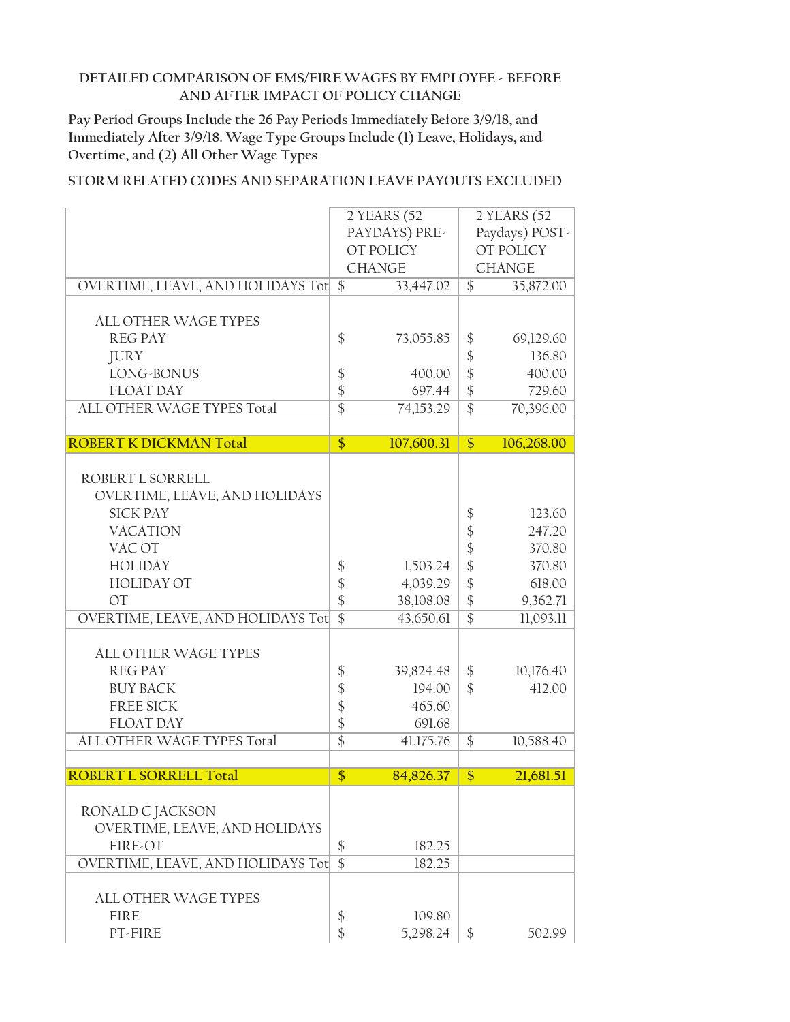**Pay Period Groups Include the 26 Pay Periods Immediately Before 3/9/18, and Immediately After 3/9/18. Wage Type Groups Include (1) Leave, Holidays, and Overtime, and (2) All Other Wage Types**

|                                      |                 | 2 YEARS (52   | 2 YEARS (52                |                |
|--------------------------------------|-----------------|---------------|----------------------------|----------------|
|                                      |                 | PAYDAYS) PRE- |                            | Paydays) POST- |
|                                      |                 | OT POLICY     |                            | OT POLICY      |
|                                      |                 | <b>CHANGE</b> | <b>CHANGE</b>              |                |
| OVERTIME, LEAVE, AND HOLIDAYS Tot \$ |                 | 33,447.02     | $\mathcal{S}$              | 35,872.00      |
|                                      |                 |               |                            |                |
| <b>ALL OTHER WAGE TYPES</b>          |                 |               |                            |                |
| <b>REG PAY</b>                       | \$              | 73,055.85     | \$                         | 69,129.60      |
| <b>JURY</b>                          |                 |               | $\boldsymbol{\mathsf{\$}}$ | 136.80         |
| LONG-BONUS                           | \$              | 400.00        | $\boldsymbol{\mathsf{\$}}$ | 400.00         |
| <b>FLOAT DAY</b>                     | \$              | 697.44        | $\frac{1}{2}$              | 729.60         |
| ALL OTHER WAGE TYPES Total           | $\overline{\$}$ | 74,153.29     | $\overline{\$}$            | 70,396.00      |
|                                      |                 |               |                            |                |
| <b>ROBERT K DICKMAN Total</b>        | $\overline{\$}$ | 107,600.31    | $\frac{1}{2}$              | 106,268.00     |
|                                      |                 |               |                            |                |
| ROBERT L SORRELL                     |                 |               |                            |                |
| OVERTIME, LEAVE, AND HOLIDAYS        |                 |               |                            |                |
| <b>SICK PAY</b>                      |                 |               | $\frac{1}{2}$              | 123.60         |
| <b>VACATION</b>                      |                 |               | $\frac{1}{2}$              | 247.20         |
| VAC OT                               |                 |               | $\frac{1}{2}$              | 370.80         |
| <b>HOLIDAY</b>                       | \$              | 1,503.24      | \$                         | 370.80         |
| <b>HOLIDAY OT</b>                    | \$              | 4,039.29      | \$                         | 618.00         |
| <b>OT</b>                            | $\frac{1}{2}$   | 38,108.08     | $\frac{1}{2}$              | 9,362.71       |
| OVERTIME, LEAVE, AND HOLIDAYS Tot    | $\overline{\$}$ | 43,650.61     | $\overline{\$}$            | 11,093.11      |
|                                      |                 |               |                            |                |
| <b>ALL OTHER WAGE TYPES</b>          |                 |               |                            |                |
| <b>REG PAY</b>                       | \$              | 39,824.48     | $\frac{1}{2}$              | 10,176.40      |
| <b>BUY BACK</b>                      | \$              | 194.00        | $\mathcal{S}$              | 412.00         |
| <b>FREE SICK</b>                     | \$              | 465.60        |                            |                |
| <b>FLOAT DAY</b>                     | \$              | 691.68        |                            |                |
| ALL OTHER WAGE TYPES Total           | $\overline{\$}$ | 41,175.76     | \$                         | 10,588.40      |
| <b>ROBERT L SORRELL Total</b>        | $\overline{\$}$ | 84,826.37     | \$                         | 21,681.51      |
|                                      |                 |               |                            |                |
| RONALD C JACKSON                     |                 |               |                            |                |
| OVERTIME, LEAVE, AND HOLIDAYS        |                 |               |                            |                |
| FIRE-OT                              | \$              | 182.25        |                            |                |
| OVERTIME, LEAVE, AND HOLIDAYS Tot    | $\overline{\$}$ | 182.25        |                            |                |
|                                      |                 |               |                            |                |
| <b>ALL OTHER WAGE TYPES</b>          |                 |               |                            |                |
| <b>FIRE</b>                          | \$              | 109.80        |                            |                |
| PT-FIRE                              | \$              | 5,298.24      | \$                         | 502.99         |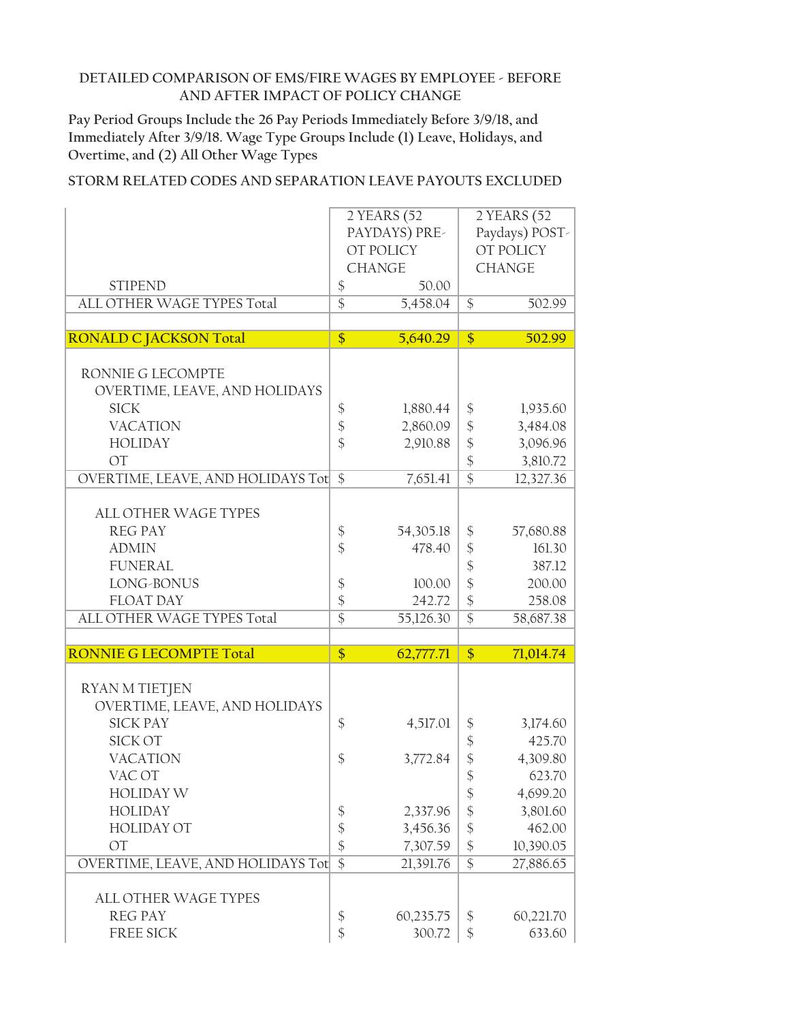**Pay Period Groups Include the 26 Pay Periods Immediately Before 3/9/18, and Immediately After 3/9/18. Wage Type Groups Include (1) Leave, Holidays, and Overtime, and (2) All Other Wage Types**

|                                   | 2 YEARS (52                           | 2 YEARS (52                            |
|-----------------------------------|---------------------------------------|----------------------------------------|
|                                   | PAYDAYS) PRE-                         | Paydays) POST-                         |
|                                   | OT POLICY                             | <b>OT POLICY</b>                       |
|                                   | <b>CHANGE</b>                         | <b>CHANGE</b>                          |
| <b>STIPEND</b>                    | \$<br>50.00                           |                                        |
| ALL OTHER WAGE TYPES Total        | $\overline{\$}$<br>5,458.04           | $\frac{1}{2}$<br>502.99                |
|                                   |                                       |                                        |
| <b>RONALD C JACKSON Total</b>     | $\overline{\$}$<br>5,640.29           | $\overline{\$}$<br>502.99              |
|                                   |                                       |                                        |
| RONNIE G LECOMPTE                 |                                       |                                        |
| OVERTIME, LEAVE, AND HOLIDAYS     |                                       |                                        |
| <b>SICK</b>                       | $\boldsymbol{\xi}$<br>1,880.44        | \$<br>1,935.60                         |
| <b>VACATION</b>                   |                                       |                                        |
|                                   | $\boldsymbol{\hat{\phi}}$<br>2,860.09 | $\frac{1}{2}$<br>3,484.08              |
| <b>HOLIDAY</b>                    | \$<br>2,910.88                        | \$<br>3,096.96                         |
| <b>OT</b>                         |                                       | $\frac{1}{2}$<br>3,810.72              |
| OVERTIME, LEAVE, AND HOLIDAYS Tot | \$<br>7,651.41                        | $\overline{\$}$<br>12,327.36           |
|                                   |                                       |                                        |
| <b>ALL OTHER WAGE TYPES</b>       |                                       |                                        |
| <b>REG PAY</b>                    | $\boldsymbol{\$}$<br>54,305.18        | \$<br>57,680.88                        |
| <b>ADMIN</b>                      | $\frac{1}{2}$<br>478.40               | \$<br>161.30                           |
| <b>FUNERAL</b>                    |                                       | 387.12                                 |
|                                   |                                       | \$                                     |
| LONG-BONUS                        | \$<br>100.00                          | \$<br>200.00                           |
| <b>FLOAT DAY</b>                  | \$<br>242.72                          | \$<br>258.08                           |
| ALL OTHER WAGE TYPES Total        | $\overline{\$}$<br>55,126.30          | $\overline{\$}$<br>58,687.38           |
|                                   |                                       |                                        |
| <b>RONNIE G LECOMPTE Total</b>    | $\overline{\$}$<br>62,777.71          | $\frac{1}{2}$<br>71,014.74             |
|                                   |                                       |                                        |
| <b>RYAN M TIETJEN</b>             |                                       |                                        |
| OVERTIME, LEAVE, AND HOLIDAYS     |                                       |                                        |
| <b>SICK PAY</b>                   | \$<br>4,517.01                        | \$<br>3,174.60                         |
| <b>SICK OT</b>                    |                                       | \$<br>425.70                           |
| <b>VACATION</b>                   | $\frac{1}{2}$<br>3,772.84             | \$<br>4,309.80                         |
|                                   |                                       |                                        |
| VAC OT                            |                                       | \$<br>623.70                           |
| <b>HOLIDAY W</b>                  |                                       | \$<br>4,699.20                         |
| <b>HOLIDAY</b>                    | $\boldsymbol{\xi}$<br>2,337.96        | $\boldsymbol{\mathsf{\$}}$<br>3,801.60 |
| HOLIDAY OT                        | \$<br>3,456.36                        | \$<br>462.00                           |
| OT                                | \$<br>7,307.59                        | $\frac{1}{2}$<br>10,390.05             |
| OVERTIME, LEAVE, AND HOLIDAYS Tot | $\overline{\$}$<br>21,391.76          | $\overline{\$}$<br>27,886.65           |
|                                   |                                       |                                        |
| ALL OTHER WAGE TYPES              |                                       |                                        |
| <b>REG PAY</b>                    | \$<br>60,235.75                       | 60,221.70<br>\$                        |
|                                   |                                       |                                        |
| FREE SICK                         | \$<br>300.72                          | \$<br>633.60                           |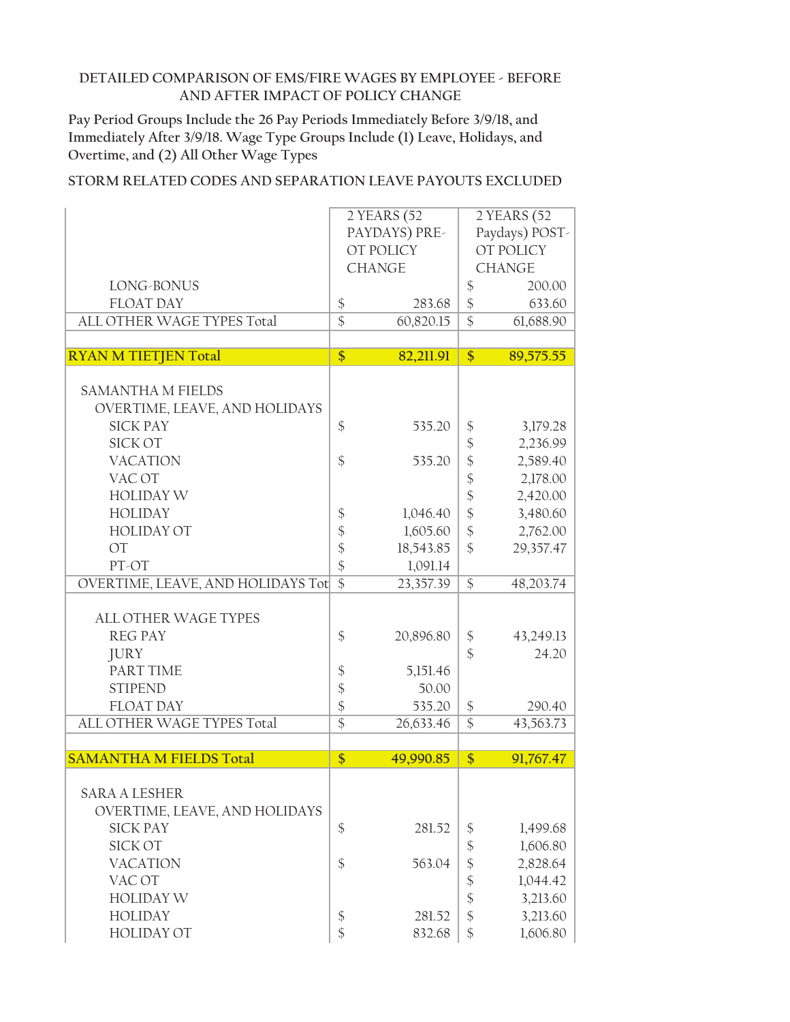**Pay Period Groups Include the 26 Pay Periods Immediately Before 3/9/18, and Immediately After 3/9/18. Wage Type Groups Include (1) Leave, Holidays, and Overtime, and (2) All Other Wage Types**

|                                   |                            | 2 YEARS (52   |                            | 2 YEARS (52      |
|-----------------------------------|----------------------------|---------------|----------------------------|------------------|
|                                   |                            | PAYDAYS) PRE- |                            | Paydays) POST-   |
|                                   |                            | OT POLICY     |                            | <b>OT POLICY</b> |
|                                   |                            | <b>CHANGE</b> |                            | <b>CHANGE</b>    |
| LONG-BONUS                        |                            |               | \$                         | 200.00           |
| <b>FLOAT DAY</b>                  | $\boldsymbol{\$}$          | 283.68        | $\frac{1}{2}$              | 633.60           |
| ALL OTHER WAGE TYPES Total        | $\overline{\$}$            | 60,820.15     | $\overline{\$}$            | 61,688.90        |
|                                   |                            |               |                            |                  |
| <b>RYAN M TIETJEN Total</b>       | $\overline{\$}$            | 82,211.91     | $\overline{\$}$            | 89,575.55        |
|                                   |                            |               |                            |                  |
| <b>SAMANTHA M FIELDS</b>          |                            |               |                            |                  |
| OVERTIME, LEAVE, AND HOLIDAYS     |                            |               |                            |                  |
| <b>SICK PAY</b>                   | $\frac{1}{2}$              | 535.20        | $\boldsymbol{\mathsf{\$}}$ | 3,179.28         |
| <b>SICK OT</b>                    |                            |               | \$                         | 2,236.99         |
|                                   |                            |               |                            |                  |
| <b>VACATION</b>                   | $\mathcal{S}$              | 535.20        | \$                         | 2,589.40         |
| VAC OT                            |                            |               | \$                         | 2,178.00         |
| <b>HOLIDAY W</b>                  |                            |               | $\frac{1}{2}$              | 2,420.00         |
| <b>HOLIDAY</b>                    | $\boldsymbol{\$}$          | 1,046.40      | $\hat{\mathcal{C}}$        | 3,480.60         |
| <b>HOLIDAY OT</b>                 | $\boldsymbol{\mathsf{\$}}$ | 1,605.60      | \$                         | 2,762.00         |
| $\overline{OT}$                   | $\frac{1}{2}$              | 18,543.85     | $\frac{1}{2}$              | 29,357.47        |
| PT-OT                             | \$                         | 1,091.14      |                            |                  |
| OVERTIME, LEAVE, AND HOLIDAYS Tot | $\overline{\$}$            | 23,357.39     | $\mathcal{S}$              | 48,203.74        |
|                                   |                            |               |                            |                  |
| <b>ALL OTHER WAGE TYPES</b>       |                            |               |                            |                  |
| <b>REG PAY</b>                    | $\frac{1}{2}$              | 20,896.80     | $\boldsymbol{\$}$          | 43,249.13        |
| <b>JURY</b>                       |                            |               | $\mathcal{S}$              | 24.20            |
| PART TIME                         | $\boldsymbol{\$}$          | 5,151.46      |                            |                  |
| <b>STIPEND</b>                    | \$                         | 50.00         |                            |                  |
| <b>FLOAT DAY</b>                  | \$                         | 535.20        | $\frac{1}{2}$              | 290.40           |
| ALL OTHER WAGE TYPES Total        | $\overline{\$}$            | 26,633.46     | $\mathcal{S}$              | 43,563.73        |
|                                   |                            |               |                            |                  |
| <b>SAMANTHA M FIELDS Total</b>    | $\frac{1}{2}$              | 49,990.85     | $\frac{1}{2}$              | 91,767.47        |
|                                   |                            |               |                            |                  |
| <b>SARA A LESHER</b>              |                            |               |                            |                  |
| OVERTIME, LEAVE, AND HOLIDAYS     |                            |               |                            |                  |
| <b>SICK PAY</b>                   | \$                         | 281.52        | \$                         | 1,499.68         |
| <b>SICK OT</b>                    |                            |               | $\boldsymbol{\hat{\zeta}}$ | 1,606.80         |
| <b>VACATION</b>                   | \$                         | 563.04        | \$                         | 2,828.64         |
|                                   |                            |               |                            |                  |
| VAC OT                            |                            |               | \$                         | 1,044.42         |
| <b>HOLIDAY W</b>                  |                            |               | \$                         | 3,213.60         |
| <b>HOLIDAY</b>                    | \$                         | 281.52        | $\frac{1}{2}$              | 3,213.60         |
| <b>HOLIDAY OT</b>                 | \$                         | 832.68        | \$                         | 1,606.80         |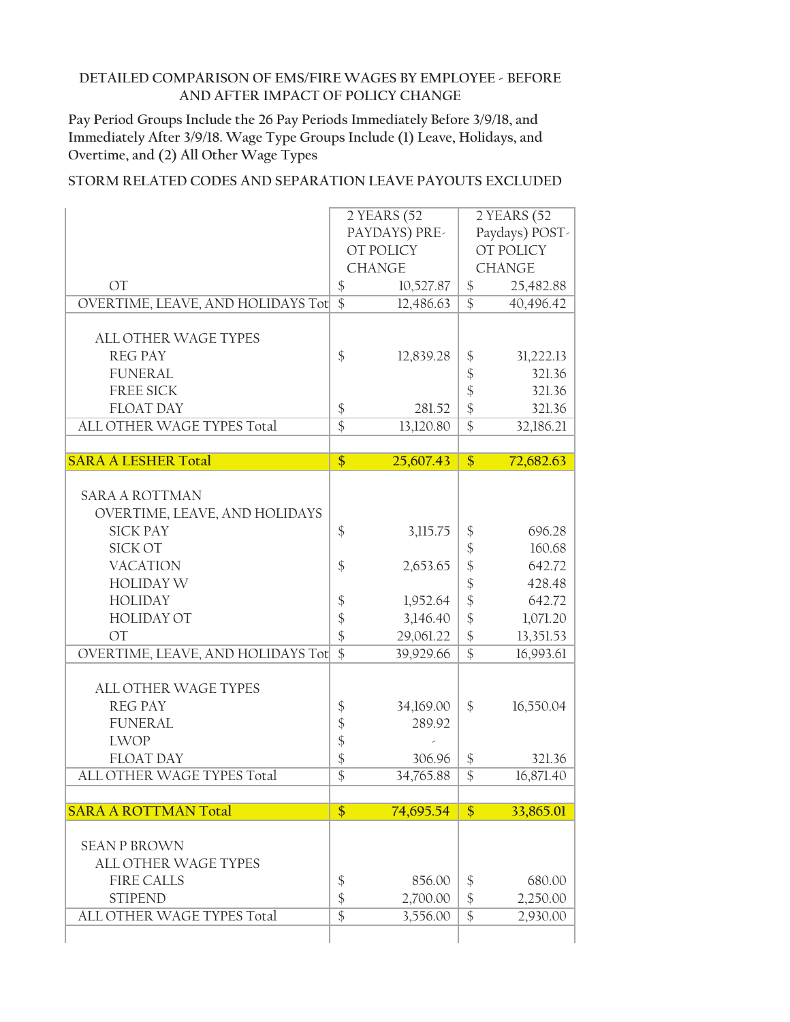**Pay Period Groups Include the 26 Pay Periods Immediately Before 3/9/18, and Immediately After 3/9/18. Wage Type Groups Include (1) Leave, Holidays, and Overtime, and (2) All Other Wage Types**

|                                   | 2 YEARS (52       |               |                            | 2 YEARS (52    |
|-----------------------------------|-------------------|---------------|----------------------------|----------------|
|                                   | PAYDAYS) PRE-     |               |                            | Paydays) POST- |
|                                   | OT POLICY         |               |                            | OT POLICY      |
|                                   |                   | <b>CHANGE</b> |                            | <b>CHANGE</b>  |
| <b>OT</b>                         | $\boldsymbol{\$}$ | 10,527.87     | $\frac{1}{2}$              | 25,482.88      |
| OVERTIME, LEAVE, AND HOLIDAYS Tot | $\overline{\$}$   | 12,486.63     | $\overline{\$}$            | 40,496.42      |
|                                   |                   |               |                            |                |
| <b>ALL OTHER WAGE TYPES</b>       |                   |               |                            |                |
| <b>REG PAY</b>                    | \$                | 12,839.28     | \$                         | 31,222.13      |
| <b>FUNERAL</b>                    |                   |               | \$                         | 321.36         |
| <b>FREE SICK</b>                  |                   |               | $\frac{1}{2}$              | 321.36         |
| <b>FLOAT DAY</b>                  | $\boldsymbol{\$}$ | 281.52        | $\boldsymbol{\hat{\zeta}}$ | 321.36         |
| ALL OTHER WAGE TYPES Total        | $\overline{\$}$   | 13,120.80     | $\overline{\$}$            | 32,186.21      |
|                                   |                   |               |                            |                |
| <b>SARA A LESHER Total</b>        | $\overline{\$}$   | 25,607.43     | $\overline{\$}$            | 72,682.63      |
|                                   |                   |               |                            |                |
| <b>SARA A ROTTMAN</b>             |                   |               |                            |                |
| OVERTIME, LEAVE, AND HOLIDAYS     |                   |               |                            |                |
| <b>SICK PAY</b>                   | $\frac{1}{2}$     | 3,115.75      | $\boldsymbol{\$}$          | 696.28         |
| <b>SICK OT</b>                    |                   |               | \$                         | 160.68         |
| <b>VACATION</b>                   | \$                | 2,653.65      | $\frac{1}{2}$              | 642.72         |
| <b>HOLIDAY W</b>                  |                   |               | $\boldsymbol{\mathsf{\$}}$ | 428.48         |
| <b>HOLIDAY</b>                    | \$                | 1,952.64      | $\frac{1}{2}$              | 642.72         |
| <b>HOLIDAY OT</b>                 | \$                | 3,146.40      | $\frac{1}{2}$              | 1,071.20       |
| <b>OT</b>                         | \$                | 29,061.22     | \$                         | 13,351.53      |
| OVERTIME, LEAVE, AND HOLIDAYS Tot | $\overline{\$}$   | 39,929.66     | $\overline{\$}$            | 16,993.61      |
|                                   |                   |               |                            |                |
| ALL OTHER WAGE TYPES              |                   |               |                            |                |
| <b>REG PAY</b>                    | \$                | 34,169.00     | \$                         | 16,550.04      |
| <b>FUNERAL</b>                    | \$                | 289.92        |                            |                |
| <b>LWOP</b>                       | \$                |               |                            |                |
| <b>FLOAT DAY</b>                  | \$                | 306.96        | \$                         | 321.36         |
| ALL OTHER WAGE TYPES Total        | $\overline{\$}$   | 34,765.88     | $\overline{\$}$            | 16,871.40      |
|                                   |                   |               |                            |                |
| <b>SARA A ROTTMAN Total</b>       | \$                | 74,695.54     | \$                         | 33,865.01      |
|                                   |                   |               |                            |                |
| <b>SEAN P BROWN</b>               |                   |               |                            |                |
| <b>ALL OTHER WAGE TYPES</b>       |                   |               |                            |                |
| <b>FIRE CALLS</b>                 | \$                | 856.00        | \$                         | 680.00         |
| <b>STIPEND</b>                    | \$                | 2,700.00      | $\frac{1}{2}$              | 2,250.00       |
| ALL OTHER WAGE TYPES Total        | $\overline{\$}$   | 3,556.00      | $\overline{\$}$            | 2,930.00       |
|                                   |                   |               |                            |                |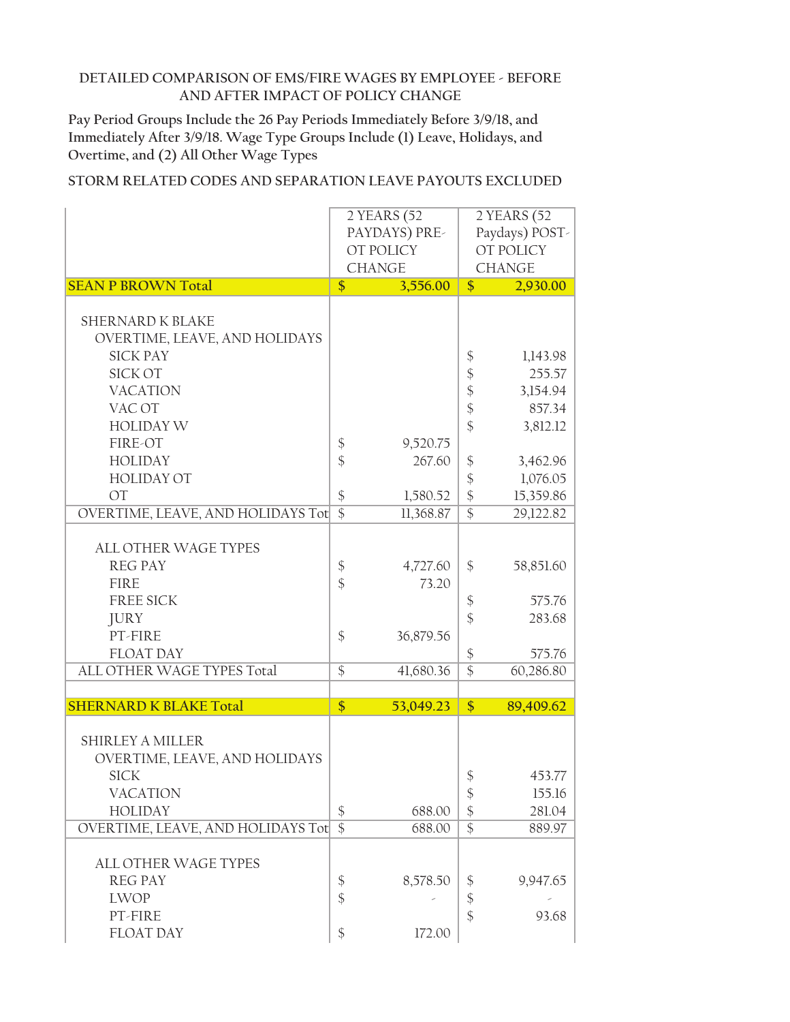**Pay Period Groups Include the 26 Pay Periods Immediately Before 3/9/18, and Immediately After 3/9/18. Wage Type Groups Include (1) Leave, Holidays, and Overtime, and (2) All Other Wage Types**

|                                   | 2 YEARS (52       |               |                            | $2$ YEARS (52  |
|-----------------------------------|-------------------|---------------|----------------------------|----------------|
|                                   | PAYDAYS) PRE-     |               |                            | Paydays) POST- |
|                                   |                   | OT POLICY     |                            | OT POLICY      |
|                                   |                   | <b>CHANGE</b> |                            | <b>CHANGE</b>  |
|                                   |                   |               |                            |                |
| <b>SEAN P BROWN Total</b>         | \$                | 3,556.00      | $\sqrt{\frac{2}{2}}$       | 2,930.00       |
|                                   |                   |               |                            |                |
| <b>SHERNARD K BLAKE</b>           |                   |               |                            |                |
| OVERTIME, LEAVE, AND HOLIDAYS     |                   |               |                            |                |
| <b>SICK PAY</b>                   |                   |               | \$                         | 1,143.98       |
|                                   |                   |               |                            |                |
| SICK OT                           |                   |               | $\boldsymbol{\$}$          | 255.57         |
| <b>VACATION</b>                   |                   |               | $\frac{1}{2}$              | 3,154.94       |
| VAC OT                            |                   |               | $\frac{1}{2}$              | 857.34         |
| <b>HOLIDAY W</b>                  |                   |               | \$                         | 3,812.12       |
| FIRE-OT                           | $\frac{1}{2}$     | 9,520.75      |                            |                |
|                                   |                   | 267.60        |                            |                |
| <b>HOLIDAY</b>                    | $\frac{1}{2}$     |               | \$                         | 3,462.96       |
| <b>HOLIDAY OT</b>                 |                   |               | $\boldsymbol{\mathsf{\$}}$ | 1,076.05       |
| <b>OT</b>                         | $\frac{1}{2}$     | 1,580.52      | $\frac{1}{2}$              | 15,359.86      |
| OVERTIME, LEAVE, AND HOLIDAYS Tot | $\overline{\$}$   | 11,368.87     | $\overline{\$}$            | 29,122.82      |
|                                   |                   |               |                            |                |
| ALL OTHER WAGE TYPES              |                   |               |                            |                |
| <b>REG PAY</b>                    |                   | 4,727.60      | \$                         | 58,851.60      |
|                                   | \$                |               |                            |                |
| <b>FIRE</b>                       | $\frac{1}{2}$     | 73.20         |                            |                |
| <b>FREE SICK</b>                  |                   |               | \$                         | 575.76         |
| <b>JURY</b>                       |                   |               | $\hat{\mathcal{L}}$        | 283.68         |
| PT-FIRE                           | \$                | 36,879.56     |                            |                |
| <b>FLOAT DAY</b>                  |                   |               | $\boldsymbol{\$}$          | 575.76         |
| ALL OTHER WAGE TYPES Total        | $\overline{\$}$   | 41,680.36     | $\overline{\$}$            | 60,286.80      |
|                                   |                   |               |                            |                |
| <b>SHERNARD K BLAKE Total</b>     |                   |               |                            |                |
|                                   | \$                | 53,049.23     | $\frac{1}{2}$              | 89,409.62      |
|                                   |                   |               |                            |                |
| <b>SHIRLEY A MILLER</b>           |                   |               |                            |                |
| OVERTIME, LEAVE, AND HOLIDAYS     |                   |               |                            |                |
| <b>SICK</b>                       |                   |               | \$                         | 453.77         |
| <b>VACATION</b>                   |                   |               | $\boldsymbol{\$}$          | 155.16         |
| <b>HOLIDAY</b>                    | $\boldsymbol{\$}$ | 688.00        | $\boldsymbol{\$}$          | 281.04         |
|                                   |                   |               |                            |                |
| OVERTIME, LEAVE, AND HOLIDAYS Tot | $\overline{\$}$   | 688.00        | $\overline{\$}$            | 889.97         |
|                                   |                   |               |                            |                |
| ALL OTHER WAGE TYPES              |                   |               |                            |                |
| <b>REG PAY</b>                    | \$                | 8,578.50      | \$                         | 9,947.65       |
| <b>LWOP</b>                       | $\frac{1}{2}$     |               | \$                         |                |
| PT-FIRE                           |                   |               | $\frac{1}{2}$              | 93.68          |
| FLOAT DAY                         | \$                | 172.00        |                            |                |
|                                   |                   |               |                            |                |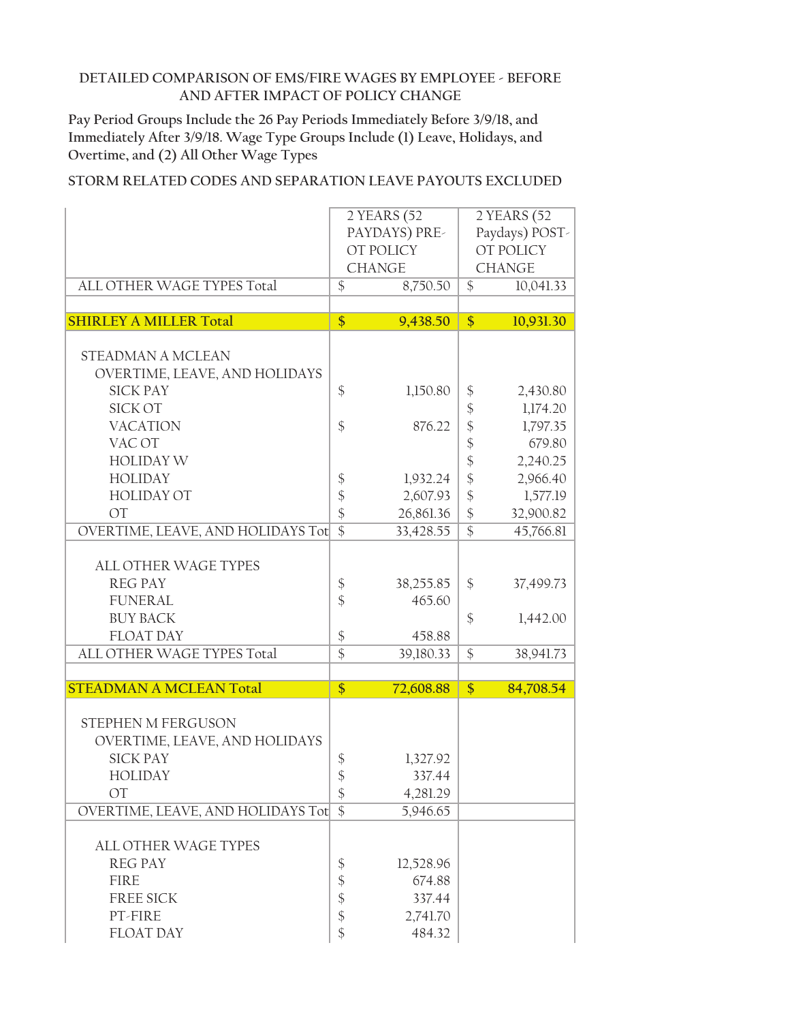**Pay Period Groups Include the 26 Pay Periods Immediately Before 3/9/18, and Immediately After 3/9/18. Wage Type Groups Include (1) Leave, Holidays, and Overtime, and (2) All Other Wage Types**

|                                               | 2 YEARS (52     |               |                            | 2 YEARS (52      |
|-----------------------------------------------|-----------------|---------------|----------------------------|------------------|
|                                               | PAYDAYS) PRE-   |               |                            | Paydays) POST-   |
|                                               |                 | OT POLICY     |                            | <b>OT POLICY</b> |
|                                               |                 | <b>CHANGE</b> |                            | <b>CHANGE</b>    |
|                                               |                 |               |                            |                  |
| $\overline{\$}$<br>ALL OTHER WAGE TYPES Total |                 | 8,750.50      | $\frac{1}{2}$              | 10,041.33        |
|                                               |                 |               |                            |                  |
| <b>SHIRLEY A MILLER Total</b>                 | \$              | 9,438.50      | \$                         | 10,931.30        |
|                                               |                 |               |                            |                  |
| <b>STEADMAN A MCLEAN</b>                      |                 |               |                            |                  |
| OVERTIME, LEAVE, AND HOLIDAYS                 |                 |               |                            |                  |
| <b>SICK PAY</b>                               | \$              | 1,150.80      | \$                         | 2,430.80         |
| <b>SICK OT</b>                                |                 |               | $\boldsymbol{\mathsf{\$}}$ | 1,174.20         |
| <b>VACATION</b>                               | \$              | 876.22        | \$                         | 1,797.35         |
| VAC OT                                        |                 |               | $\frac{1}{2}$              | 679.80           |
| <b>HOLIDAY W</b>                              |                 |               | $\frac{1}{2}$              | 2,240.25         |
| <b>HOLIDAY</b>                                |                 | 1,932.24      | $\boldsymbol{\hat{\phi}}$  | 2,966.40         |
| <b>HOLIDAY OT</b>                             | \$              |               |                            |                  |
|                                               | \$              | 2,607.93      | $\frac{1}{2}$              | 1,577.19         |
| <b>OT</b>                                     | \$              | 26,861.36     | $\frac{1}{2}$              | 32,900.82        |
| OVERTIME, LEAVE, AND HOLIDAYS Tot             | $\overline{\$}$ | 33,428.55     | $\overline{\$}$            | 45,766.81        |
|                                               |                 |               |                            |                  |
| <b>ALL OTHER WAGE TYPES</b>                   |                 |               |                            |                  |
| <b>REG PAY</b>                                | \$              | 38,255.85     | \$                         | 37,499.73        |
| <b>FUNERAL</b>                                | $\frac{1}{2}$   | 465.60        |                            |                  |
| <b>BUY BACK</b>                               |                 |               | \$                         | 1,442.00         |
| <b>FLOAT DAY</b>                              | \$              | 458.88        |                            |                  |
| ALL OTHER WAGE TYPES Total                    | $\overline{\$}$ | 39,180.33     | \$                         | 38,941.73        |
|                                               |                 |               |                            |                  |
| <b>STEADMAN A MCLEAN Total</b>                | \$              | 72,608.88     | \$                         | 84,708.54        |
|                                               |                 |               |                            |                  |
| STEPHEN M FERGUSON                            |                 |               |                            |                  |
| OVERTIME, LEAVE, AND HOLIDAYS                 |                 |               |                            |                  |
| <b>SICK PAY</b>                               | \$              | 1,327.92      |                            |                  |
|                                               | $\frac{1}{2}$   |               |                            |                  |
| <b>HOLIDAY</b>                                |                 | 337.44        |                            |                  |
| <b>OT</b>                                     | \$              | 4,281.29      |                            |                  |
| OVERTIME, LEAVE, AND HOLIDAYS Tot             | $\overline{\$}$ | 5,946.65      |                            |                  |
|                                               |                 |               |                            |                  |
| ALL OTHER WAGE TYPES                          |                 |               |                            |                  |
| <b>REG PAY</b>                                | \$              | 12,528.96     |                            |                  |
| <b>FIRE</b>                                   | \$              | 674.88        |                            |                  |
| <b>FREE SICK</b>                              | \$              | 337.44        |                            |                  |
| PT-FIRE                                       | \$              | 2,741.70      |                            |                  |
| <b>FLOAT DAY</b>                              | \$              | 484.32        |                            |                  |
|                                               |                 |               |                            |                  |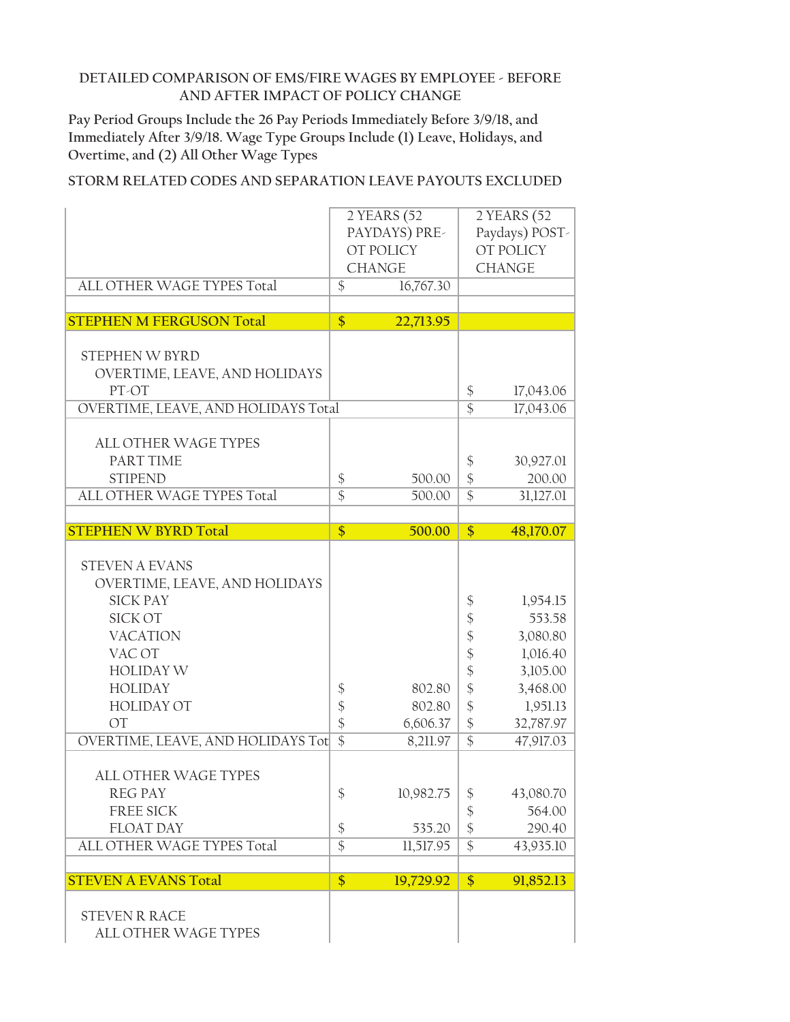**Pay Period Groups Include the 26 Pay Periods Immediately Before 3/9/18, and Immediately After 3/9/18. Wage Type Groups Include (1) Leave, Holidays, and Overtime, and (2) All Other Wage Types**

| ALL OTHER WAGE TYPES Total                                                                                                                                                                                                                                                                                                                                   | $\mathcal{S}$                                                               | 2 YEARS (52<br>PAYDAYS) PRE-<br>OT POLICY<br><b>CHANGE</b><br>16,767.30      |                                                                                                                                                                            | 2 YEARS (52<br>Paydays) POST-<br>OT POLICY<br><b>CHANGE</b>                                                                                            |
|--------------------------------------------------------------------------------------------------------------------------------------------------------------------------------------------------------------------------------------------------------------------------------------------------------------------------------------------------------------|-----------------------------------------------------------------------------|------------------------------------------------------------------------------|----------------------------------------------------------------------------------------------------------------------------------------------------------------------------|--------------------------------------------------------------------------------------------------------------------------------------------------------|
|                                                                                                                                                                                                                                                                                                                                                              |                                                                             |                                                                              |                                                                                                                                                                            |                                                                                                                                                        |
| <b>STEPHEN M FERGUSON Total</b>                                                                                                                                                                                                                                                                                                                              | \$                                                                          | 22,713.95                                                                    |                                                                                                                                                                            |                                                                                                                                                        |
| STEPHEN W BYRD<br>OVERTIME, LEAVE, AND HOLIDAYS<br>PT-OT                                                                                                                                                                                                                                                                                                     |                                                                             |                                                                              | \$                                                                                                                                                                         | 17,043.06                                                                                                                                              |
| OVERTIME, LEAVE, AND HOLIDAYS Total                                                                                                                                                                                                                                                                                                                          |                                                                             |                                                                              | $\overline{\$}$                                                                                                                                                            | 17,043.06                                                                                                                                              |
| <b>ALL OTHER WAGE TYPES</b><br>PART TIME<br><b>STIPEND</b><br>ALL OTHER WAGE TYPES Total                                                                                                                                                                                                                                                                     | \$<br>$\overline{\$}$                                                       | 500.00<br>500.00                                                             | \$<br>$\frac{1}{2}$<br>$\overline{\$}$                                                                                                                                     | 30,927.01<br>200.00<br>31,127.01                                                                                                                       |
| <b>STEPHEN W BYRD Total</b>                                                                                                                                                                                                                                                                                                                                  | \$                                                                          | 500.00                                                                       | \$                                                                                                                                                                         | 48,170.07                                                                                                                                              |
| <b>STEVEN A EVANS</b><br>OVERTIME, LEAVE, AND HOLIDAYS<br><b>SICK PAY</b><br><b>SICK OT</b><br><b>VACATION</b><br>VAC OT<br><b>HOLIDAY W</b><br><b>HOLIDAY</b><br><b>HOLIDAY OT</b><br><b>OT</b><br>OVERTIME, LEAVE, AND HOLIDAYS Tot<br><b>ALL OTHER WAGE TYPES</b><br><b>REG PAY</b><br><b>FREE SICK</b><br><b>FLOAT DAY</b><br>ALL OTHER WAGE TYPES Total | \$<br>\$<br>$\frac{1}{2}$<br>$\overline{\$}$<br>\$<br>\$<br>$\overline{\$}$ | 802.80<br>802.80<br>6,606.37<br>8,211.97<br>10,982.75<br>535.20<br>11,517.95 | \$<br>\$<br>$\frac{1}{2}$<br>$\frac{1}{2}$<br>$\frac{1}{2}$<br>\$<br>\$<br>$\frac{1}{2}$<br>$\overline{\$}$<br>\$<br>$\boldsymbol{\S}$<br>$\frac{1}{2}$<br>$\overline{\$}$ | 1,954.15<br>553.58<br>3,080.80<br>1,016.40<br>3,105.00<br>3,468.00<br>1,951.13<br>32,787.97<br>47,917.03<br>43,080.70<br>564.00<br>290.40<br>43,935.10 |
| <b>STEVEN A EVANS Total</b>                                                                                                                                                                                                                                                                                                                                  | $\overline{\$}$                                                             | 19,729.92                                                                    | $\overline{\$}$                                                                                                                                                            | 91,852.13                                                                                                                                              |
| <b>STEVEN R RACE</b><br>ALL OTHER WAGE TYPES                                                                                                                                                                                                                                                                                                                 |                                                                             |                                                                              |                                                                                                                                                                            |                                                                                                                                                        |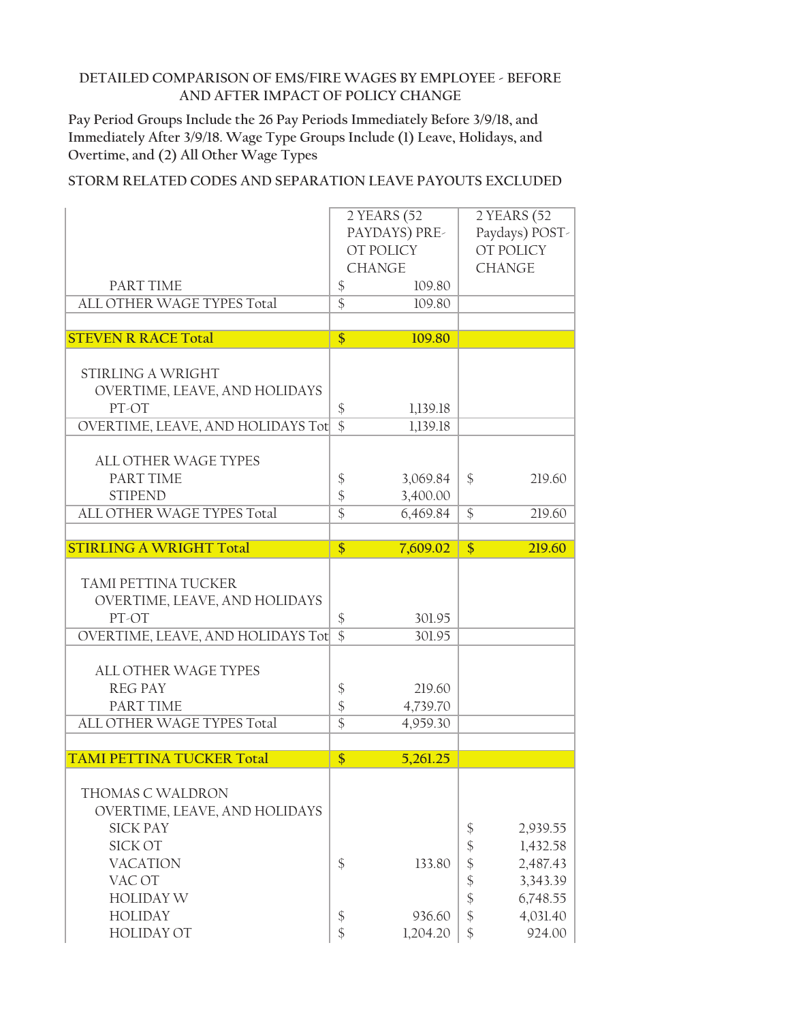**Pay Period Groups Include the 26 Pay Periods Immediately Before 3/9/18, and Immediately After 3/9/18. Wage Type Groups Include (1) Leave, Holidays, and Overtime, and (2) All Other Wage Types**

|                                                                                                                                  | 2 YEARS (52<br>PAYDAYS) PRE-<br>OT POLICY                      |                                |                                                                                                      | 2 YEARS (52<br>Paydays) POST-<br>OT POLICY               |
|----------------------------------------------------------------------------------------------------------------------------------|----------------------------------------------------------------|--------------------------------|------------------------------------------------------------------------------------------------------|----------------------------------------------------------|
|                                                                                                                                  |                                                                | <b>CHANGE</b>                  |                                                                                                      | <b>CHANGE</b>                                            |
| <b>PART TIME</b>                                                                                                                 | $\frac{1}{2}$                                                  | 109.80                         |                                                                                                      |                                                          |
| ALL OTHER WAGE TYPES Total                                                                                                       | $\overline{\$}$                                                | 109.80                         |                                                                                                      |                                                          |
|                                                                                                                                  |                                                                |                                |                                                                                                      |                                                          |
| <b>STEVEN R RACE Total</b>                                                                                                       | \$                                                             | 109.80                         |                                                                                                      |                                                          |
|                                                                                                                                  |                                                                |                                |                                                                                                      |                                                          |
| <b>STIRLING A WRIGHT</b>                                                                                                         |                                                                |                                |                                                                                                      |                                                          |
| OVERTIME, LEAVE, AND HOLIDAYS                                                                                                    |                                                                |                                |                                                                                                      |                                                          |
| PT-OT                                                                                                                            | \$<br>$\overline{\$}$                                          | 1,139.18                       |                                                                                                      |                                                          |
| OVERTIME, LEAVE, AND HOLIDAYS Tot                                                                                                |                                                                | 1,139.18                       |                                                                                                      |                                                          |
| <b>ALL OTHER WAGE TYPES</b>                                                                                                      |                                                                |                                |                                                                                                      |                                                          |
| PART TIME                                                                                                                        | \$                                                             | 3,069.84                       | \$                                                                                                   | 219.60                                                   |
| <b>STIPEND</b>                                                                                                                   | $\boldsymbol{\mathsf{\$}}$                                     | 3,400.00                       |                                                                                                      |                                                          |
| ALL OTHER WAGE TYPES Total                                                                                                       | $\overline{\$}$                                                | 6,469.84                       | $\mathcal{S}$                                                                                        | 219.60                                                   |
|                                                                                                                                  |                                                                |                                |                                                                                                      |                                                          |
| <b>STIRLING A WRIGHT Total</b>                                                                                                   | $\frac{1}{2}$                                                  | 7,609.02                       | $\boldsymbol{\hat{\mathsf{S}}}$                                                                      | 219.60                                                   |
| TAMI PETTINA TUCKER<br>OVERTIME, LEAVE, AND HOLIDAYS<br>PT-OT                                                                    | \$                                                             | 301.95                         |                                                                                                      |                                                          |
| OVERTIME, LEAVE, AND HOLIDAYS Tot                                                                                                | $\overline{\$}$                                                | 301.95                         |                                                                                                      |                                                          |
| <b>ALL OTHER WAGE TYPES</b><br><b>REG PAY</b><br>PART TIME<br>ALL OTHER WAGE TYPES Total                                         | $\frac{1}{2}$<br>$\boldsymbol{\mathsf{\$}}$<br>$\overline{\$}$ | 219.60<br>4,739.70<br>4,959.30 |                                                                                                      |                                                          |
|                                                                                                                                  |                                                                |                                |                                                                                                      |                                                          |
| <b>TAMI PETTINA TUCKER Total</b>                                                                                                 | \$                                                             | 5,261.25                       |                                                                                                      |                                                          |
| THOMAS C WALDRON<br>OVERTIME, LEAVE, AND HOLIDAYS<br><b>SICK PAY</b><br>SICK OT<br><b>VACATION</b><br>VAC OT<br><b>HOLIDAY W</b> | $\frac{1}{2}$                                                  | 133.80                         | \$<br>\$<br>$\boldsymbol{\mathsf{\$}}$<br>$\boldsymbol{\hat{\varphi}}$<br>$\boldsymbol{\mathsf{\$}}$ | 2,939.55<br>1,432.58<br>2,487.43<br>3,343.39<br>6,748.55 |
| <b>HOLIDAY</b>                                                                                                                   | $\frac{1}{2}$<br>$\frac{1}{2}$                                 | 936.60                         | $\boldsymbol{\hat{\zeta}}$<br>$\frac{1}{2}$                                                          | 4,031.40                                                 |
| <b>HOLIDAY OT</b>                                                                                                                |                                                                | 1,204.20                       |                                                                                                      | 924.00                                                   |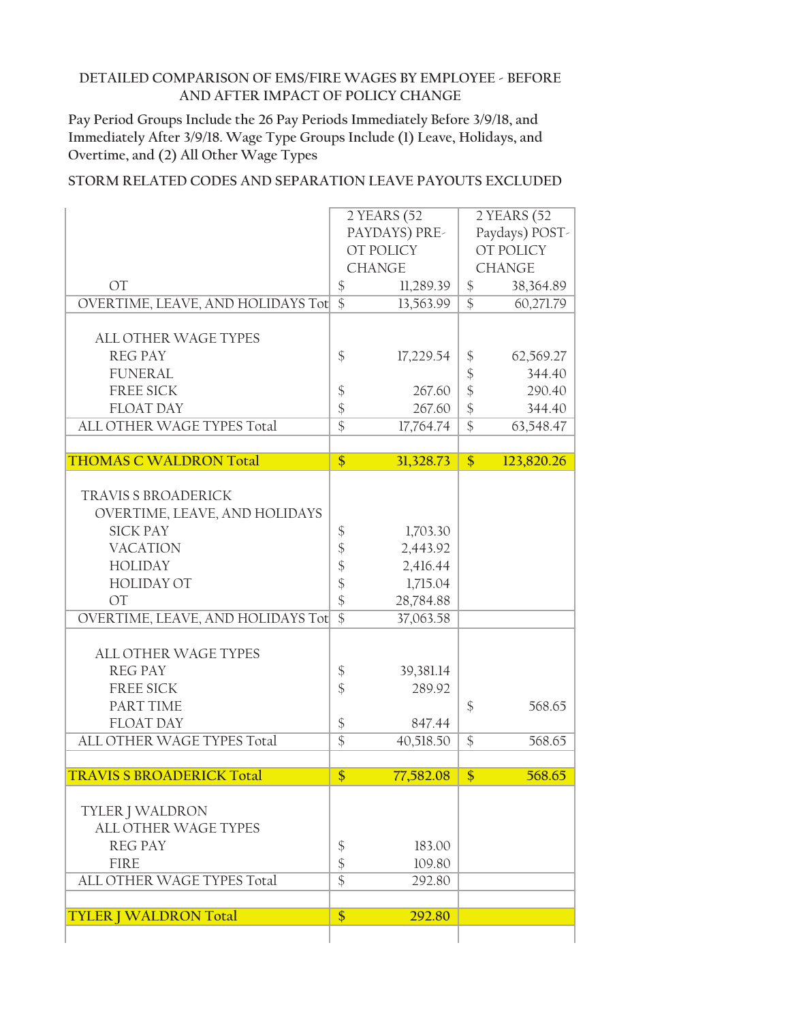**Pay Period Groups Include the 26 Pay Periods Immediately Before 3/9/18, and Immediately After 3/9/18. Wage Type Groups Include (1) Leave, Holidays, and Overtime, and (2) All Other Wage Types**

|                                   |                   | 2 YEARS (52 |                 | 2 YEARS (52    |
|-----------------------------------|-------------------|-------------|-----------------|----------------|
|                                   | PAYDAYS) PRE-     |             |                 | Paydays) POST- |
|                                   | OT POLICY         |             |                 | OT POLICY      |
|                                   | <b>CHANGE</b>     |             |                 | <b>CHANGE</b>  |
| OT                                | \$                | 11,289.39   | $\frac{1}{2}$   | 38,364.89      |
| OVERTIME, LEAVE, AND HOLIDAYS Tot | $\overline{\$}$   | 13,563.99   | $\overline{\$}$ | 60,271.79      |
|                                   |                   |             |                 |                |
| <b>ALL OTHER WAGE TYPES</b>       |                   |             |                 |                |
| <b>REG PAY</b>                    | \$                | 17,229.54   | \$              | 62,569.27      |
| <b>FUNERAL</b>                    |                   |             | $\frac{1}{2}$   | 344.40         |
| <b>FREE SICK</b>                  | $\boldsymbol{\$}$ | 267.60      | \$              | 290.40         |
| <b>FLOAT DAY</b>                  | $\frac{1}{2}$     | 267.60      | $\frac{1}{2}$   | 344.40         |
| ALL OTHER WAGE TYPES Total        | $\overline{\$}$   |             | $\overline{\$}$ |                |
|                                   |                   | 17,764.74   |                 | 63,548.47      |
| <b>THOMAS C WALDRON Total</b>     | $\overline{\$}$   | 31,328.73   | \$              | 123,820.26     |
|                                   |                   |             |                 |                |
| <b>TRAVIS S BROADERICK</b>        |                   |             |                 |                |
| OVERTIME, LEAVE, AND HOLIDAYS     |                   |             |                 |                |
| <b>SICK PAY</b>                   |                   | 1,703.30    |                 |                |
| <b>VACATION</b>                   | \$                |             |                 |                |
|                                   | \$                | 2,443.92    |                 |                |
| <b>HOLIDAY</b>                    | \$                | 2,416.44    |                 |                |
| <b>HOLIDAY OT</b>                 | $\boldsymbol{\$}$ | 1,715.04    |                 |                |
| OT                                | \$                | 28,784.88   |                 |                |
| OVERTIME, LEAVE, AND HOLIDAYS Tot | $\overline{\$}$   | 37,063.58   |                 |                |
|                                   |                   |             |                 |                |
| <b>ALL OTHER WAGE TYPES</b>       |                   |             |                 |                |
| <b>REG PAY</b>                    | \$                | 39,381.14   |                 |                |
| FREE SICK                         | $\frac{1}{2}$     | 289.92      |                 |                |
| PART TIME                         |                   |             | \$              | 568.65         |
| <b>FLOAT DAY</b>                  | $\boldsymbol{\$}$ | 847.44      |                 |                |
| ALL OTHER WAGE TYPES Total        | $\overline{\$}$   | 40,518.50   | $\$\$           | 568.65         |
|                                   |                   |             |                 |                |
| <b>TRAVIS S BROADERICK Total</b>  | $\overline{\$}$   | 77,582.08   | $\overline{\$}$ | 568.65         |
|                                   |                   |             |                 |                |
| <b>TYLER J WALDRON</b>            |                   |             |                 |                |
| ALL OTHER WAGE TYPES              |                   |             |                 |                |
| <b>REG PAY</b>                    | \$                | 183.00      |                 |                |
| <b>FIRE</b>                       | \$                | 109.80      |                 |                |
| <b>ALL OTHER WAGE TYPES Total</b> | $\overline{\$}$   | 292.80      |                 |                |
|                                   |                   |             |                 |                |
| <b>TYLER   WALDRON Total</b>      | $\frac{1}{2}$     | 292.80      |                 |                |
|                                   |                   |             |                 |                |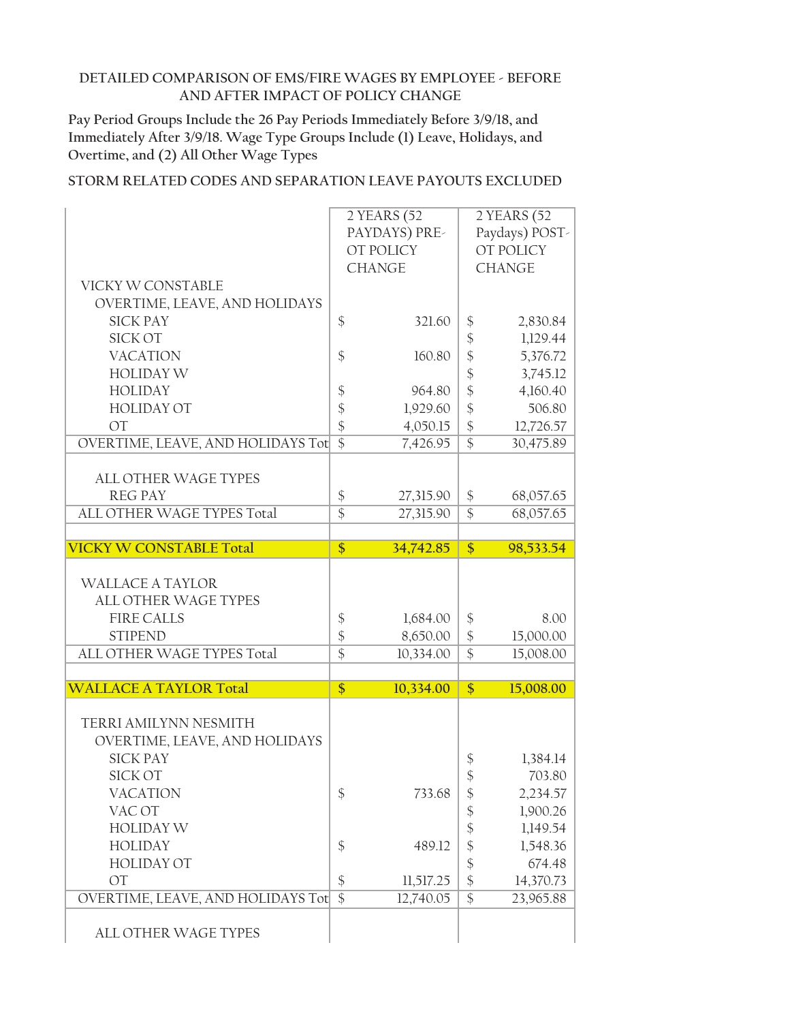**Pay Period Groups Include the 26 Pay Periods Immediately Before 3/9/18, and Immediately After 3/9/18. Wage Type Groups Include (1) Leave, Holidays, and Overtime, and (2) All Other Wage Types**

|                                   |                 | $2$ YEARS $\overline{(52)}$ |                              | 2 YEARS (52    |
|-----------------------------------|-----------------|-----------------------------|------------------------------|----------------|
|                                   |                 | PAYDAYS) PRE-               |                              | Paydays) POST- |
|                                   |                 | OT POLICY                   |                              | OT POLICY      |
|                                   |                 | <b>CHANGE</b>               |                              | <b>CHANGE</b>  |
| VICKY W CONSTABLE                 |                 |                             |                              |                |
| OVERTIME, LEAVE, AND HOLIDAYS     |                 |                             |                              |                |
| <b>SICK PAY</b>                   | \$              | 321.60                      | \$                           | 2,830.84       |
| <b>SICK OT</b>                    |                 |                             | $\frac{1}{2}$                | 1,129.44       |
| <b>VACATION</b>                   | $\frac{1}{2}$   | 160.80                      | $\hat{\varphi}$              | 5,376.72       |
| <b>HOLIDAY W</b>                  |                 |                             | $\boldsymbol{\hat{\varphi}}$ | 3,745.12       |
| <b>HOLIDAY</b>                    | \$              | 964.80                      | $\hat{\mathcal{C}}$          | 4,160.40       |
| <b>HOLIDAY OT</b>                 | \$              | 1,929.60                    | $\frac{1}{2}$                | 506.80         |
| <b>OT</b>                         | \$              | 4,050.15                    | $\boldsymbol{\hat{\zeta}}$   | 12,726.57      |
| OVERTIME, LEAVE, AND HOLIDAYS Tot | $\overline{\$}$ | 7,426.95                    | $\overline{\$}$              |                |
|                                   |                 |                             |                              | 30,475.89      |
| <b>ALL OTHER WAGE TYPES</b>       |                 |                             |                              |                |
| <b>REG PAY</b>                    | \$              | 27,315.90                   | \$                           | 68,057.65      |
| <b>ALL OTHER WAGE TYPES Total</b> | $\overline{\$}$ | 27,315.90                   | $\overline{\$}$              | 68,057.65      |
|                                   |                 |                             |                              |                |
| <b>VICKY W CONSTABLE Total</b>    | $\frac{1}{2}$   | 34,742.85                   | $\frac{1}{2}$                | 98,533.54      |
|                                   |                 |                             |                              |                |
|                                   |                 |                             |                              |                |
| <b>WALLACE A TAYLOR</b>           |                 |                             |                              |                |
| <b>ALL OTHER WAGE TYPES</b>       |                 |                             |                              |                |
| <b>FIRE CALLS</b>                 | \$              | 1,684.00                    | \$                           | 8.00           |
| <b>STIPEND</b>                    | $\frac{1}{2}$   | 8,650.00                    | $\boldsymbol{\hat{\zeta}}$   | 15,000.00      |
| ALL OTHER WAGE TYPES Total        | $\overline{\$}$ | 10,334.00                   | $\overline{\$}$              | 15,008.00      |
|                                   |                 |                             |                              |                |
| <b>WALLACE A TAYLOR Total</b>     | \$              | 10,334.00                   | \$                           | 15,008.00      |
|                                   |                 |                             |                              |                |
| TERRI AMILYNN NESMITH             |                 |                             |                              |                |
| OVERTIME, LEAVE, AND HOLIDAYS     |                 |                             |                              |                |
| <b>SICK PAY</b>                   |                 |                             | \$                           | 1,384.14       |
| <b>SICK OT</b>                    |                 |                             | \$                           | 703.80         |
| <b>VACATION</b>                   | \$              | 733.68                      | \$                           | 2,234.57       |
| VAC OT                            |                 |                             | $\frac{1}{2}$                | 1,900.26       |
| <b>HOLIDAY W</b>                  |                 |                             | \$                           | 1,149.54       |
| <b>HOLIDAY</b>                    | $\frac{1}{2}$   | 489.12                      | $\boldsymbol{\hat{\varphi}}$ | 1,548.36       |
| <b>HOLIDAY OT</b>                 |                 |                             | $\frac{1}{2}$                | 674.48         |
| <b>OT</b>                         | \$              | 11,517.25                   | $\frac{1}{2}$                | 14,370.73      |
| OVERTIME, LEAVE, AND HOLIDAYS Tot | $\overline{\$}$ | 12,740.05                   | $\overline{\$}$              | 23,965.88      |
| ALL OTHER WAGE TYPES              |                 |                             |                              |                |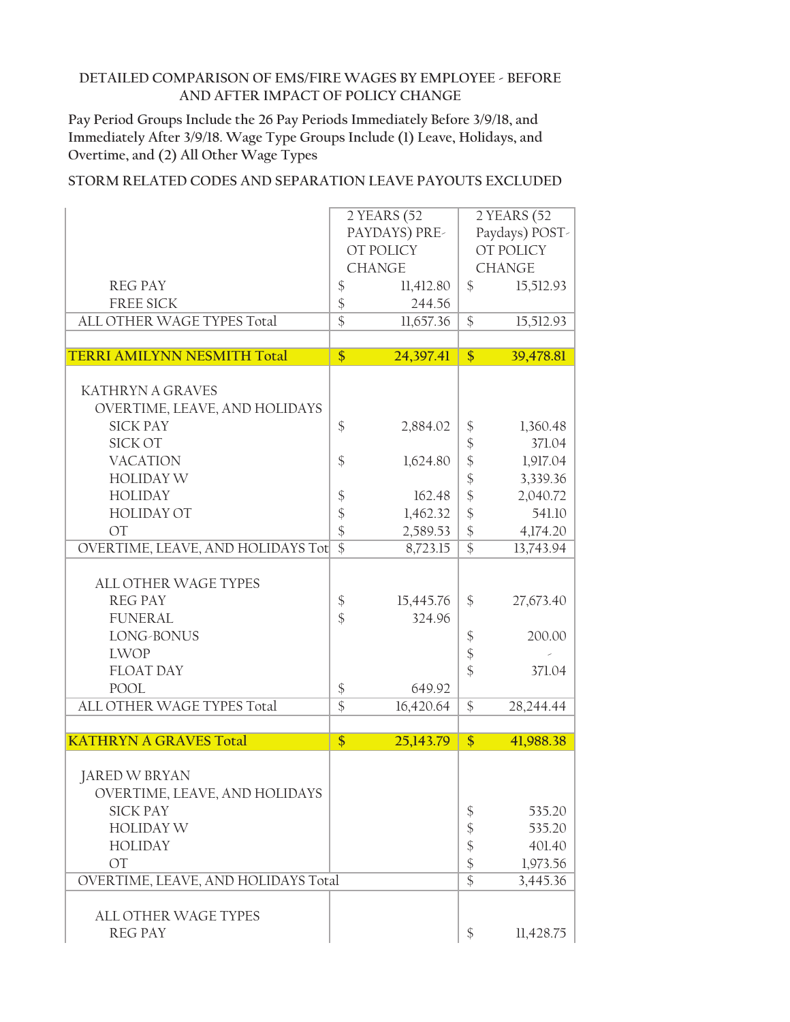**Pay Period Groups Include the 26 Pay Periods Immediately Before 3/9/18, and Immediately After 3/9/18. Wage Type Groups Include (1) Leave, Holidays, and Overtime, and (2) All Other Wage Types**

|                                                  |                 | 2 YEARS (52<br>PAYDAYS) PRE-<br>OT POLICY |                                 | 2 YEARS (52<br>Paydays) POST-<br>OT POLICY |
|--------------------------------------------------|-----------------|-------------------------------------------|---------------------------------|--------------------------------------------|
|                                                  |                 | <b>CHANGE</b>                             |                                 | <b>CHANGE</b>                              |
| <b>REG PAY</b>                                   | \$              | 11,412.80                                 | $\mathcal{S}$                   | 15,512.93                                  |
| <b>FREE SICK</b>                                 | \$              | 244.56                                    |                                 |                                            |
| ALL OTHER WAGE TYPES Total                       | $\overline{\$}$ | 11,657.36                                 | \$                              | 15,512.93                                  |
|                                                  |                 |                                           |                                 |                                            |
| <b>TERRI AMILYNN NESMITH Total</b>               | $\overline{\$}$ | 24,397.41                                 | $\frac{1}{2}$                   | 39,478.81                                  |
|                                                  |                 |                                           |                                 |                                            |
| <b>KATHRYN A GRAVES</b>                          |                 |                                           |                                 |                                            |
| OVERTIME, LEAVE, AND HOLIDAYS<br><b>SICK PAY</b> |                 |                                           |                                 |                                            |
| <b>SICK OT</b>                                   | \$              | 2,884.02                                  | \$                              | 1,360.48<br>371.04                         |
| <b>VACATION</b>                                  | \$              |                                           | $\boldsymbol{\mathsf{S}}$<br>\$ |                                            |
| <b>HOLIDAY W</b>                                 |                 | 1,624.80                                  |                                 | 1,917.04<br>3,339.36                       |
| <b>HOLIDAY</b>                                   |                 | 162.48                                    | \$                              | 2,040.72                                   |
| <b>HOLIDAY OT</b>                                | \$<br>\$        | 1,462.32                                  | \$<br>\$                        | 541.10                                     |
| <b>OT</b>                                        | \$              | 2,589.53                                  | $\frac{1}{2}$                   | 4,174.20                                   |
| OVERTIME, LEAVE, AND HOLIDAYS Tot                | $\overline{\$}$ | 8,723.15                                  | $\overline{\$}$                 | 13,743.94                                  |
|                                                  |                 |                                           |                                 |                                            |
| <b>ALL OTHER WAGE TYPES</b>                      |                 |                                           |                                 |                                            |
| <b>REG PAY</b>                                   | \$              | 15,445.76                                 | \$                              | 27,673.40                                  |
| <b>FUNERAL</b>                                   | \$              | 324.96                                    |                                 |                                            |
| LONG-BONUS                                       |                 |                                           | \$                              | 200.00                                     |
| <b>LWOP</b>                                      |                 |                                           | $\frac{1}{2}$                   |                                            |
| <b>FLOAT DAY</b>                                 |                 |                                           | \$                              | 371.04                                     |
| POOL                                             | \$              | 649.92                                    |                                 |                                            |
| ALL OTHER WAGE TYPES Total                       | $\overline{\$}$ | 16,420.64                                 | \$                              | 28,244.44                                  |
|                                                  |                 |                                           |                                 |                                            |
| <b>KATHRYN A GRAVES Total</b>                    | \$              | 25,143.79                                 | \$                              | 41,988.38                                  |
|                                                  |                 |                                           |                                 |                                            |
| <b>JARED W BRYAN</b>                             |                 |                                           |                                 |                                            |
| OVERTIME, LEAVE, AND HOLIDAYS                    |                 |                                           |                                 |                                            |
| <b>SICK PAY</b>                                  |                 |                                           | \$                              | 535.20                                     |
| <b>HOLIDAY W</b>                                 |                 |                                           | \$                              | 535.20                                     |
| <b>HOLIDAY</b>                                   |                 |                                           | $\boldsymbol{\mathsf{S}}$       | 401.40                                     |
| <b>OT</b>                                        |                 |                                           | $\frac{1}{2}$                   | 1,973.56                                   |
| OVERTIME, LEAVE, AND HOLIDAYS Total              |                 |                                           | $\overline{\$}$                 | 3,445.36                                   |
|                                                  |                 |                                           |                                 |                                            |
| <b>ALL OTHER WAGE TYPES</b>                      |                 |                                           |                                 |                                            |
| <b>REG PAY</b>                                   |                 |                                           | \$                              | 11,428.75                                  |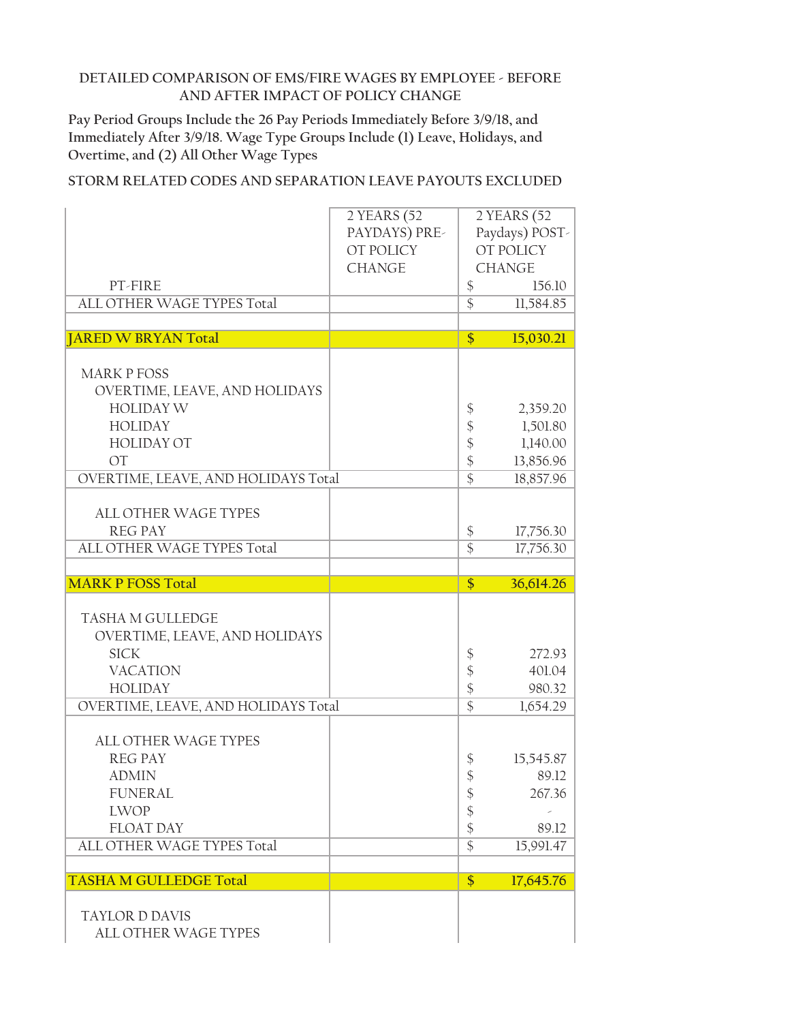**Pay Period Groups Include the 26 Pay Periods Immediately Before 3/9/18, and Immediately After 3/9/18. Wage Type Groups Include (1) Leave, Holidays, and Overtime, and (2) All Other Wage Types**

|                                               | 2 YEARS (52   |                            | 2 YEARS (52    |
|-----------------------------------------------|---------------|----------------------------|----------------|
|                                               | PAYDAYS) PRE- |                            | Paydays) POST- |
|                                               | OT POLICY     |                            | OT POLICY      |
|                                               | <b>CHANGE</b> |                            | <b>CHANGE</b>  |
| PT-FIRE                                       |               | \$                         | 156.10         |
| ALL OTHER WAGE TYPES Total                    |               | $\overline{\$}$            | 11,584.85      |
|                                               |               |                            |                |
| <b>JARED W BRYAN Total</b>                    |               | $\frac{1}{2}$              | 15,030.21      |
|                                               |               |                            |                |
| <b>MARK P FOSS</b>                            |               |                            |                |
| OVERTIME, LEAVE, AND HOLIDAYS                 |               |                            |                |
| <b>HOLIDAY W</b>                              |               | \$                         | 2,359.20       |
| <b>HOLIDAY</b>                                |               | \$                         | 1,501.80       |
| <b>HOLIDAY OT</b>                             |               | \$                         | 1,140.00       |
| <b>OT</b>                                     |               | \$                         | 13,856.96      |
| OVERTIME, LEAVE, AND HOLIDAYS Total           |               | $\overline{\$}$            | 18,857.96      |
|                                               |               |                            |                |
| <b>ALL OTHER WAGE TYPES</b>                   |               |                            |                |
| <b>REG PAY</b>                                |               | $\frac{1}{2}$              | 17,756.30      |
| ALL OTHER WAGE TYPES Total                    |               | $\overline{\$}$            | 17,756.30      |
|                                               |               |                            |                |
|                                               |               |                            |                |
| <b>MARK P FOSS Total</b>                      |               | \$                         | 36,614.26      |
|                                               |               |                            |                |
| <b>TASHA M GULLEDGE</b>                       |               |                            |                |
| OVERTIME, LEAVE, AND HOLIDAYS                 |               |                            |                |
| <b>SICK</b>                                   |               | \$                         | 272.93         |
| <b>VACATION</b>                               |               | \$                         | 401.04         |
| <b>HOLIDAY</b>                                |               | $\boldsymbol{\hat{\zeta}}$ | 980.32         |
| OVERTIME, LEAVE, AND HOLIDAYS Total           |               | $\overline{\$}$            | 1,654.29       |
|                                               |               |                            |                |
| <b>ALL OTHER WAGE TYPES</b>                   |               |                            |                |
| <b>REG PAY</b>                                |               | \$                         | 15,545.87      |
| <b>ADMIN</b>                                  |               | \$                         | 89.12          |
| <b>FUNERAL</b>                                |               | \$                         | 267.36         |
| <b>LWOP</b>                                   |               | \$                         |                |
| <b>FLOAT DAY</b>                              |               | \$                         | 89.12          |
| ALL OTHER WAGE TYPES Total                    |               | $\overline{\$}$            | 15,991.47      |
|                                               |               |                            |                |
| <b>TASHA M GULLEDGE Total</b>                 |               | \$                         | 17,645.76      |
|                                               |               |                            |                |
| <b>TAYLOR D DAVIS</b><br>ALL OTHER WAGE TYPES |               |                            |                |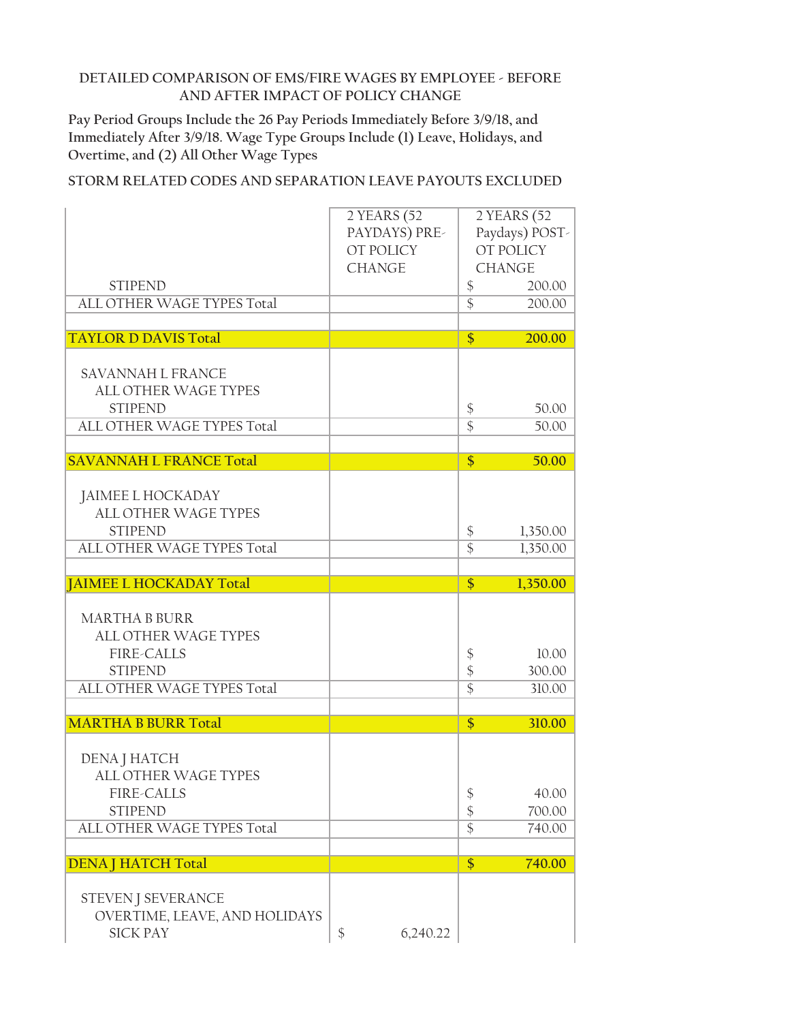**Pay Period Groups Include the 26 Pay Periods Immediately Before 3/9/18, and Immediately After 3/9/18. Wage Type Groups Include (1) Leave, Holidays, and Overtime, and (2) All Other Wage Types**

|                                           | 2 YEARS (52   |                            | 2 YEARS (52    |
|-------------------------------------------|---------------|----------------------------|----------------|
|                                           | PAYDAYS) PRE- |                            | Paydays) POST- |
|                                           | OT POLICY     |                            | OT POLICY      |
|                                           | <b>CHANGE</b> |                            | <b>CHANGE</b>  |
| <b>STIPEND</b>                            |               | $\boldsymbol{\mathsf{\$}}$ | 200.00         |
| ALL OTHER WAGE TYPES Total                |               | $\overline{\$}$            | 200.00         |
|                                           |               |                            |                |
| <b>TAYLOR D DAVIS Total</b>               |               | \$                         | 200.00         |
|                                           |               |                            |                |
| <b>SAVANNAH L FRANCE</b>                  |               |                            |                |
| <b>ALL OTHER WAGE TYPES</b>               |               |                            |                |
| <b>STIPEND</b>                            |               | \$                         | 50.00          |
| ALL OTHER WAGE TYPES Total                |               | $\overline{\$}$            | 50.00          |
|                                           |               |                            |                |
| <b>SAVANNAH L FRANCE Total</b>            |               | $\overline{\$}$            | 50.00          |
|                                           |               |                            |                |
|                                           |               |                            |                |
| JAIMEE L HOCKADAY<br>ALL OTHER WAGE TYPES |               |                            |                |
|                                           |               |                            |                |
| <b>STIPEND</b>                            |               | \$                         | 1,350.00       |
| ALL OTHER WAGE TYPES Total                |               | $\overline{\$}$            | 1,350.00       |
|                                           |               |                            |                |
|                                           |               |                            |                |
| <b>JAIMEE L HOCKADAY Total</b>            |               | \$                         | 1,350.00       |
|                                           |               |                            |                |
| <b>MARTHA B BURR</b>                      |               |                            |                |
| <b>ALL OTHER WAGE TYPES</b>               |               |                            |                |
| <b>FIRE-CALLS</b>                         |               | \$                         | 10.00          |
| <b>STIPEND</b>                            |               | $\frac{1}{2}$              | 300.00         |
| ALL OTHER WAGE TYPES Total                |               | $\overline{\$}$            | 310.00         |
|                                           |               |                            |                |
| <b>MARTHA B BURR Total</b>                |               | \$                         | 310.00         |
|                                           |               |                            |                |
| DENA J HATCH                              |               |                            |                |
| ALL OTHER WAGE TYPES                      |               |                            |                |
| FIRE-CALLS                                |               |                            | 40.00          |
|                                           |               | $\boldsymbol{\$}$          |                |
| <b>STIPEND</b>                            |               | \$                         | 700.00         |
| ALL OTHER WAGE TYPES Total                |               | $\overline{\$}$            | 740.00         |
| <b>DENA   HATCH Total</b>                 |               | \$                         | 740.00         |
|                                           |               |                            |                |
| STEVEN J SEVERANCE                        |               |                            |                |
| OVERTIME, LEAVE, AND HOLIDAYS             |               |                            |                |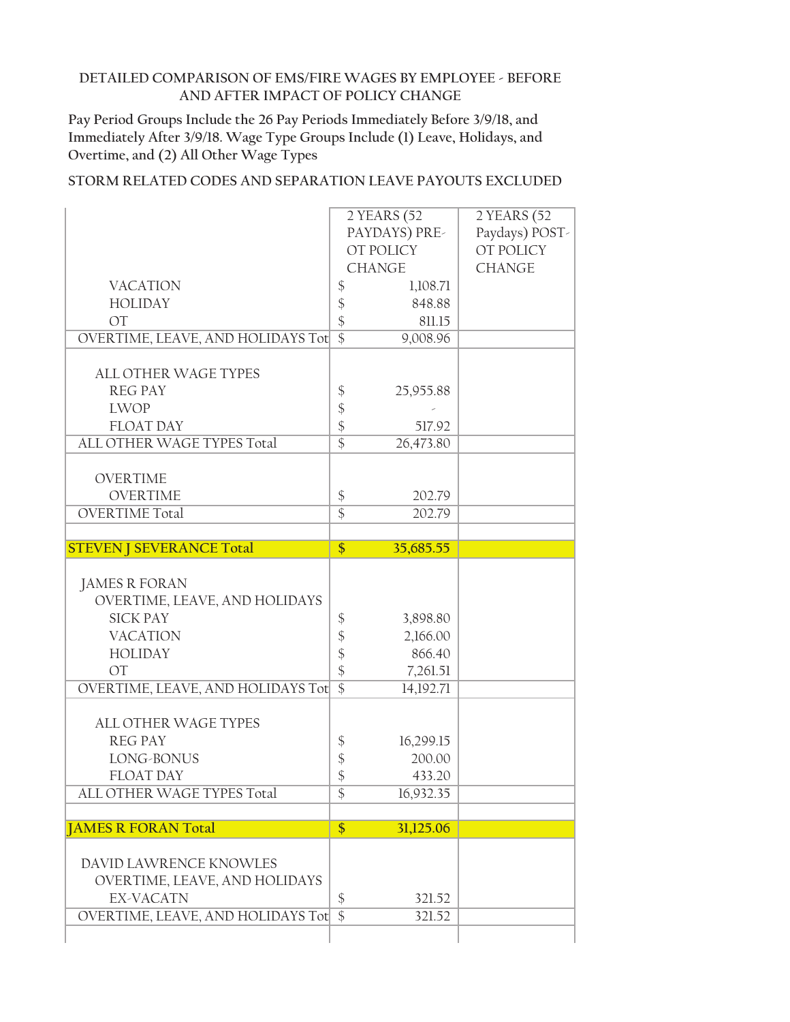**Pay Period Groups Include the 26 Pay Periods Immediately Before 3/9/18, and Immediately After 3/9/18. Wage Type Groups Include (1) Leave, Holidays, and Overtime, and (2) All Other Wage Types**

|                                   | 2 YEARS (52                      | 2 YEARS (52    |
|-----------------------------------|----------------------------------|----------------|
|                                   | PAYDAYS) PRE-                    | Paydays) POST- |
|                                   | OT POLICY                        | OT POLICY      |
|                                   | <b>CHANGE</b>                    | <b>CHANGE</b>  |
| <b>VACATION</b>                   | \$                               | 1,108.71       |
| <b>HOLIDAY</b>                    | \$                               | 848.88         |
| <b>OT</b>                         | \$                               | 811.15         |
| OVERTIME, LEAVE, AND HOLIDAYS Tot | $\overline{\$}$                  | 9,008.96       |
| <b>ALL OTHER WAGE TYPES</b>       |                                  |                |
| <b>REG PAY</b>                    |                                  |                |
| <b>LWOP</b>                       | \$                               | 25,955.88      |
| <b>FLOAT DAY</b>                  | \$                               | 517.92         |
| ALL OTHER WAGE TYPES Total        | $\frac{1}{2}$<br>$\overline{\$}$ | 26,473.80      |
|                                   |                                  |                |
| <b>OVERTIME</b>                   |                                  |                |
| <b>OVERTIME</b>                   | $\boldsymbol{\$}$                | 202.79         |
| <b>OVERTIME Total</b>             | $\overline{\$}$                  | 202.79         |
|                                   |                                  |                |
| <b>STEVEN   SEVERANCE Total</b>   | \$<br>35,685.55                  |                |
|                                   |                                  |                |
|                                   |                                  |                |
| <b>JAMES R FORAN</b>              |                                  |                |
| OVERTIME, LEAVE, AND HOLIDAYS     |                                  |                |
| <b>SICK PAY</b>                   | \$                               | 3,898.80       |
| <b>VACATION</b>                   |                                  | 2,166.00       |
| <b>HOLIDAY</b>                    |                                  | 866.40         |
| <b>OT</b>                         | \$48                             | 7,261.51       |
| OVERTIME, LEAVE, AND HOLIDAYS Tot | $\overline{\$}$                  | 14,192.71      |
|                                   |                                  |                |
| <b>ALL OTHER WAGE TYPES</b>       |                                  |                |
| <b>REG PAY</b>                    | \$                               | 16,299.15      |
| LONG-BONUS<br><b>FLOAT DAY</b>    |                                  | 200.00         |
|                                   | $\frac{1}{2}$                    | 433.20         |
| ALL OTHER WAGE TYPES Total        | \$                               | 16,932.35      |
| <b>JAMES R FORAN Total</b>        | $\frac{1}{2}$                    | 31,125.06      |
|                                   |                                  |                |
| DAVID LAWRENCE KNOWLES            |                                  |                |
| OVERTIME, LEAVE, AND HOLIDAYS     |                                  |                |
| <b>EX-VACATN</b>                  | \$                               | 321.52         |
| OVERTIME, LEAVE, AND HOLIDAYS Tot | $\overline{\$}$                  | 321.52         |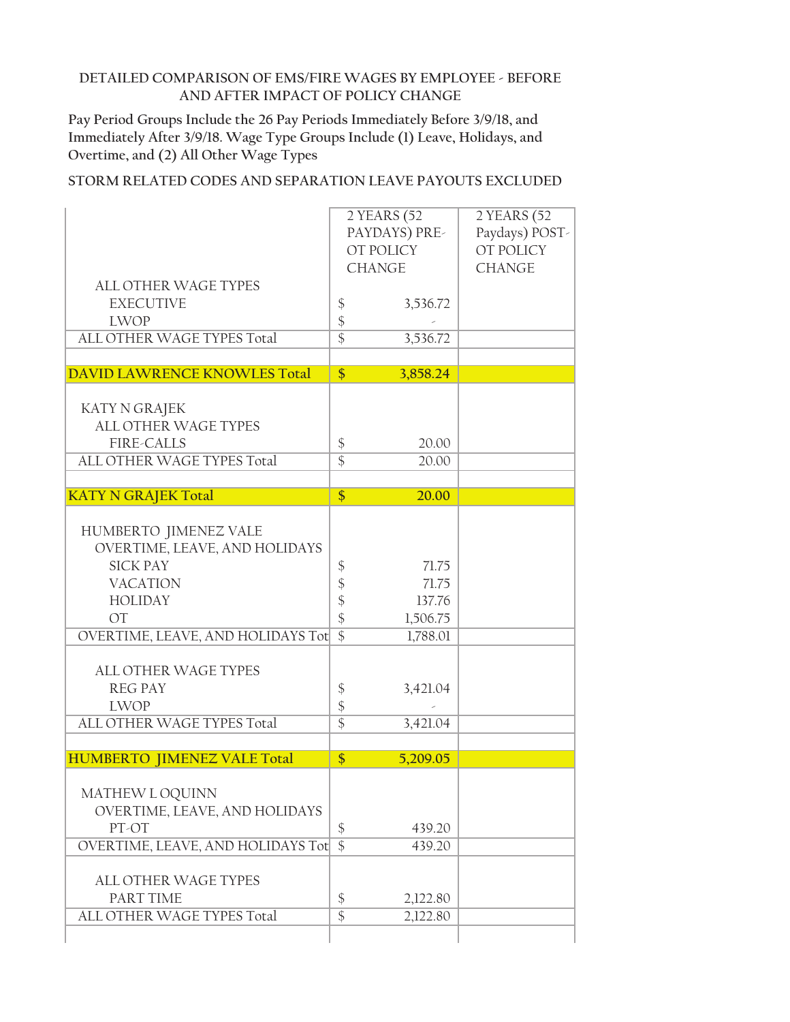**Pay Period Groups Include the 26 Pay Periods Immediately Before 3/9/18, and Immediately After 3/9/18. Wage Type Groups Include (1) Leave, Holidays, and Overtime, and (2) All Other Wage Types**

|                                                        |                                  | 2 YEARS (52<br>PAYDAYS) PRE-<br>OT POLICY | 2 YEARS (52<br>Paydays) POST-<br>OT POLICY |
|--------------------------------------------------------|----------------------------------|-------------------------------------------|--------------------------------------------|
|                                                        |                                  | <b>CHANGE</b>                             | <b>CHANGE</b>                              |
| ALL OTHER WAGE TYPES                                   |                                  |                                           |                                            |
| <b>EXECUTIVE</b>                                       | \$                               | 3,536.72                                  |                                            |
| <b>LWOP</b>                                            | \$                               |                                           |                                            |
| ALL OTHER WAGE TYPES Total                             | $\overline{\$}$                  | 3,536.72                                  |                                            |
| <b>DAVID LAWRENCE KNOWLES Total</b>                    | \$                               | 3,858.24                                  |                                            |
|                                                        |                                  |                                           |                                            |
| KATY N GRAJEK<br>ALL OTHER WAGE TYPES                  |                                  |                                           |                                            |
| <b>FIRE-CALLS</b>                                      | $\boldsymbol{\$}$                | 20.00                                     |                                            |
| ALL OTHER WAGE TYPES Total                             | $\overline{\$}$                  | 20.00                                     |                                            |
|                                                        |                                  |                                           |                                            |
| <b>KATY N GRAJEK Total</b>                             | \$                               | 20.00                                     |                                            |
|                                                        |                                  |                                           |                                            |
| HUMBERTO JIMENEZ VALE<br>OVERTIME, LEAVE, AND HOLIDAYS |                                  |                                           |                                            |
| <b>SICK PAY</b>                                        | \$                               | 71.75                                     |                                            |
| <b>VACATION</b>                                        |                                  | 71.75                                     |                                            |
| <b>HOLIDAY</b>                                         | $\frac{1}{2}$                    | 137.76                                    |                                            |
| <b>OT</b>                                              | $\ddot{\S}$                      | 1,506.75                                  |                                            |
| OVERTIME, LEAVE, AND HOLIDAYS Tot                      | $\overline{\$}$                  | 1,788.01                                  |                                            |
|                                                        |                                  |                                           |                                            |
| <b>ALL OTHER WAGE TYPES</b>                            |                                  |                                           |                                            |
| <b>REG PAY</b>                                         | \$                               | 3,421.04                                  |                                            |
| <b>LWOP</b><br>ALL OTHER WAGE TYPES Total              | $\frac{1}{2}$<br>$\overline{\$}$ | 3,421.04                                  |                                            |
|                                                        |                                  |                                           |                                            |
| <b>HUMBERTO JIMENEZ VALE Total</b>                     | \$                               | 5,209.05                                  |                                            |
|                                                        |                                  |                                           |                                            |
| MATHEW L OQUINN                                        |                                  |                                           |                                            |
| OVERTIME, LEAVE, AND HOLIDAYS                          |                                  |                                           |                                            |
| PT-OT                                                  | \$                               | 439.20                                    |                                            |
| OVERTIME, LEAVE, AND HOLIDAYS Tot                      | $\overline{\$}$                  | 439.20                                    |                                            |
| ALL OTHER WAGE TYPES                                   |                                  |                                           |                                            |
| PART TIME                                              | \$                               | 2,122.80                                  |                                            |
| ALL OTHER WAGE TYPES Total                             | $\overline{\$}$                  | 2,122.80                                  |                                            |
|                                                        |                                  |                                           |                                            |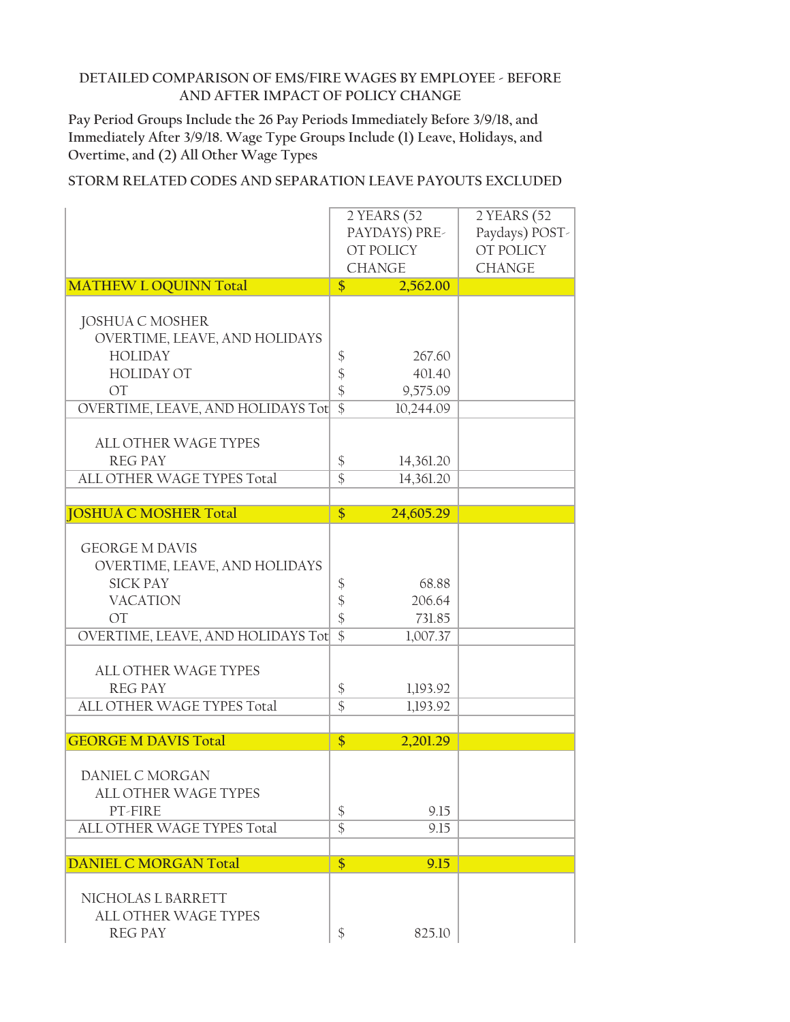**Pay Period Groups Include the 26 Pay Periods Immediately Before 3/9/18, and Immediately After 3/9/18. Wage Type Groups Include (1) Leave, Holidays, and Overtime, and (2) All Other Wage Types**

|                                   |                   | 2 YEARS (52   | 2 YEARS (52    |
|-----------------------------------|-------------------|---------------|----------------|
|                                   | PAYDAYS) PRE-     |               | Paydays) POST- |
|                                   | OT POLICY         |               | OT POLICY      |
|                                   |                   | <b>CHANGE</b> | <b>CHANGE</b>  |
| <b>MATHEW L OQUINN Total</b>      | \$                | 2,562.00      |                |
|                                   |                   |               |                |
| <b>JOSHUA C MOSHER</b>            |                   |               |                |
| OVERTIME, LEAVE, AND HOLIDAYS     |                   |               |                |
| <b>HOLIDAY</b>                    | \$                | 267.60        |                |
| <b>HOLIDAY OT</b>                 | \$                | 401.40        |                |
| <b>OT</b>                         | \$                | 9,575.09      |                |
| OVERTIME, LEAVE, AND HOLIDAYS Tot | $\overline{\$}$   | 10,244.09     |                |
| <b>ALL OTHER WAGE TYPES</b>       |                   |               |                |
| <b>REG PAY</b>                    | $\boldsymbol{\$}$ | 14,361.20     |                |
| ALL OTHER WAGE TYPES Total        | $\overline{\$}$   | 14,361.20     |                |
|                                   |                   |               |                |
| <b>JOSHUA C MOSHER Total</b>      | $\overline{\$}$   | 24,605.29     |                |
|                                   |                   |               |                |
| <b>GEORGE M DAVIS</b>             |                   |               |                |
| OVERTIME, LEAVE, AND HOLIDAYS     |                   |               |                |
| <b>SICK PAY</b>                   | \$                | 68.88         |                |
| <b>VACATION</b>                   | \$                | 206.64        |                |
| <b>OT</b>                         | $\frac{1}{2}$     | 731.85        |                |
| OVERTIME, LEAVE, AND HOLIDAYS Tot | $\overline{\$}$   | 1,007.37      |                |
|                                   |                   |               |                |
| <b>ALL OTHER WAGE TYPES</b>       |                   |               |                |
| <b>REG PAY</b>                    | \$                | 1,193.92      |                |
| ALL OTHER WAGE TYPES Total        | $\overline{\$}$   | 1,193.92      |                |
|                                   |                   |               |                |
| <b>GEORGE M DAVIS Total</b>       | \$                | 2,201.29      |                |
| DANIEL C MORGAN                   |                   |               |                |
| <b>ALL OTHER WAGE TYPES</b>       |                   |               |                |
| PT-FIRE                           | $\boldsymbol{\$}$ | 9.15          |                |
| ALL OTHER WAGE TYPES Total        | $\overline{\$}$   | 9.15          |                |
|                                   |                   |               |                |
| <b>DANIEL C MORGAN Total</b>      | \$                | 9.15          |                |
|                                   |                   |               |                |
| NICHOLAS L BARRETT                |                   |               |                |
| ALL OTHER WAGE TYPES              |                   |               |                |
| <b>REG PAY</b>                    | \$                | 825.10        |                |